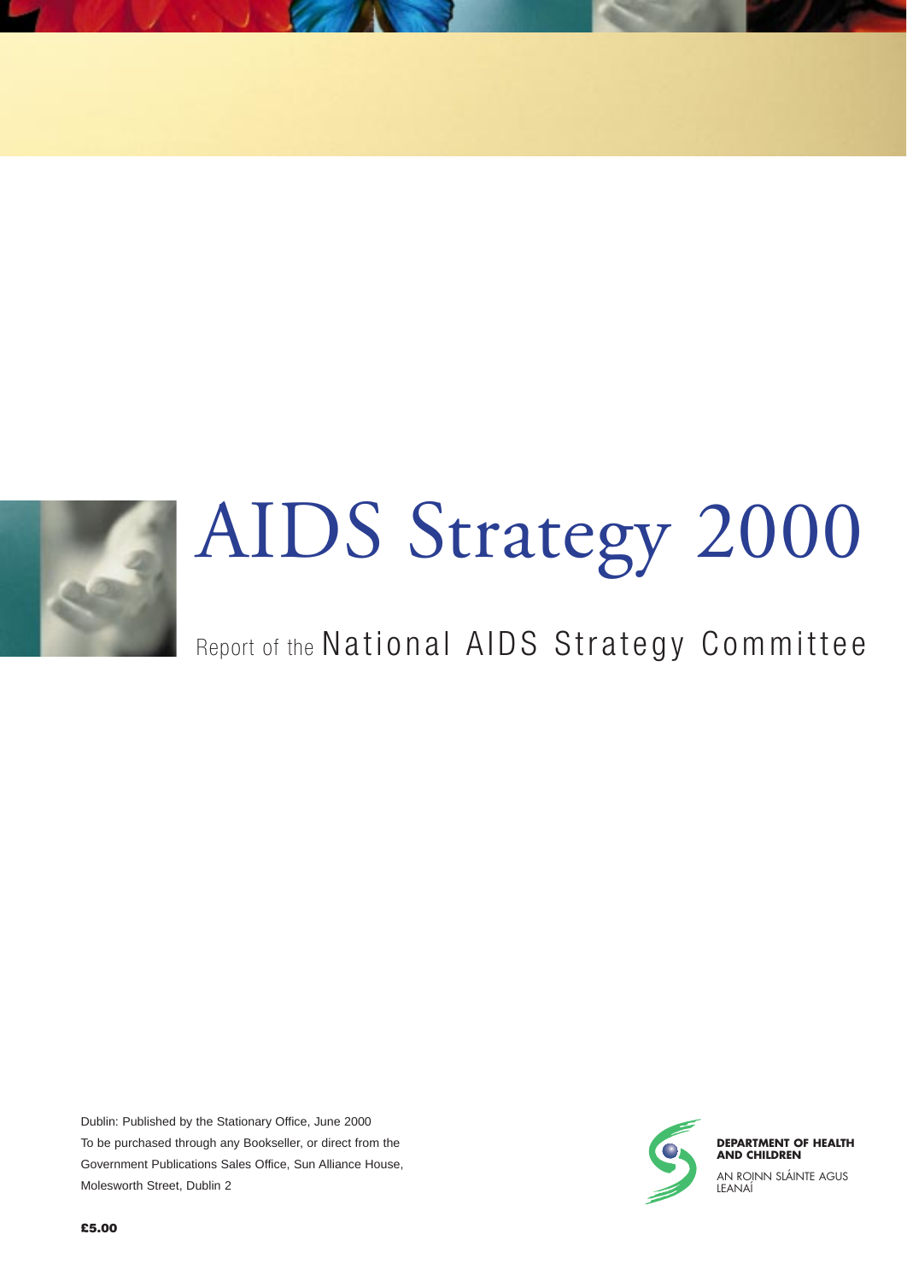

## AIDS Strategy 2000

## Report of the National AIDS Strategy Committee

Dublin: Published by the Stationary Office, June 2000 To be purchased through any Bookseller, or direct from the Government Publications Sales Office, Sun Alliance House, Molesworth Street, Dublin 2

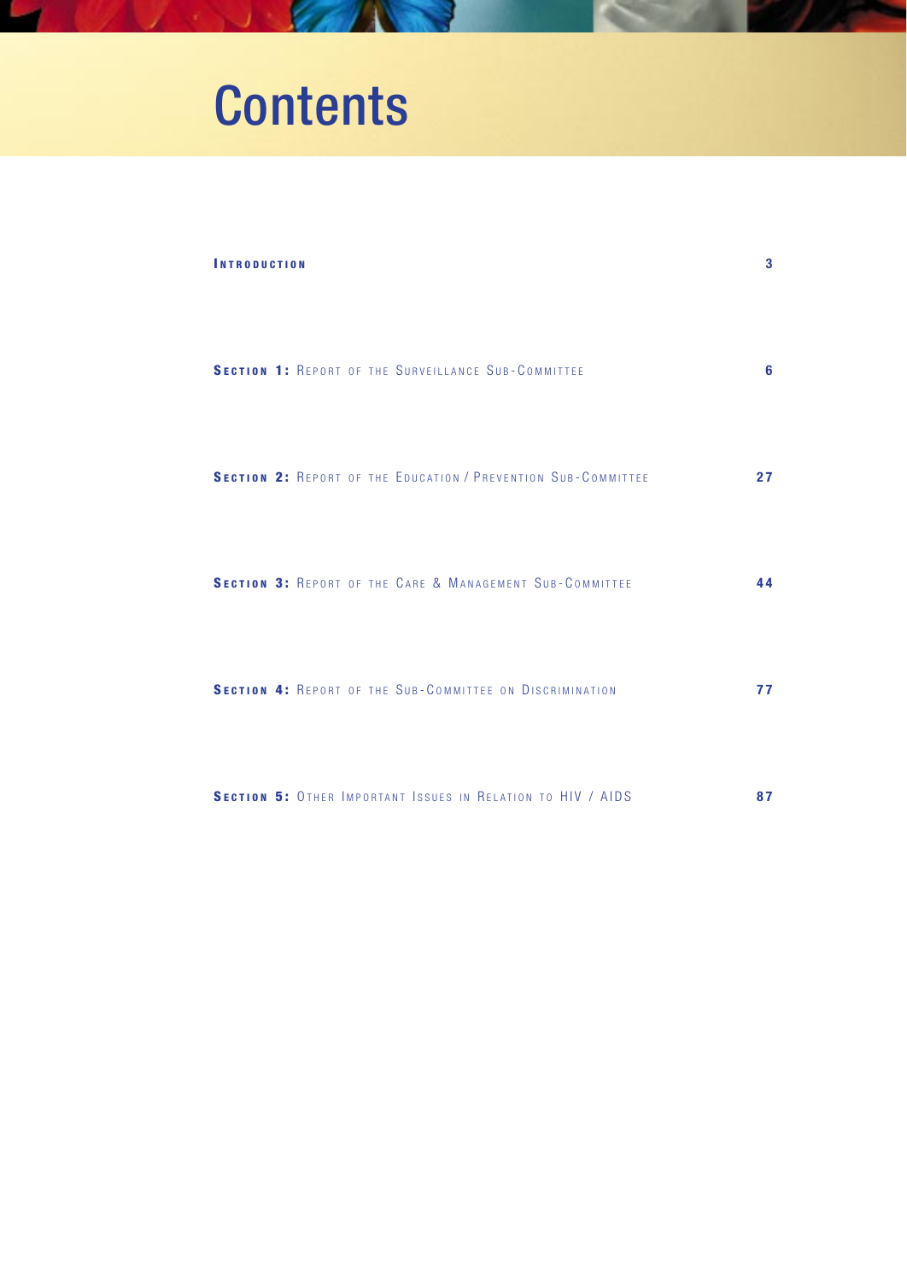## **Contents**

| <b>INTRODUCTION</b>                                                  | 3  |
|----------------------------------------------------------------------|----|
| <b>SECTION 1: REPORT OF THE SURVEILLANCE SUB-COMMITTEE</b>           | 6  |
| <b>SECTION 2: REPORT OF THE EDUCATION / PREVENTION SUB-COMMITTEE</b> | 27 |
| SECTION 3: REPORT OF THE CARE & MANAGEMENT SUB-COMMITTEE             | 44 |
| SECTION 4: REPORT OF THE SUB-COMMITTEE ON DISCRIMINATION             | 77 |
| SECTION 5: OTHER IMPORTANT ISSUES IN RELATION TO HIV / AIDS          | 87 |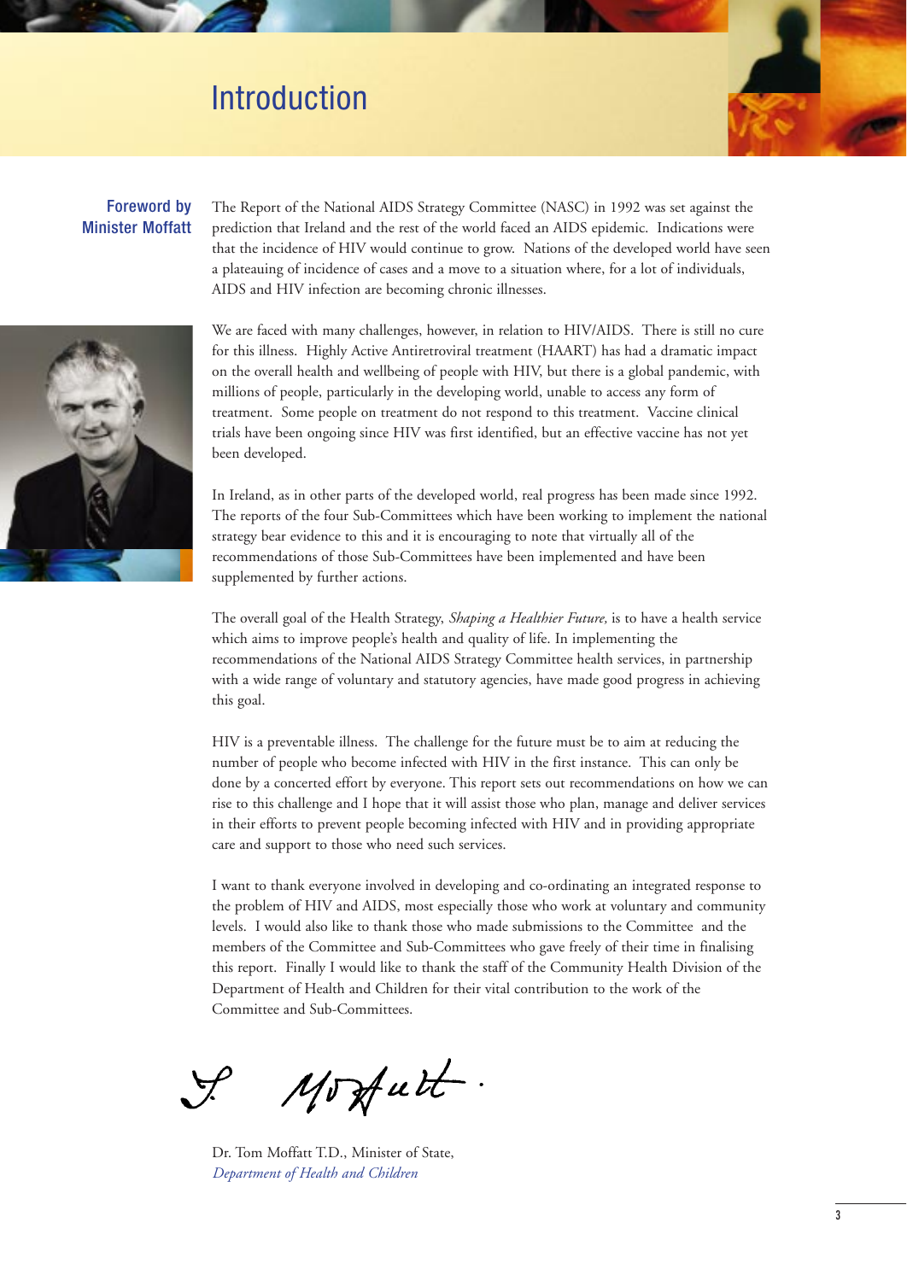## Introduction

#### Foreword by Minister Moffatt

The Report of the National AIDS Strategy Committee (NASC) in 1992 was set against the prediction that Ireland and the rest of the world faced an AIDS epidemic. Indications were that the incidence of HIV would continue to grow. Nations of the developed world have seen a plateauing of incidence of cases and a move to a situation where, for a lot of individuals, AIDS and HIV infection are becoming chronic illnesses.



We are faced with many challenges, however, in relation to HIV/AIDS. There is still no cure for this illness. Highly Active Antiretroviral treatment (HAART) has had a dramatic impact on the overall health and wellbeing of people with HIV, but there is a global pandemic, with millions of people, particularly in the developing world, unable to access any form of treatment. Some people on treatment do not respond to this treatment. Vaccine clinical trials have been ongoing since HIV was first identified, but an effective vaccine has not yet been developed.

In Ireland, as in other parts of the developed world, real progress has been made since 1992. The reports of the four Sub-Committees which have been working to implement the national strategy bear evidence to this and it is encouraging to note that virtually all of the recommendations of those Sub-Committees have been implemented and have been supplemented by further actions.

The overall goal of the Health Strategy, *Shaping a Healthier Future,* is to have a health service which aims to improve people's health and quality of life. In implementing the recommendations of the National AIDS Strategy Committee health services, in partnership with a wide range of voluntary and statutory agencies, have made good progress in achieving this goal.

HIV is a preventable illness. The challenge for the future must be to aim at reducing the number of people who become infected with HIV in the first instance. This can only be done by a concerted effort by everyone. This report sets out recommendations on how we can rise to this challenge and I hope that it will assist those who plan, manage and deliver services in their efforts to prevent people becoming infected with HIV and in providing appropriate care and support to those who need such services.

I want to thank everyone involved in developing and co-ordinating an integrated response to the problem of HIV and AIDS, most especially those who work at voluntary and community levels. I would also like to thank those who made submissions to the Committee and the members of the Committee and Sub-Committees who gave freely of their time in finalising this report. Finally I would like to thank the staff of the Community Health Division of the Department of Health and Children for their vital contribution to the work of the Committee and Sub-Committees.

Mosfutt.

Dr. Tom Moffatt T.D., Minister of State, *Department of Health and Children*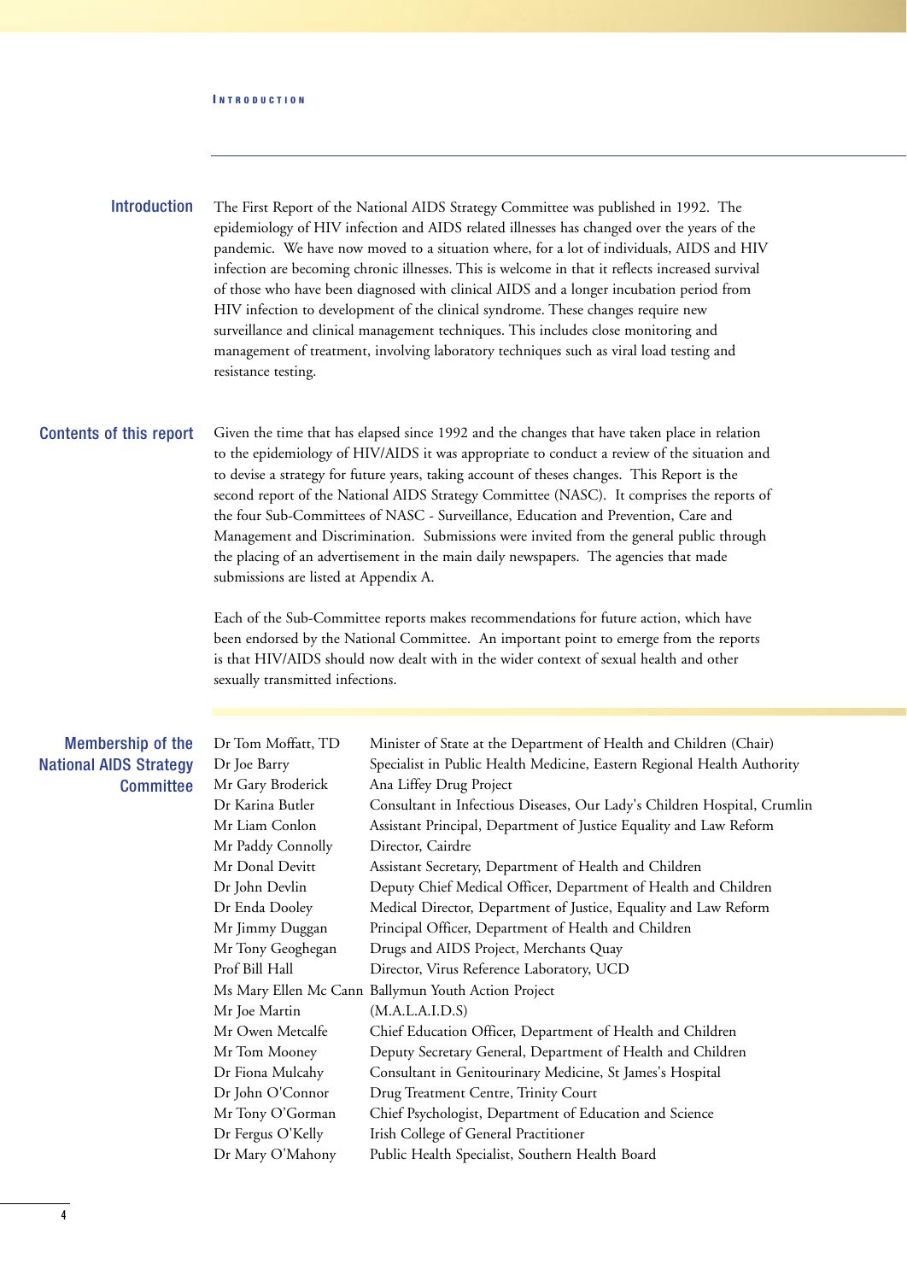#### **I NTRODUCTION**

The First Report of the National AIDS Strategy Committee was published in 1992. The epidemiology of HIV infection and AIDS related illnesses has changed over the years of the pandemic. We have now moved to a situation where, for a lot of individuals, AIDS and HIV infection are becoming chronic illnesses. This is welcome in that it reflects increased survival of those who have been diagnosed with clinical AIDS and a longer incubation period from HIV infection to development of the clinical syndrome. These changes require new surveillance and clinical management techniques. This includes close monitoring and management of treatment, involving laboratory techniques such as viral load testing and resistance testing. Introduction

#### Contents of this report

Given the time that has elapsed since 1992 and the changes that have taken place in relation to the epidemiology of HIV/AIDS it was appropriate to conduct a review of the situation and to devise a strategy for future years, taking account of theses changes. This Report is the second report of the National AIDS Strategy Committee (NASC). It comprises the reports of the four Sub-Committees of NASC - Surveillance, Education and Prevention, Care and Management and Discrimination. Submissions were invited from the general public through the placing of an advertisement in the main daily newspapers. The agencies that made submissions are listed at Appendix A.

Each of the Sub-Committee reports makes recommendations for future action, which have been endorsed by the National Committee. An important point to emerge from the reports is that HIV/AIDS should now dealt with in the wider context of sexual health and other sexually transmitted infections.

| Membership of the             | Dr Tom Moffatt, TD | Minister of State at the Department of Health and Children (Chair)       |  |  |  |  |  |  |
|-------------------------------|--------------------|--------------------------------------------------------------------------|--|--|--|--|--|--|
| <b>National AIDS Strategy</b> | Dr Joe Barry       | Specialist in Public Health Medicine, Eastern Regional Health Authority  |  |  |  |  |  |  |
| <b>Committee</b>              | Mr Gary Broderick  | Ana Liffey Drug Project                                                  |  |  |  |  |  |  |
|                               | Dr Karina Butler   | Consultant in Infectious Diseases, Our Lady's Children Hospital, Crumlin |  |  |  |  |  |  |
|                               | Mr Liam Conlon     | Assistant Principal, Department of Justice Equality and Law Reform       |  |  |  |  |  |  |
|                               | Mr Paddy Connolly  | Director, Cairdre                                                        |  |  |  |  |  |  |
|                               | Mr Donal Devitt    | Assistant Secretary, Department of Health and Children                   |  |  |  |  |  |  |
|                               | Dr John Devlin     | Deputy Chief Medical Officer, Department of Health and Children          |  |  |  |  |  |  |
|                               | Dr Enda Dooley     | Medical Director, Department of Justice, Equality and Law Reform         |  |  |  |  |  |  |
|                               | Mr Jimmy Duggan    | Principal Officer, Department of Health and Children                     |  |  |  |  |  |  |
|                               | Mr Tony Geoghegan  | Drugs and AIDS Project, Merchants Quay                                   |  |  |  |  |  |  |
|                               | Prof Bill Hall     | Director, Virus Reference Laboratory, UCD                                |  |  |  |  |  |  |
|                               |                    | Ms Mary Ellen Mc Cann Ballymun Youth Action Project                      |  |  |  |  |  |  |
|                               | Mr Joe Martin      | (M.A.L.A.I.D.S)                                                          |  |  |  |  |  |  |
|                               | Mr Owen Metcalfe   | Chief Education Officer, Department of Health and Children               |  |  |  |  |  |  |
|                               | Mr Tom Mooney      | Deputy Secretary General, Department of Health and Children              |  |  |  |  |  |  |
|                               | Dr Fiona Mulcahy   | Consultant in Genitourinary Medicine, St James's Hospital                |  |  |  |  |  |  |
|                               | Dr John O'Connor   | Drug Treatment Centre, Trinity Court                                     |  |  |  |  |  |  |
|                               | Mr Tony O'Gorman   | Chief Psychologist, Department of Education and Science                  |  |  |  |  |  |  |
|                               | Dr Fergus O'Kelly  | Irish College of General Practitioner                                    |  |  |  |  |  |  |
|                               | Dr Mary O'Mahony   | Public Health Specialist, Southern Health Board                          |  |  |  |  |  |  |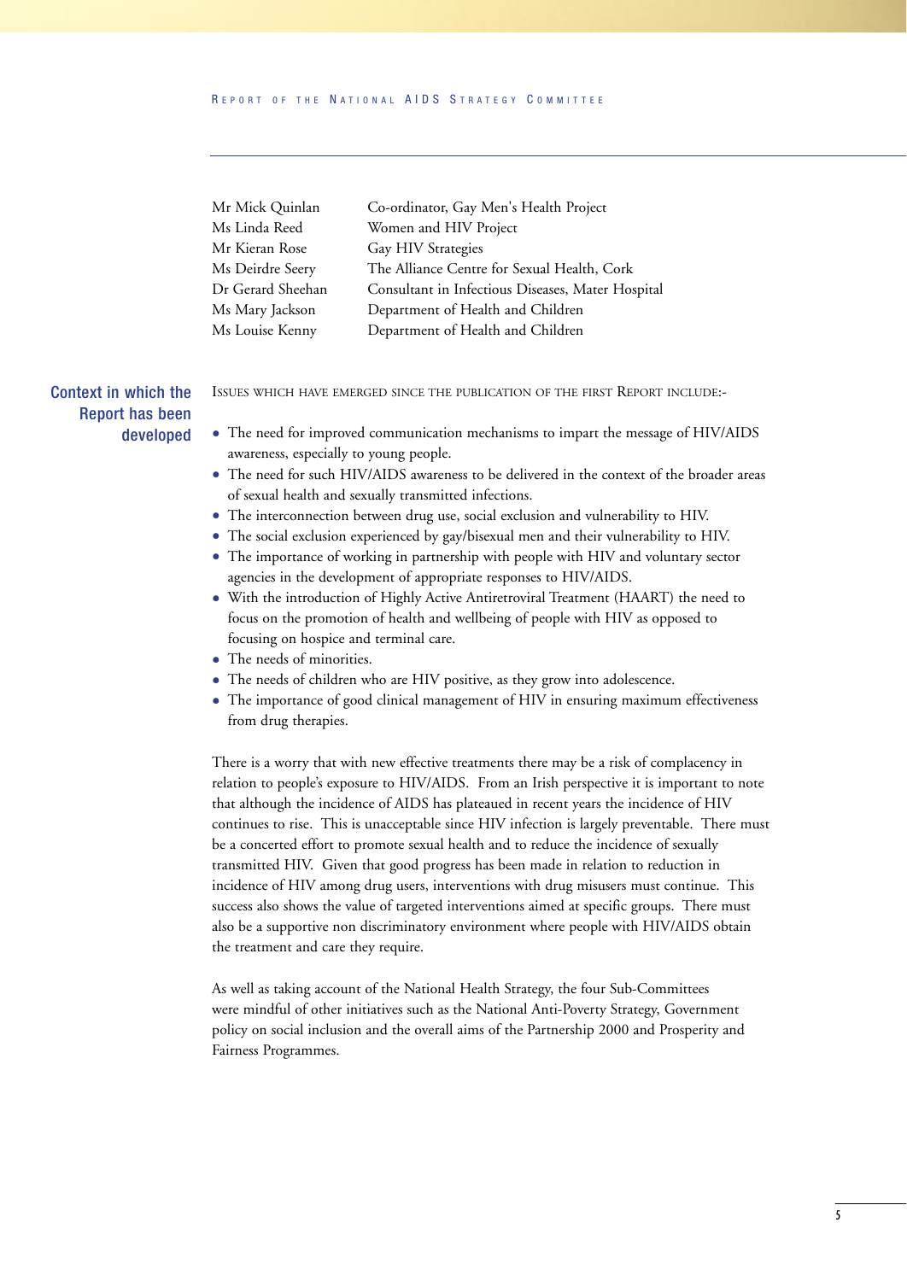#### R EPORT OF THE N ATIONAL AIDS S TRATEGY C OMMITTEE

| Mr Mick Quinlan   | Co-ordinator, Gay Men's Health Project            |
|-------------------|---------------------------------------------------|
| Ms Linda Reed     | Women and HIV Project                             |
| Mr Kieran Rose    | Gay HIV Strategies                                |
| Ms Deirdre Seery  | The Alliance Centre for Sexual Health, Cork       |
| Dr Gerard Sheehan | Consultant in Infectious Diseases, Mater Hospital |
| Ms Mary Jackson   | Department of Health and Children                 |
| Ms Louise Kenny   | Department of Health and Children                 |

Context in which the Report has been developed ISSUES WHICH HAVE EMERGED SINCE THE PUBLICATION OF THE FIRST REPORT INCLUDE:-

- The need for improved communication mechanisms to impart the message of HIV/AIDS awareness, especially to young people.
- The need for such HIV/AIDS awareness to be delivered in the context of the broader areas of sexual health and sexually transmitted infections.
- The interconnection between drug use, social exclusion and vulnerability to HIV.
- The social exclusion experienced by gay/bisexual men and their vulnerability to HIV.
- The importance of working in partnership with people with HIV and voluntary sector agencies in the development of appropriate responses to HIV/AIDS.
- With the introduction of Highly Active Antiretroviral Treatment (HAART) the need to focus on the promotion of health and wellbeing of people with HIV as opposed to focusing on hospice and terminal care.
- The needs of minorities.
- The needs of children who are HIV positive, as they grow into adolescence.
- The importance of good clinical management of HIV in ensuring maximum effectiveness from drug therapies.

There is a worry that with new effective treatments there may be a risk of complacency in relation to people's exposure to HIV/AIDS. From an Irish perspective it is important to note that although the incidence of AIDS has plateaued in recent years the incidence of HIV continues to rise. This is unacceptable since HIV infection is largely preventable. There must be a concerted effort to promote sexual health and to reduce the incidence of sexually transmitted HIV. Given that good progress has been made in relation to reduction in incidence of HIV among drug users, interventions with drug misusers must continue. This success also shows the value of targeted interventions aimed at specific groups. There must also be a supportive non discriminatory environment where people with HIV/AIDS obtain the treatment and care they require.

As well as taking account of the National Health Strategy, the four Sub-Committees were mindful of other initiatives such as the National Anti-Poverty Strategy, Government policy on social inclusion and the overall aims of the Partnership 2000 and Prosperity and Fairness Programmes.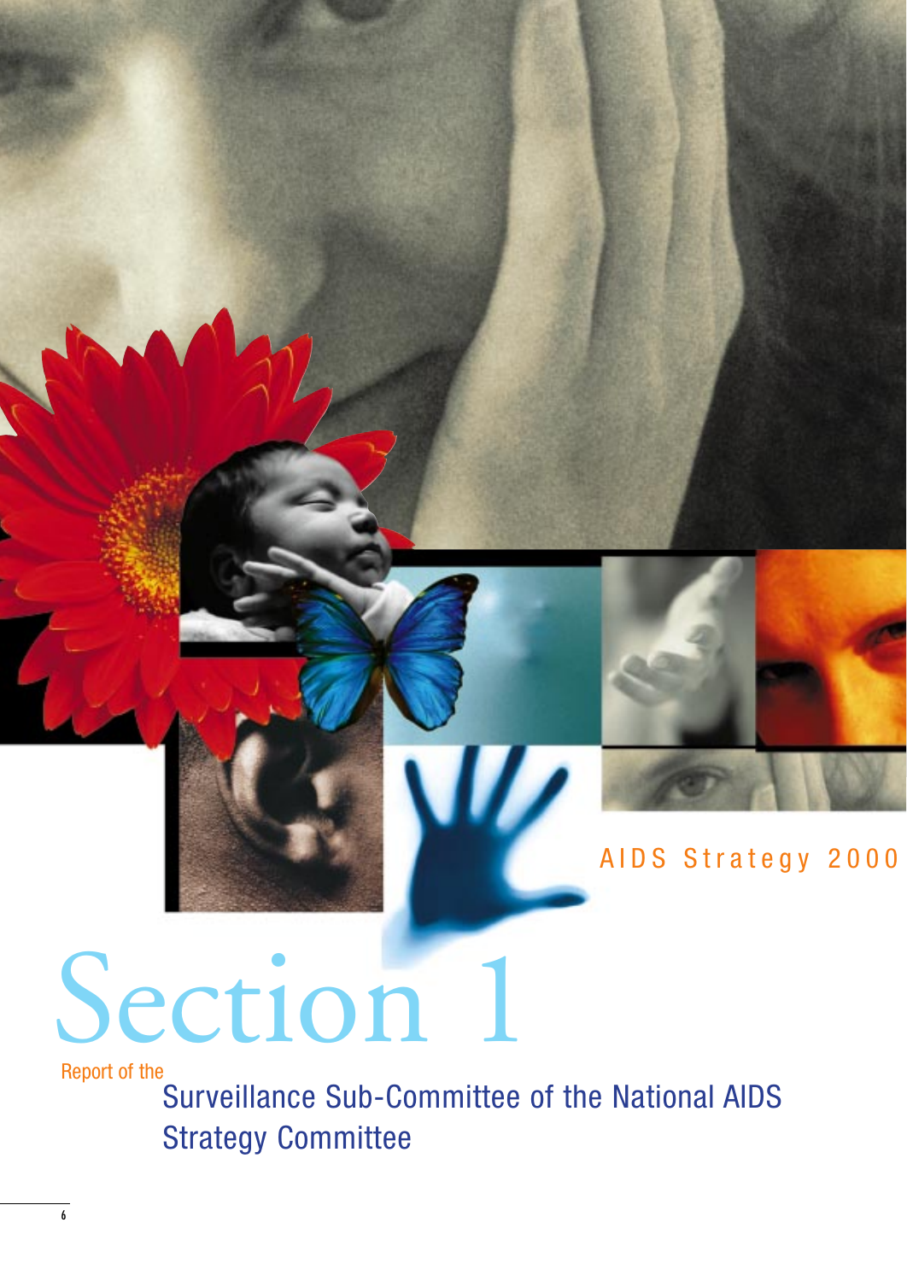

### AIDS Strategy 2000

# Section 1

Report of the

Surveillance Sub-Committee of the National AIDS Strategy Committee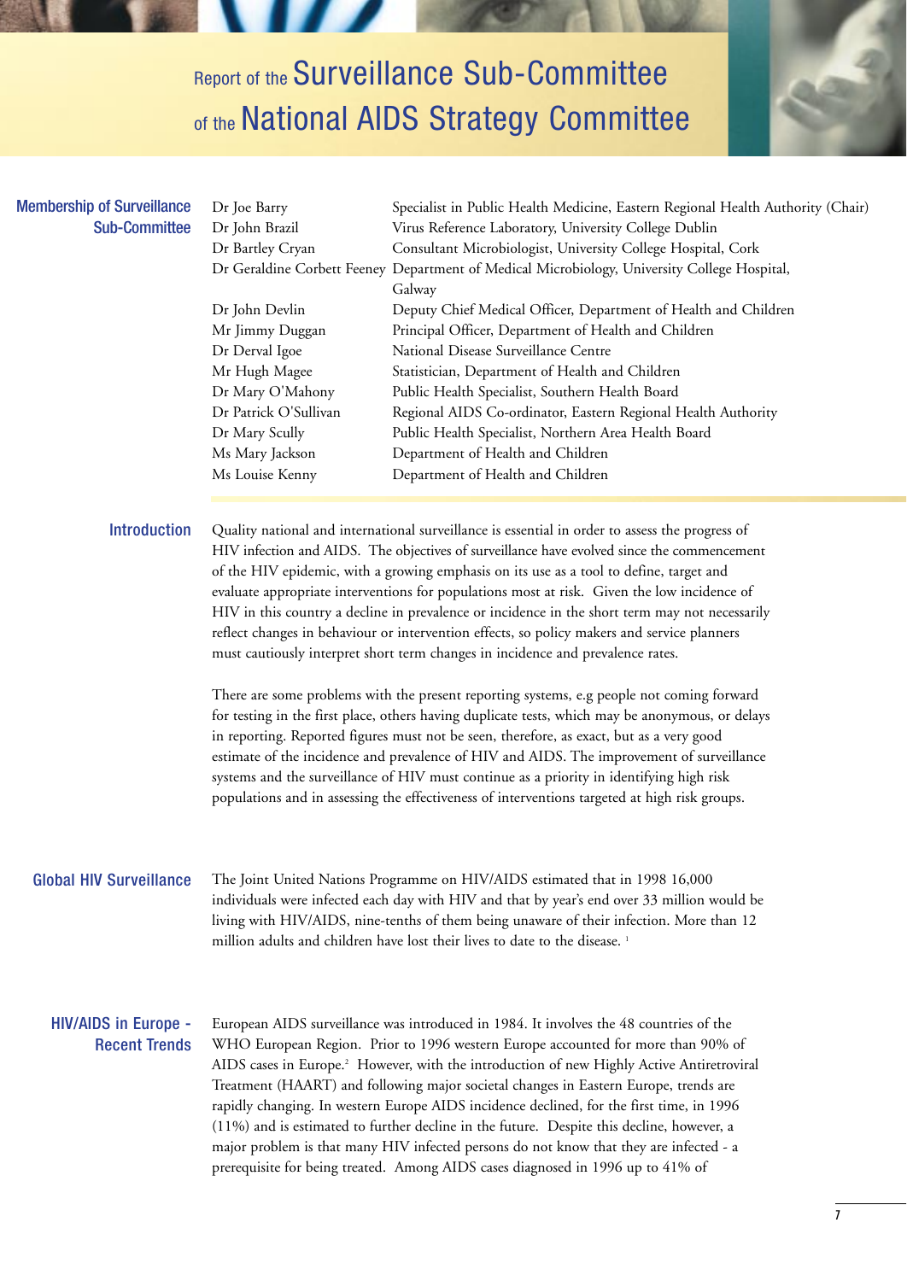## **Report of the Surveillance Sub-Committee** of the National AIDS Strategy Committee



#### Membership of Surveillance Sub-Committee

|  | Dr Joe Barry          | Specialist in Public Health Medicine, Eastern Regional Health Authority (Chair)              |  |  |  |  |  |  |  |
|--|-----------------------|----------------------------------------------------------------------------------------------|--|--|--|--|--|--|--|
|  | Dr John Brazil        | Virus Reference Laboratory, University College Dublin                                        |  |  |  |  |  |  |  |
|  | Dr Bartley Cryan      | Consultant Microbiologist, University College Hospital, Cork                                 |  |  |  |  |  |  |  |
|  |                       | Dr Geraldine Corbett Feeney Department of Medical Microbiology, University College Hospital, |  |  |  |  |  |  |  |
|  |                       | Galway                                                                                       |  |  |  |  |  |  |  |
|  | Dr John Devlin        | Deputy Chief Medical Officer, Department of Health and Children                              |  |  |  |  |  |  |  |
|  | Mr Jimmy Duggan       | Principal Officer, Department of Health and Children                                         |  |  |  |  |  |  |  |
|  | Dr Derval Igoe        | National Disease Surveillance Centre                                                         |  |  |  |  |  |  |  |
|  | Mr Hugh Magee         | Statistician, Department of Health and Children                                              |  |  |  |  |  |  |  |
|  | Dr Mary O'Mahony      | Public Health Specialist, Southern Health Board                                              |  |  |  |  |  |  |  |
|  | Dr Patrick O'Sullivan | Regional AIDS Co-ordinator, Eastern Regional Health Authority                                |  |  |  |  |  |  |  |
|  | Dr Mary Scully        | Public Health Specialist, Northern Area Health Board                                         |  |  |  |  |  |  |  |
|  | Ms Mary Jackson       | Department of Health and Children                                                            |  |  |  |  |  |  |  |
|  | Ms Louise Kenny       | Department of Health and Children                                                            |  |  |  |  |  |  |  |
|  |                       |                                                                                              |  |  |  |  |  |  |  |

#### Quality national and international surveillance is essential in order to assess the progress of HIV infection and AIDS. The objectives of surveillance have evolved since the commencement of the HIV epidemic, with a growing emphasis on its use as a tool to define, target and evaluate appropriate interventions for populations most at risk. Given the low incidence of HIV in this country a decline in prevalence or incidence in the short term may not necessarily reflect changes in behaviour or intervention effects, so policy makers and service planners must cautiously interpret short term changes in incidence and prevalence rates. Introduction

There are some problems with the present reporting systems, e.g people not coming forward for testing in the first place, others having duplicate tests, which may be anonymous, or delays in reporting. Reported figures must not be seen, therefore, as exact, but as a very good estimate of the incidence and prevalence of HIV and AIDS. The improvement of surveillance systems and the surveillance of HIV must continue as a priority in identifying high risk populations and in assessing the effectiveness of interventions targeted at high risk groups.

#### Global HIV Surveillance

The Joint United Nations Programme on HIV/AIDS estimated that in 1998 16,000 individuals were infected each day with HIV and that by year's end over 33 million would be living with HIV/AIDS, nine-tenths of them being unaware of their infection. More than 12 million adults and children have lost their lives to date to the disease.<sup>1</sup>

#### HIV/AIDS in Europe - Recent Trends

European AIDS surveillance was introduced in 1984. It involves the 48 countries of the WHO European Region. Prior to 1996 western Europe accounted for more than 90% of AIDS cases in Europe.2 However, with the introduction of new Highly Active Antiretroviral Treatment (HAART) and following major societal changes in Eastern Europe, trends are rapidly changing. In western Europe AIDS incidence declined, for the first time, in 1996 (11%) and is estimated to further decline in the future. Despite this decline, however, a major problem is that many HIV infected persons do not know that they are infected - a prerequisite for being treated. Among AIDS cases diagnosed in 1996 up to 41% of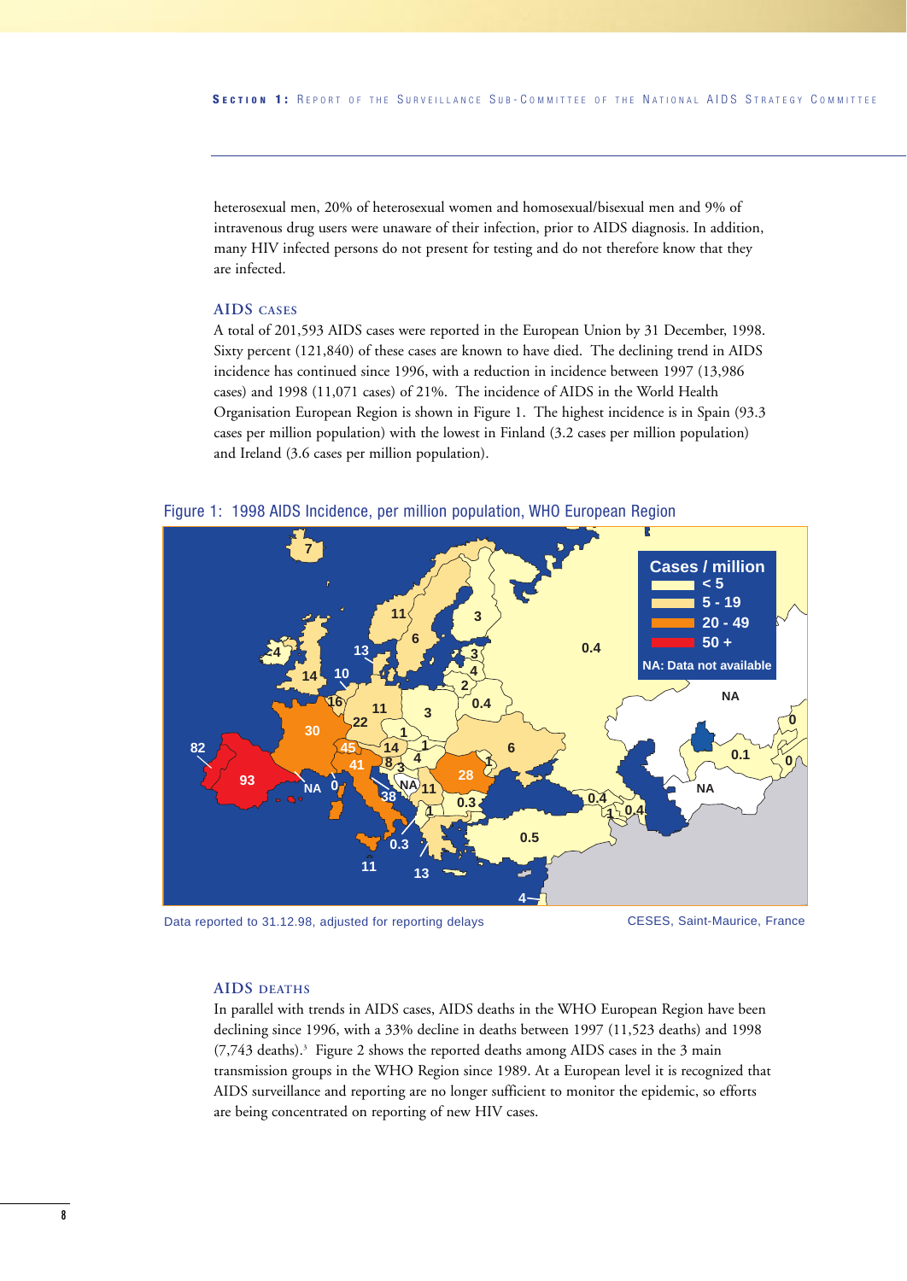heterosexual men, 20% of heterosexual women and homosexual/bisexual men and 9% of intravenous drug users were unaware of their infection, prior to AIDS diagnosis. In addition, many HIV infected persons do not present for testing and do not therefore know that they are infected.

#### **AIDS CASES**

A total of 201,593 AIDS cases were reported in the European Union by 31 December, 1998. Sixty percent (121,840) of these cases are known to have died. The declining trend in AIDS incidence has continued since 1996, with a reduction in incidence between 1997 (13,986 cases) and 1998 (11,071 cases) of 21%. The incidence of AIDS in the World Health Organisation European Region is shown in Figure 1. The highest incidence is in Spain (93.3 cases per million population) with the lowest in Finland (3.2 cases per million population) and Ireland (3.6 cases per million population).





Data reported to 31.12.98, adjusted for reporting delays CESES, Saint-Maurice, France

#### **AIDS DEATHS**

In parallel with trends in AIDS cases, AIDS deaths in the WHO European Region have been declining since 1996, with a 33% decline in deaths between 1997 (11,523 deaths) and 1998 (7,743 deaths).3 Figure 2 shows the reported deaths among AIDS cases in the 3 main transmission groups in the WHO Region since 1989. At a European level it is recognized that AIDS surveillance and reporting are no longer sufficient to monitor the epidemic, so efforts are being concentrated on reporting of new HIV cases.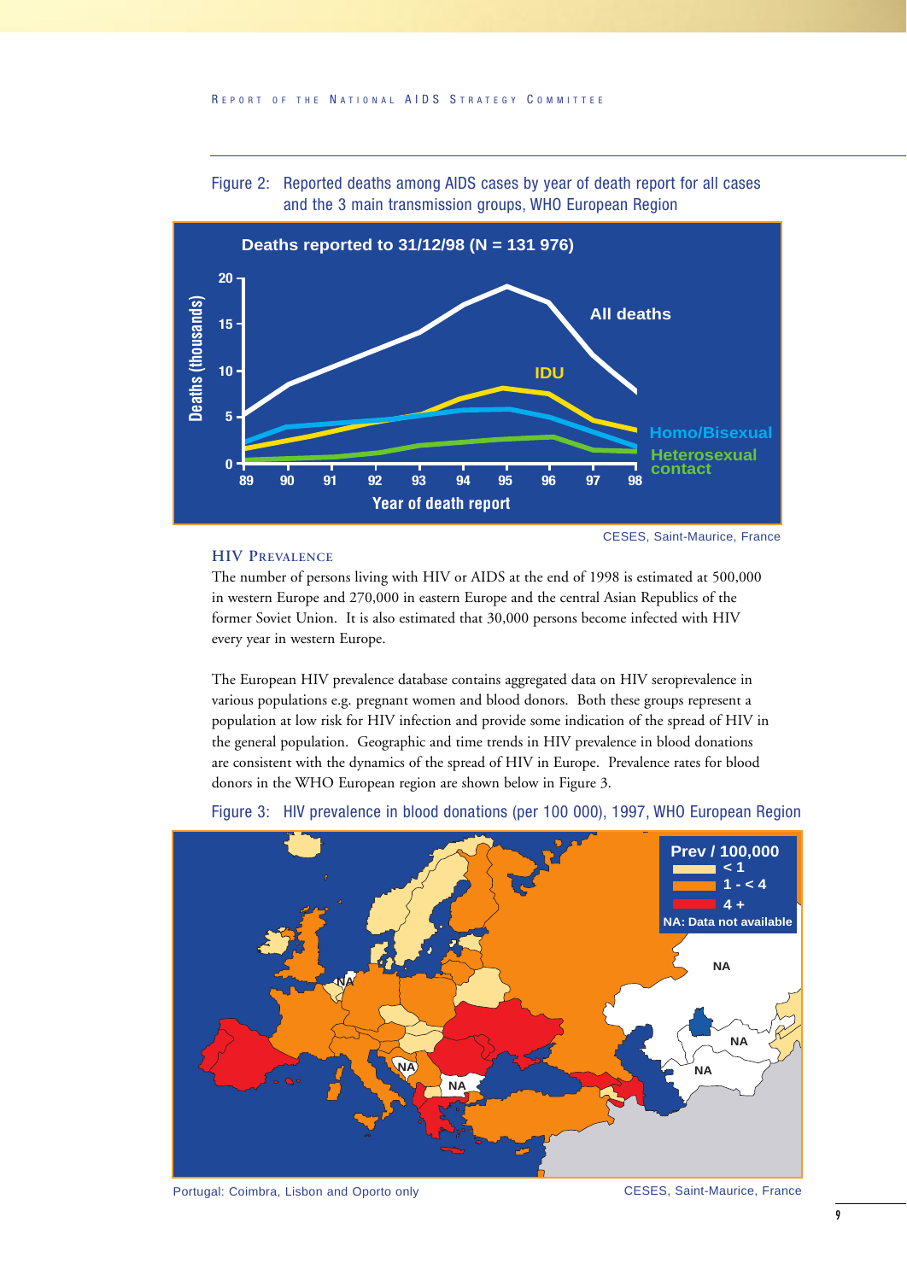



#### **HIV PREVALENCE**

The number of persons living with HIV or AIDS at the end of 1998 is estimated at 500,000 in western Europe and 270,000 in eastern Europe and the central Asian Republics of the former Soviet Union. It is also estimated that 30,000 persons become infected with HIV every year in western Europe.

The European HIV prevalence database contains aggregated data on HIV seroprevalence in various populations e.g. pregnant women and blood donors. Both these groups represent a population at low risk for HIV infection and provide some indication of the spread of HIV in the general population. Geographic and time trends in HIV prevalence in blood donations are consistent with the dynamics of the spread of HIV in Europe. Prevalence rates for blood donors in the WHO European region are shown below in Figure 3.



Figure 3: HIV prevalence in blood donations (per 100 000), 1997, WHO European Region

Portugal: Coimbra, Lisbon and Oporto only **CESES**, Saint-Maurice, France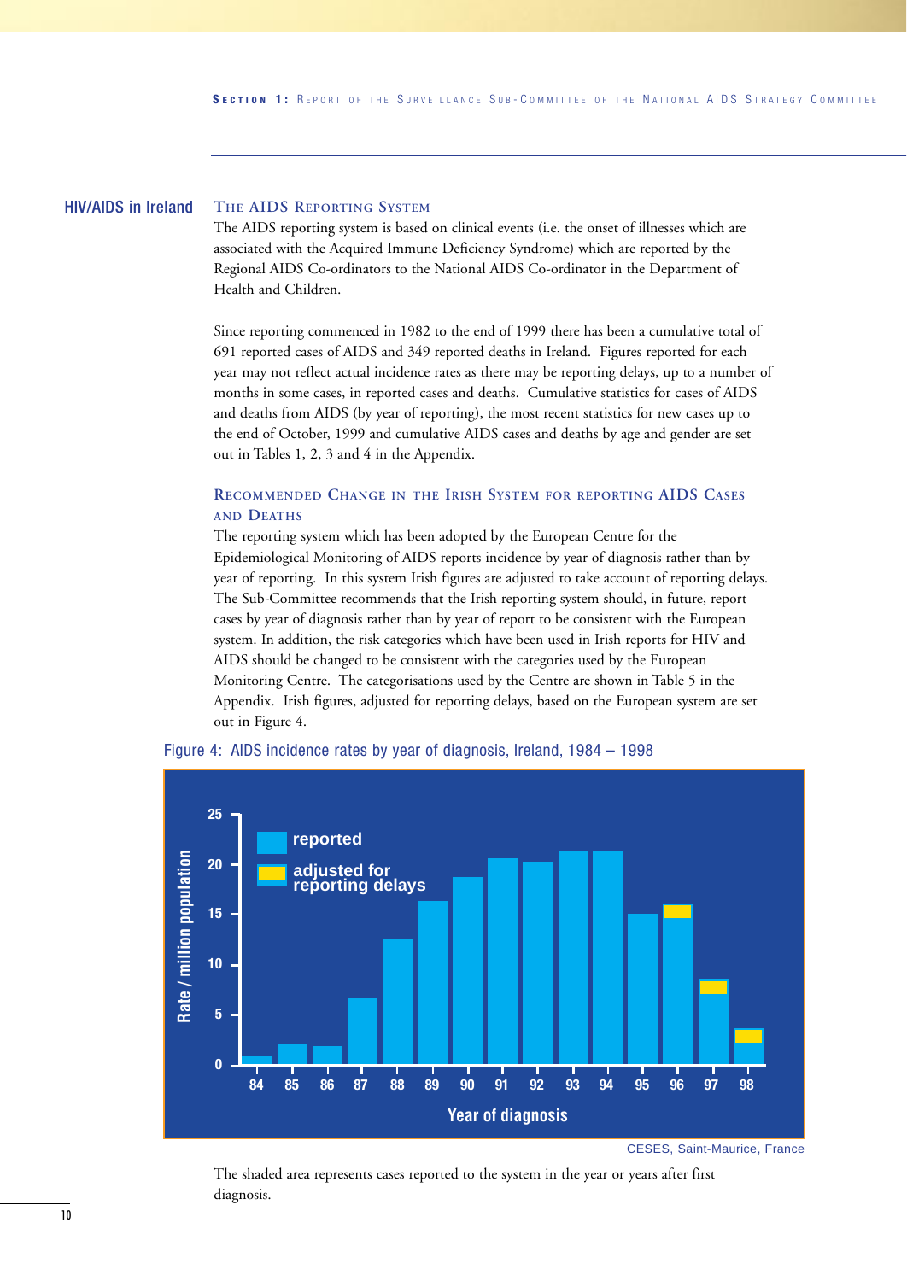#### **THE AIDS REPORTING SYSTEM** HIV/AIDS in Ireland

The AIDS reporting system is based on clinical events (i.e. the onset of illnesses which are associated with the Acquired Immune Deficiency Syndrome) which are reported by the Regional AIDS Co-ordinators to the National AIDS Co-ordinator in the Department of Health and Children.

Since reporting commenced in 1982 to the end of 1999 there has been a cumulative total of 691 reported cases of AIDS and 349 reported deaths in Ireland. Figures reported for each year may not reflect actual incidence rates as there may be reporting delays, up to a number of months in some cases, in reported cases and deaths. Cumulative statistics for cases of AIDS and deaths from AIDS (by year of reporting), the most recent statistics for new cases up to the end of October, 1999 and cumulative AIDS cases and deaths by age and gender are set out in Tables 1, 2, 3 and 4 in the Appendix.

#### **RECOMMENDED CHANGE IN THE IRISH SYSTEM FOR REPORTING AIDS CASES AND DEATHS**

The reporting system which has been adopted by the European Centre for the Epidemiological Monitoring of AIDS reports incidence by year of diagnosis rather than by year of reporting. In this system Irish figures are adjusted to take account of reporting delays. The Sub-Committee recommends that the Irish reporting system should, in future, report cases by year of diagnosis rather than by year of report to be consistent with the European system. In addition, the risk categories which have been used in Irish reports for HIV and AIDS should be changed to be consistent with the categories used by the European Monitoring Centre. The categorisations used by the Centre are shown in Table 5 in the Appendix. Irish figures, adjusted for reporting delays, based on the European system are set out in Figure 4.



#### Figure 4: AIDS incidence rates by year of diagnosis, Ireland, 1984 – 1998

The shaded area represents cases reported to the system in the year or years after first diagnosis.

CESES, Saint-Maurice, France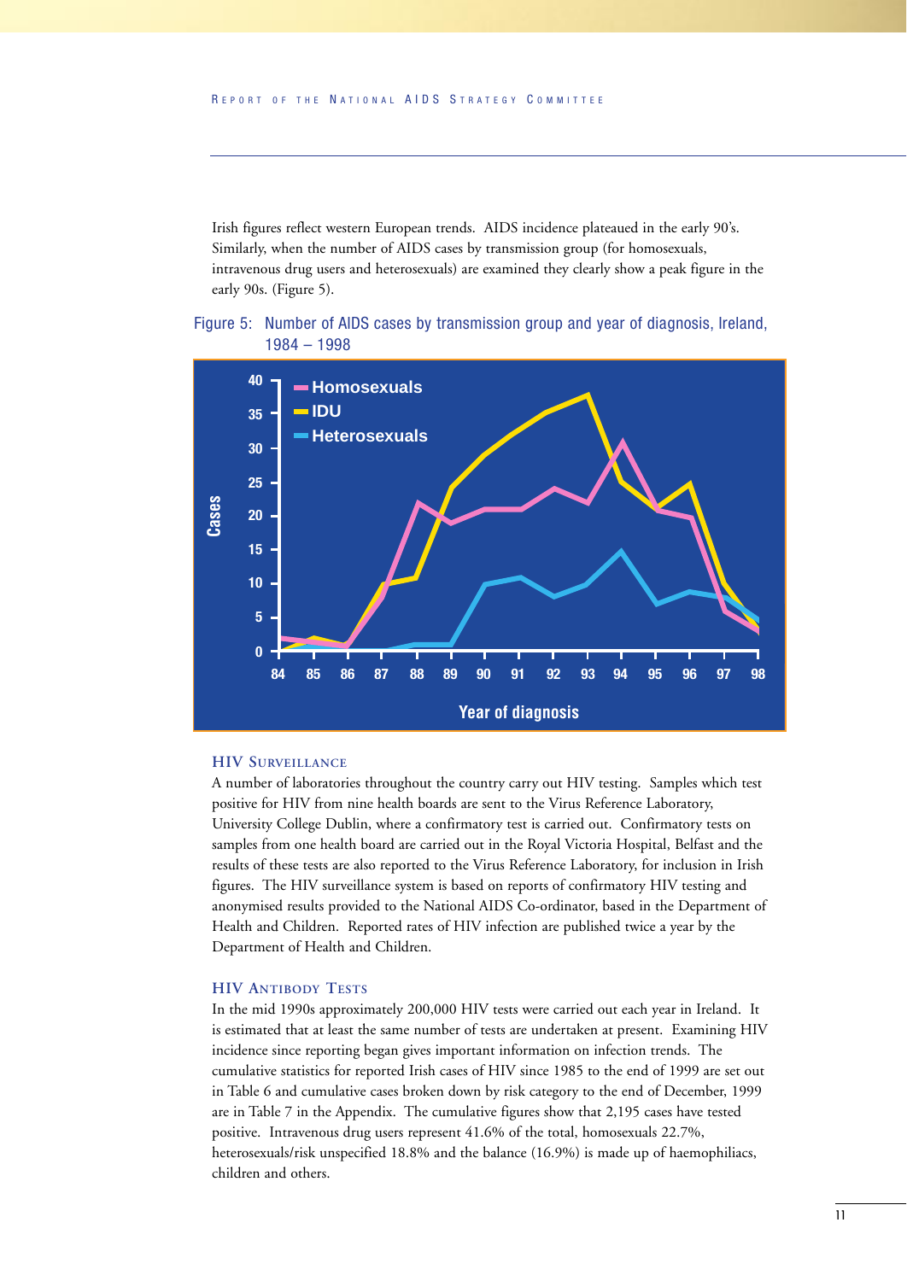Irish figures reflect western European trends. AIDS incidence plateaued in the early 90's. Similarly, when the number of AIDS cases by transmission group (for homosexuals, intravenous drug users and heterosexuals) are examined they clearly show a peak figure in the early 90s. (Figure 5).





#### **HIV SURVEILLANCE**

A number of laboratories throughout the country carry out HIV testing. Samples which test positive for HIV from nine health boards are sent to the Virus Reference Laboratory, University College Dublin, where a confirmatory test is carried out. Confirmatory tests on samples from one health board are carried out in the Royal Victoria Hospital, Belfast and the results of these tests are also reported to the Virus Reference Laboratory, for inclusion in Irish figures. The HIV surveillance system is based on reports of confirmatory HIV testing and anonymised results provided to the National AIDS Co-ordinator, based in the Department of Health and Children. Reported rates of HIV infection are published twice a year by the Department of Health and Children.

#### **HIV ANTIBODY TESTS**

In the mid 1990s approximately 200,000 HIV tests were carried out each year in Ireland. It is estimated that at least the same number of tests are undertaken at present. Examining HIV incidence since reporting began gives important information on infection trends. The cumulative statistics for reported Irish cases of HIV since 1985 to the end of 1999 are set out in Table 6 and cumulative cases broken down by risk category to the end of December, 1999 are in Table 7 in the Appendix. The cumulative figures show that 2,195 cases have tested positive. Intravenous drug users represent 41.6% of the total, homosexuals 22.7%, heterosexuals/risk unspecified 18.8% and the balance (16.9%) is made up of haemophiliacs, children and others.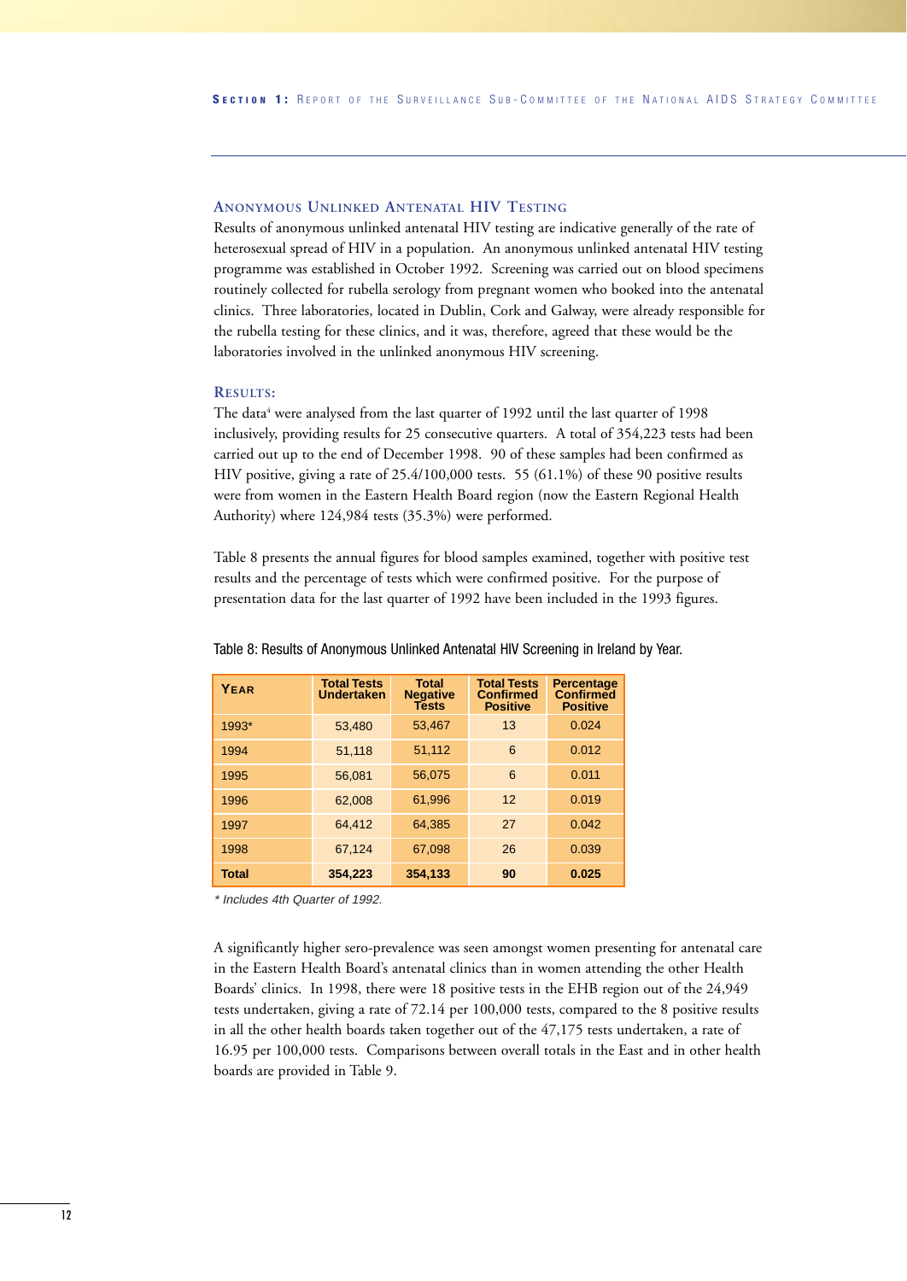#### **ANONYMOUS UNLINKED ANTENATAL HIV TESTING**

Results of anonymous unlinked antenatal HIV testing are indicative generally of the rate of heterosexual spread of HIV in a population. An anonymous unlinked antenatal HIV testing programme was established in October 1992. Screening was carried out on blood specimens routinely collected for rubella serology from pregnant women who booked into the antenatal clinics. Three laboratories, located in Dublin, Cork and Galway, were already responsible for the rubella testing for these clinics, and it was, therefore, agreed that these would be the laboratories involved in the unlinked anonymous HIV screening.

#### **RESULTS:**

The data<sup>4</sup> were analysed from the last quarter of 1992 until the last quarter of 1998 inclusively, providing results for 25 consecutive quarters. A total of 354,223 tests had been carried out up to the end of December 1998. 90 of these samples had been confirmed as HIV positive, giving a rate of 25.4/100,000 tests. 55 (61.1%) of these 90 positive results were from women in the Eastern Health Board region (now the Eastern Regional Health Authority) where 124,984 tests (35.3%) were performed.

Table 8 presents the annual figures for blood samples examined, together with positive test results and the percentage of tests which were confirmed positive. For the purpose of presentation data for the last quarter of 1992 have been included in the 1993 figures.

| YEAR  | <b>Total Tests</b><br><b>Undertaken</b> | <b>Total</b><br><b>Negative</b><br><b>Tests</b> | <b>Total Tests</b><br><b>Confirmed</b><br><b>Positive</b> | <b>Percentage</b><br><b>Confirmed</b><br><b>Positive</b> |
|-------|-----------------------------------------|-------------------------------------------------|-----------------------------------------------------------|----------------------------------------------------------|
| 1993* | 53,480                                  | 53,467                                          | 13                                                        | 0.024                                                    |
| 1994  | 51,118                                  | 51,112                                          | 6                                                         | 0.012                                                    |
| 1995  | 56.081                                  | 56.075                                          | 6                                                         | 0.011                                                    |
| 1996  | 62.008                                  | 61,996                                          | 12                                                        | 0.019                                                    |
| 1997  | 64.412                                  | 64.385                                          | 27                                                        | 0.042                                                    |
| 1998  | 67,124                                  | 67,098                                          | 26                                                        | 0.039                                                    |
| Total | 354.223                                 | 354.133                                         | 90                                                        | 0.025                                                    |

Table 8: Results of Anonymous Unlinked Antenatal HIV Screening in Ireland by Year.

\* Includes 4th Quarter of 1992.

A significantly higher sero-prevalence was seen amongst women presenting for antenatal care in the Eastern Health Board's antenatal clinics than in women attending the other Health Boards' clinics. In 1998, there were 18 positive tests in the EHB region out of the 24,949 tests undertaken, giving a rate of 72.14 per 100,000 tests, compared to the 8 positive results in all the other health boards taken together out of the 47,175 tests undertaken, a rate of 16.95 per 100,000 tests. Comparisons between overall totals in the East and in other health boards are provided in Table 9.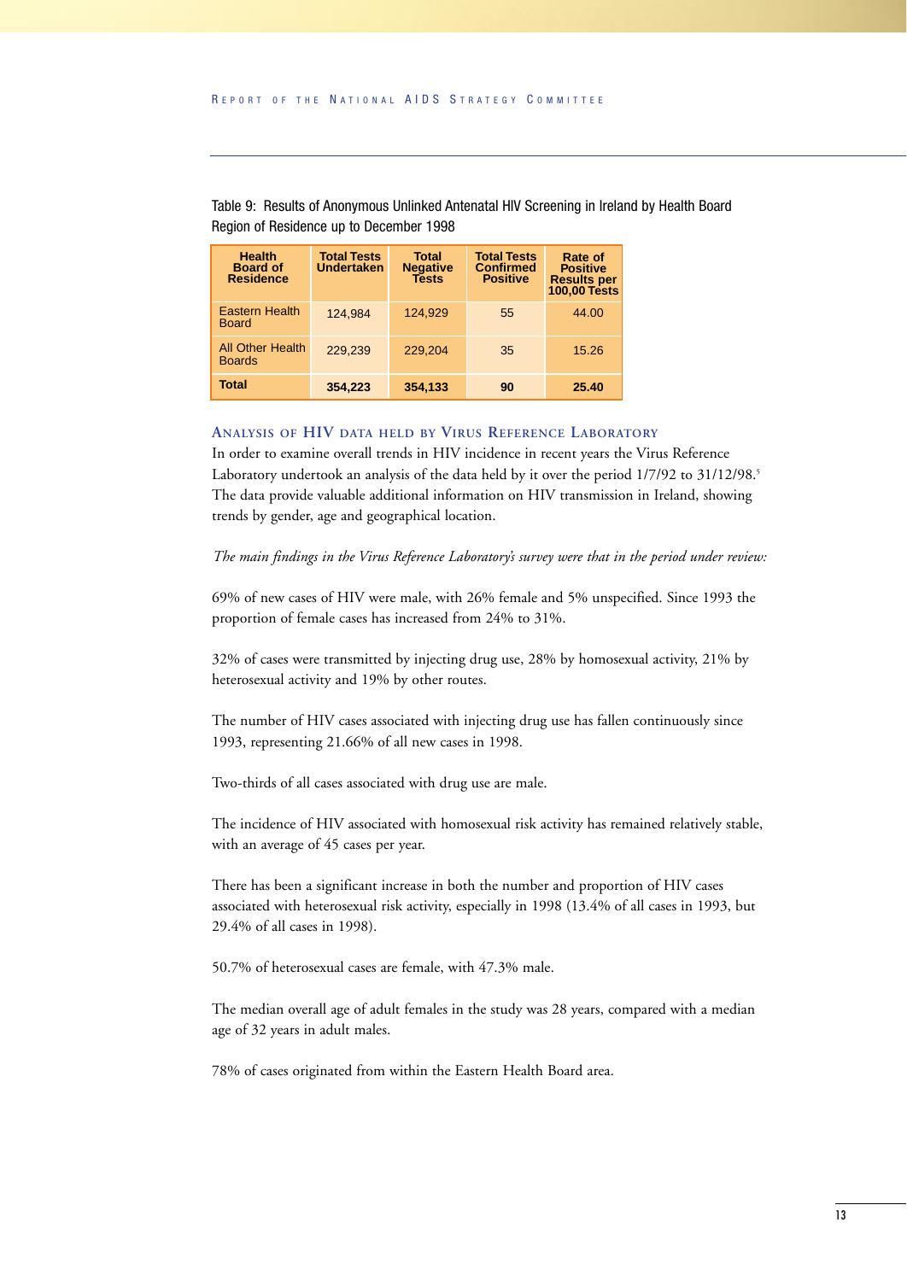| <b>Health</b><br><b>Board of</b><br><b>Residence</b> | <b>Total Tests</b><br><b>Undertaken</b> | <b>Total</b><br><b>Negative</b><br><b>Tests</b> | <b>Total Tests</b><br><b>Confirmed</b><br><b>Positive</b> | Rate of<br><b>Positive</b><br><b>Results per</b><br><b>100,00 Tests</b> |  |  |
|------------------------------------------------------|-----------------------------------------|-------------------------------------------------|-----------------------------------------------------------|-------------------------------------------------------------------------|--|--|
| <b>Eastern Health</b><br><b>Board</b>                | 124.984                                 | 124.929                                         | 55                                                        | 44.00                                                                   |  |  |
| <b>All Other Health</b><br><b>Boards</b>             | 229.239                                 | 229.204                                         | 35                                                        | 15.26                                                                   |  |  |
| <b>Total</b>                                         | 354,223                                 | 354,133                                         | 90                                                        | 25.40                                                                   |  |  |

Table 9: Results of Anonymous Unlinked Antenatal HIV Screening in Ireland by Health Board Region of Residence up to December 1998

#### **ANALYSIS OF HIV DATA HELD BY VIRUS REFERENCE LABORATORY**

In order to examine overall trends in HIV incidence in recent years the Virus Reference Laboratory undertook an analysis of the data held by it over the period 1/7/92 to 31/12/98.<sup>5</sup> The data provide valuable additional information on HIV transmission in Ireland, showing trends by gender, age and geographical location.

#### *The main findings in the Virus Reference Laboratory's survey were that in the period under review:*

69% of new cases of HIV were male, with 26% female and 5% unspecified. Since 1993 the proportion of female cases has increased from 24% to 31%.

32% of cases were transmitted by injecting drug use, 28% by homosexual activity, 21% by heterosexual activity and 19% by other routes.

The number of HIV cases associated with injecting drug use has fallen continuously since 1993, representing 21.66% of all new cases in 1998.

Two-thirds of all cases associated with drug use are male.

The incidence of HIV associated with homosexual risk activity has remained relatively stable, with an average of 45 cases per year.

There has been a significant increase in both the number and proportion of HIV cases associated with heterosexual risk activity, especially in 1998 (13.4% of all cases in 1993, but 29.4% of all cases in 1998).

50.7% of heterosexual cases are female, with 47.3% male.

The median overall age of adult females in the study was 28 years, compared with a median age of 32 years in adult males.

78% of cases originated from within the Eastern Health Board area.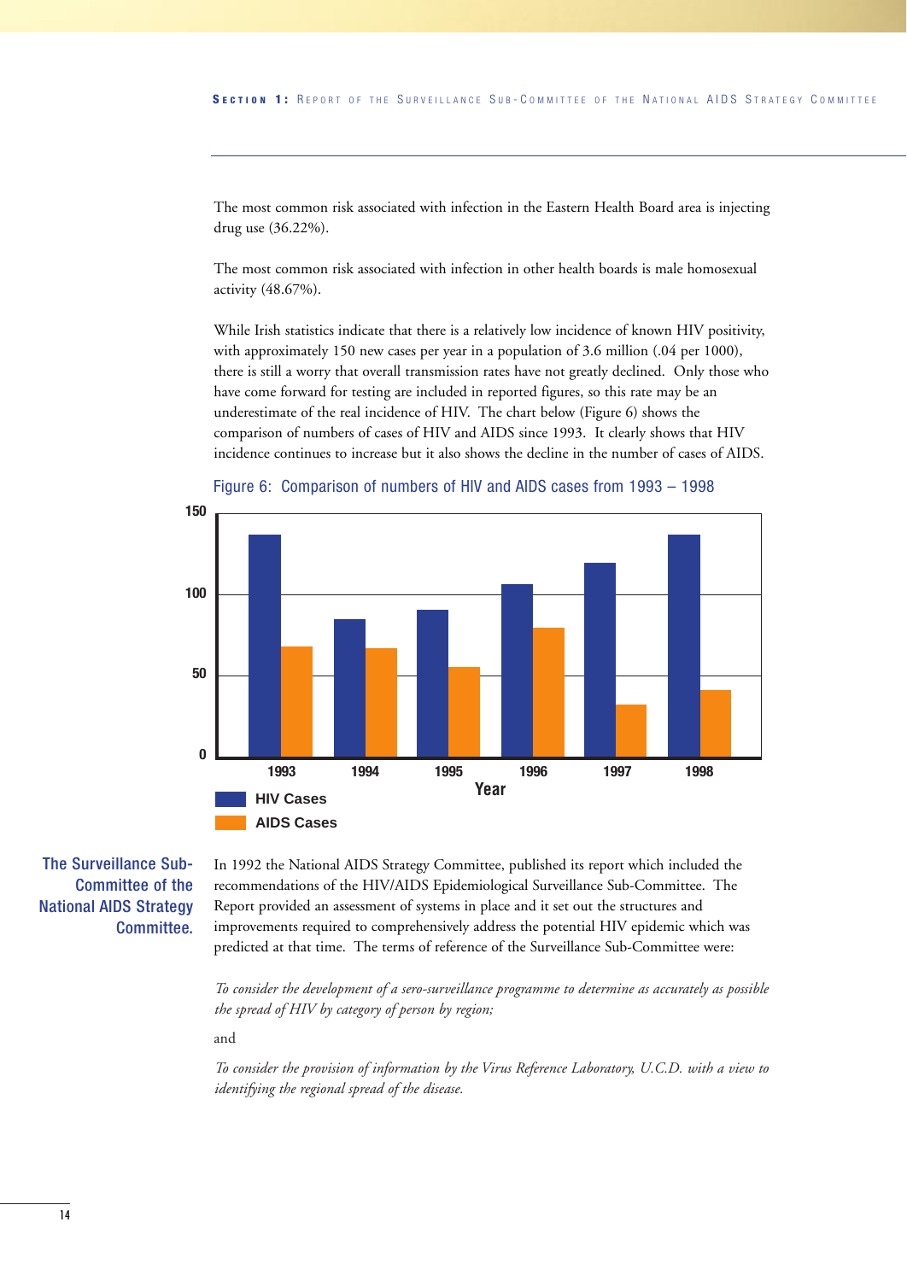The most common risk associated with infection in the Eastern Health Board area is injecting drug use (36.22%).

The most common risk associated with infection in other health boards is male homosexual activity (48.67%).

While Irish statistics indicate that there is a relatively low incidence of known HIV positivity, with approximately 150 new cases per year in a population of 3.6 million (.04 per 1000), there is still a worry that overall transmission rates have not greatly declined. Only those who have come forward for testing are included in reported figures, so this rate may be an underestimate of the real incidence of HIV. The chart below (Figure 6) shows the comparison of numbers of cases of HIV and AIDS since 1993. It clearly shows that HIV incidence continues to increase but it also shows the decline in the number of cases of AIDS.



Figure 6: Comparison of numbers of HIV and AIDS cases from 1993 – 1998

The Surveillance Sub-Committee of the National AIDS Strategy Committee.

In 1992 the National AIDS Strategy Committee, published its report which included the recommendations of the HIV/AIDS Epidemiological Surveillance Sub-Committee. The Report provided an assessment of systems in place and it set out the structures and improvements required to comprehensively address the potential HIV epidemic which was predicted at that time. The terms of reference of the Surveillance Sub-Committee were:

*To consider the development of a sero-surveillance programme to determine as accurately as possible the spread of HIV by category of person by region;*

and

*To consider the provision of information by the Virus Reference Laboratory, U.C.D. with a view to identifying the regional spread of the disease.*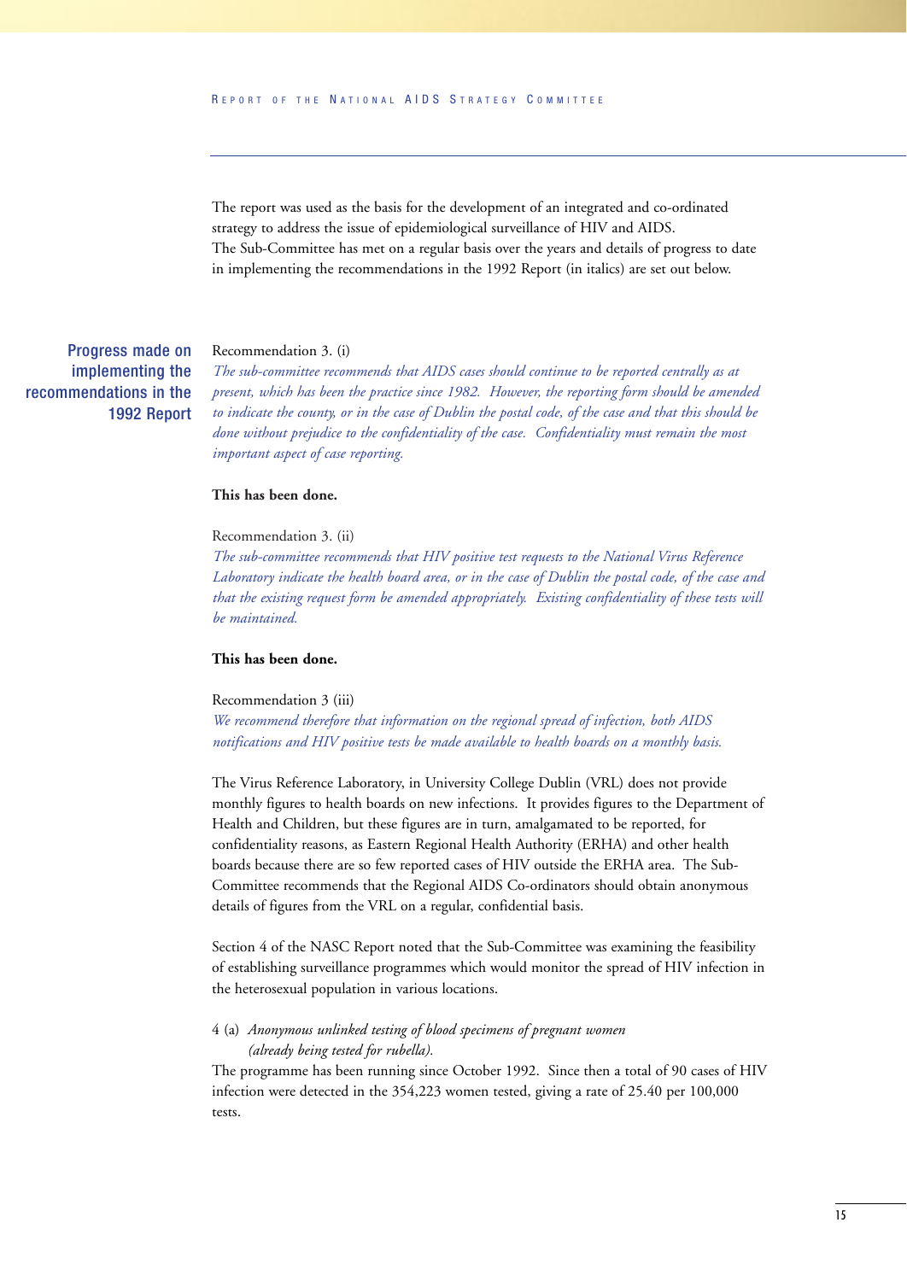The report was used as the basis for the development of an integrated and co-ordinated strategy to address the issue of epidemiological surveillance of HIV and AIDS. The Sub-Committee has met on a regular basis over the years and details of progress to date in implementing the recommendations in the 1992 Report (in italics) are set out below.

Recommendation 3. (i) Progress made on implementing the

recommendations in the 1992 Report

*The sub-committee recommends that AIDS cases should continue to be reported centrally as at present, which has been the practice since 1982. However, the reporting form should be amended to indicate the county, or in the case of Dublin the postal code, of the case and that this should be done without prejudice to the confidentiality of the case. Confidentiality must remain the most important aspect of case reporting.*

#### **This has been done.**

#### Recommendation 3. (ii)

*The sub-committee recommends that HIV positive test requests to the National Virus Reference Laboratory indicate the health board area, or in the case of Dublin the postal code, of the case and that the existing request form be amended appropriately. Existing confidentiality of these tests will be maintained.*

#### **This has been done.**

#### Recommendation 3 (iii)

*We recommend therefore that information on the regional spread of infection, both AIDS notifications and HIV positive tests be made available to health boards on a monthly basis.*

The Virus Reference Laboratory, in University College Dublin (VRL) does not provide monthly figures to health boards on new infections. It provides figures to the Department of Health and Children, but these figures are in turn, amalgamated to be reported, for confidentiality reasons, as Eastern Regional Health Authority (ERHA) and other health boards because there are so few reported cases of HIV outside the ERHA area. The Sub-Committee recommends that the Regional AIDS Co-ordinators should obtain anonymous details of figures from the VRL on a regular, confidential basis.

Section 4 of the NASC Report noted that the Sub-Committee was examining the feasibility of establishing surveillance programmes which would monitor the spread of HIV infection in the heterosexual population in various locations.

#### 4 (a) *Anonymous unlinked testing of blood specimens of pregnant women (already being tested for rubella).*

The programme has been running since October 1992. Since then a total of 90 cases of HIV infection were detected in the 354,223 women tested, giving a rate of 25.40 per 100,000 tests.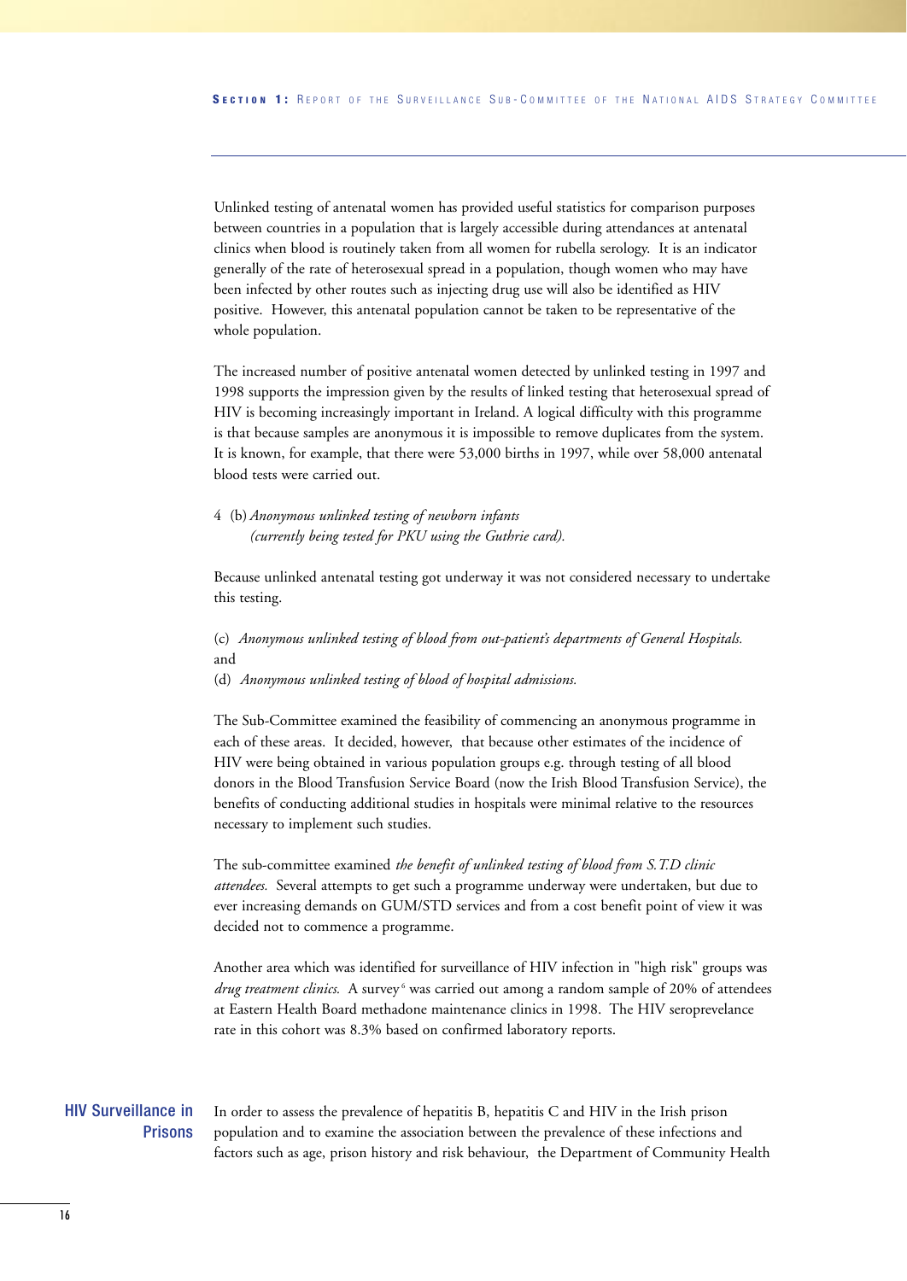Unlinked testing of antenatal women has provided useful statistics for comparison purposes between countries in a population that is largely accessible during attendances at antenatal clinics when blood is routinely taken from all women for rubella serology. It is an indicator generally of the rate of heterosexual spread in a population, though women who may have been infected by other routes such as injecting drug use will also be identified as HIV positive. However, this antenatal population cannot be taken to be representative of the whole population.

The increased number of positive antenatal women detected by unlinked testing in 1997 and 1998 supports the impression given by the results of linked testing that heterosexual spread of HIV is becoming increasingly important in Ireland. A logical difficulty with this programme is that because samples are anonymous it is impossible to remove duplicates from the system. It is known, for example, that there were 53,000 births in 1997, while over 58,000 antenatal blood tests were carried out.

4 (b)*Anonymous unlinked testing of newborn infants (currently being tested for PKU using the Guthrie card).*

Because unlinked antenatal testing got underway it was not considered necessary to undertake this testing.

(c) *Anonymous unlinked testing of blood from out-patient's departments of General Hospitals.* and

(d) *Anonymous unlinked testing of blood of hospital admissions.*

The Sub-Committee examined the feasibility of commencing an anonymous programme in each of these areas. It decided, however, that because other estimates of the incidence of HIV were being obtained in various population groups e.g. through testing of all blood donors in the Blood Transfusion Service Board (now the Irish Blood Transfusion Service), the benefits of conducting additional studies in hospitals were minimal relative to the resources necessary to implement such studies.

The sub-committee examined *the benefit of unlinked testing of blood from S.T.D clinic attendees.* Several attempts to get such a programme underway were undertaken, but due to ever increasing demands on GUM/STD services and from a cost benefit point of view it was decided not to commence a programme.

Another area which was identified for surveillance of HIV infection in "high risk" groups was *drug treatment clinics.* A survey<sup>6</sup> was carried out among a random sample of 20% of attendees at Eastern Health Board methadone maintenance clinics in 1998. The HIV seroprevelance rate in this cohort was 8.3% based on confirmed laboratory reports.

#### HIV Surveillance in Prisons

In order to assess the prevalence of hepatitis B, hepatitis C and HIV in the Irish prison population and to examine the association between the prevalence of these infections and factors such as age, prison history and risk behaviour, the Department of Community Health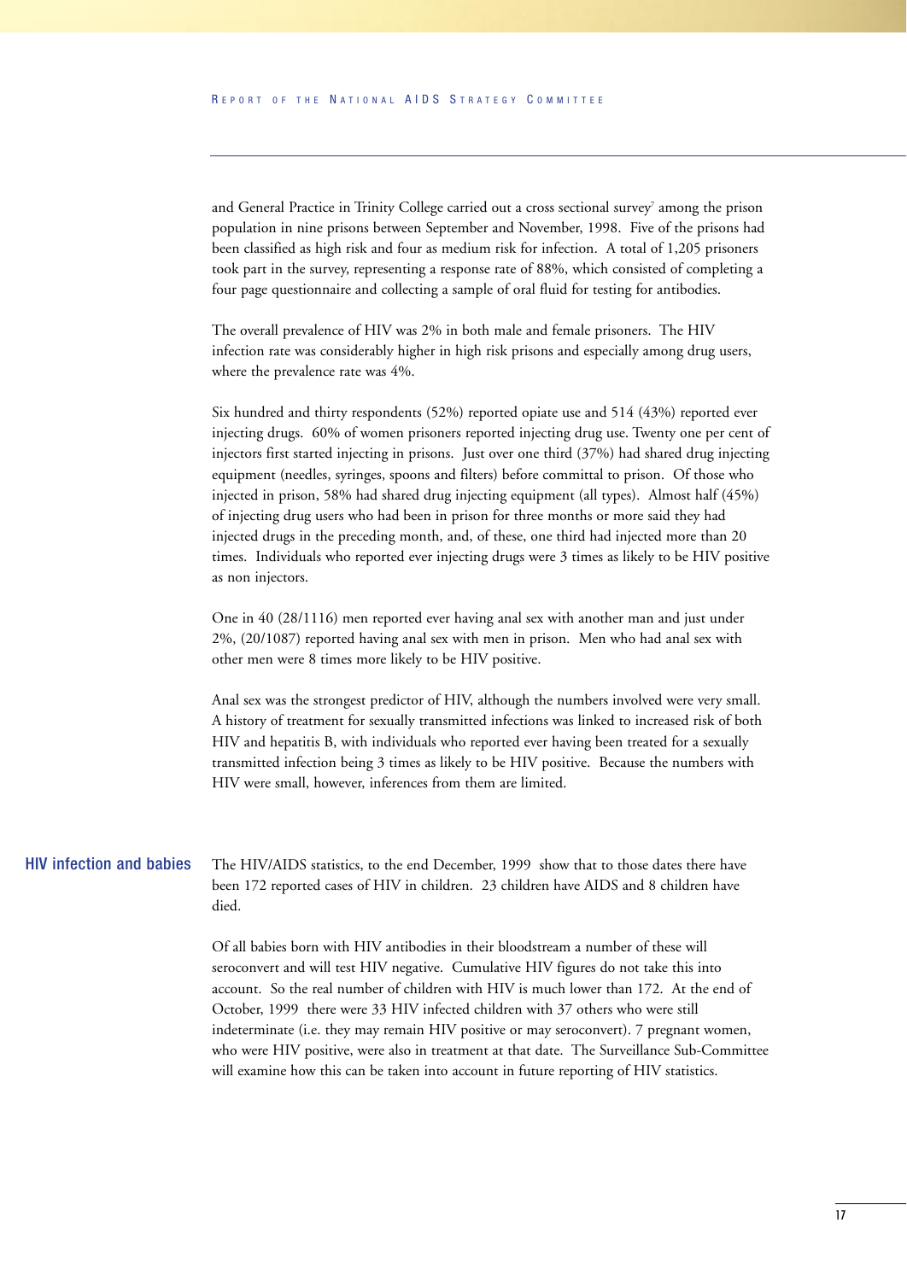and General Practice in Trinity College carried out a cross sectional survey<sup>7</sup> among the prison population in nine prisons between September and November, 1998. Five of the prisons had been classified as high risk and four as medium risk for infection. A total of 1,205 prisoners took part in the survey, representing a response rate of 88%, which consisted of completing a four page questionnaire and collecting a sample of oral fluid for testing for antibodies.

The overall prevalence of HIV was 2% in both male and female prisoners. The HIV infection rate was considerably higher in high risk prisons and especially among drug users, where the prevalence rate was 4%.

Six hundred and thirty respondents (52%) reported opiate use and 514 (43%) reported ever injecting drugs. 60% of women prisoners reported injecting drug use. Twenty one per cent of injectors first started injecting in prisons. Just over one third (37%) had shared drug injecting equipment (needles, syringes, spoons and filters) before committal to prison. Of those who injected in prison, 58% had shared drug injecting equipment (all types). Almost half (45%) of injecting drug users who had been in prison for three months or more said they had injected drugs in the preceding month, and, of these, one third had injected more than 20 times. Individuals who reported ever injecting drugs were 3 times as likely to be HIV positive as non injectors.

One in 40 (28/1116) men reported ever having anal sex with another man and just under 2%, (20/1087) reported having anal sex with men in prison. Men who had anal sex with other men were 8 times more likely to be HIV positive.

Anal sex was the strongest predictor of HIV, although the numbers involved were very small. A history of treatment for sexually transmitted infections was linked to increased risk of both HIV and hepatitis B, with individuals who reported ever having been treated for a sexually transmitted infection being 3 times as likely to be HIV positive. Because the numbers with HIV were small, however, inferences from them are limited.

The HIV/AIDS statistics, to the end December, 1999 show that to those dates there have been 172 reported cases of HIV in children. 23 children have AIDS and 8 children have died. HIV infection and babies

> Of all babies born with HIV antibodies in their bloodstream a number of these will seroconvert and will test HIV negative. Cumulative HIV figures do not take this into account. So the real number of children with HIV is much lower than 172. At the end of October, 1999 there were 33 HIV infected children with 37 others who were still indeterminate (i.e. they may remain HIV positive or may seroconvert). 7 pregnant women, who were HIV positive, were also in treatment at that date. The Surveillance Sub-Committee will examine how this can be taken into account in future reporting of HIV statistics.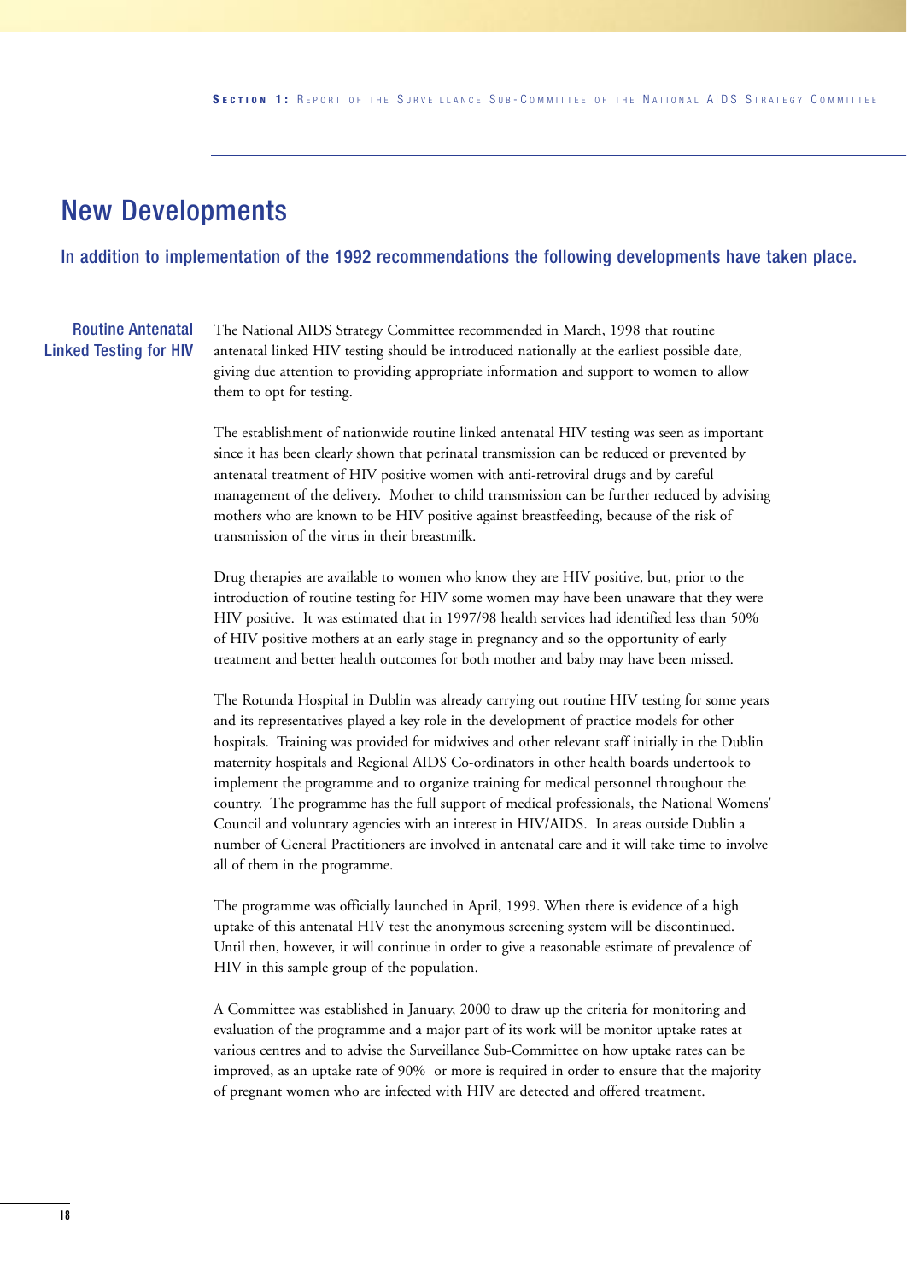### New Developments

In addition to implementation of the 1992 recommendations the following developments have taken place.

#### Routine Antenatal Linked Testing for HIV

The National AIDS Strategy Committee recommended in March, 1998 that routine antenatal linked HIV testing should be introduced nationally at the earliest possible date, giving due attention to providing appropriate information and support to women to allow them to opt for testing.

The establishment of nationwide routine linked antenatal HIV testing was seen as important since it has been clearly shown that perinatal transmission can be reduced or prevented by antenatal treatment of HIV positive women with anti-retroviral drugs and by careful management of the delivery. Mother to child transmission can be further reduced by advising mothers who are known to be HIV positive against breastfeeding, because of the risk of transmission of the virus in their breastmilk.

Drug therapies are available to women who know they are HIV positive, but, prior to the introduction of routine testing for HIV some women may have been unaware that they were HIV positive. It was estimated that in 1997/98 health services had identified less than 50% of HIV positive mothers at an early stage in pregnancy and so the opportunity of early treatment and better health outcomes for both mother and baby may have been missed.

The Rotunda Hospital in Dublin was already carrying out routine HIV testing for some years and its representatives played a key role in the development of practice models for other hospitals. Training was provided for midwives and other relevant staff initially in the Dublin maternity hospitals and Regional AIDS Co-ordinators in other health boards undertook to implement the programme and to organize training for medical personnel throughout the country. The programme has the full support of medical professionals, the National Womens' Council and voluntary agencies with an interest in HIV/AIDS. In areas outside Dublin a number of General Practitioners are involved in antenatal care and it will take time to involve all of them in the programme.

The programme was officially launched in April, 1999. When there is evidence of a high uptake of this antenatal HIV test the anonymous screening system will be discontinued. Until then, however, it will continue in order to give a reasonable estimate of prevalence of HIV in this sample group of the population.

A Committee was established in January, 2000 to draw up the criteria for monitoring and evaluation of the programme and a major part of its work will be monitor uptake rates at various centres and to advise the Surveillance Sub-Committee on how uptake rates can be improved, as an uptake rate of 90% or more is required in order to ensure that the majority of pregnant women who are infected with HIV are detected and offered treatment.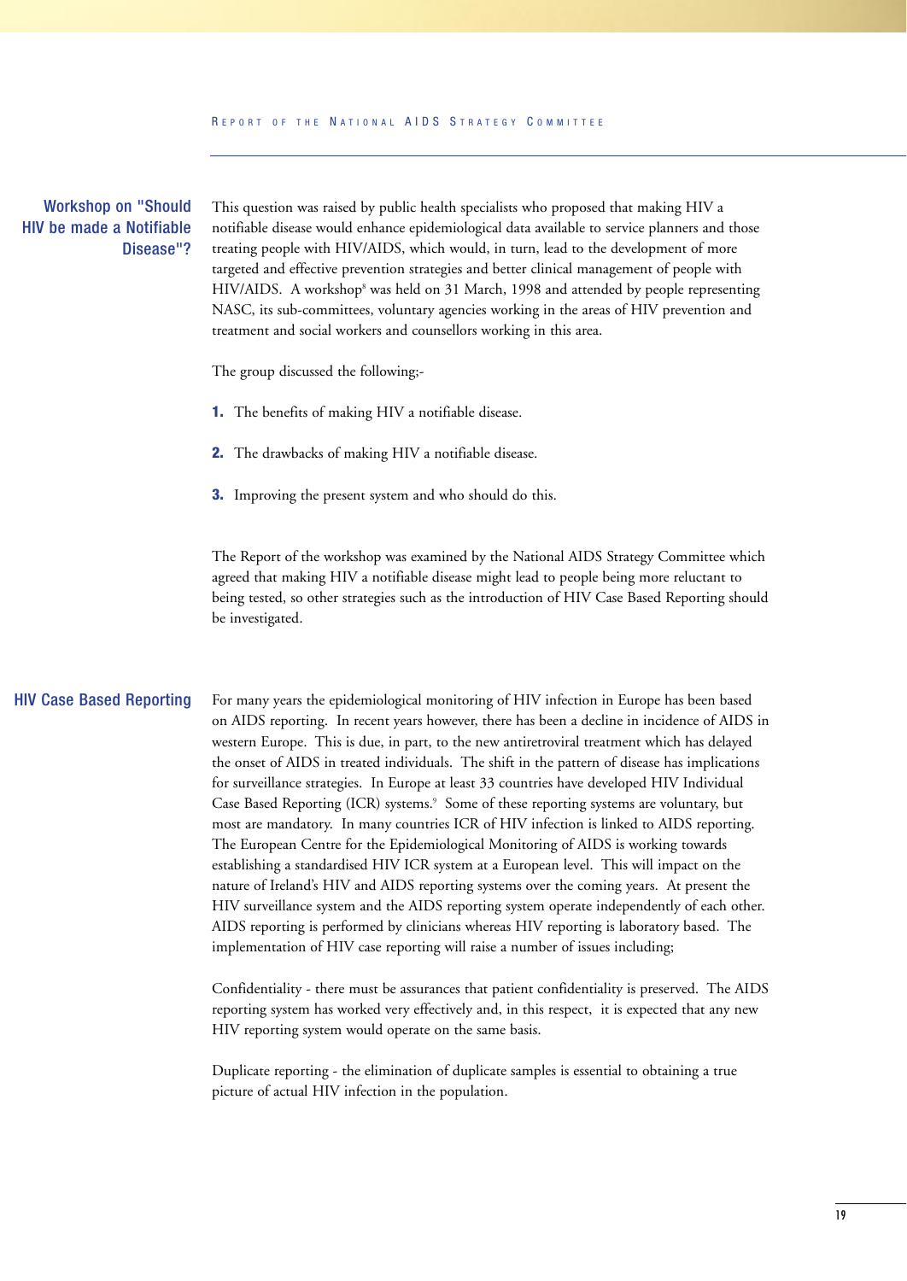#### Workshop on "Should HIV be made a Notifiable Disease"?

This question was raised by public health specialists who proposed that making HIV a notifiable disease would enhance epidemiological data available to service planners and those treating people with HIV/AIDS, which would, in turn, lead to the development of more targeted and effective prevention strategies and better clinical management of people with HIV/AIDS. A workshop<sup>8</sup> was held on 31 March, 1998 and attended by people representing NASC, its sub-committees, voluntary agencies working in the areas of HIV prevention and treatment and social workers and counsellors working in this area.

The group discussed the following;-

- **1.** The benefits of making HIV a notifiable disease.
- **2.** The drawbacks of making HIV a notifiable disease.
- **3.** Improving the present system and who should do this.

The Report of the workshop was examined by the National AIDS Strategy Committee which agreed that making HIV a notifiable disease might lead to people being more reluctant to being tested, so other strategies such as the introduction of HIV Case Based Reporting should be investigated.

#### HIV Case Based Reporting

For many years the epidemiological monitoring of HIV infection in Europe has been based on AIDS reporting. In recent years however, there has been a decline in incidence of AIDS in western Europe. This is due, in part, to the new antiretroviral treatment which has delayed the onset of AIDS in treated individuals. The shift in the pattern of disease has implications for surveillance strategies. In Europe at least 33 countries have developed HIV Individual Case Based Reporting (ICR) systems.<sup>9</sup> Some of these reporting systems are voluntary, but most are mandatory. In many countries ICR of HIV infection is linked to AIDS reporting. The European Centre for the Epidemiological Monitoring of AIDS is working towards establishing a standardised HIV ICR system at a European level. This will impact on the nature of Ireland's HIV and AIDS reporting systems over the coming years. At present the HIV surveillance system and the AIDS reporting system operate independently of each other. AIDS reporting is performed by clinicians whereas HIV reporting is laboratory based. The implementation of HIV case reporting will raise a number of issues including;

Confidentiality - there must be assurances that patient confidentiality is preserved. The AIDS reporting system has worked very effectively and, in this respect, it is expected that any new HIV reporting system would operate on the same basis.

Duplicate reporting - the elimination of duplicate samples is essential to obtaining a true picture of actual HIV infection in the population.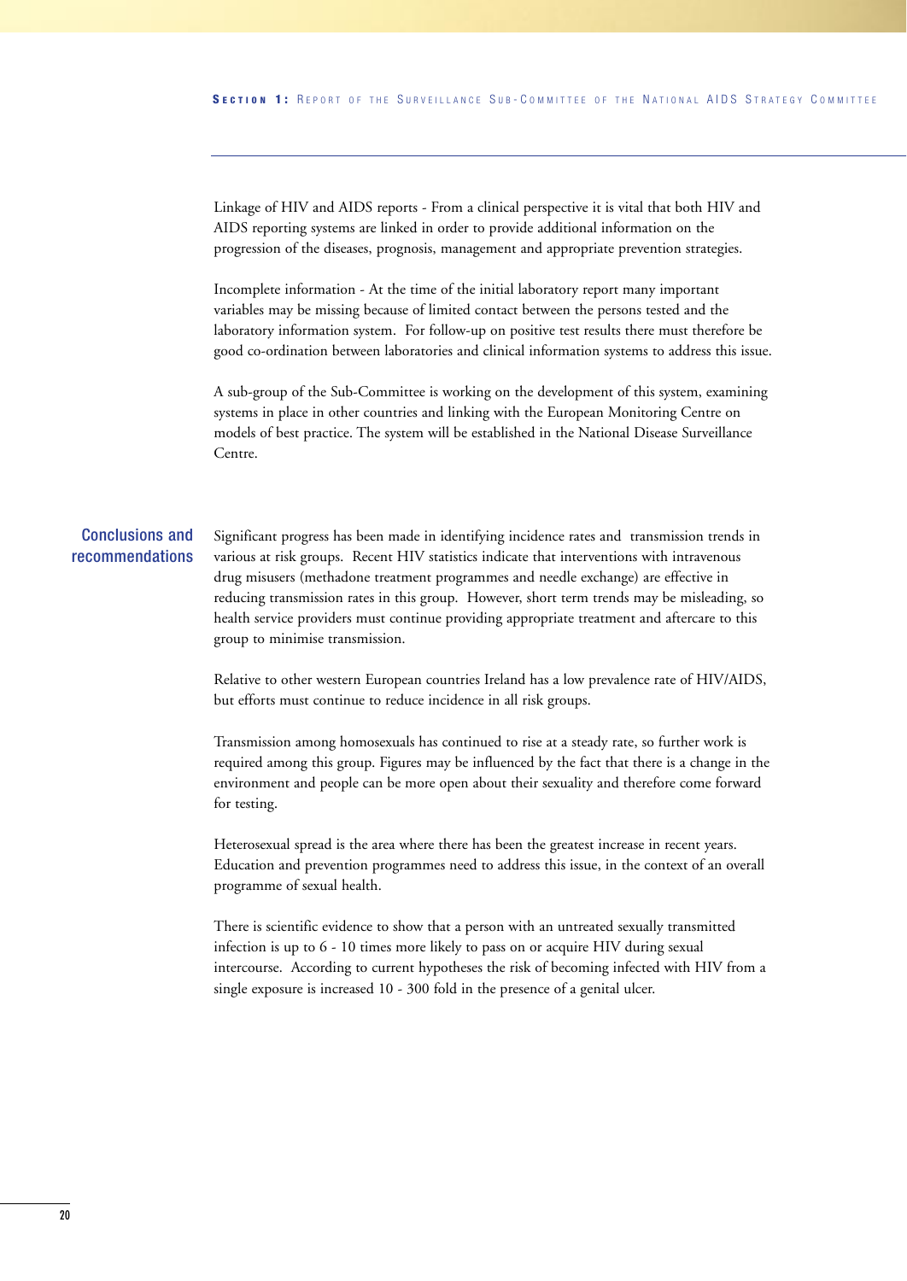Linkage of HIV and AIDS reports - From a clinical perspective it is vital that both HIV and AIDS reporting systems are linked in order to provide additional information on the progression of the diseases, prognosis, management and appropriate prevention strategies.

Incomplete information - At the time of the initial laboratory report many important variables may be missing because of limited contact between the persons tested and the laboratory information system. For follow-up on positive test results there must therefore be good co-ordination between laboratories and clinical information systems to address this issue.

A sub-group of the Sub-Committee is working on the development of this system, examining systems in place in other countries and linking with the European Monitoring Centre on models of best practice. The system will be established in the National Disease Surveillance Centre.

#### Conclusions and recommendations

Significant progress has been made in identifying incidence rates and transmission trends in various at risk groups. Recent HIV statistics indicate that interventions with intravenous drug misusers (methadone treatment programmes and needle exchange) are effective in reducing transmission rates in this group. However, short term trends may be misleading, so health service providers must continue providing appropriate treatment and aftercare to this group to minimise transmission.

Relative to other western European countries Ireland has a low prevalence rate of HIV/AIDS, but efforts must continue to reduce incidence in all risk groups.

Transmission among homosexuals has continued to rise at a steady rate, so further work is required among this group. Figures may be influenced by the fact that there is a change in the environment and people can be more open about their sexuality and therefore come forward for testing.

Heterosexual spread is the area where there has been the greatest increase in recent years. Education and prevention programmes need to address this issue, in the context of an overall programme of sexual health.

There is scientific evidence to show that a person with an untreated sexually transmitted infection is up to 6 - 10 times more likely to pass on or acquire HIV during sexual intercourse. According to current hypotheses the risk of becoming infected with HIV from a single exposure is increased 10 - 300 fold in the presence of a genital ulcer.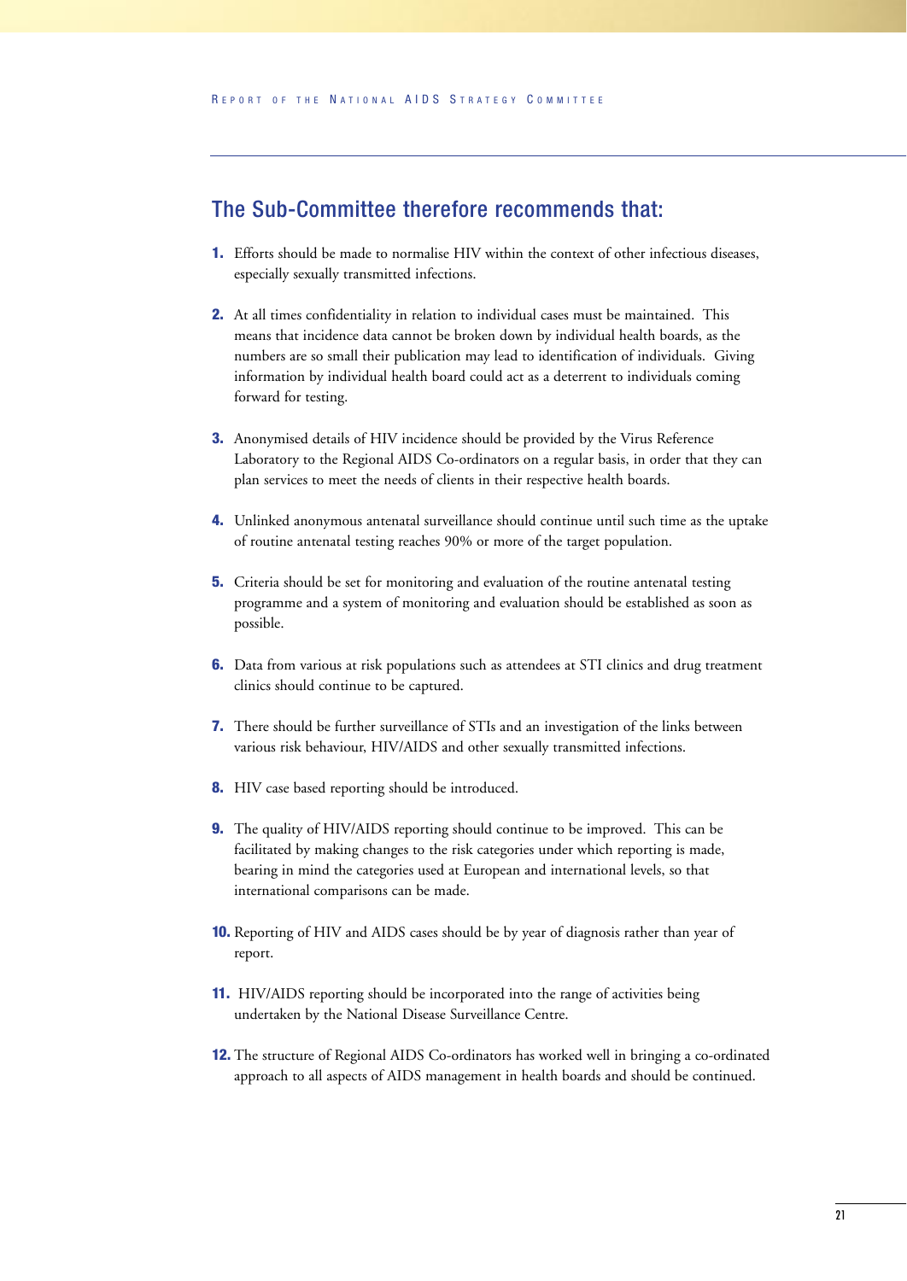#### The Sub-Committee therefore recommends that:

- **1.** Efforts should be made to normalise HIV within the context of other infectious diseases, especially sexually transmitted infections.
- **2.** At all times confidentiality in relation to individual cases must be maintained. This means that incidence data cannot be broken down by individual health boards, as the numbers are so small their publication may lead to identification of individuals. Giving information by individual health board could act as a deterrent to individuals coming forward for testing.
- **3.** Anonymised details of HIV incidence should be provided by the Virus Reference Laboratory to the Regional AIDS Co-ordinators on a regular basis, in order that they can plan services to meet the needs of clients in their respective health boards.
- **4.** Unlinked anonymous antenatal surveillance should continue until such time as the uptake of routine antenatal testing reaches 90% or more of the target population.
- **5.** Criteria should be set for monitoring and evaluation of the routine antenatal testing programme and a system of monitoring and evaluation should be established as soon as possible.
- **6.** Data from various at risk populations such as attendees at STI clinics and drug treatment clinics should continue to be captured.
- **7.** There should be further surveillance of STIs and an investigation of the links between various risk behaviour, HIV/AIDS and other sexually transmitted infections.
- **8.** HIV case based reporting should be introduced.
- **9.** The quality of HIV/AIDS reporting should continue to be improved. This can be facilitated by making changes to the risk categories under which reporting is made, bearing in mind the categories used at European and international levels, so that international comparisons can be made.
- **10.** Reporting of HIV and AIDS cases should be by year of diagnosis rather than year of report.
- **11.** HIV/AIDS reporting should be incorporated into the range of activities being undertaken by the National Disease Surveillance Centre.
- **12.** The structure of Regional AIDS Co-ordinators has worked well in bringing a co-ordinated approach to all aspects of AIDS management in health boards and should be continued.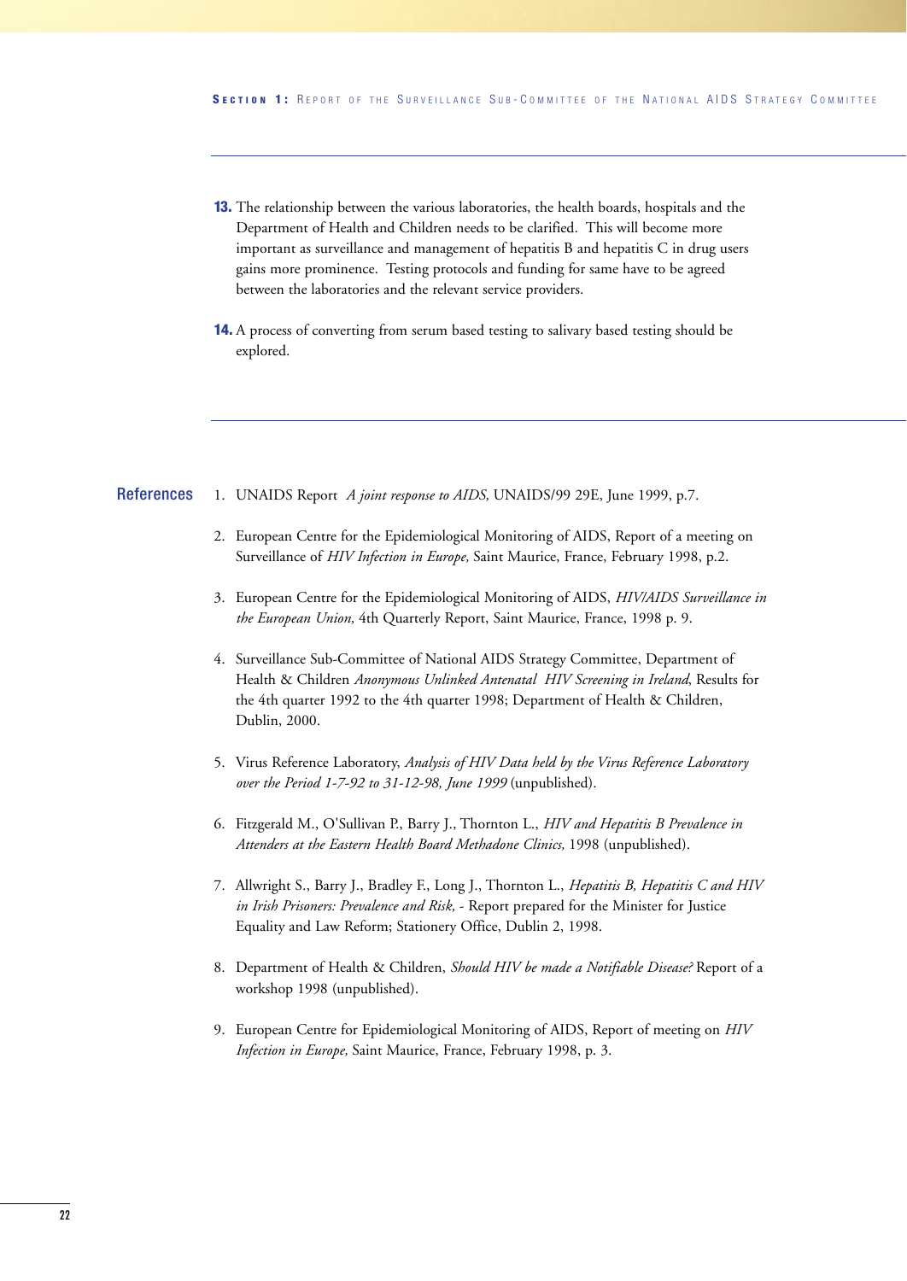- **13.** The relationship between the various laboratories, the health boards, hospitals and the Department of Health and Children needs to be clarified. This will become more important as surveillance and management of hepatitis B and hepatitis C in drug users gains more prominence. Testing protocols and funding for same have to be agreed between the laboratories and the relevant service providers.
- **14.** A process of converting from serum based testing to salivary based testing should be explored.

#### 1. UNAIDS Report *A joint response to AIDS,* UNAIDS/99 29E, June 1999, p.7. References

- 2. European Centre for the Epidemiological Monitoring of AIDS, Report of a meeting on Surveillance of *HIV Infection in Europe,* Saint Maurice, France, February 1998, p.2.
- 3. European Centre for the Epidemiological Monitoring of AIDS, *HIV/AIDS Surveillance in the European Union,* 4th Quarterly Report, Saint Maurice, France, 1998 p. 9.
- 4. Surveillance Sub-Committee of National AIDS Strategy Committee, Department of Health & Children *Anonymous Unlinked Antenatal HIV Screening in Ireland*, Results for the 4th quarter 1992 to the 4th quarter 1998; Department of Health & Children, Dublin, 2000.
- 5. Virus Reference Laboratory, *Analysis of HIV Data held by the Virus Reference Laboratory over the Period 1-7-92 to 31-12-98, June 1999* (unpublished).
- 6. Fitzgerald M., O'Sullivan P., Barry J., Thornton L., *HIV and Hepatitis B Prevalence in Attenders at the Eastern Health Board Methadone Clinics,* 1998 (unpublished).
- 7. Allwright S., Barry J., Bradley F., Long J., Thornton L., *Hepatitis B, Hepatitis C and HIV in Irish Prisoners: Prevalence and Risk,* - Report prepared for the Minister for Justice Equality and Law Reform; Stationery Office, Dublin 2, 1998.
- 8. Department of Health & Children, *Should HIV be made a Notifiable Disease?* Report of a workshop 1998 (unpublished).
- 9. European Centre for Epidemiological Monitoring of AIDS, Report of meeting on *HIV Infection in Europe,* Saint Maurice, France, February 1998, p. 3.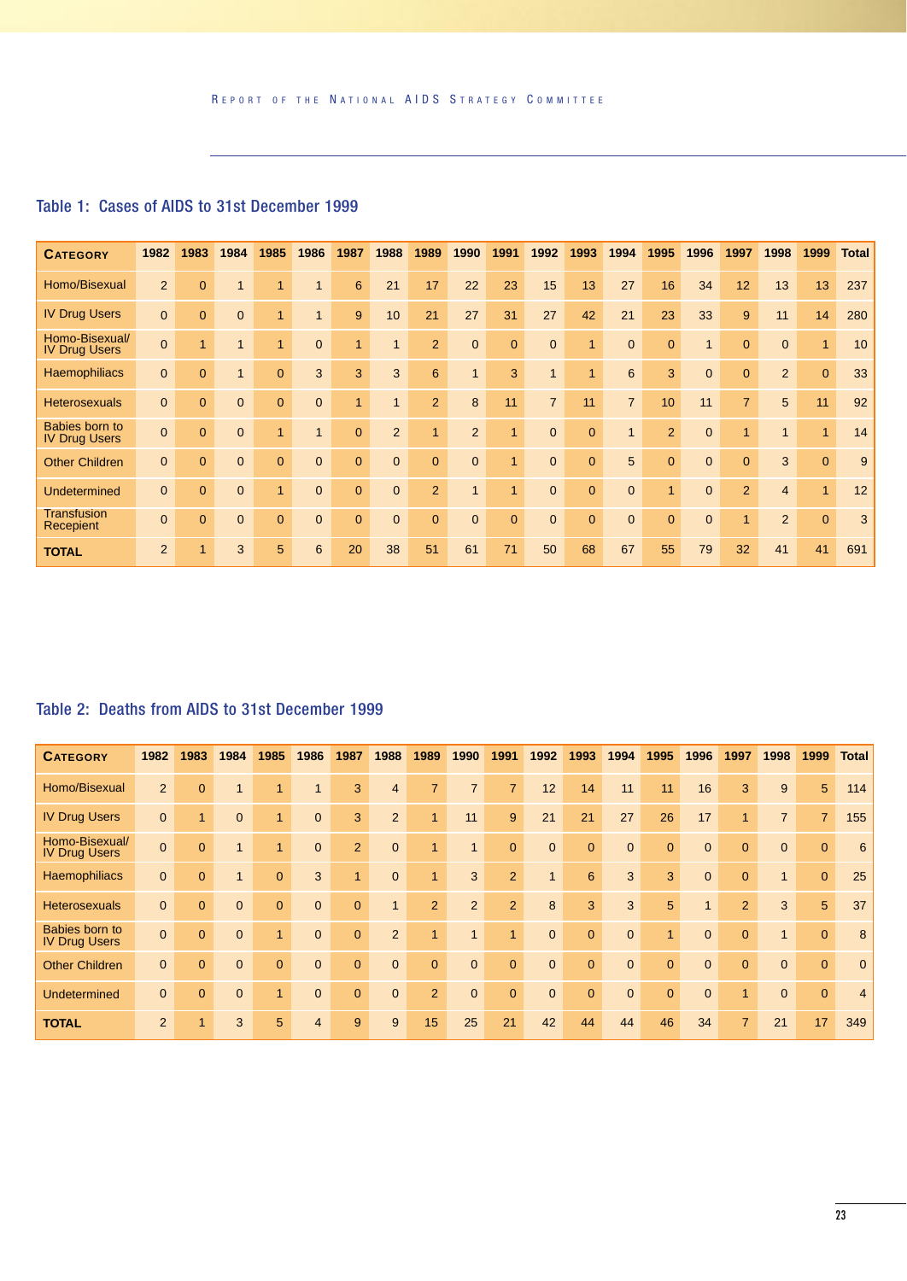| <b>CATEGORY</b>                        | 1982           | 1983         | 1984           | 1985         | 1986           | 1987           | 1988           | 1989            | 1990           | 1991           | 1992           | 1993           | 1994           | 1995                 | 1996           | 1997           | 1998           | 1999         | <b>Total</b> |
|----------------------------------------|----------------|--------------|----------------|--------------|----------------|----------------|----------------|-----------------|----------------|----------------|----------------|----------------|----------------|----------------------|----------------|----------------|----------------|--------------|--------------|
| Homo/Bisexual                          | $\overline{2}$ | $\mathbf{0}$ |                |              | 1              | 6              | 21             | 17              | 22             | 23             | 15             | 13             | 27             | 16                   | 34             | 12             | 13             | 13           | 237          |
| <b>IV Drug Users</b>                   | $\overline{0}$ | $\mathbf{0}$ | $\mathbf{0}$   |              |                | 9              | 10             | 21              | 27             | 31             | 27             | 42             | 21             | 23                   | 33             | 9              | 11             | 14           | 280          |
| Homo-Bisexual/<br><b>IV Drug Users</b> | $\mathbf{0}$   | 1            |                | 1            | $\overline{0}$ | $\overline{1}$ | $\mathbf{1}$   | $\overline{2}$  | $\mathbf{0}$   | $\mathbf{0}$   | $\mathbf{0}$   | $\mathbf{1}$   | $\overline{0}$ | $\mathbf{0}$         | $\mathbf{1}$   | $\mathbf{0}$   | $\overline{0}$ | $\mathbf{1}$ | 10           |
| Haemophiliacs                          | $\mathbf{0}$   | $\mathbf{0}$ |                | $\mathbf{0}$ | 3              | 3              | 3              | $6\phantom{1}6$ | $\mathbf{1}$   | 3              | $\mathbf{1}$   | $\mathbf{1}$   | 6              | 3                    | $\mathbf{0}$   | $\mathbf{0}$   | $\overline{2}$ | $\mathbf{0}$ | 33           |
| <b>Heterosexuals</b>                   | $\mathbf{0}$   | $\mathbf{0}$ | $\mathbf{0}$   | $\mathbf{0}$ | $\mathbf{0}$   | $\overline{1}$ | $\mathbf{1}$   | $\overline{2}$  | 8              | 11             | $\overline{7}$ | 11             | $\overline{7}$ | 10                   | 11             | $\overline{7}$ | 5              | 11           | 92           |
| Babies born to<br><b>IV Drug Users</b> | $\mathbf{0}$   | $\mathbf{0}$ | $\overline{0}$ |              |                | $\mathbf{0}$   | $\overline{2}$ | $\mathbf{1}$    | $\overline{2}$ | 1              | $\mathbf{0}$   | $\mathbf{0}$   | $\mathbf{1}$   | 2                    | $\overline{0}$ | 1              | 1              | $\mathbf{1}$ | 14           |
| <b>Other Children</b>                  | $\mathbf{0}$   | $\mathbf{0}$ | $\mathbf{0}$   | $\mathbf{0}$ | $\mathbf{0}$   | $\mathbf 0$    | $\mathbf{0}$   | $\overline{0}$  | $\overline{0}$ | $\overline{1}$ | $\mathbf{0}$   | $\mathbf{0}$   | 5              | $\mathbf{0}$         | $\overline{0}$ | $\Omega$       | 3              | $\mathbf{0}$ | 9            |
| <b>Undetermined</b>                    | $\mathbf{0}$   | $\mathbf{0}$ | $\mathbf{0}$   |              | $\overline{0}$ | $\mathbf{0}$   | 0              | $\overline{2}$  | $\mathbf{1}$   | 1              | $\mathbf{0}$   | $\overline{0}$ | $\overline{0}$ | $\blacktriangleleft$ | $\overline{0}$ | $\overline{2}$ | $\overline{4}$ | $\mathbf{1}$ | 12           |
| <b>Transfusion</b><br>Recepient        | $\mathbf{0}$   | $\Omega$     | $\mathbf{0}$   | $\Omega$     | $\Omega$       | $\overline{0}$ | $\overline{0}$ | $\Omega$        | $\overline{0}$ | $\overline{0}$ | $\mathbf{0}$   | $\Omega$       | $\Omega$       | $\mathbf{0}$         | $\overline{0}$ | 1              | $\overline{2}$ | $\mathbf{0}$ | 3            |
| <b>TOTAL</b>                           | $\overline{2}$ |              | 3              | 5            | 6              | 20             | 38             | 51              | 61             | 71             | 50             | 68             | 67             | 55                   | 79             | 32             | 41             | 41           | 691          |

#### Table 1: Cases of AIDS to 31st December 1999

#### Table 2: Deaths from AIDS to 31st December 1999

| <b>CATEGORY</b>                        | 1982           | 1983           | 1984         | 1985                 | 1986           | 1987         | 1988           | 1989           | 1990           | 1991           | 1992           | 1993            | 1994           | 1995           | 1996           | 1997           | 1998           | 1999           | <b>Total</b>    |
|----------------------------------------|----------------|----------------|--------------|----------------------|----------------|--------------|----------------|----------------|----------------|----------------|----------------|-----------------|----------------|----------------|----------------|----------------|----------------|----------------|-----------------|
| Homo/Bisexual                          | 2              | $\overline{0}$ | 1            |                      |                | 3            | $\overline{4}$ | $\overline{7}$ | $\overline{7}$ | $\overline{7}$ | 12             | 14              | 11             | 11             | 16             | 3              | 9              | 5              | 114             |
| <b>IV Drug Users</b>                   | $\mathbf{0}$   |                | $\mathbf{0}$ | 1                    | 0              | 3            | $\overline{2}$ | 1              | 11             | 9              | 21             | 21              | 27             | 26             | 17             | 1              | $\overline{7}$ | $\overline{7}$ | 155             |
| Homo-Bisexual/<br><b>IV Drug Users</b> | $\Omega$       | $\Omega$       | $\mathbf{1}$ | $\blacktriangleleft$ | $\overline{0}$ | 2            | $\overline{0}$ | 1              | $\mathbf{1}$   | $\mathbf{0}$   | $\overline{0}$ | $\mathbf{0}$    | $\overline{0}$ | $\mathbf{0}$   | $\overline{0}$ | $\Omega$       | $\overline{0}$ | $\mathbf{0}$   | $6\overline{6}$ |
| <b>Haemophiliacs</b>                   | $\mathbf{0}$   | $\Omega$       | $\mathbf{1}$ | $\mathbf{0}$         | 3              | 1            | $\overline{0}$ | 1              | 3              | $\overline{2}$ | $\mathbf{1}$   | $6\phantom{1}6$ | 3              | 3              | $\overline{0}$ | $\Omega$       | 1              | $\mathbf{0}$   | 25              |
| <b>Heterosexuals</b>                   | $\mathbf{0}$   | $\Omega$       | $\mathbf{0}$ | $\overline{0}$       | $\overline{0}$ | $\mathbf{0}$ | $\mathbf{1}$   | 2              | $\overline{2}$ | $\overline{2}$ | 8              | 3               | 3              | 5              | 1              | $\overline{2}$ | 3              | 5              | 37              |
| Babies born to<br><b>IV Drug Users</b> | $\mathbf{0}$   | $\mathbf{0}$   | $\mathbf{0}$ | 1                    | $\overline{0}$ | $\mathbf 0$  | $\overline{2}$ | 1              | 1              | 1              | $\mathbf{0}$   | $\mathbf{0}$    | $\overline{0}$ | $\mathbf 1$    | $\mathbf{0}$   | $\mathbf{0}$   | 1              | $\mathbf{0}$   | 8               |
| <b>Other Children</b>                  | $\Omega$       | $\mathbf{0}$   | $\mathbf{0}$ | $\Omega$             | $\mathbf{0}$   | $\mathbf{0}$ | $\overline{0}$ | $\mathbf{0}$   | $\overline{0}$ | $\overline{0}$ | $\mathbf{0}$   | $\mathbf{0}$    | $\overline{0}$ | $\mathbf{0}$   | $\overline{0}$ | $\Omega$       | $\mathbf{0}$   | $\mathbf{0}$   | $\overline{0}$  |
| Undetermined                           | $\overline{0}$ | $\Omega$       | $\mathbf{0}$ | 1                    | $\overline{0}$ | $\mathbf{0}$ | $\overline{0}$ | $\overline{2}$ | $\overline{0}$ | $\mathbf{0}$   | $\mathbf{0}$   | $\Omega$        | $\overline{0}$ | $\overline{0}$ | $\overline{0}$ | 1              | $\mathbf{0}$   | $\mathbf{0}$   | $\overline{4}$  |
| <b>TOTAL</b>                           | $\overline{2}$ |                | 3            | 5                    | 4              | 9            | 9              | 15             | 25             | 21             | 42             | 44              | 44             | 46             | 34             |                | 21             | 17             | 349             |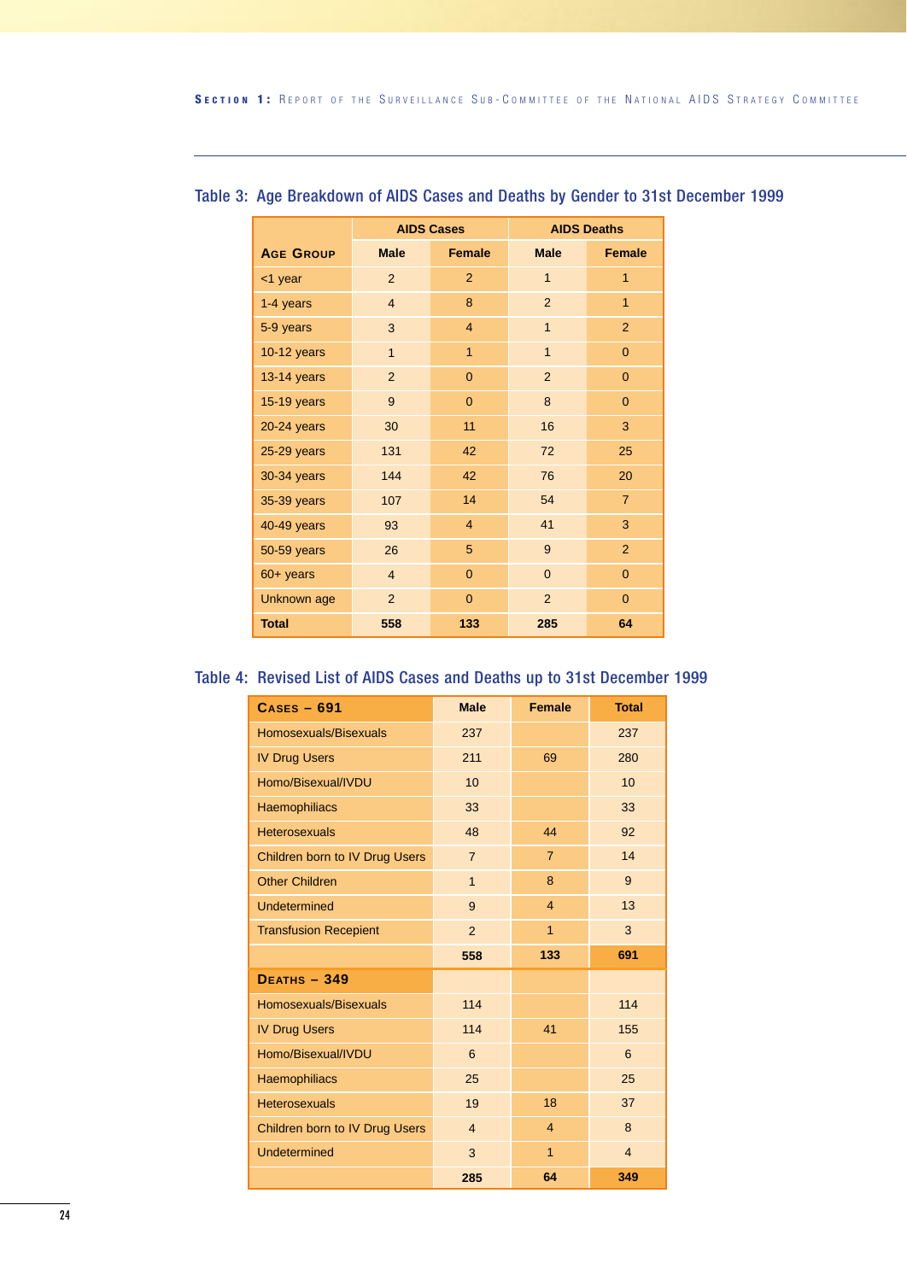|                  |                | <b>AIDS Cases</b>          |                | <b>AIDS Deaths</b> |  |  |  |
|------------------|----------------|----------------------------|----------------|--------------------|--|--|--|
| <b>AGE GROUP</b> | <b>Male</b>    | <b>Female</b>              | <b>Male</b>    | <b>Female</b>      |  |  |  |
| <1 year          | 2              | $\overline{2}$             | $\mathbf{1}$   | 1                  |  |  |  |
| 1-4 years        | $\overline{4}$ | 8                          | $\overline{2}$ | $\overline{1}$     |  |  |  |
| 5-9 years        | 3              | $\overline{4}$             | $\mathbf{1}$   | 2                  |  |  |  |
| 10-12 years      | $\mathbf{1}$   | $\mathbf{1}$               | $\mathbf{1}$   | $\Omega$           |  |  |  |
| 13-14 years      | $\overline{2}$ | $\Omega$<br>$\overline{2}$ |                |                    |  |  |  |
| 15-19 years      | 9              | $\Omega$                   | 8              | $\Omega$           |  |  |  |
| 20-24 years      | 11<br>30       |                            | 16             | 3                  |  |  |  |
| 25-29 years      | 131            | 42                         | 72             | 25                 |  |  |  |
| 30-34 years      | 144            | 42                         | 76             | 20                 |  |  |  |
| 35-39 years      | 107            | 14                         | 54             | $\overline{7}$     |  |  |  |
| 40-49 years      | 93             | $\overline{4}$             | 41             | 3                  |  |  |  |
| 50-59 years      | 26             | 5                          | 9              | $\overline{2}$     |  |  |  |
| $60+$ years      | $\overline{4}$ | $\overline{0}$             | $\overline{0}$ | $\mathbf{0}$       |  |  |  |
| Unknown age      | $\overline{2}$ | $\Omega$                   | 2              | $\Omega$           |  |  |  |
| <b>Total</b>     | 558            | 133                        | 285            | 64                 |  |  |  |

#### Table 3: Age Breakdown of AIDS Cases and Deaths by Gender to 31st December 1999

#### Table 4: Revised List of AIDS Cases and Deaths up to 31st December 1999

| $CASES - 691$                  | <b>Male</b>    | <b>Female</b>  | <b>Total</b>   |
|--------------------------------|----------------|----------------|----------------|
| Homosexuals/Bisexuals          | 237            |                | 237            |
| <b>IV Drug Users</b>           | 211            | 69             | 280            |
| Homo/Bisexual/IVDU             | 10             |                | 10             |
| <b>Haemophiliacs</b>           | 33             |                | 33             |
| <b>Heterosexuals</b>           | 48             | 44             | 92             |
| Children born to IV Drug Users | $\overline{7}$ | $\overline{7}$ | 14             |
| <b>Other Children</b>          | $\overline{1}$ | 8              | 9              |
| Undetermined                   | 9              | $\overline{4}$ | 13             |
| <b>Transfusion Recepient</b>   | $\overline{2}$ | $\mathbf{1}$   | 3              |
|                                | 558            | 133            | 691            |
| <b>DEATHS - 349</b>            |                |                |                |
| Homosexuals/Bisexuals          | 114            |                | 114            |
| <b>IV Drug Users</b>           | 114            | 41             | 155            |
| Homo/Bisexual/IVDU             | 6              |                | 6              |
| <b>Haemophiliacs</b>           | 25             |                | 25             |
| <b>Heterosexuals</b>           | 19             | 18             | 37             |
| Children born to IV Drug Users | $\overline{4}$ | $\overline{4}$ | 8              |
| Undetermined                   | 3              | $\mathbf{1}$   | $\overline{4}$ |
|                                | 285            | 64             | 349            |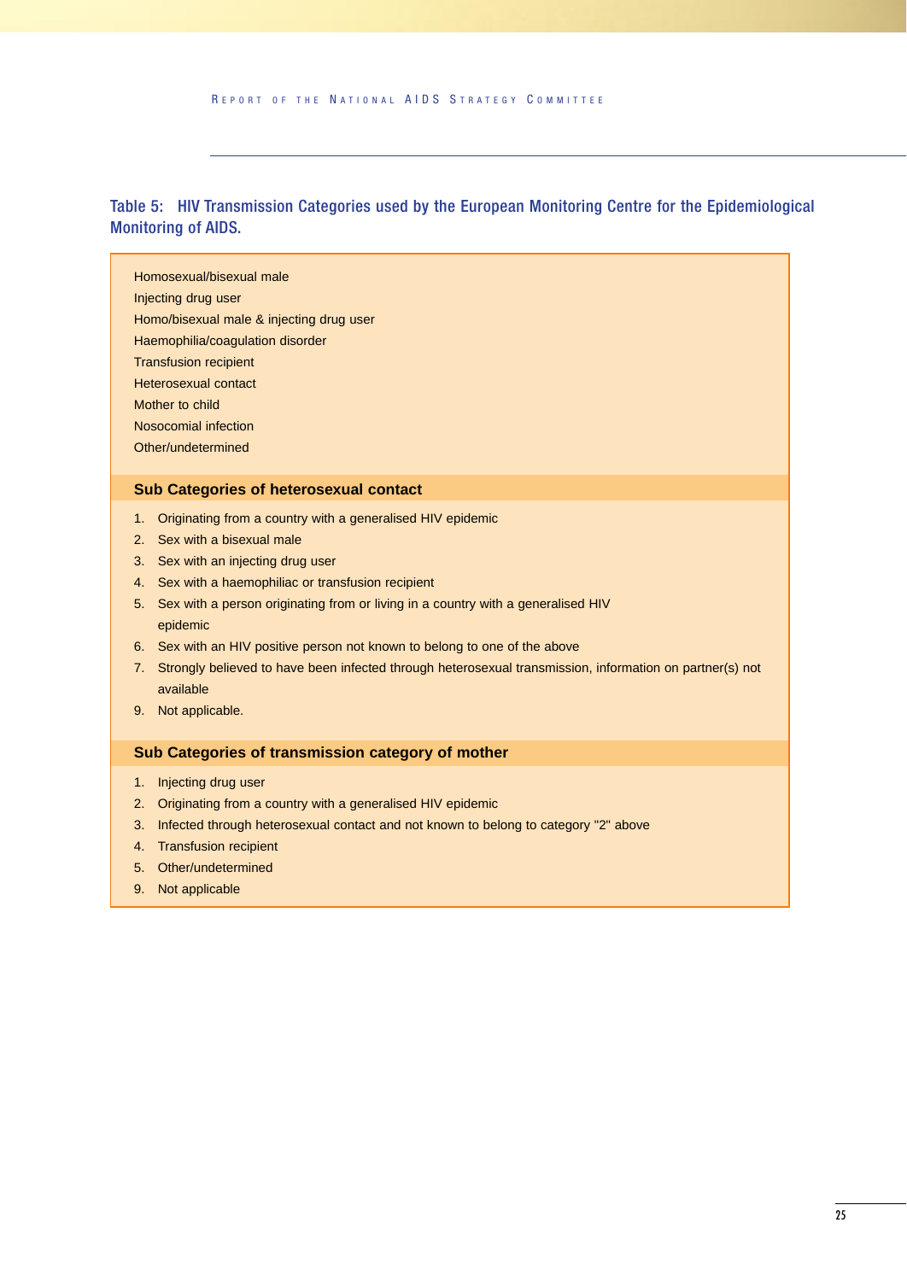Table 5: HIV Transmission Categories used by the European Monitoring Centre for the Epidemiological Monitoring of AIDS.

Homosexual/bisexual male

- Injecting drug user
- Homo/bisexual male & injecting drug user
- Haemophilia/coagulation disorder
- Transfusion recipient
- Heterosexual contact
- Mother to child
- Nosocomial infection
- Other/undetermined

#### **Sub Categories of heterosexual contact**

- 1. Originating from a country with a generalised HIV epidemic
- 2. Sex with a bisexual male
- 3. Sex with an injecting drug user
- 4. Sex with a haemophiliac or transfusion recipient
- 5. Sex with a person originating from or living in a country with a generalised HIV epidemic
- 6. Sex with an HIV positive person not known to belong to one of the above
- 7. Strongly believed to have been infected through heterosexual transmission, information on partner(s) not available
- 9. Not applicable.

#### **Sub Categories of transmission category of mother**

- 1. Injecting drug user
- 2. Originating from a country with a generalised HIV epidemic
- 3. Infected through heterosexual contact and not known to belong to category "2" above
- 4. Transfusion recipient
- 5. Other/undetermined
- 9. Not applicable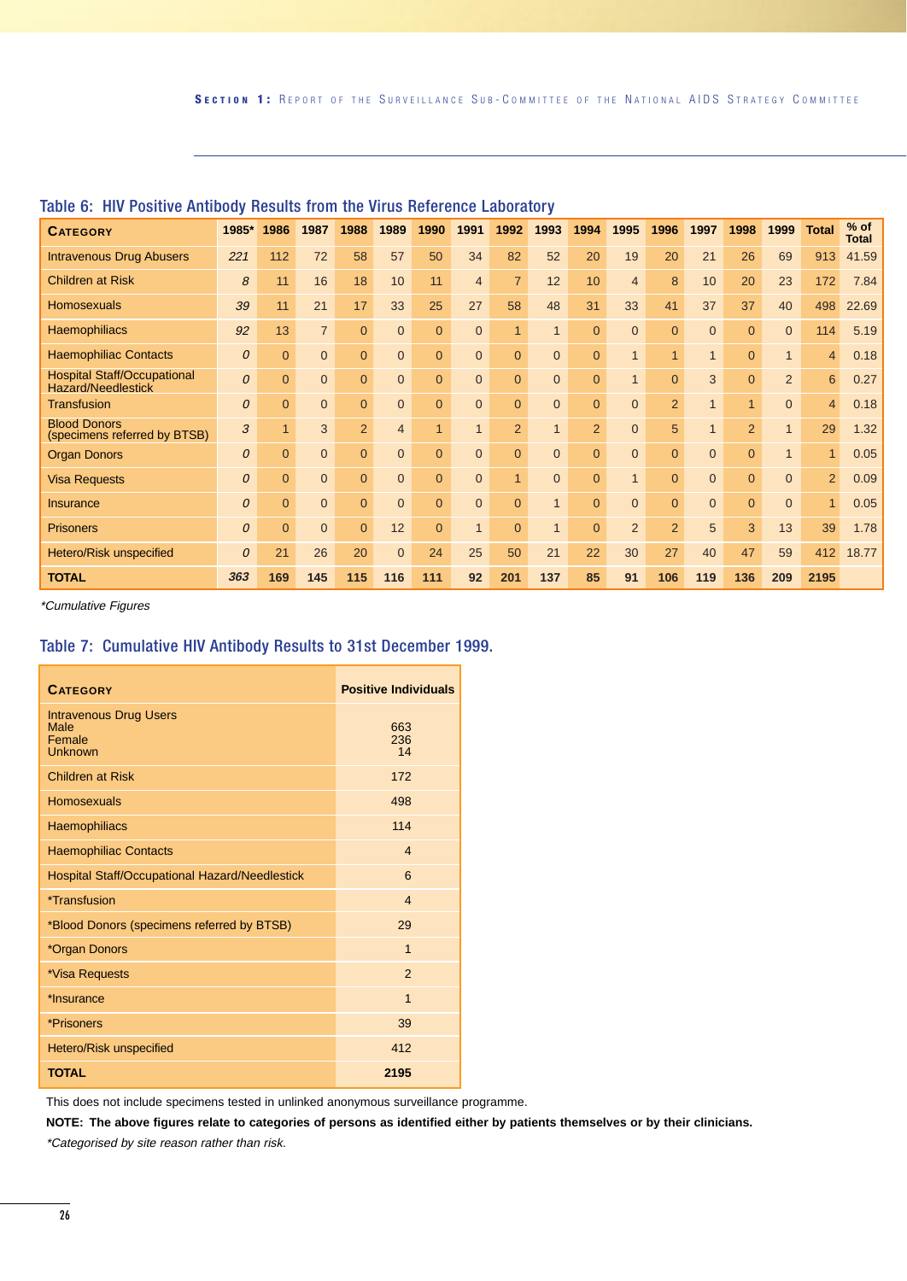| <b>CATEGORY</b>                                                 | 1985* | 1986           | 1987           | 1988           | 1989           | 1990           | 1991           | 1992           | 1993           | 1994           | 1995           | 1996           | 1997           | 1998           | 1999           | <b>Total</b>   | $%$ of<br><b>Total</b> |
|-----------------------------------------------------------------|-------|----------------|----------------|----------------|----------------|----------------|----------------|----------------|----------------|----------------|----------------|----------------|----------------|----------------|----------------|----------------|------------------------|
| <b>Intravenous Drug Abusers</b>                                 | 221   | 112            | 72             | 58             | 57             | 50             | 34             | 82             | 52             | 20             | 19             | 20             | 21             | 26             | 69             | 913            | 41.59                  |
| <b>Children at Risk</b>                                         | 8     | 11             | 16             | 18             | 10             | 11             | $\overline{4}$ | $\overline{7}$ | 12             | 10             | $\overline{4}$ | 8              | 10             | 20             | 23             | 172            | 7.84                   |
| <b>Homosexuals</b>                                              | 39    | 11             | 21             | 17             | 33             | 25             | 27             | 58             | 48             | 31             | 33             | 41             | 37             | 37             | 40             | 498            | 22.69                  |
| <b>Haemophiliacs</b>                                            | 92    | 13             | $\overline{7}$ | $\overline{0}$ | $\overline{0}$ | $\Omega$       | $\Omega$       | $\mathbf{1}$   | $\mathbf{1}$   | $\Omega$       | $\Omega$       | $\overline{0}$ | $\Omega$       | $\Omega$       | $\overline{0}$ | 114            | 5.19                   |
| <b>Haemophiliac Contacts</b>                                    | 0     | $\Omega$       | $\Omega$       | $\overline{0}$ | $\overline{0}$ | $\Omega$       | $\Omega$       | $\overline{0}$ | $\overline{0}$ | $\Omega$       | $\mathbf 1$    | $\mathbf{1}$   | $\mathbf{1}$   | $\Omega$       | $\mathbf{1}$   | $\overline{4}$ | 0.18                   |
| <b>Hospital Staff/Occupational</b><br><b>Hazard/Needlestick</b> | 0     | $\Omega$       | $\Omega$       | $\mathbf{0}$   | $\overline{0}$ | $\Omega$       | $\overline{0}$ | $\overline{0}$ | $\overline{0}$ | $\Omega$       | $\overline{A}$ | $\overline{0}$ | 3              | $\Omega$       | $\overline{2}$ | 6              | 0.27                   |
| <b>Transfusion</b>                                              | 0     | $\overline{0}$ | $\overline{0}$ | $\overline{0}$ | $\overline{0}$ | $\overline{0}$ | $\overline{0}$ | $\overline{0}$ | $\overline{0}$ | $\overline{0}$ | $\Omega$       | 2              | $\overline{1}$ | 1              | $\mathbf{0}$   | $\overline{4}$ | 0.18                   |
| <b>Blood Donors</b><br>(specimens referred by BTSB)             | 3     |                | 3              | 2              | $\overline{4}$ | $\overline{1}$ |                | $\overline{2}$ | $\mathbf{1}$   | $\overline{2}$ | $\Omega$       | 5              | $\overline{1}$ | $\overline{2}$ | $\mathbf{1}$   | 29             | 1.32                   |
| <b>Organ Donors</b>                                             | 0     | $\Omega$       | $\overline{0}$ | $\overline{0}$ | $\overline{0}$ | $\Omega$       | $\overline{0}$ | $\overline{0}$ | $\overline{0}$ | $\overline{0}$ | $\overline{0}$ | $\overline{0}$ | $\overline{0}$ | $\Omega$       | $\mathbf{1}$   | $\blacksquare$ | 0.05                   |
| <b>Visa Requests</b>                                            | 0     | $\Omega$       | $\Omega$       | $\mathbf{0}$   | $\overline{0}$ | $\Omega$       | $\Omega$       | $\overline{1}$ | $\Omega$       | $\Omega$       | 1              | $\Omega$       | $\Omega$       | $\Omega$       | $\overline{0}$ | $\overline{2}$ | 0.09                   |
| <b>Insurance</b>                                                | 0     | $\Omega$       | $\overline{0}$ | $\overline{0}$ | $\overline{0}$ | $\Omega$       | $\Omega$       | $\overline{0}$ | $\overline{1}$ | $\Omega$       | $\Omega$       | $\overline{0}$ | $\overline{0}$ | $\Omega$       | $\mathbf{0}$   | $\blacksquare$ | 0.05                   |
| <b>Prisoners</b>                                                | 0     | $\Omega$       | $\Omega$       | $\overline{0}$ | 12             | $\Omega$       |                | $\overline{0}$ | $\mathbf{1}$   | $\Omega$       | 2              | 2              | 5              | 3              | 13             | 39             | 1.78                   |
| Hetero/Risk unspecified                                         | 0     | 21             | 26             | 20             | $\overline{0}$ | 24             | 25             | 50             | 21             | 22             | 30             | 27             | 40             | 47             | 59             | 412            | 18.77                  |
| <b>TOTAL</b>                                                    | 363   | 169            | 145            | 115            | 116            | 111            | 92             | 201            | 137            | 85             | 91             | 106            | 119            | 136            | 209            | 2195           |                        |

#### Table 6: HIV Positive Antibody Results from the Virus Reference Laboratory

\*Cumulative Figures

#### Table 7: Cumulative HIV Antibody Results to 31st December 1999.

| <b>CATEGORY</b>                                            | <b>Positive Individuals</b> |
|------------------------------------------------------------|-----------------------------|
| <b>Intravenous Drug Users</b><br>Male<br>Female<br>Unknown | 663<br>236<br>14            |
| <b>Children at Risk</b>                                    | 172                         |
| <b>Homosexuals</b>                                         | 498                         |
| Haemophiliacs                                              | 114                         |
| <b>Haemophiliac Contacts</b>                               | $\overline{4}$              |
| <b>Hospital Staff/Occupational Hazard/Needlestick</b>      | 6                           |
| *Transfusion                                               | $\overline{\mathbf{A}}$     |
| *Blood Donors (specimens referred by BTSB)                 | 29                          |
| *Organ Donors                                              | $\overline{1}$              |
| *Visa Requests                                             | $\mathfrak{p}$              |
| *Insurance                                                 | $\overline{1}$              |
| *Prisoners                                                 | 39                          |
| Hetero/Risk unspecified                                    | 412                         |
| <b>TOTAL</b>                                               | 2195                        |

This does not include specimens tested in unlinked anonymous surveillance programme.

**NOTE: The above figures relate to categories of persons as identified either by patients themselves or by their clinicians.**

\*Categorised by site reason rather than risk.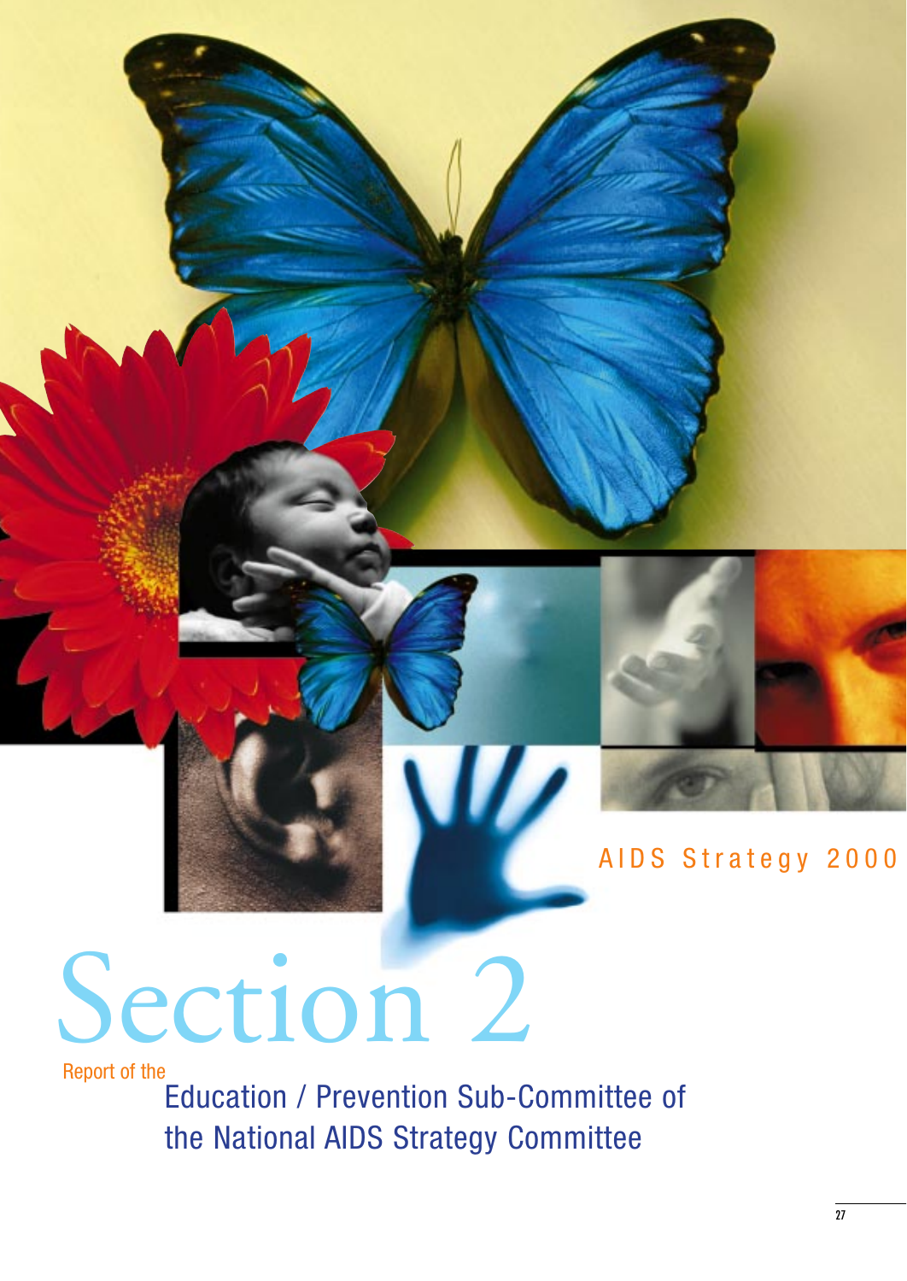

## AIDS Strategy 2000

## Section 2

Report of the

Education / Prevention Sub-Committee of the National AIDS Strategy Committee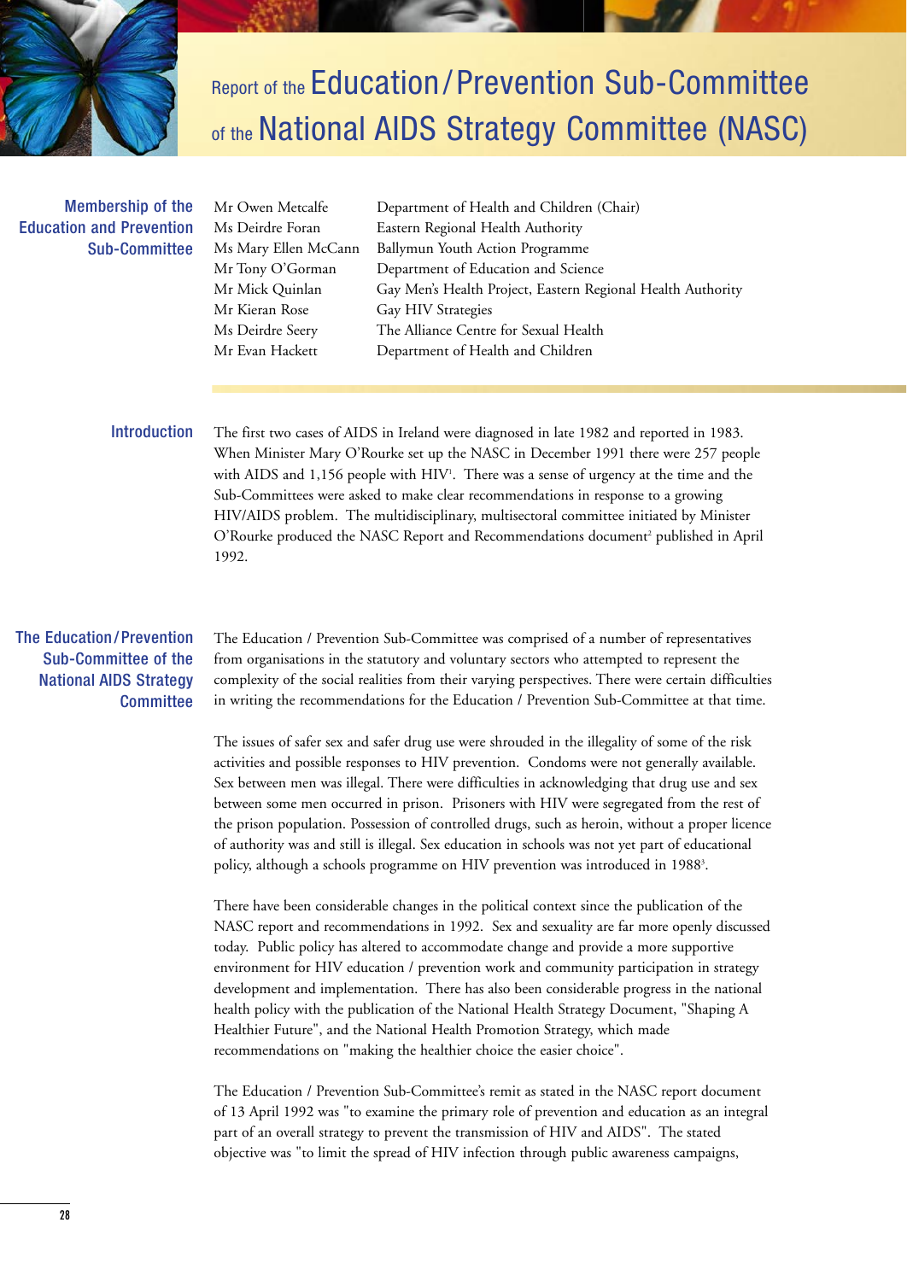

## Report of the Education/Prevention Sub-Committee of the National AIDS Strategy Committee (NASC)

#### Membership of the Education and Prevention Sub-Committee

Mr Kieran Rose Gay HIV Strategies

Mr Owen Metcalfe Department of Health and Children (Chair) Ms Deirdre Foran Eastern Regional Health Authority Ms Mary Ellen McCann Ballymun Youth Action Programme Mr Tony O'Gorman Department of Education and Science Mr Mick Quinlan Gay Men's Health Project, Eastern Regional Health Authority Ms Deirdre Seery The Alliance Centre for Sexual Health Mr Evan Hackett Department of Health and Children

#### Introduction

The first two cases of AIDS in Ireland were diagnosed in late 1982 and reported in 1983. When Minister Mary O'Rourke set up the NASC in December 1991 there were 257 people with AIDS and 1,156 people with  $\rm HIV^{_1}.$  There was a sense of urgency at the time and the Sub-Committees were asked to make clear recommendations in response to a growing HIV/AIDS problem. The multidisciplinary, multisectoral committee initiated by Minister O'Rourke produced the NASC Report and Recommendations document<sup>2</sup> published in April 1992.

#### The Education/Prevention Sub-Committee of the National AIDS Strategy **Committee**

The Education / Prevention Sub-Committee was comprised of a number of representatives from organisations in the statutory and voluntary sectors who attempted to represent the complexity of the social realities from their varying perspectives. There were certain difficulties in writing the recommendations for the Education / Prevention Sub-Committee at that time.

The issues of safer sex and safer drug use were shrouded in the illegality of some of the risk activities and possible responses to HIV prevention. Condoms were not generally available. Sex between men was illegal. There were difficulties in acknowledging that drug use and sex between some men occurred in prison. Prisoners with HIV were segregated from the rest of the prison population. Possession of controlled drugs, such as heroin, without a proper licence of authority was and still is illegal. Sex education in schools was not yet part of educational policy, although a schools programme on HIV prevention was introduced in 1988<sup>3</sup>.

There have been considerable changes in the political context since the publication of the NASC report and recommendations in 1992. Sex and sexuality are far more openly discussed today. Public policy has altered to accommodate change and provide a more supportive environment for HIV education / prevention work and community participation in strategy development and implementation. There has also been considerable progress in the national health policy with the publication of the National Health Strategy Document, "Shaping A Healthier Future", and the National Health Promotion Strategy, which made recommendations on "making the healthier choice the easier choice".

The Education / Prevention Sub-Committee's remit as stated in the NASC report document of 13 April 1992 was "to examine the primary role of prevention and education as an integral part of an overall strategy to prevent the transmission of HIV and AIDS". The stated objective was "to limit the spread of HIV infection through public awareness campaigns,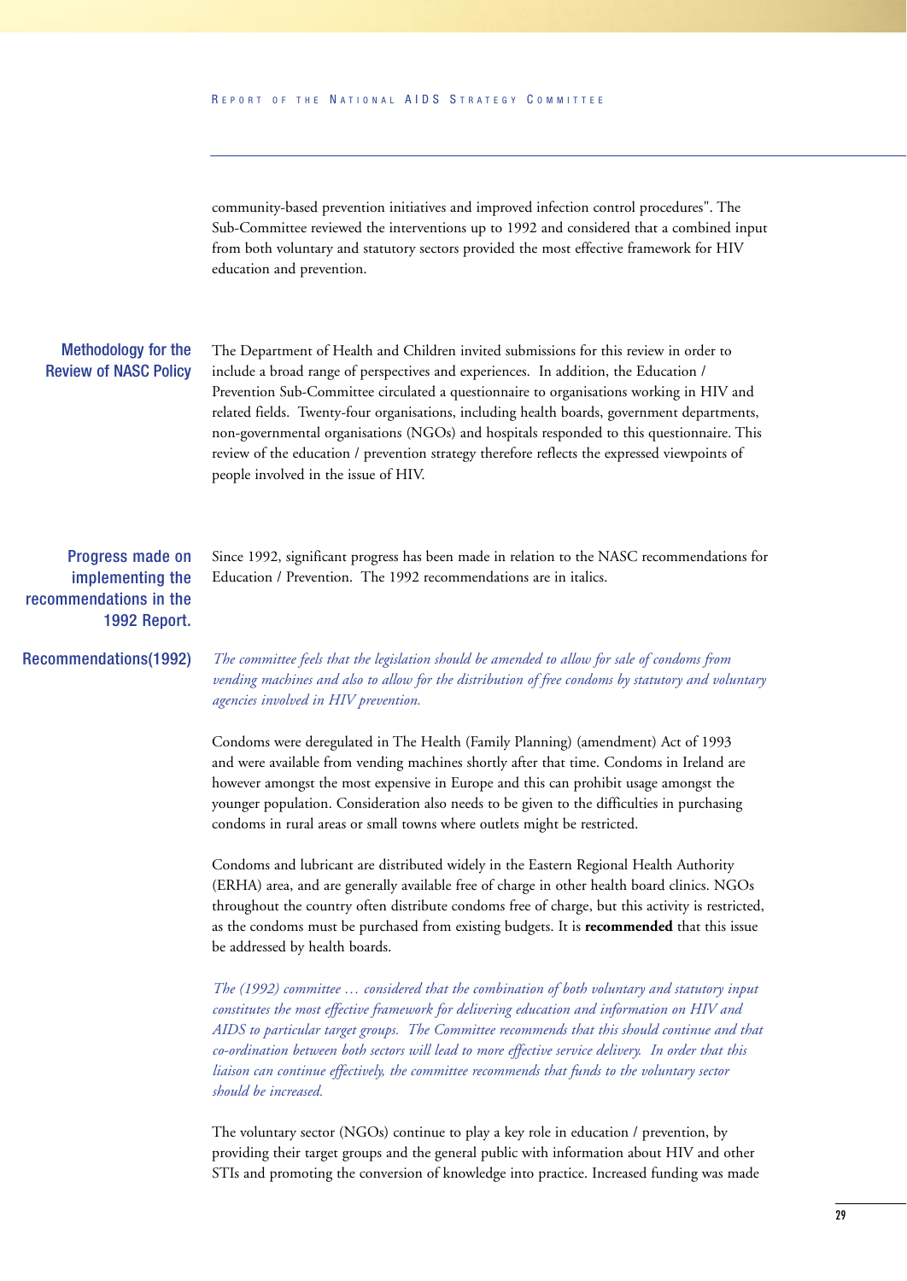community-based prevention initiatives and improved infection control procedures". The Sub-Committee reviewed the interventions up to 1992 and considered that a combined input from both voluntary and statutory sectors provided the most effective framework for HIV education and prevention.

#### Methodology for the Review of NASC Policy

The Department of Health and Children invited submissions for this review in order to include a broad range of perspectives and experiences. In addition, the Education / Prevention Sub-Committee circulated a questionnaire to organisations working in HIV and related fields. Twenty-four organisations, including health boards, government departments, non-governmental organisations (NGOs) and hospitals responded to this questionnaire. This review of the education / prevention strategy therefore reflects the expressed viewpoints of people involved in the issue of HIV.

Progress made on implementing the recommendations in the 1992 Report.

Recommendations(1992)

Since 1992, significant progress has been made in relation to the NASC recommendations for Education / Prevention. The 1992 recommendations are in italics.

*The committee feels that the legislation should be amended to allow for sale of condoms from vending machines and also to allow for the distribution of free condoms by statutory and voluntary agencies involved in HIV prevention.*

Condoms were deregulated in The Health (Family Planning) (amendment) Act of 1993 and were available from vending machines shortly after that time. Condoms in Ireland are however amongst the most expensive in Europe and this can prohibit usage amongst the younger population. Consideration also needs to be given to the difficulties in purchasing condoms in rural areas or small towns where outlets might be restricted.

Condoms and lubricant are distributed widely in the Eastern Regional Health Authority (ERHA) area, and are generally available free of charge in other health board clinics. NGOs throughout the country often distribute condoms free of charge, but this activity is restricted, as the condoms must be purchased from existing budgets. It is **recommended** that this issue be addressed by health boards.

*The (1992) committee … considered that the combination of both voluntary and statutory input constitutes the most effective framework for delivering education and information on HIV and AIDS to particular target groups. The Committee recommends that this should continue and that co-ordination between both sectors will lead to more effective service delivery. In order that this liaison can continue effectively, the committee recommends that funds to the voluntary sector should be increased.*

The voluntary sector (NGOs) continue to play a key role in education / prevention, by providing their target groups and the general public with information about HIV and other STIs and promoting the conversion of knowledge into practice. Increased funding was made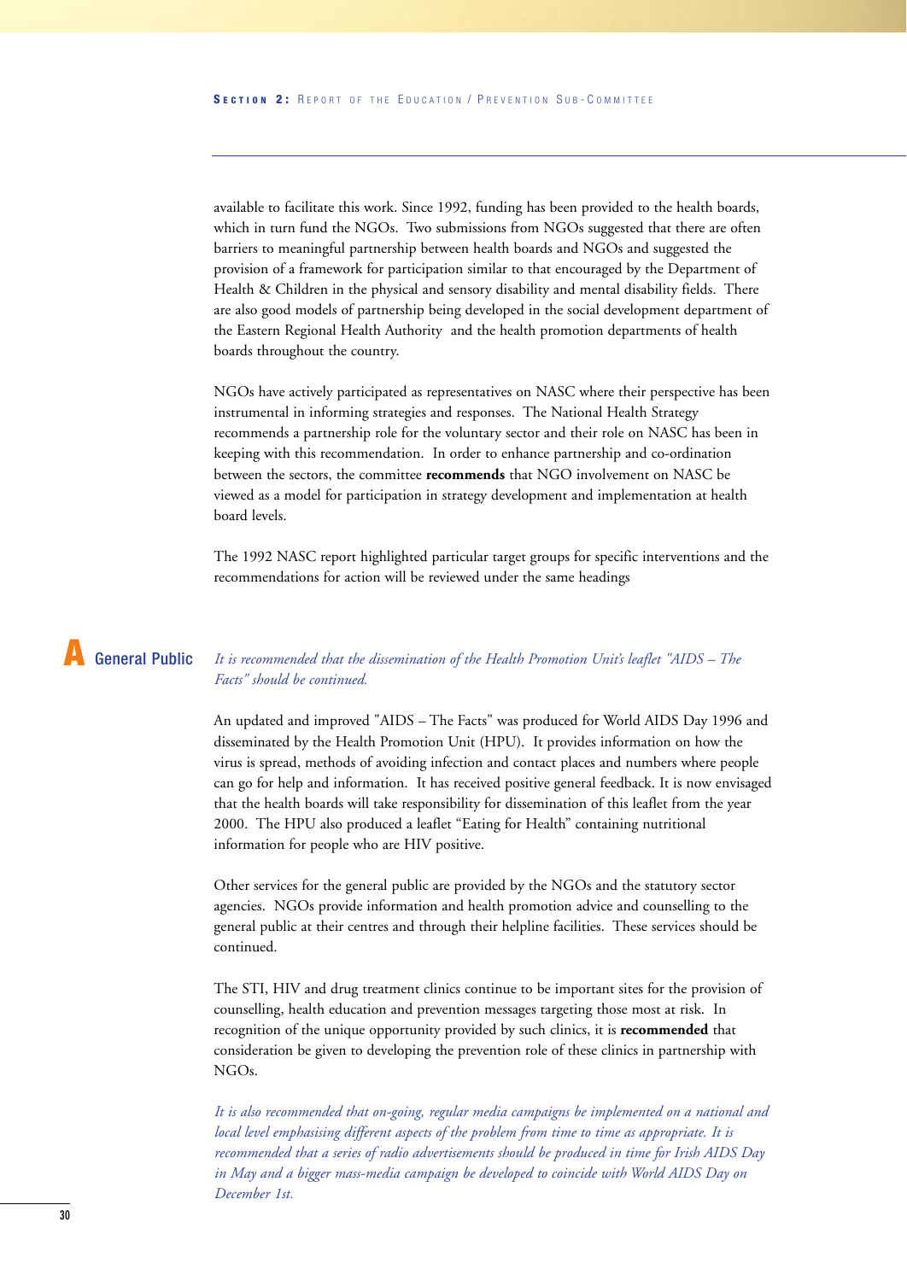available to facilitate this work. Since 1992, funding has been provided to the health boards, which in turn fund the NGOs. Two submissions from NGOs suggested that there are often barriers to meaningful partnership between health boards and NGOs and suggested the provision of a framework for participation similar to that encouraged by the Department of Health & Children in the physical and sensory disability and mental disability fields. There are also good models of partnership being developed in the social development department of the Eastern Regional Health Authority and the health promotion departments of health boards throughout the country.

NGOs have actively participated as representatives on NASC where their perspective has been instrumental in informing strategies and responses. The National Health Strategy recommends a partnership role for the voluntary sector and their role on NASC has been in keeping with this recommendation. In order to enhance partnership and co-ordination between the sectors, the committee **recommends** that NGO involvement on NASC be viewed as a model for participation in strategy development and implementation at health board levels.

The 1992 NASC report highlighted particular target groups for specific interventions and the recommendations for action will be reviewed under the same headings

### **A** General Public

#### *It is recommended that the dissemination of the Health Promotion Unit's leaflet "AIDS – The Facts" should be continued.*

An updated and improved "AIDS – The Facts" was produced for World AIDS Day 1996 and disseminated by the Health Promotion Unit (HPU). It provides information on how the virus is spread, methods of avoiding infection and contact places and numbers where people can go for help and information. It has received positive general feedback. It is now envisaged that the health boards will take responsibility for dissemination of this leaflet from the year 2000. The HPU also produced a leaflet "Eating for Health" containing nutritional information for people who are HIV positive.

Other services for the general public are provided by the NGOs and the statutory sector agencies. NGOs provide information and health promotion advice and counselling to the general public at their centres and through their helpline facilities. These services should be continued.

The STI, HIV and drug treatment clinics continue to be important sites for the provision of counselling, health education and prevention messages targeting those most at risk. In recognition of the unique opportunity provided by such clinics, it is **recommended** that consideration be given to developing the prevention role of these clinics in partnership with NGOs.

*It is also recommended that on-going, regular media campaigns be implemented on a national and local level emphasising different aspects of the problem from time to time as appropriate. It is recommended that a series of radio advertisements should be produced in time for Irish AIDS Day in May and a bigger mass-media campaign be developed to coincide with World AIDS Day on December 1st.*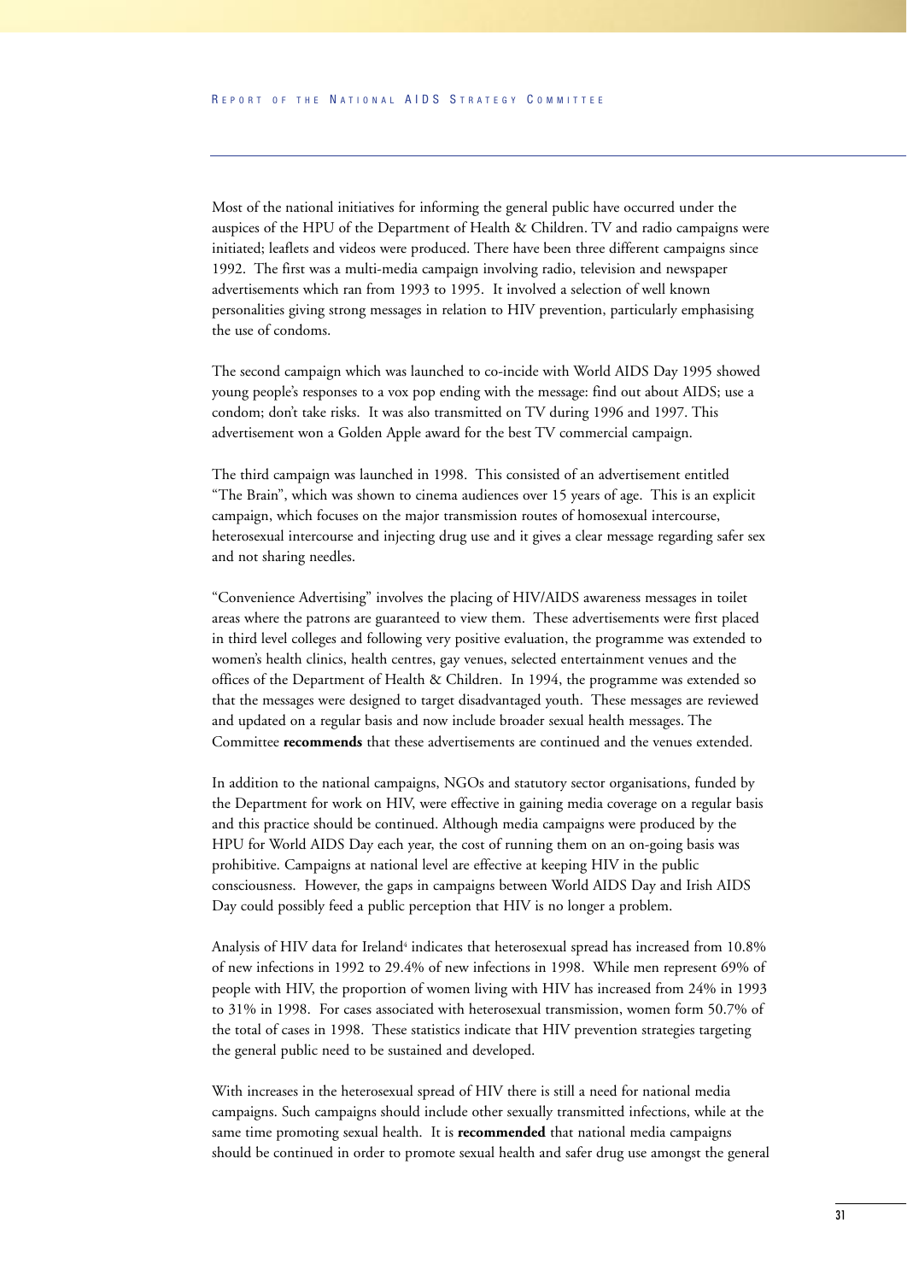Most of the national initiatives for informing the general public have occurred under the auspices of the HPU of the Department of Health & Children. TV and radio campaigns were initiated; leaflets and videos were produced. There have been three different campaigns since 1992. The first was a multi-media campaign involving radio, television and newspaper advertisements which ran from 1993 to 1995. It involved a selection of well known personalities giving strong messages in relation to HIV prevention, particularly emphasising the use of condoms.

The second campaign which was launched to co-incide with World AIDS Day 1995 showed young people's responses to a vox pop ending with the message: find out about AIDS; use a condom; don't take risks. It was also transmitted on TV during 1996 and 1997. This advertisement won a Golden Apple award for the best TV commercial campaign.

The third campaign was launched in 1998. This consisted of an advertisement entitled "The Brain", which was shown to cinema audiences over 15 years of age. This is an explicit campaign, which focuses on the major transmission routes of homosexual intercourse, heterosexual intercourse and injecting drug use and it gives a clear message regarding safer sex and not sharing needles.

"Convenience Advertising" involves the placing of HIV/AIDS awareness messages in toilet areas where the patrons are guaranteed to view them. These advertisements were first placed in third level colleges and following very positive evaluation, the programme was extended to women's health clinics, health centres, gay venues, selected entertainment venues and the offices of the Department of Health & Children. In 1994, the programme was extended so that the messages were designed to target disadvantaged youth. These messages are reviewed and updated on a regular basis and now include broader sexual health messages. The Committee **recommends** that these advertisements are continued and the venues extended.

In addition to the national campaigns, NGOs and statutory sector organisations, funded by the Department for work on HIV, were effective in gaining media coverage on a regular basis and this practice should be continued. Although media campaigns were produced by the HPU for World AIDS Day each year, the cost of running them on an on-going basis was prohibitive. Campaigns at national level are effective at keeping HIV in the public consciousness. However, the gaps in campaigns between World AIDS Day and Irish AIDS Day could possibly feed a public perception that HIV is no longer a problem.

Analysis of HIV data for Ireland<sup>4</sup> indicates that heterosexual spread has increased from 10.8% of new infections in 1992 to 29.4% of new infections in 1998. While men represent 69% of people with HIV, the proportion of women living with HIV has increased from 24% in 1993 to 31% in 1998. For cases associated with heterosexual transmission, women form 50.7% of the total of cases in 1998. These statistics indicate that HIV prevention strategies targeting the general public need to be sustained and developed.

With increases in the heterosexual spread of HIV there is still a need for national media campaigns. Such campaigns should include other sexually transmitted infections, while at the same time promoting sexual health. It is **recommended** that national media campaigns should be continued in order to promote sexual health and safer drug use amongst the general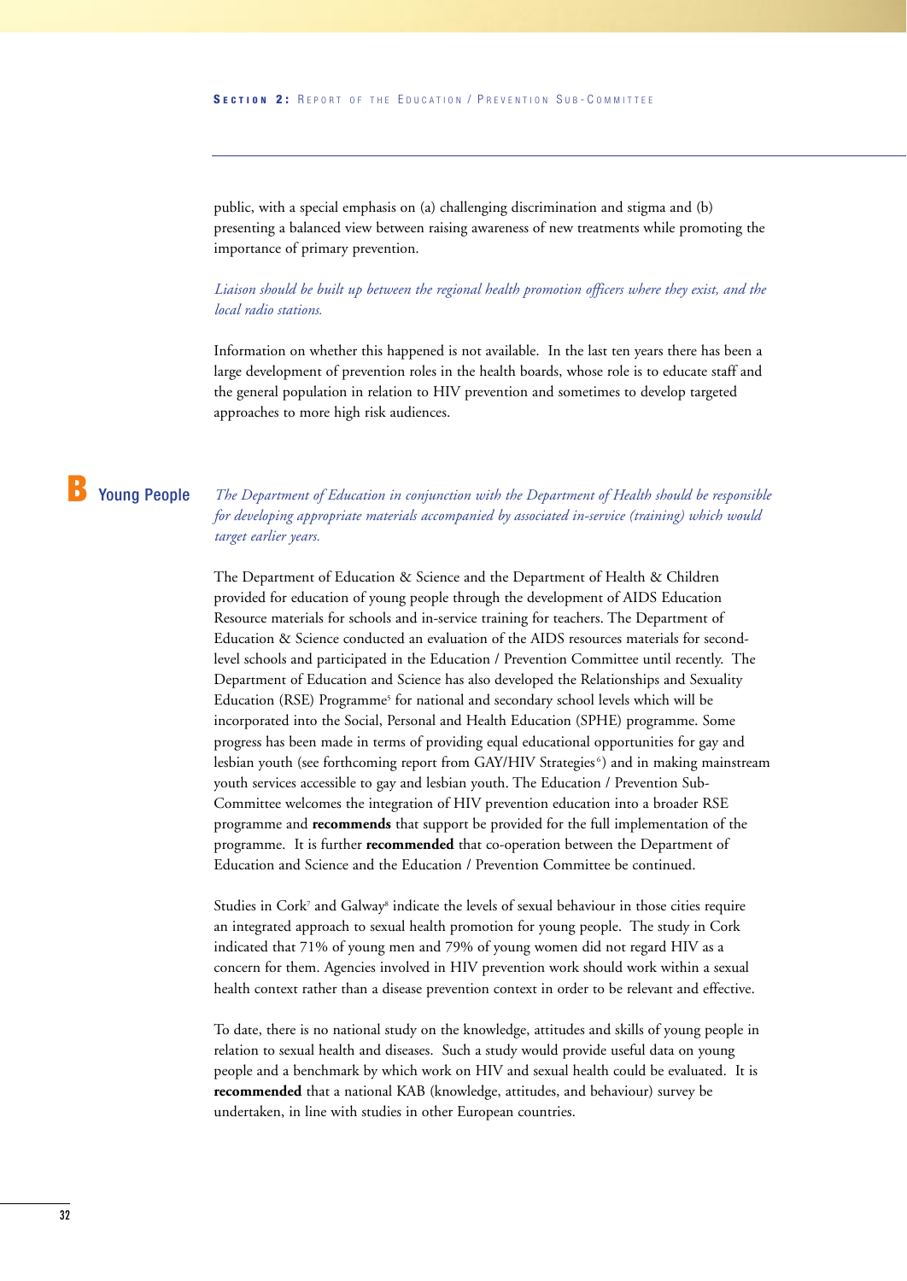public, with a special emphasis on (a) challenging discrimination and stigma and (b) presenting a balanced view between raising awareness of new treatments while promoting the importance of primary prevention.

*Liaison should be built up between the regional health promotion officers where they exist, and the local radio stations.*

Information on whether this happened is not available. In the last ten years there has been a large development of prevention roles in the health boards, whose role is to educate staff and the general population in relation to HIV prevention and sometimes to develop targeted approaches to more high risk audiences.

#### **B** Young People

*The Department of Education in conjunction with the Department of Health should be responsible for developing appropriate materials accompanied by associated in-service (training) which would target earlier years.*

The Department of Education & Science and the Department of Health & Children provided for education of young people through the development of AIDS Education Resource materials for schools and in-service training for teachers. The Department of Education & Science conducted an evaluation of the AIDS resources materials for secondlevel schools and participated in the Education / Prevention Committee until recently. The Department of Education and Science has also developed the Relationships and Sexuality Education (RSE) Programme<sup>5</sup> for national and secondary school levels which will be incorporated into the Social, Personal and Health Education (SPHE) programme. Some progress has been made in terms of providing equal educational opportunities for gay and lesbian youth (see forthcoming report from GAY/HIV Strategies<sup>6</sup>) and in making mainstream youth services accessible to gay and lesbian youth. The Education / Prevention Sub-Committee welcomes the integration of HIV prevention education into a broader RSE programme and **recommends** that support be provided for the full implementation of the programme. It is further **recommended** that co-operation between the Department of Education and Science and the Education / Prevention Committee be continued.

Studies in Cork<sup>7</sup> and Galway<sup>8</sup> indicate the levels of sexual behaviour in those cities require an integrated approach to sexual health promotion for young people. The study in Cork indicated that 71% of young men and 79% of young women did not regard HIV as a concern for them. Agencies involved in HIV prevention work should work within a sexual health context rather than a disease prevention context in order to be relevant and effective.

To date, there is no national study on the knowledge, attitudes and skills of young people in relation to sexual health and diseases. Such a study would provide useful data on young people and a benchmark by which work on HIV and sexual health could be evaluated. It is **recommended** that a national KAB (knowledge, attitudes, and behaviour) survey be undertaken, in line with studies in other European countries.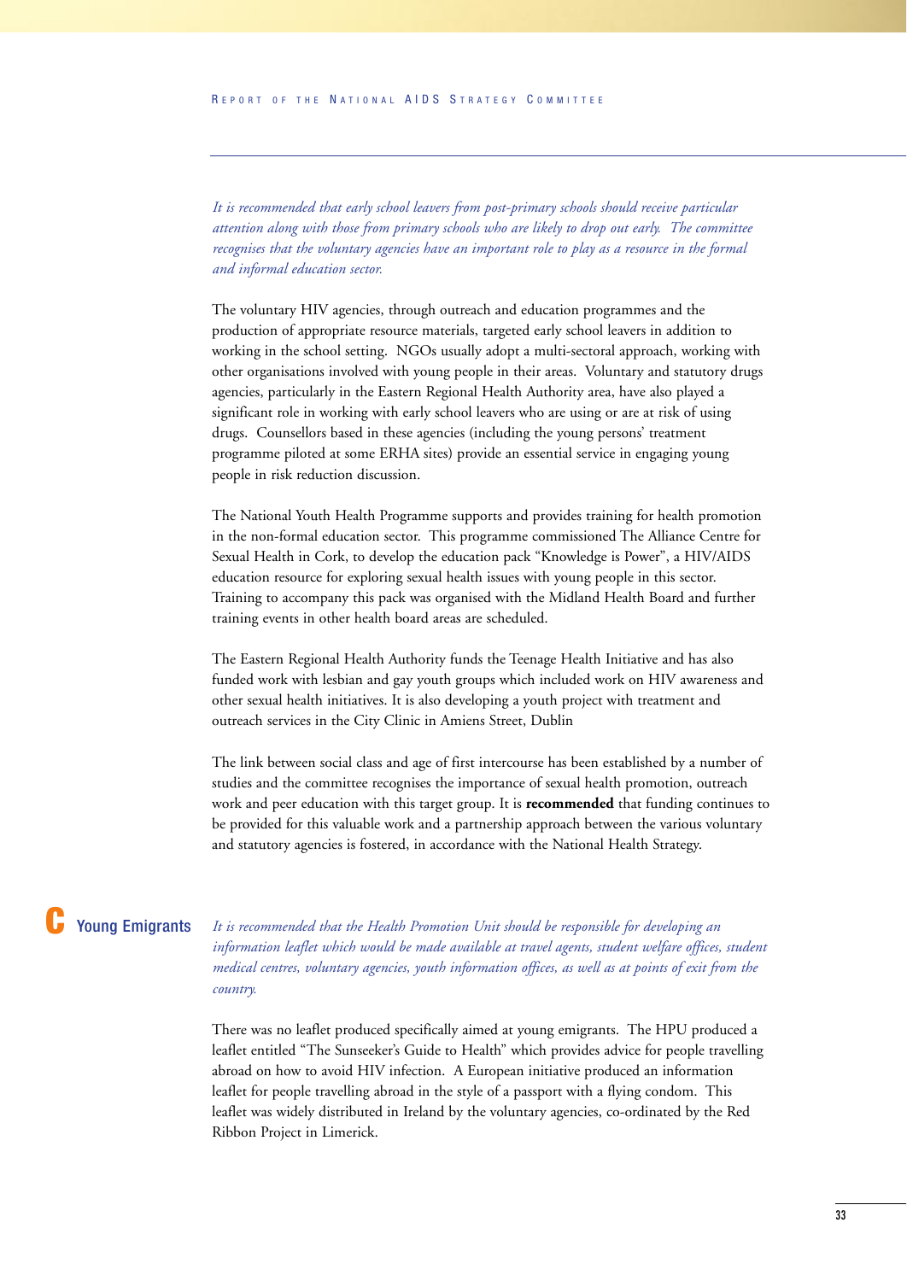*It is recommended that early school leavers from post-primary schools should receive particular attention along with those from primary schools who are likely to drop out early. The committee recognises that the voluntary agencies have an important role to play as a resource in the formal and informal education sector.*

The voluntary HIV agencies, through outreach and education programmes and the production of appropriate resource materials, targeted early school leavers in addition to working in the school setting. NGOs usually adopt a multi-sectoral approach, working with other organisations involved with young people in their areas. Voluntary and statutory drugs agencies, particularly in the Eastern Regional Health Authority area, have also played a significant role in working with early school leavers who are using or are at risk of using drugs. Counsellors based in these agencies (including the young persons' treatment programme piloted at some ERHA sites) provide an essential service in engaging young people in risk reduction discussion.

The National Youth Health Programme supports and provides training for health promotion in the non-formal education sector. This programme commissioned The Alliance Centre for Sexual Health in Cork, to develop the education pack "Knowledge is Power", a HIV/AIDS education resource for exploring sexual health issues with young people in this sector. Training to accompany this pack was organised with the Midland Health Board and further training events in other health board areas are scheduled.

The Eastern Regional Health Authority funds the Teenage Health Initiative and has also funded work with lesbian and gay youth groups which included work on HIV awareness and other sexual health initiatives. It is also developing a youth project with treatment and outreach services in the City Clinic in Amiens Street, Dublin

The link between social class and age of first intercourse has been established by a number of studies and the committee recognises the importance of sexual health promotion, outreach work and peer education with this target group. It is **recommended** that funding continues to be provided for this valuable work and a partnership approach between the various voluntary and statutory agencies is fostered, in accordance with the National Health Strategy.

#### **Young Emigrants**

*It is recommended that the Health Promotion Unit should be responsible for developing an information leaflet which would be made available at travel agents, student welfare offices, student medical centres, voluntary agencies, youth information offices, as well as at points of exit from the country.*

There was no leaflet produced specifically aimed at young emigrants. The HPU produced a leaflet entitled "The Sunseeker's Guide to Health" which provides advice for people travelling abroad on how to avoid HIV infection. A European initiative produced an information leaflet for people travelling abroad in the style of a passport with a flying condom. This leaflet was widely distributed in Ireland by the voluntary agencies, co-ordinated by the Red Ribbon Project in Limerick.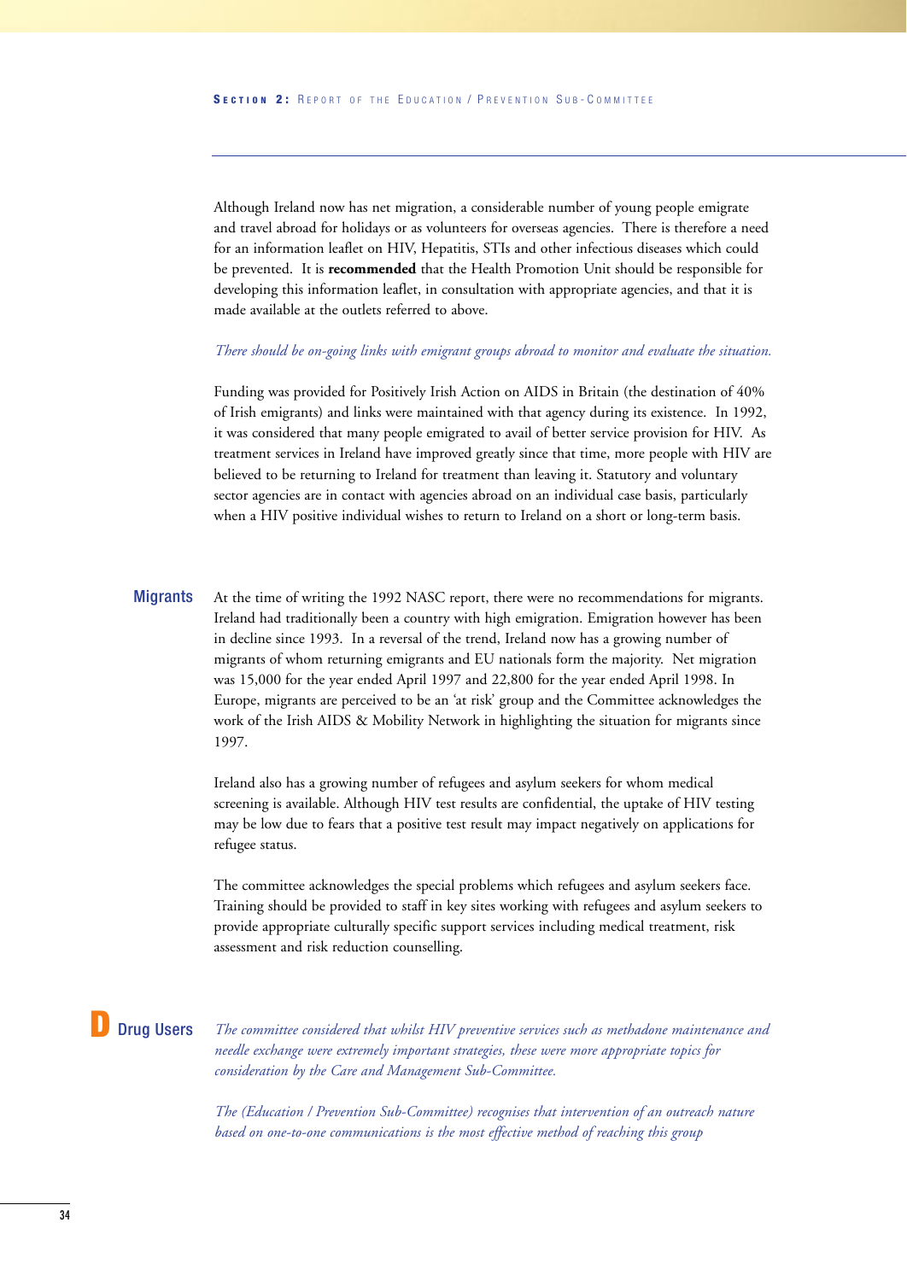Although Ireland now has net migration, a considerable number of young people emigrate and travel abroad for holidays or as volunteers for overseas agencies. There is therefore a need for an information leaflet on HIV, Hepatitis, STIs and other infectious diseases which could be prevented. It is **recommended** that the Health Promotion Unit should be responsible for developing this information leaflet, in consultation with appropriate agencies, and that it is made available at the outlets referred to above.

#### *There should be on-going links with emigrant groups abroad to monitor and evaluate the situation.*

Funding was provided for Positively Irish Action on AIDS in Britain (the destination of 40% of Irish emigrants) and links were maintained with that agency during its existence. In 1992, it was considered that many people emigrated to avail of better service provision for HIV. As treatment services in Ireland have improved greatly since that time, more people with HIV are believed to be returning to Ireland for treatment than leaving it. Statutory and voluntary sector agencies are in contact with agencies abroad on an individual case basis, particularly when a HIV positive individual wishes to return to Ireland on a short or long-term basis.

At the time of writing the 1992 NASC report, there were no recommendations for migrants. Ireland had traditionally been a country with high emigration. Emigration however has been in decline since 1993. In a reversal of the trend, Ireland now has a growing number of migrants of whom returning emigrants and EU nationals form the majority. Net migration was 15,000 for the year ended April 1997 and 22,800 for the year ended April 1998. In Europe, migrants are perceived to be an 'at risk' group and the Committee acknowledges the work of the Irish AIDS & Mobility Network in highlighting the situation for migrants since 1997. **Migrants** 

> Ireland also has a growing number of refugees and asylum seekers for whom medical screening is available. Although HIV test results are confidential, the uptake of HIV testing may be low due to fears that a positive test result may impact negatively on applications for refugee status.

The committee acknowledges the special problems which refugees and asylum seekers face. Training should be provided to staff in key sites working with refugees and asylum seekers to provide appropriate culturally specific support services including medical treatment, risk assessment and risk reduction counselling.

#### **Drug Users**

*The committee considered that whilst HIV preventive services such as methadone maintenance and needle exchange were extremely important strategies, these were more appropriate topics for consideration by the Care and Management Sub-Committee.*

*The (Education / Prevention Sub-Committee) recognises that intervention of an outreach nature based on one-to-one communications is the most effective method of reaching this group*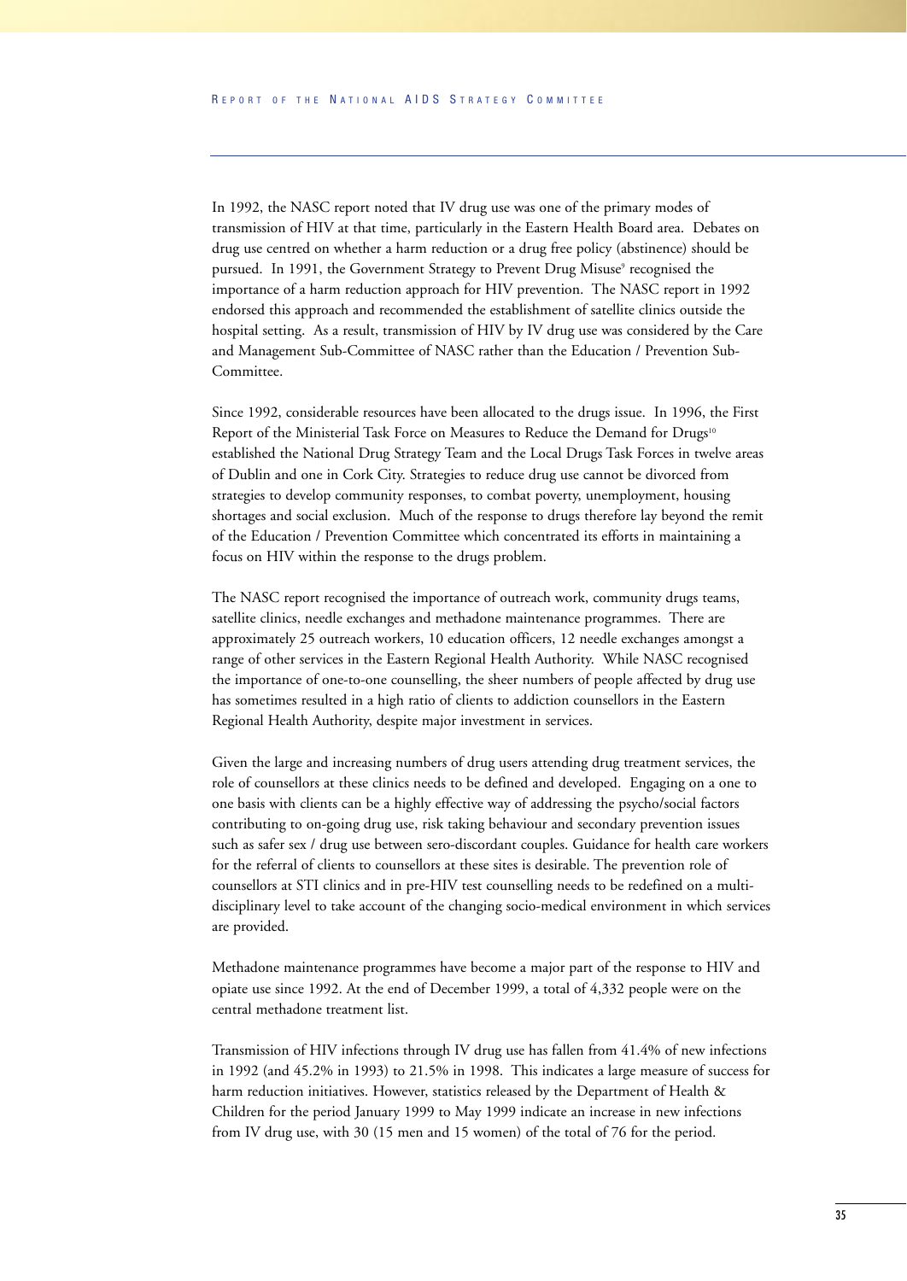In 1992, the NASC report noted that IV drug use was one of the primary modes of transmission of HIV at that time, particularly in the Eastern Health Board area. Debates on drug use centred on whether a harm reduction or a drug free policy (abstinence) should be pursued. In 1991, the Government Strategy to Prevent Drug Misuse<sup>9</sup> recognised the importance of a harm reduction approach for HIV prevention. The NASC report in 1992 endorsed this approach and recommended the establishment of satellite clinics outside the hospital setting. As a result, transmission of HIV by IV drug use was considered by the Care and Management Sub-Committee of NASC rather than the Education / Prevention Sub-Committee.

Since 1992, considerable resources have been allocated to the drugs issue. In 1996, the First Report of the Ministerial Task Force on Measures to Reduce the Demand for Drugs<sup>10</sup> established the National Drug Strategy Team and the Local Drugs Task Forces in twelve areas of Dublin and one in Cork City. Strategies to reduce drug use cannot be divorced from strategies to develop community responses, to combat poverty, unemployment, housing shortages and social exclusion. Much of the response to drugs therefore lay beyond the remit of the Education / Prevention Committee which concentrated its efforts in maintaining a focus on HIV within the response to the drugs problem.

The NASC report recognised the importance of outreach work, community drugs teams, satellite clinics, needle exchanges and methadone maintenance programmes. There are approximately 25 outreach workers, 10 education officers, 12 needle exchanges amongst a range of other services in the Eastern Regional Health Authority. While NASC recognised the importance of one-to-one counselling, the sheer numbers of people affected by drug use has sometimes resulted in a high ratio of clients to addiction counsellors in the Eastern Regional Health Authority, despite major investment in services.

Given the large and increasing numbers of drug users attending drug treatment services, the role of counsellors at these clinics needs to be defined and developed. Engaging on a one to one basis with clients can be a highly effective way of addressing the psycho/social factors contributing to on-going drug use, risk taking behaviour and secondary prevention issues such as safer sex / drug use between sero-discordant couples. Guidance for health care workers for the referral of clients to counsellors at these sites is desirable. The prevention role of counsellors at STI clinics and in pre-HIV test counselling needs to be redefined on a multidisciplinary level to take account of the changing socio-medical environment in which services are provided.

Methadone maintenance programmes have become a major part of the response to HIV and opiate use since 1992. At the end of December 1999, a total of 4,332 people were on the central methadone treatment list.

Transmission of HIV infections through IV drug use has fallen from 41.4% of new infections in 1992 (and 45.2% in 1993) to 21.5% in 1998. This indicates a large measure of success for harm reduction initiatives. However, statistics released by the Department of Health & Children for the period January 1999 to May 1999 indicate an increase in new infections from IV drug use, with 30 (15 men and 15 women) of the total of 76 for the period.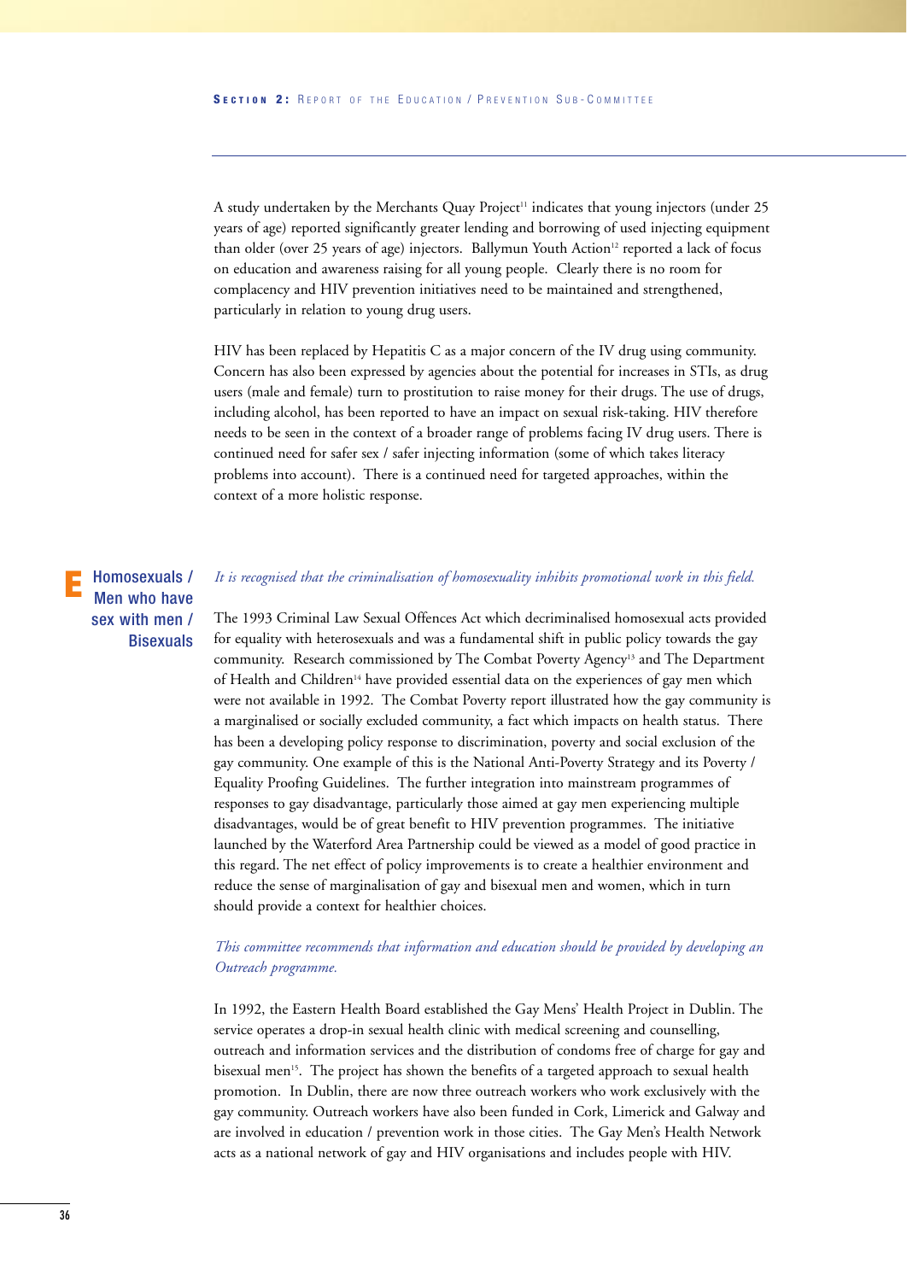A study undertaken by the Merchants Quay Project<sup>11</sup> indicates that young injectors (under 25 years of age) reported significantly greater lending and borrowing of used injecting equipment than older (over 25 years of age) injectors. Ballymun Youth Action<sup>12</sup> reported a lack of focus on education and awareness raising for all young people. Clearly there is no room for complacency and HIV prevention initiatives need to be maintained and strengthened, particularly in relation to young drug users.

HIV has been replaced by Hepatitis C as a major concern of the IV drug using community. Concern has also been expressed by agencies about the potential for increases in STIs, as drug users (male and female) turn to prostitution to raise money for their drugs. The use of drugs, including alcohol, has been reported to have an impact on sexual risk-taking. HIV therefore needs to be seen in the context of a broader range of problems facing IV drug users. There is continued need for safer sex / safer injecting information (some of which takes literacy problems into account). There is a continued need for targeted approaches, within the context of a more holistic response.

#### Homosexuals / Men who have sex with men / **Bisexuals E**

#### *It is recognised that the criminalisation of homosexuality inhibits promotional work in this field.*

The 1993 Criminal Law Sexual Offences Act which decriminalised homosexual acts provided for equality with heterosexuals and was a fundamental shift in public policy towards the gay community. Research commissioned by The Combat Poverty Agency<sup>13</sup> and The Department of Health and Children<sup>14</sup> have provided essential data on the experiences of gay men which were not available in 1992. The Combat Poverty report illustrated how the gay community is a marginalised or socially excluded community, a fact which impacts on health status. There has been a developing policy response to discrimination, poverty and social exclusion of the gay community. One example of this is the National Anti-Poverty Strategy and its Poverty / Equality Proofing Guidelines. The further integration into mainstream programmes of responses to gay disadvantage, particularly those aimed at gay men experiencing multiple disadvantages, would be of great benefit to HIV prevention programmes. The initiative launched by the Waterford Area Partnership could be viewed as a model of good practice in this regard. The net effect of policy improvements is to create a healthier environment and reduce the sense of marginalisation of gay and bisexual men and women, which in turn should provide a context for healthier choices.

#### *This committee recommends that information and education should be provided by developing an Outreach programme.*

In 1992, the Eastern Health Board established the Gay Mens' Health Project in Dublin. The service operates a drop-in sexual health clinic with medical screening and counselling, outreach and information services and the distribution of condoms free of charge for gay and bisexual men<sup>15</sup>. The project has shown the benefits of a targeted approach to sexual health promotion. In Dublin, there are now three outreach workers who work exclusively with the gay community. Outreach workers have also been funded in Cork, Limerick and Galway and are involved in education / prevention work in those cities. The Gay Men's Health Network acts as a national network of gay and HIV organisations and includes people with HIV.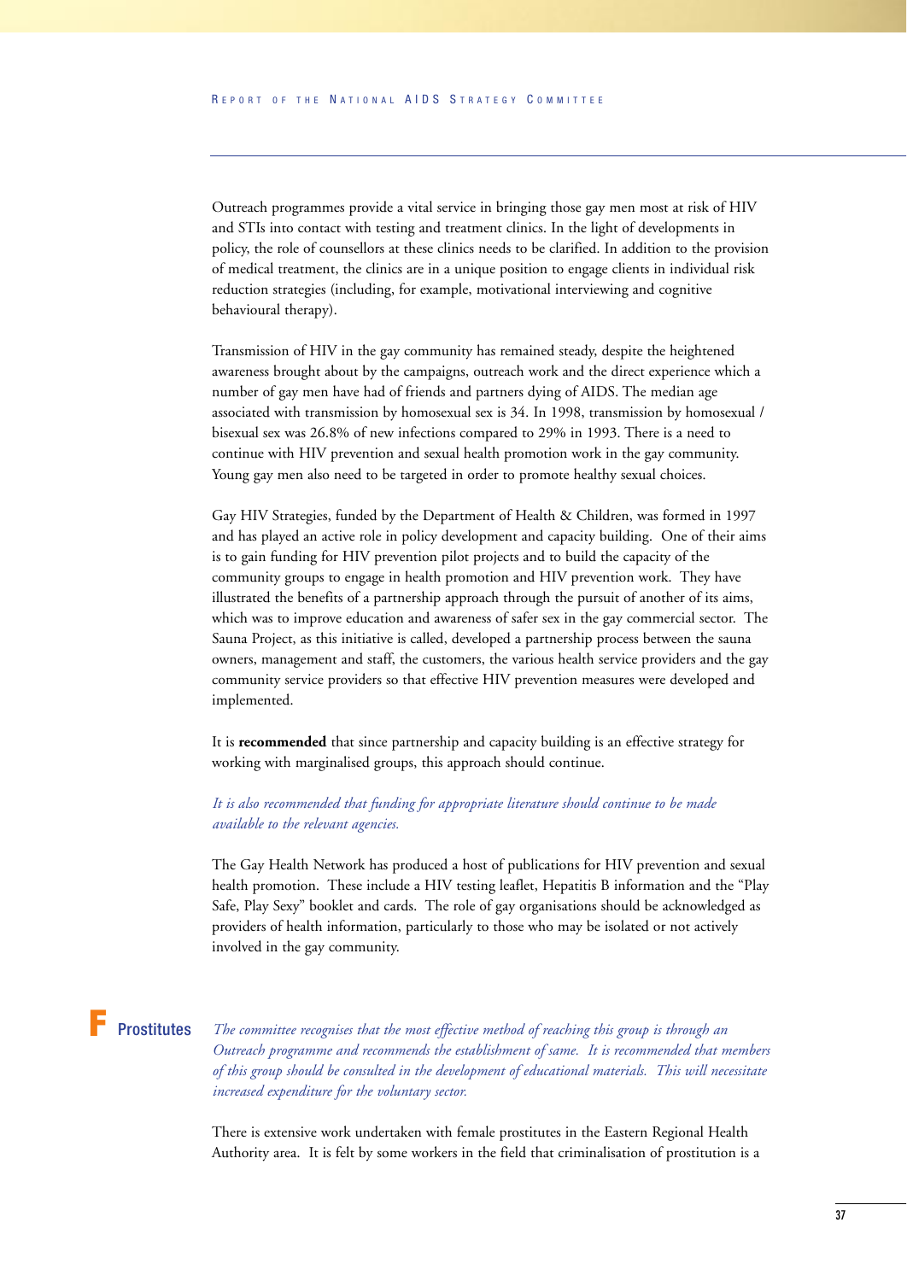Outreach programmes provide a vital service in bringing those gay men most at risk of HIV and STIs into contact with testing and treatment clinics. In the light of developments in policy, the role of counsellors at these clinics needs to be clarified. In addition to the provision of medical treatment, the clinics are in a unique position to engage clients in individual risk reduction strategies (including, for example, motivational interviewing and cognitive behavioural therapy).

Transmission of HIV in the gay community has remained steady, despite the heightened awareness brought about by the campaigns, outreach work and the direct experience which a number of gay men have had of friends and partners dying of AIDS. The median age associated with transmission by homosexual sex is 34. In 1998, transmission by homosexual / bisexual sex was 26.8% of new infections compared to 29% in 1993. There is a need to continue with HIV prevention and sexual health promotion work in the gay community. Young gay men also need to be targeted in order to promote healthy sexual choices.

Gay HIV Strategies, funded by the Department of Health & Children, was formed in 1997 and has played an active role in policy development and capacity building. One of their aims is to gain funding for HIV prevention pilot projects and to build the capacity of the community groups to engage in health promotion and HIV prevention work. They have illustrated the benefits of a partnership approach through the pursuit of another of its aims, which was to improve education and awareness of safer sex in the gay commercial sector. The Sauna Project, as this initiative is called, developed a partnership process between the sauna owners, management and staff, the customers, the various health service providers and the gay community service providers so that effective HIV prevention measures were developed and implemented.

It is **recommended** that since partnership and capacity building is an effective strategy for working with marginalised groups, this approach should continue.

#### *It is also recommended that funding for appropriate literature should continue to be made available to the relevant agencies.*

The Gay Health Network has produced a host of publications for HIV prevention and sexual health promotion. These include a HIV testing leaflet, Hepatitis B information and the "Play Safe, Play Sexy" booklet and cards. The role of gay organisations should be acknowledged as providers of health information, particularly to those who may be isolated or not actively involved in the gay community.

# **F** Prostitutes

*The committee recognises that the most effective method of reaching this group is through an Outreach programme and recommends the establishment of same. It is recommended that members of this group should be consulted in the development of educational materials. This will necessitate increased expenditure for the voluntary sector.*

There is extensive work undertaken with female prostitutes in the Eastern Regional Health Authority area. It is felt by some workers in the field that criminalisation of prostitution is a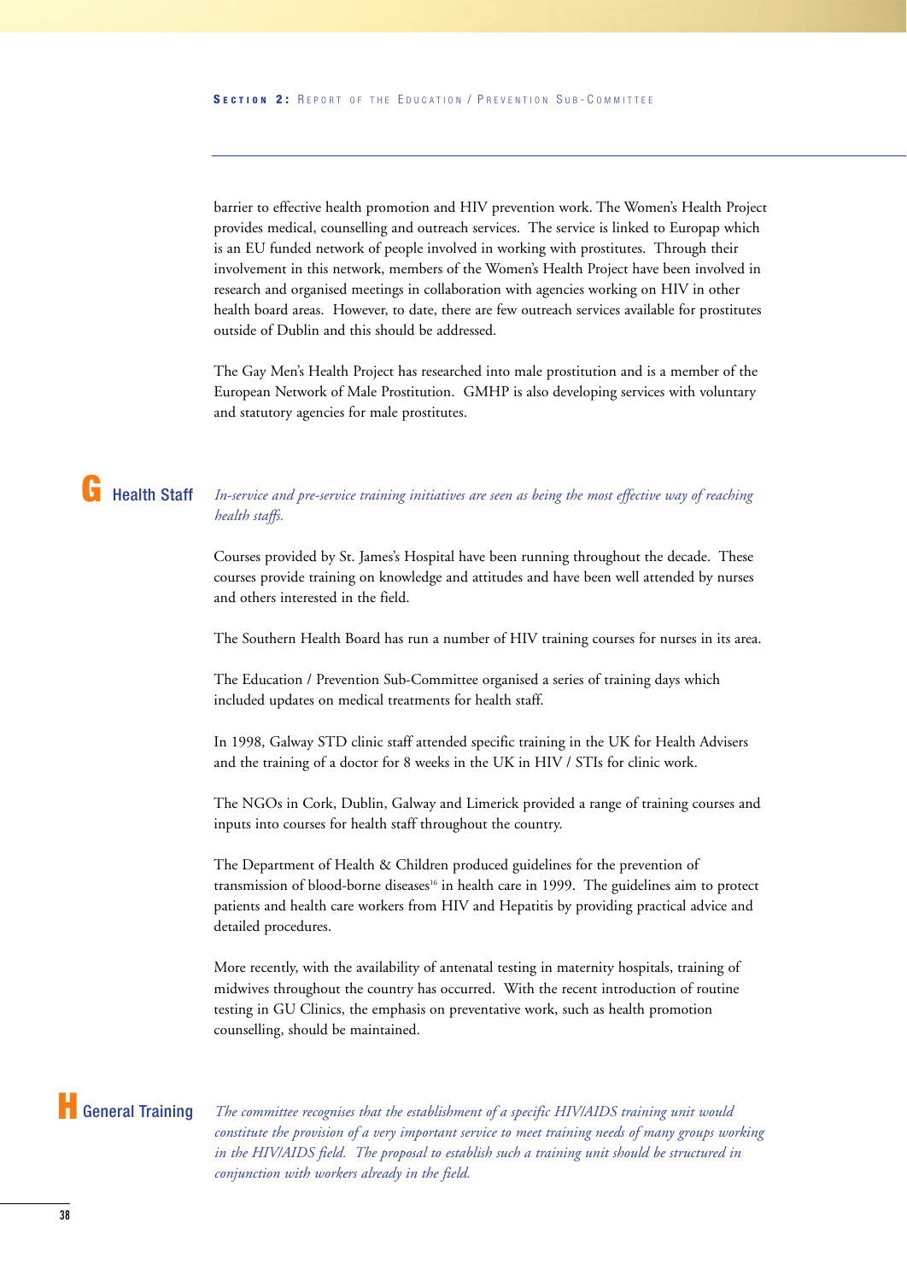barrier to effective health promotion and HIV prevention work. The Women's Health Project provides medical, counselling and outreach services. The service is linked to Europap which is an EU funded network of people involved in working with prostitutes. Through their involvement in this network, members of the Women's Health Project have been involved in research and organised meetings in collaboration with agencies working on HIV in other health board areas. However, to date, there are few outreach services available for prostitutes outside of Dublin and this should be addressed.

The Gay Men's Health Project has researched into male prostitution and is a member of the European Network of Male Prostitution. GMHP is also developing services with voluntary and statutory agencies for male prostitutes.

# **G** Health Staff

#### *In-service and pre-service training initiatives are seen as being the most effective way of reaching health staffs.*

Courses provided by St. James's Hospital have been running throughout the decade. These courses provide training on knowledge and attitudes and have been well attended by nurses and others interested in the field.

The Southern Health Board has run a number of HIV training courses for nurses in its area.

The Education / Prevention Sub-Committee organised a series of training days which included updates on medical treatments for health staff.

In 1998, Galway STD clinic staff attended specific training in the UK for Health Advisers and the training of a doctor for 8 weeks in the UK in HIV / STIs for clinic work.

The NGOs in Cork, Dublin, Galway and Limerick provided a range of training courses and inputs into courses for health staff throughout the country.

The Department of Health & Children produced guidelines for the prevention of transmission of blood-borne diseases<sup>16</sup> in health care in 1999. The guidelines aim to protect patients and health care workers from HIV and Hepatitis by providing practical advice and detailed procedures.

More recently, with the availability of antenatal testing in maternity hospitals, training of midwives throughout the country has occurred. With the recent introduction of routine testing in GU Clinics, the emphasis on preventative work, such as health promotion counselling, should be maintained.

## **H** General Training

*The committee recognises that the establishment of a specific HIV/AIDS training unit would constitute the provision of a very important service to meet training needs of many groups working in the HIV/AIDS field. The proposal to establish such a training unit should be structured in conjunction with workers already in the field.*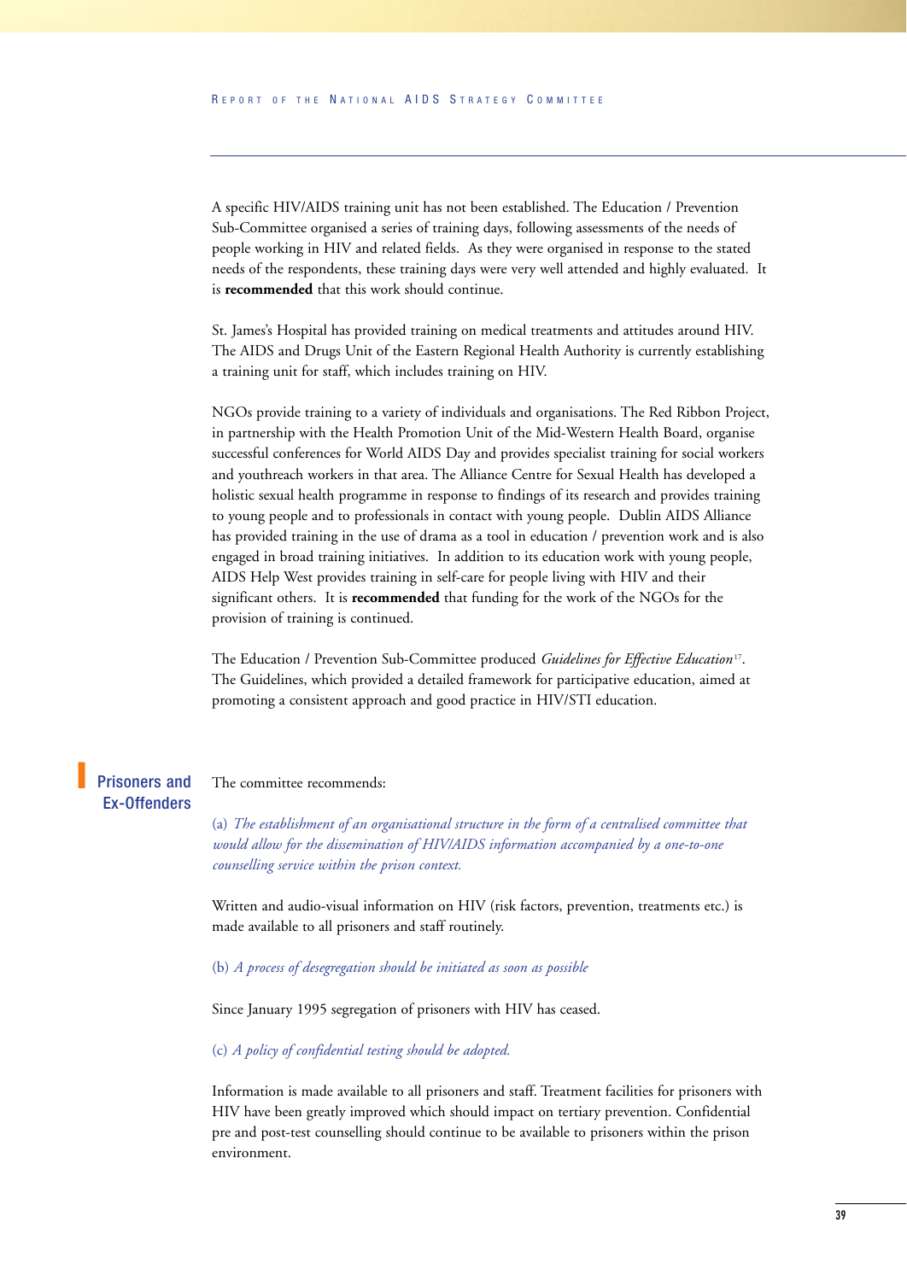A specific HIV/AIDS training unit has not been established. The Education / Prevention Sub-Committee organised a series of training days, following assessments of the needs of people working in HIV and related fields. As they were organised in response to the stated needs of the respondents, these training days were very well attended and highly evaluated. It is **recommended** that this work should continue.

St. James's Hospital has provided training on medical treatments and attitudes around HIV. The AIDS and Drugs Unit of the Eastern Regional Health Authority is currently establishing a training unit for staff, which includes training on HIV.

NGOs provide training to a variety of individuals and organisations. The Red Ribbon Project, in partnership with the Health Promotion Unit of the Mid-Western Health Board, organise successful conferences for World AIDS Day and provides specialist training for social workers and youthreach workers in that area. The Alliance Centre for Sexual Health has developed a holistic sexual health programme in response to findings of its research and provides training to young people and to professionals in contact with young people. Dublin AIDS Alliance has provided training in the use of drama as a tool in education / prevention work and is also engaged in broad training initiatives. In addition to its education work with young people, AIDS Help West provides training in self-care for people living with HIV and their significant others. It is **recommended** that funding for the work of the NGOs for the provision of training is continued.

The Education / Prevention Sub-Committee produced *Guidelines for Effective Education* 17. The Guidelines, which provided a detailed framework for participative education, aimed at promoting a consistent approach and good practice in HIV/STI education.

#### The committee recommends: Prisoners and Ex-Offenders

**I**

(a) *The establishment of an organisational structure in the form of a centralised committee that would allow for the dissemination of HIV/AIDS information accompanied by a one-to-one counselling service within the prison context.*

Written and audio-visual information on HIV (risk factors, prevention, treatments etc.) is made available to all prisoners and staff routinely.

#### (b) *A process of desegregation should be initiated as soon as possible*

Since January 1995 segregation of prisoners with HIV has ceased.

#### (c) *A policy of confidential testing should be adopted.*

Information is made available to all prisoners and staff. Treatment facilities for prisoners with HIV have been greatly improved which should impact on tertiary prevention. Confidential pre and post-test counselling should continue to be available to prisoners within the prison environment.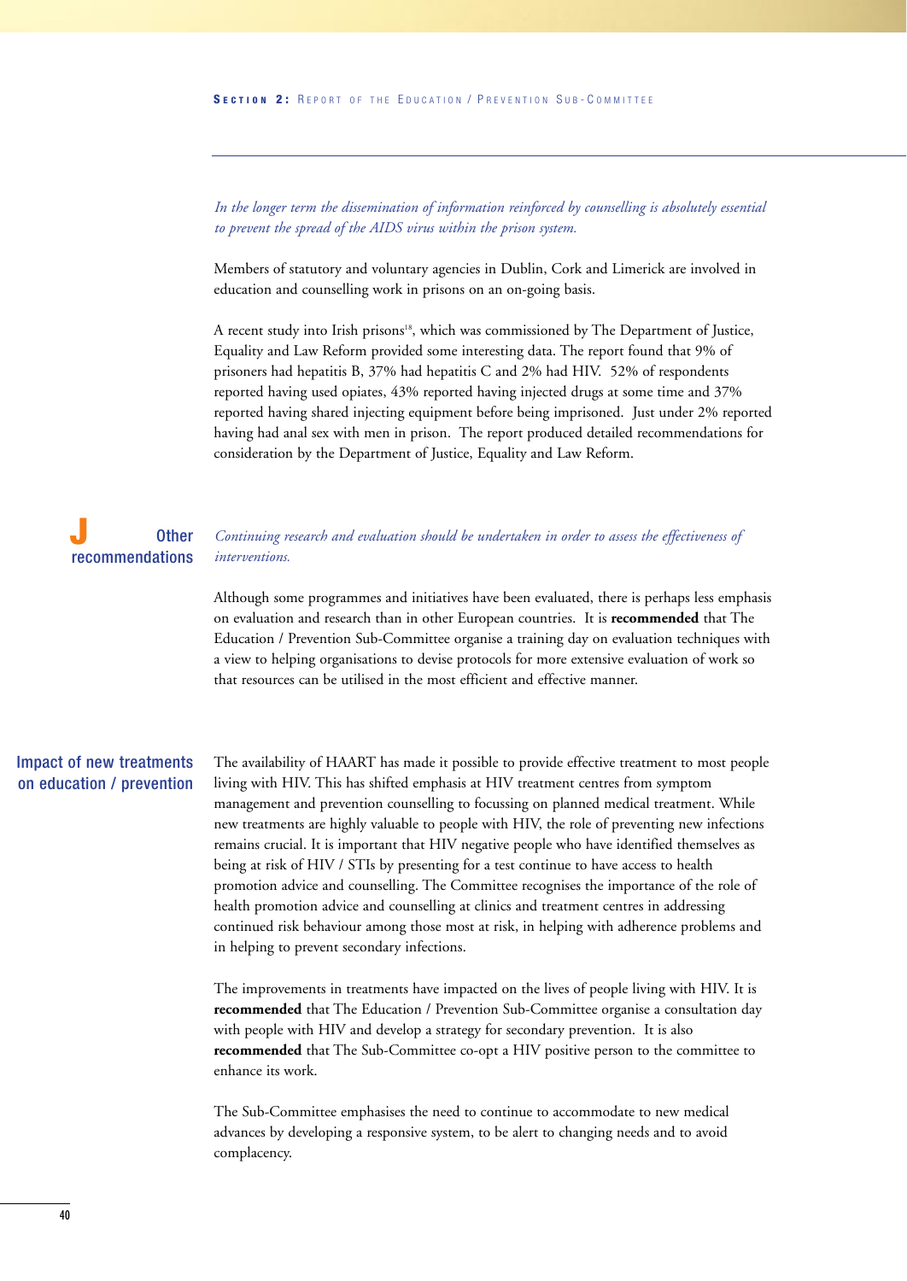*In the longer term the dissemination of information reinforced by counselling is absolutely essential to prevent the spread of the AIDS virus within the prison system.*

Members of statutory and voluntary agencies in Dublin, Cork and Limerick are involved in education and counselling work in prisons on an on-going basis.

A recent study into Irish prisons<sup>18</sup>, which was commissioned by The Department of Justice, Equality and Law Reform provided some interesting data. The report found that 9% of prisoners had hepatitis B, 37% had hepatitis C and 2% had HIV. 52% of respondents reported having used opiates, 43% reported having injected drugs at some time and 37% reported having shared injecting equipment before being imprisoned. Just under 2% reported having had anal sex with men in prison. The report produced detailed recommendations for consideration by the Department of Justice, Equality and Law Reform.

#### *Continuing research and evaluation should be undertaken in order to assess the effectiveness of interventions.* Other recommendations **J**

Although some programmes and initiatives have been evaluated, there is perhaps less emphasis on evaluation and research than in other European countries. It is **recommended** that The Education / Prevention Sub-Committee organise a training day on evaluation techniques with a view to helping organisations to devise protocols for more extensive evaluation of work so that resources can be utilised in the most efficient and effective manner.

#### Impact of new treatments on education / prevention

The availability of HAART has made it possible to provide effective treatment to most people living with HIV. This has shifted emphasis at HIV treatment centres from symptom management and prevention counselling to focussing on planned medical treatment. While new treatments are highly valuable to people with HIV, the role of preventing new infections remains crucial. It is important that HIV negative people who have identified themselves as being at risk of HIV / STIs by presenting for a test continue to have access to health promotion advice and counselling. The Committee recognises the importance of the role of health promotion advice and counselling at clinics and treatment centres in addressing continued risk behaviour among those most at risk, in helping with adherence problems and in helping to prevent secondary infections.

The improvements in treatments have impacted on the lives of people living with HIV. It is **recommended** that The Education / Prevention Sub-Committee organise a consultation day with people with HIV and develop a strategy for secondary prevention. It is also **recommended** that The Sub-Committee co-opt a HIV positive person to the committee to enhance its work.

The Sub-Committee emphasises the need to continue to accommodate to new medical advances by developing a responsive system, to be alert to changing needs and to avoid complacency.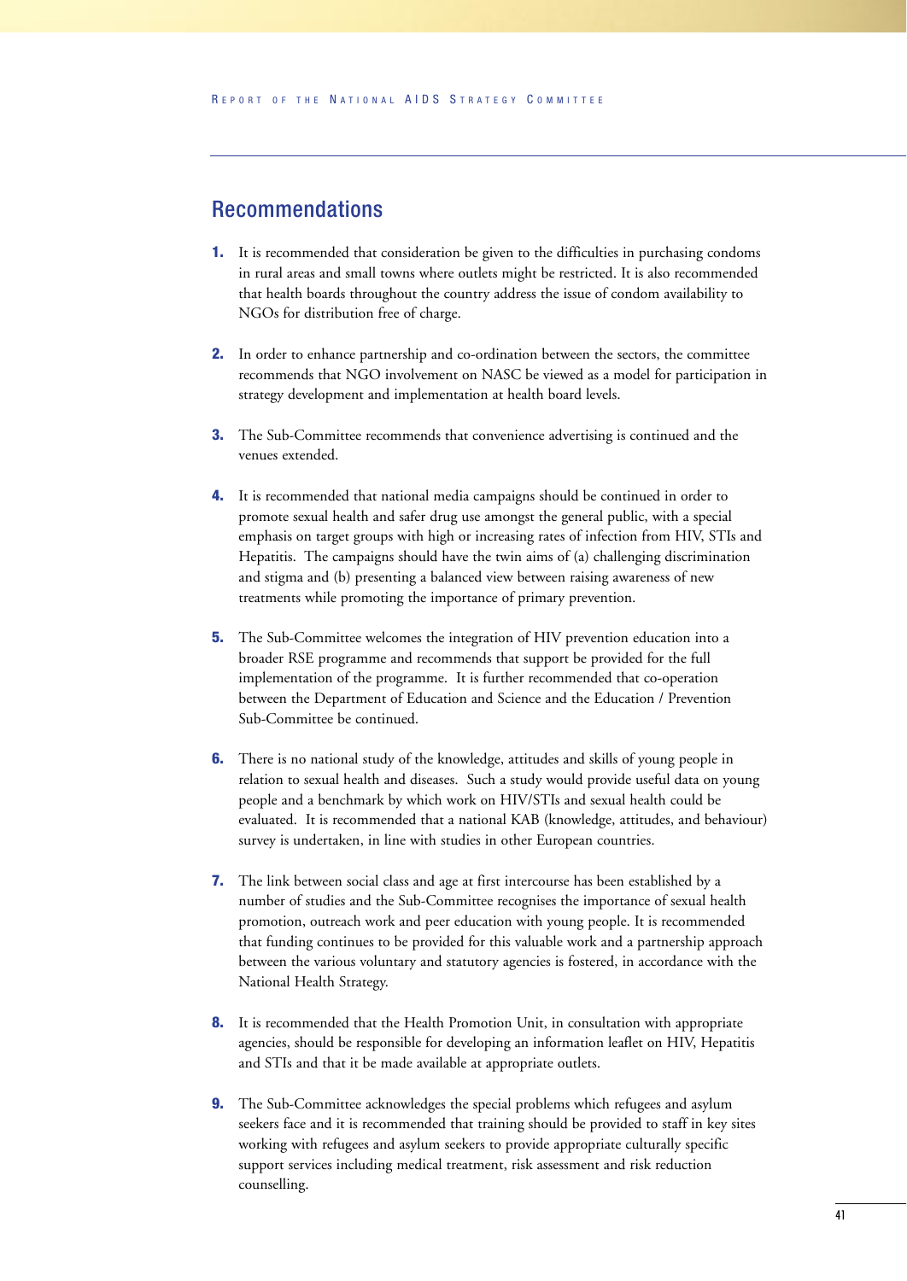### Recommendations

- **1.** It is recommended that consideration be given to the difficulties in purchasing condoms in rural areas and small towns where outlets might be restricted. It is also recommended that health boards throughout the country address the issue of condom availability to NGOs for distribution free of charge.
- **2.** In order to enhance partnership and co-ordination between the sectors, the committee recommends that NGO involvement on NASC be viewed as a model for participation in strategy development and implementation at health board levels.
- **3.** The Sub-Committee recommends that convenience advertising is continued and the venues extended.
- **4.** It is recommended that national media campaigns should be continued in order to promote sexual health and safer drug use amongst the general public, with a special emphasis on target groups with high or increasing rates of infection from HIV, STIs and Hepatitis. The campaigns should have the twin aims of (a) challenging discrimination and stigma and (b) presenting a balanced view between raising awareness of new treatments while promoting the importance of primary prevention.
- **5.** The Sub-Committee welcomes the integration of HIV prevention education into a broader RSE programme and recommends that support be provided for the full implementation of the programme. It is further recommended that co-operation between the Department of Education and Science and the Education / Prevention Sub-Committee be continued.
- **6.** There is no national study of the knowledge, attitudes and skills of young people in relation to sexual health and diseases. Such a study would provide useful data on young people and a benchmark by which work on HIV/STIs and sexual health could be evaluated. It is recommended that a national KAB (knowledge, attitudes, and behaviour) survey is undertaken, in line with studies in other European countries.
- **7.** The link between social class and age at first intercourse has been established by a number of studies and the Sub-Committee recognises the importance of sexual health promotion, outreach work and peer education with young people. It is recommended that funding continues to be provided for this valuable work and a partnership approach between the various voluntary and statutory agencies is fostered, in accordance with the National Health Strategy.
- **8.** It is recommended that the Health Promotion Unit, in consultation with appropriate agencies, should be responsible for developing an information leaflet on HIV, Hepatitis and STIs and that it be made available at appropriate outlets.
- **9.** The Sub-Committee acknowledges the special problems which refugees and asylum seekers face and it is recommended that training should be provided to staff in key sites working with refugees and asylum seekers to provide appropriate culturally specific support services including medical treatment, risk assessment and risk reduction counselling.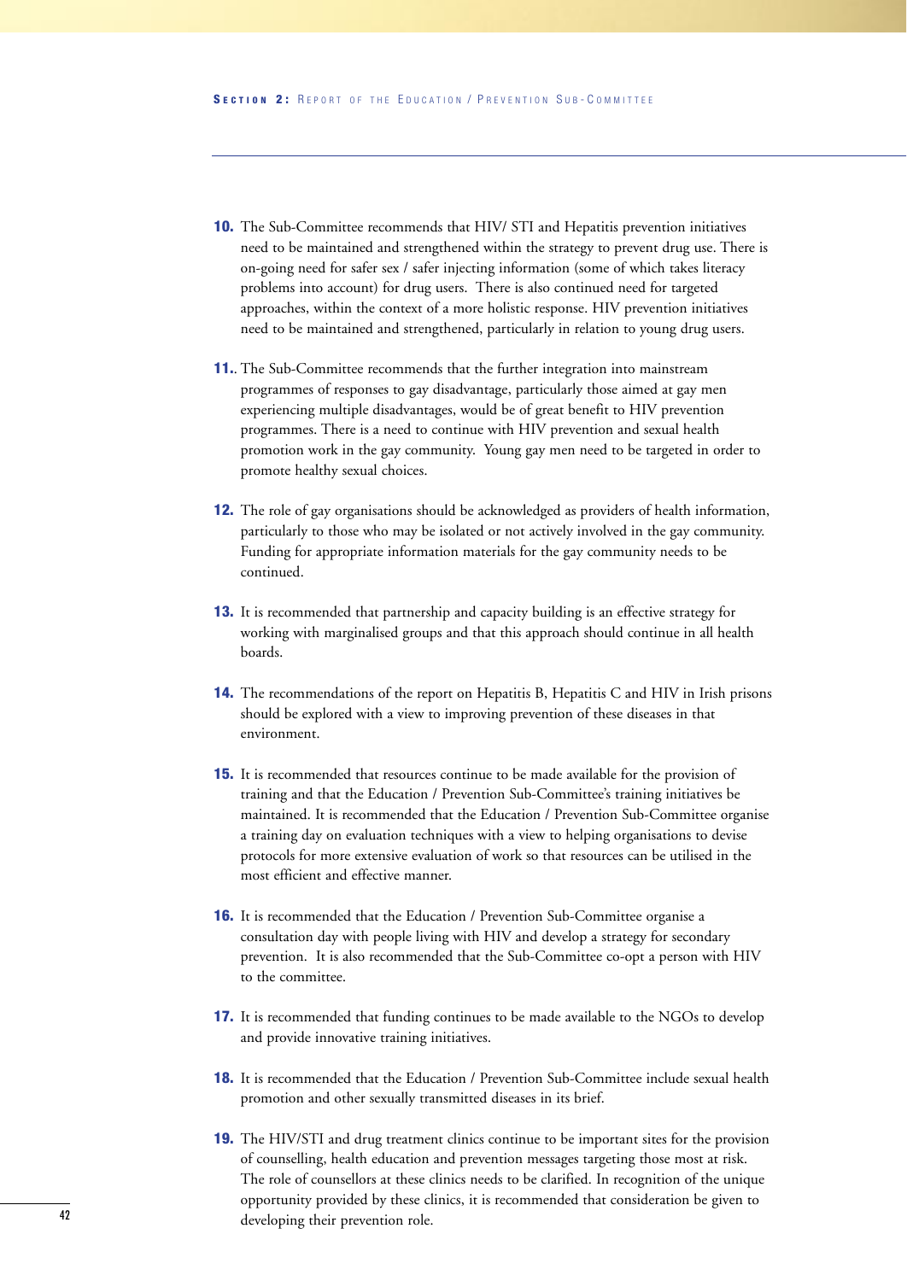- **10.** The Sub-Committee recommends that HIV/ STI and Hepatitis prevention initiatives need to be maintained and strengthened within the strategy to prevent drug use. There is on-going need for safer sex / safer injecting information (some of which takes literacy problems into account) for drug users. There is also continued need for targeted approaches, within the context of a more holistic response. HIV prevention initiatives need to be maintained and strengthened, particularly in relation to young drug users.
- **11.**. The Sub-Committee recommends that the further integration into mainstream programmes of responses to gay disadvantage, particularly those aimed at gay men experiencing multiple disadvantages, would be of great benefit to HIV prevention programmes. There is a need to continue with HIV prevention and sexual health promotion work in the gay community. Young gay men need to be targeted in order to promote healthy sexual choices.
- **12.** The role of gay organisations should be acknowledged as providers of health information, particularly to those who may be isolated or not actively involved in the gay community. Funding for appropriate information materials for the gay community needs to be continued.
- **13.** It is recommended that partnership and capacity building is an effective strategy for working with marginalised groups and that this approach should continue in all health boards.
- **14.** The recommendations of the report on Hepatitis B, Hepatitis C and HIV in Irish prisons should be explored with a view to improving prevention of these diseases in that environment.
- **15.** It is recommended that resources continue to be made available for the provision of training and that the Education / Prevention Sub-Committee's training initiatives be maintained. It is recommended that the Education / Prevention Sub-Committee organise a training day on evaluation techniques with a view to helping organisations to devise protocols for more extensive evaluation of work so that resources can be utilised in the most efficient and effective manner.
- **16.** It is recommended that the Education / Prevention Sub-Committee organise a consultation day with people living with HIV and develop a strategy for secondary prevention. It is also recommended that the Sub-Committee co-opt a person with HIV to the committee.
- **17.** It is recommended that funding continues to be made available to the NGOs to develop and provide innovative training initiatives.
- **18.** It is recommended that the Education / Prevention Sub-Committee include sexual health promotion and other sexually transmitted diseases in its brief.
- **19.** The HIV/STI and drug treatment clinics continue to be important sites for the provision of counselling, health education and prevention messages targeting those most at risk. The role of counsellors at these clinics needs to be clarified. In recognition of the unique opportunity provided by these clinics, it is recommended that consideration be given to developing their prevention role.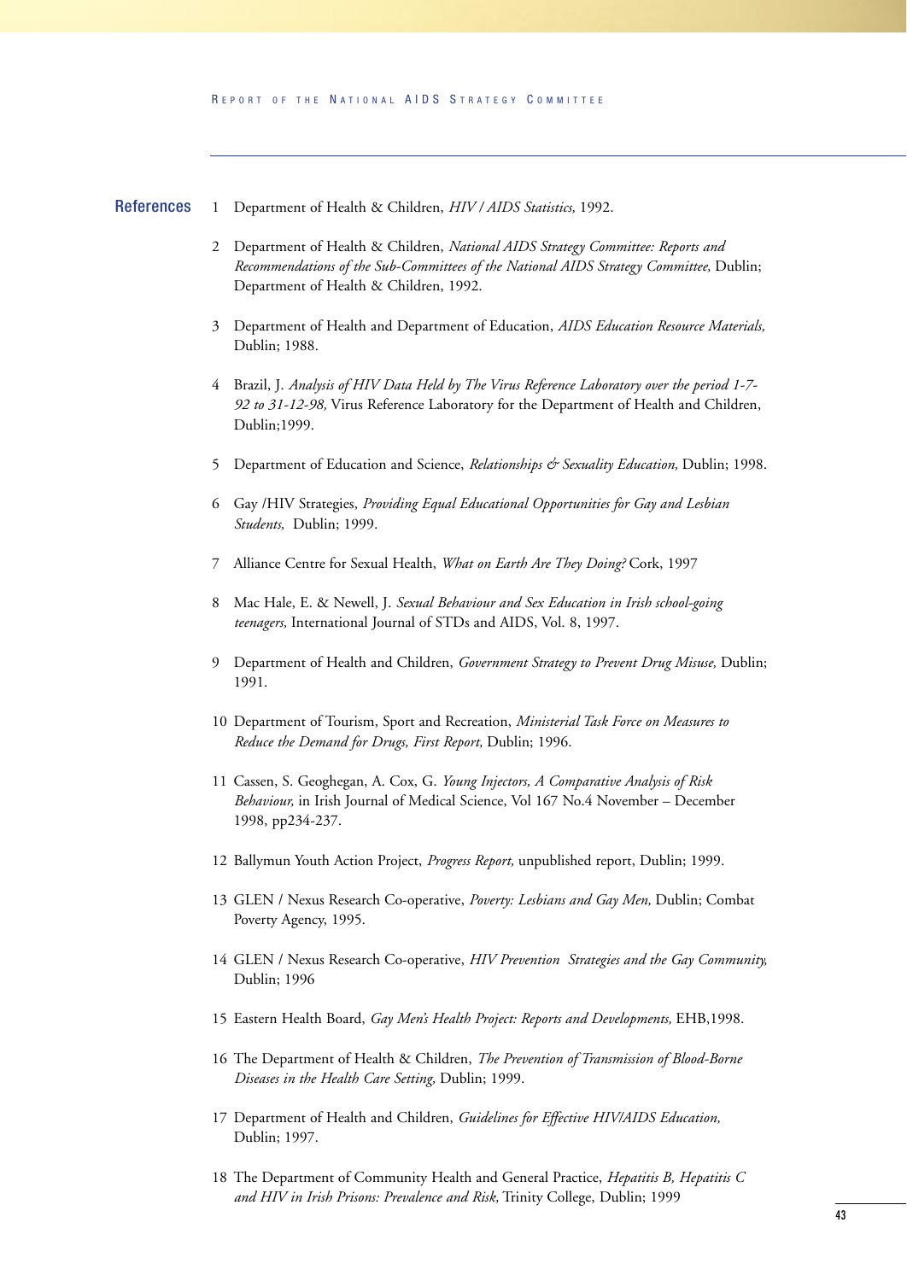#### 1 Department of Health & Children, *HIV / AIDS Statistics,* 1992. **References**

- 2 Department of Health & Children, *National AIDS Strategy Committee: Reports and Recommendations of the Sub-Committees of the National AIDS Strategy Committee,* Dublin; Department of Health & Children, 1992.
- 3 Department of Health and Department of Education, *AIDS Education Resource Materials,* Dublin; 1988.
- 4 Brazil, J. *Analysis of HIV Data Held by The Virus Reference Laboratory over the period 1-7- 92 to 31-12-98,* Virus Reference Laboratory for the Department of Health and Children, Dublin;1999.
- 5 Department of Education and Science, *Relationships & Sexuality Education,* Dublin; 1998.
- 6 Gay /HIV Strategies, *Providing Equal Educational Opportunities for Gay and Lesbian Students,* Dublin; 1999.
- 7 Alliance Centre for Sexual Health, *What on Earth Are They Doing?* Cork, 1997
- 8 Mac Hale, E. & Newell, J. *Sexual Behaviour and Sex Education in Irish school-going teenagers,* International Journal of STDs and AIDS, Vol. 8, 1997.
- 9 Department of Health and Children, *Government Strategy to Prevent Drug Misuse,* Dublin; 1991.
- 10 Department of Tourism, Sport and Recreation, *Ministerial Task Force on Measures to Reduce the Demand for Drugs, First Report,* Dublin; 1996.
- 11 Cassen, S. Geoghegan, A. Cox, G. *Young Injectors, A Comparative Analysis of Risk Behaviour,* in Irish Journal of Medical Science, Vol 167 No.4 November – December 1998, pp234-237.
- 12 Ballymun Youth Action Project, *Progress Report,* unpublished report, Dublin; 1999.
- 13 GLEN / Nexus Research Co-operative, *Poverty: Lesbians and Gay Men,* Dublin; Combat Poverty Agency, 1995.
- 14 GLEN / Nexus Research Co-operative, *HIV Prevention Strategies and the Gay Community,* Dublin; 1996
- 15 Eastern Health Board, *Gay Men's Health Project: Reports and Developments,* EHB,1998.
- 16 The Department of Health & Children, *The Prevention of Transmission of Blood-Borne Diseases in the Health Care Setting,* Dublin; 1999.
- 17 Department of Health and Children, *Guidelines for Effective HIV/AIDS Education,* Dublin; 1997.
- 18 The Department of Community Health and General Practice, *Hepatitis B, Hepatitis C and HIV in Irish Prisons: Prevalence and Risk,* Trinity College, Dublin; 1999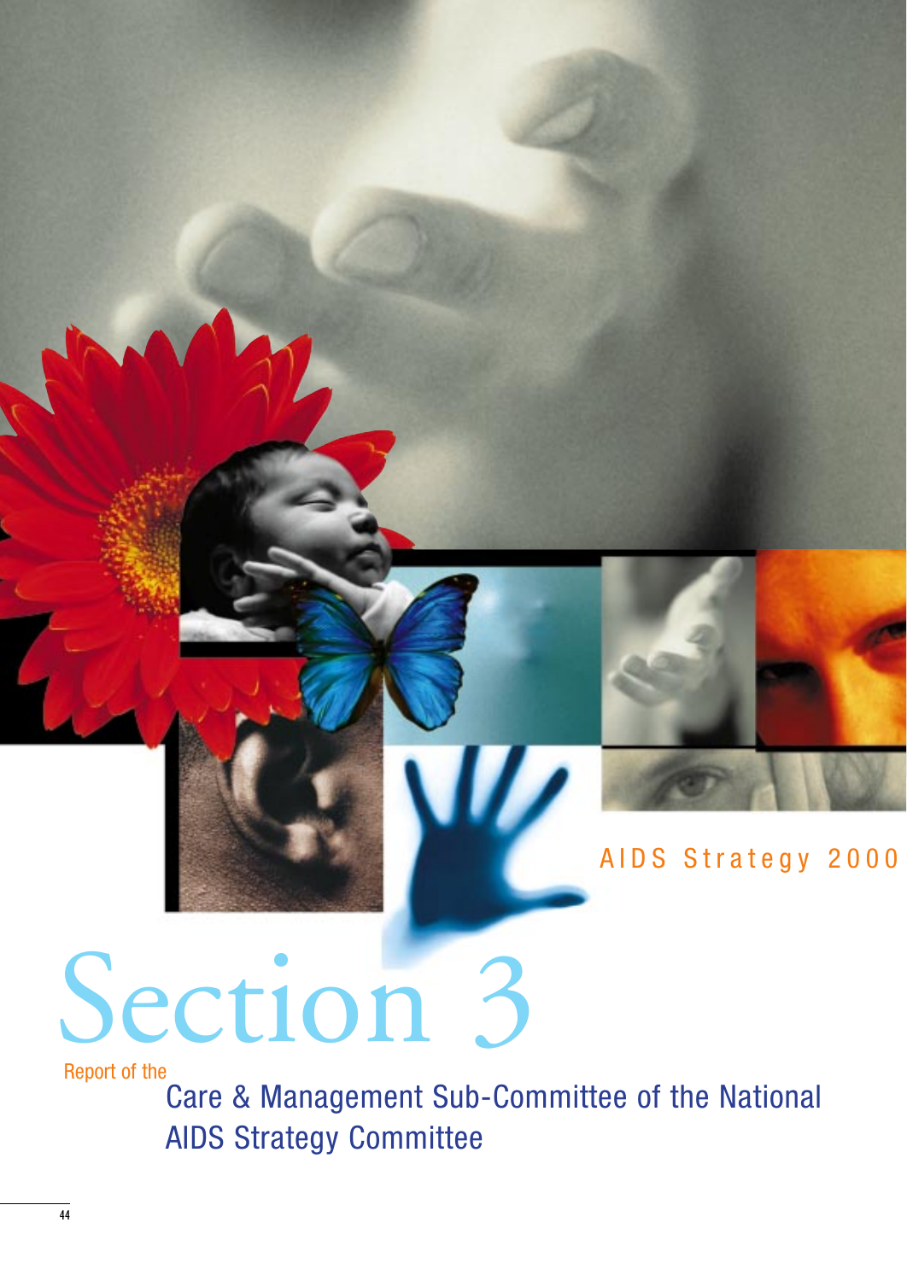

# AIDS Strategy 2000

# Section 3

Report of the

Care & Management Sub-Committee of the National AIDS Strategy Committee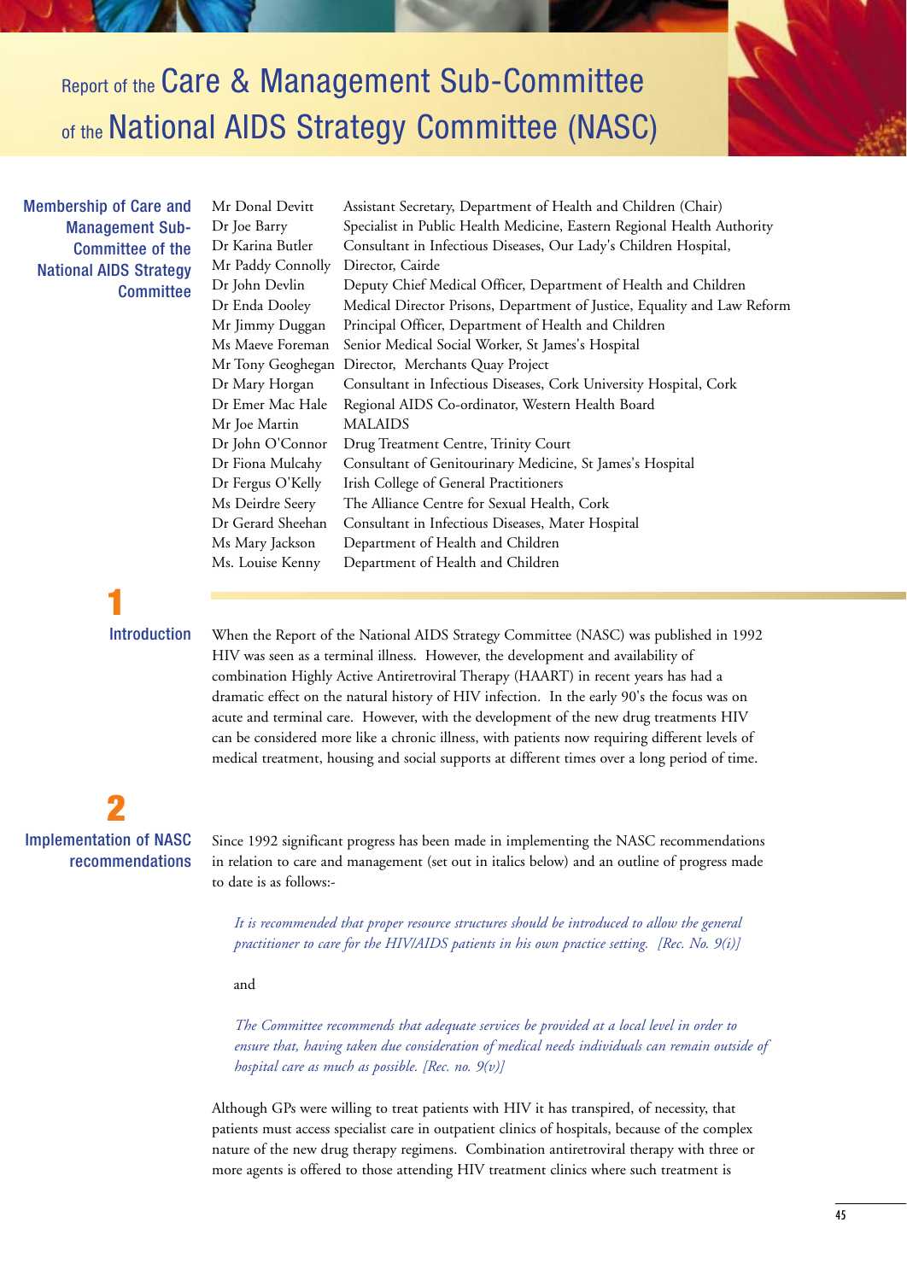Report of the Care & Management Sub-Committee of the National AIDS Strategy Committee (NASC)

Membership of Care and Management Sub-Committee of the National AIDS Strategy **Committee**  Mr Donal Devitt Assistant Secretary, Department of Health and Children (Chair) Dr Joe Barry Specialist in Public Health Medicine, Eastern Regional Health Authority Dr Karina Butler Consultant in Infectious Diseases, Our Lady's Children Hospital, Mr Paddy Connolly Director, Cairde Dr John Devlin Deputy Chief Medical Officer, Department of Health and Children Dr Enda Dooley Medical Director Prisons, Department of Justice, Equality and Law Reform Mr Jimmy Duggan Principal Officer, Department of Health and Children Ms Maeve Foreman Senior Medical Social Worker, St James's Hospital Mr Tony Geoghegan Director, Merchants Quay Project Dr Mary Horgan Consultant in Infectious Diseases, Cork University Hospital, Cork Dr Emer Mac Hale Regional AIDS Co-ordinator, Western Health Board Mr Joe Martin MALAIDS Dr John O'Connor Drug Treatment Centre, Trinity Court Dr Fiona Mulcahy Consultant of Genitourinary Medicine, St James's Hospital Dr Fergus O'Kelly Irish College of General Practitioners Ms Deirdre Seery The Alliance Centre for Sexual Health, Cork Dr Gerard Sheehan Consultant in Infectious Diseases, Mater Hospital Ms Mary Jackson Department of Health and Children Ms. Louise Kenny Department of Health and Children

**1 Introduction** 

When the Report of the National AIDS Strategy Committee (NASC) was published in 1992 HIV was seen as a terminal illness. However, the development and availability of combination Highly Active Antiretroviral Therapy (HAART) in recent years has had a dramatic effect on the natural history of HIV infection. In the early 90's the focus was on acute and terminal care. However, with the development of the new drug treatments HIV can be considered more like a chronic illness, with patients now requiring different levels of medical treatment, housing and social supports at different times over a long period of time.

**2** Implementation of NASC recommendations

Since 1992 significant progress has been made in implementing the NASC recommendations in relation to care and management (set out in italics below) and an outline of progress made to date is as follows:-

*It is recommended that proper resource structures should be introduced to allow the general practitioner to care for the HIV/AIDS patients in his own practice setting. [Rec. No. 9(i)]*

and

*The Committee recommends that adequate services be provided at a local level in order to ensure that, having taken due consideration of medical needs individuals can remain outside of hospital care as much as possible. [Rec. no. 9(v)]*

Although GPs were willing to treat patients with HIV it has transpired, of necessity, that patients must access specialist care in outpatient clinics of hospitals, because of the complex nature of the new drug therapy regimens. Combination antiretroviral therapy with three or more agents is offered to those attending HIV treatment clinics where such treatment is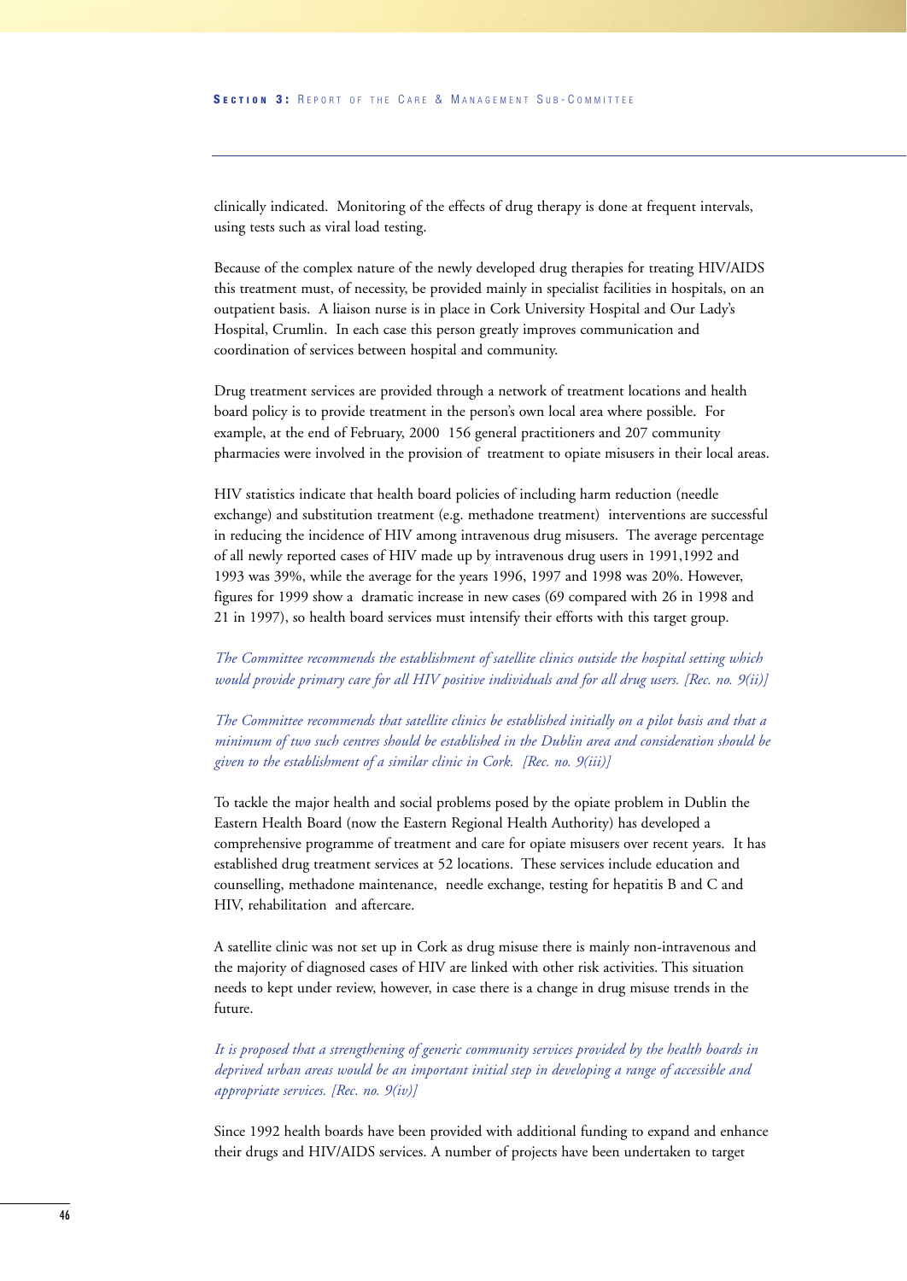clinically indicated. Monitoring of the effects of drug therapy is done at frequent intervals, using tests such as viral load testing.

Because of the complex nature of the newly developed drug therapies for treating HIV/AIDS this treatment must, of necessity, be provided mainly in specialist facilities in hospitals, on an outpatient basis. A liaison nurse is in place in Cork University Hospital and Our Lady's Hospital, Crumlin. In each case this person greatly improves communication and coordination of services between hospital and community.

Drug treatment services are provided through a network of treatment locations and health board policy is to provide treatment in the person's own local area where possible. For example, at the end of February, 2000 156 general practitioners and 207 community pharmacies were involved in the provision of treatment to opiate misusers in their local areas.

HIV statistics indicate that health board policies of including harm reduction (needle exchange) and substitution treatment (e.g. methadone treatment) interventions are successful in reducing the incidence of HIV among intravenous drug misusers. The average percentage of all newly reported cases of HIV made up by intravenous drug users in 1991,1992 and 1993 was 39%, while the average for the years 1996, 1997 and 1998 was 20%. However, figures for 1999 show a dramatic increase in new cases (69 compared with 26 in 1998 and 21 in 1997), so health board services must intensify their efforts with this target group.

*The Committee recommends the establishment of satellite clinics outside the hospital setting which would provide primary care for all HIV positive individuals and for all drug users. [Rec. no. 9(ii)]*

*The Committee recommends that satellite clinics be established initially on a pilot basis and that a minimum of two such centres should be established in the Dublin area and consideration should be given to the establishment of a similar clinic in Cork. [Rec. no. 9(iii)]*

To tackle the major health and social problems posed by the opiate problem in Dublin the Eastern Health Board (now the Eastern Regional Health Authority) has developed a comprehensive programme of treatment and care for opiate misusers over recent years. It has established drug treatment services at 52 locations. These services include education and counselling, methadone maintenance, needle exchange, testing for hepatitis B and C and HIV, rehabilitation and aftercare.

A satellite clinic was not set up in Cork as drug misuse there is mainly non-intravenous and the majority of diagnosed cases of HIV are linked with other risk activities. This situation needs to kept under review, however, in case there is a change in drug misuse trends in the future.

*It is proposed that a strengthening of generic community services provided by the health boards in deprived urban areas would be an important initial step in developing a range of accessible and appropriate services. [Rec. no. 9(iv)]*

Since 1992 health boards have been provided with additional funding to expand and enhance their drugs and HIV/AIDS services. A number of projects have been undertaken to target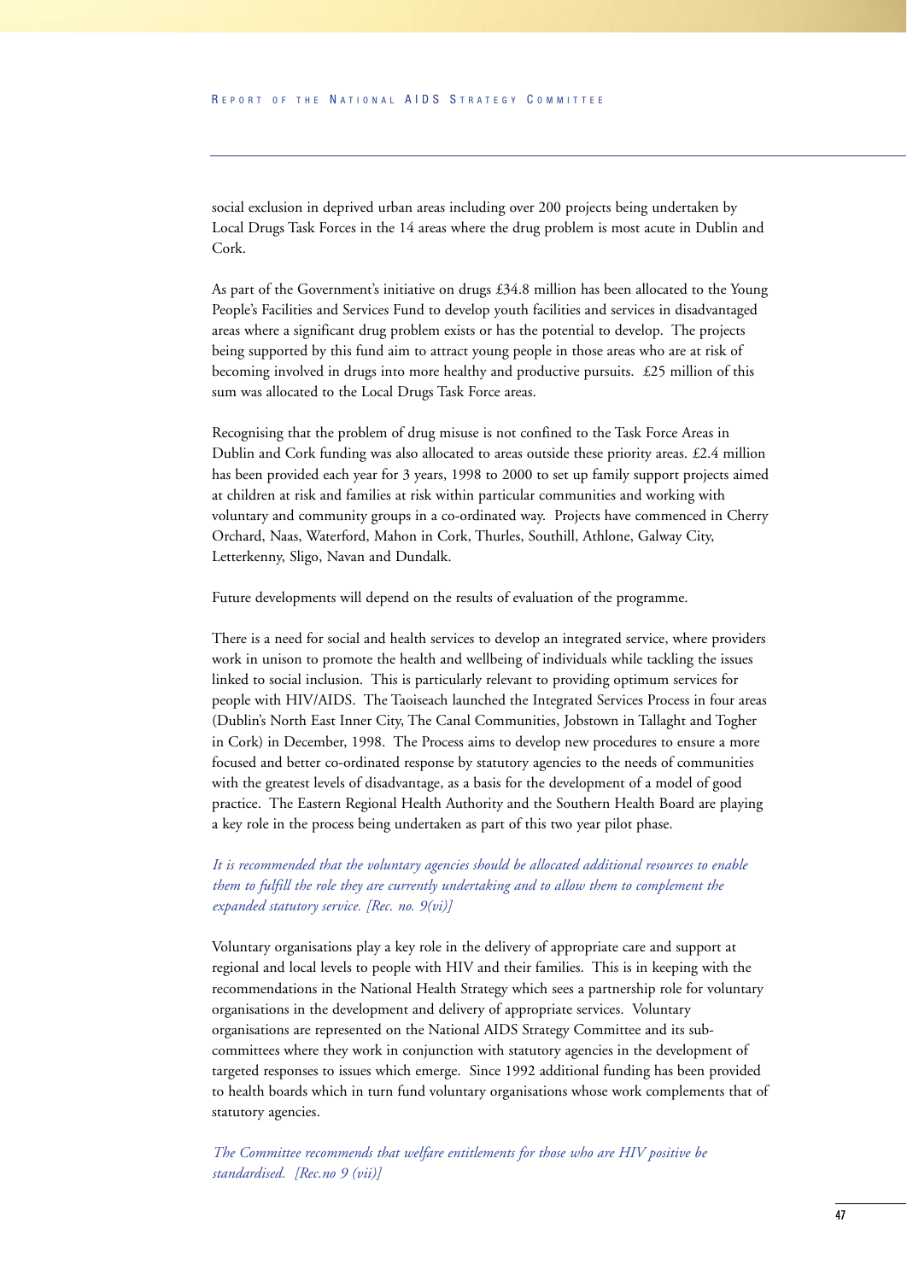social exclusion in deprived urban areas including over 200 projects being undertaken by Local Drugs Task Forces in the 14 areas where the drug problem is most acute in Dublin and Cork.

As part of the Government's initiative on drugs £34.8 million has been allocated to the Young People's Facilities and Services Fund to develop youth facilities and services in disadvantaged areas where a significant drug problem exists or has the potential to develop. The projects being supported by this fund aim to attract young people in those areas who are at risk of becoming involved in drugs into more healthy and productive pursuits. £25 million of this sum was allocated to the Local Drugs Task Force areas.

Recognising that the problem of drug misuse is not confined to the Task Force Areas in Dublin and Cork funding was also allocated to areas outside these priority areas. £2.4 million has been provided each year for 3 years, 1998 to 2000 to set up family support projects aimed at children at risk and families at risk within particular communities and working with voluntary and community groups in a co-ordinated way. Projects have commenced in Cherry Orchard, Naas, Waterford, Mahon in Cork, Thurles, Southill, Athlone, Galway City, Letterkenny, Sligo, Navan and Dundalk.

Future developments will depend on the results of evaluation of the programme.

There is a need for social and health services to develop an integrated service, where providers work in unison to promote the health and wellbeing of individuals while tackling the issues linked to social inclusion. This is particularly relevant to providing optimum services for people with HIV/AIDS. The Taoiseach launched the Integrated Services Process in four areas (Dublin's North East Inner City, The Canal Communities, Jobstown in Tallaght and Togher in Cork) in December, 1998. The Process aims to develop new procedures to ensure a more focused and better co-ordinated response by statutory agencies to the needs of communities with the greatest levels of disadvantage, as a basis for the development of a model of good practice. The Eastern Regional Health Authority and the Southern Health Board are playing a key role in the process being undertaken as part of this two year pilot phase.

*It is recommended that the voluntary agencies should be allocated additional resources to enable them to fulfill the role they are currently undertaking and to allow them to complement the expanded statutory service. [Rec. no. 9(vi)]*

Voluntary organisations play a key role in the delivery of appropriate care and support at regional and local levels to people with HIV and their families. This is in keeping with the recommendations in the National Health Strategy which sees a partnership role for voluntary organisations in the development and delivery of appropriate services. Voluntary organisations are represented on the National AIDS Strategy Committee and its subcommittees where they work in conjunction with statutory agencies in the development of targeted responses to issues which emerge. Since 1992 additional funding has been provided to health boards which in turn fund voluntary organisations whose work complements that of statutory agencies.

*The Committee recommends that welfare entitlements for those who are HIV positive be standardised. [Rec.no 9 (vii)]*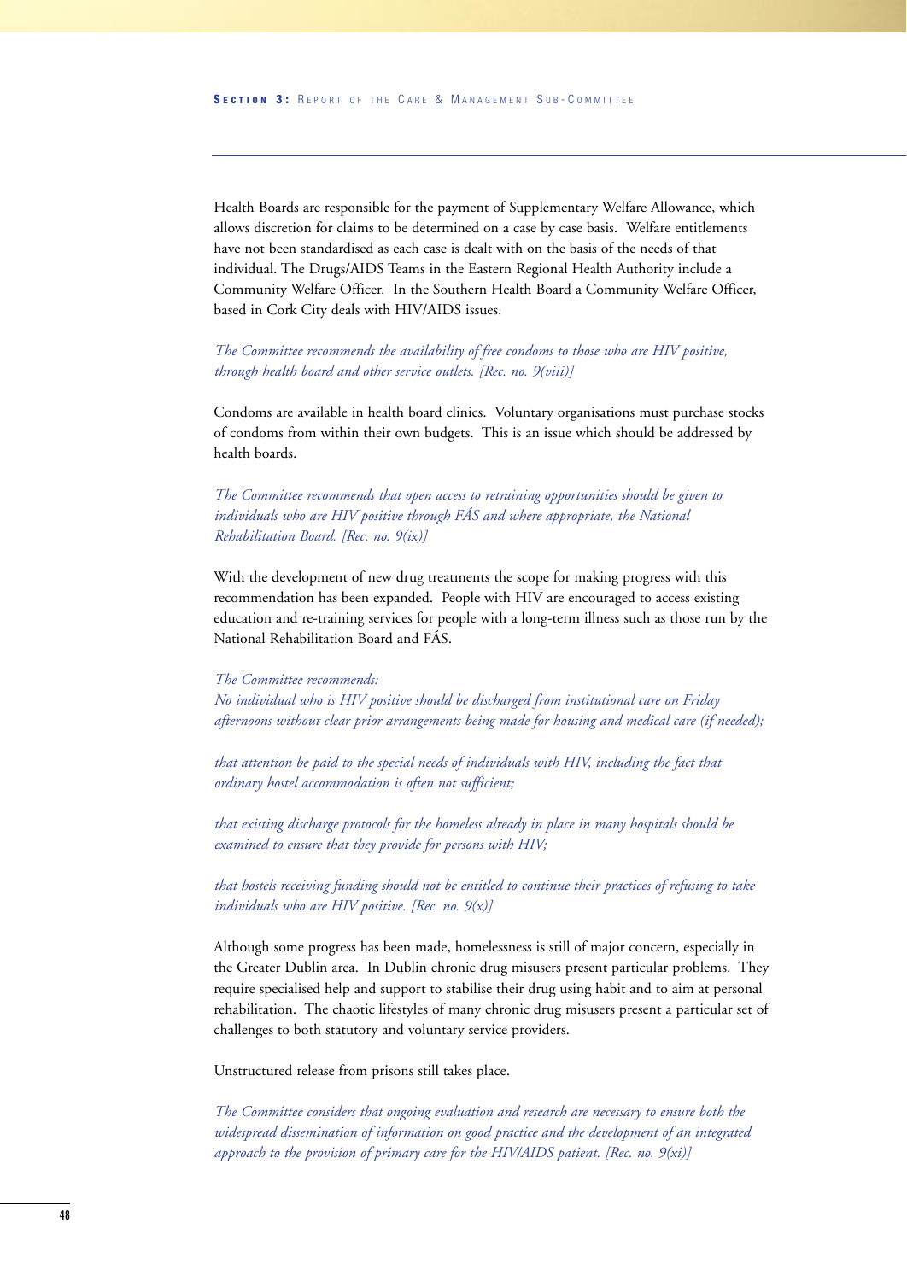Health Boards are responsible for the payment of Supplementary Welfare Allowance, which allows discretion for claims to be determined on a case by case basis. Welfare entitlements have not been standardised as each case is dealt with on the basis of the needs of that individual. The Drugs/AIDS Teams in the Eastern Regional Health Authority include a Community Welfare Officer. In the Southern Health Board a Community Welfare Officer, based in Cork City deals with HIV/AIDS issues.

*The Committee recommends the availability of free condoms to those who are HIV positive, through health board and other service outlets. [Rec. no. 9(viii)]*

Condoms are available in health board clinics. Voluntary organisations must purchase stocks of condoms from within their own budgets. This is an issue which should be addressed by health boards.

*The Committee recommends that open access to retraining opportunities should be given to individuals who are HIV positive through FÁS and where appropriate, the National Rehabilitation Board. [Rec. no. 9(ix)]*

With the development of new drug treatments the scope for making progress with this recommendation has been expanded. People with HIV are encouraged to access existing education and re-training services for people with a long-term illness such as those run by the National Rehabilitation Board and FÁS.

#### *The Committee recommends:*

*No individual who is HIV positive should be discharged from institutional care on Friday afternoons without clear prior arrangements being made for housing and medical care (if needed);*

*that attention be paid to the special needs of individuals with HIV, including the fact that ordinary hostel accommodation is often not sufficient;*

*that existing discharge protocols for the homeless already in place in many hospitals should be examined to ensure that they provide for persons with HIV;*

*that hostels receiving funding should not be entitled to continue their practices of refusing to take individuals who are HIV positive. [Rec. no. 9(x)]*

Although some progress has been made, homelessness is still of major concern, especially in the Greater Dublin area. In Dublin chronic drug misusers present particular problems. They require specialised help and support to stabilise their drug using habit and to aim at personal rehabilitation. The chaotic lifestyles of many chronic drug misusers present a particular set of challenges to both statutory and voluntary service providers.

Unstructured release from prisons still takes place.

*The Committee considers that ongoing evaluation and research are necessary to ensure both the widespread dissemination of information on good practice and the development of an integrated approach to the provision of primary care for the HIV/AIDS patient. [Rec. no. 9(xi)]*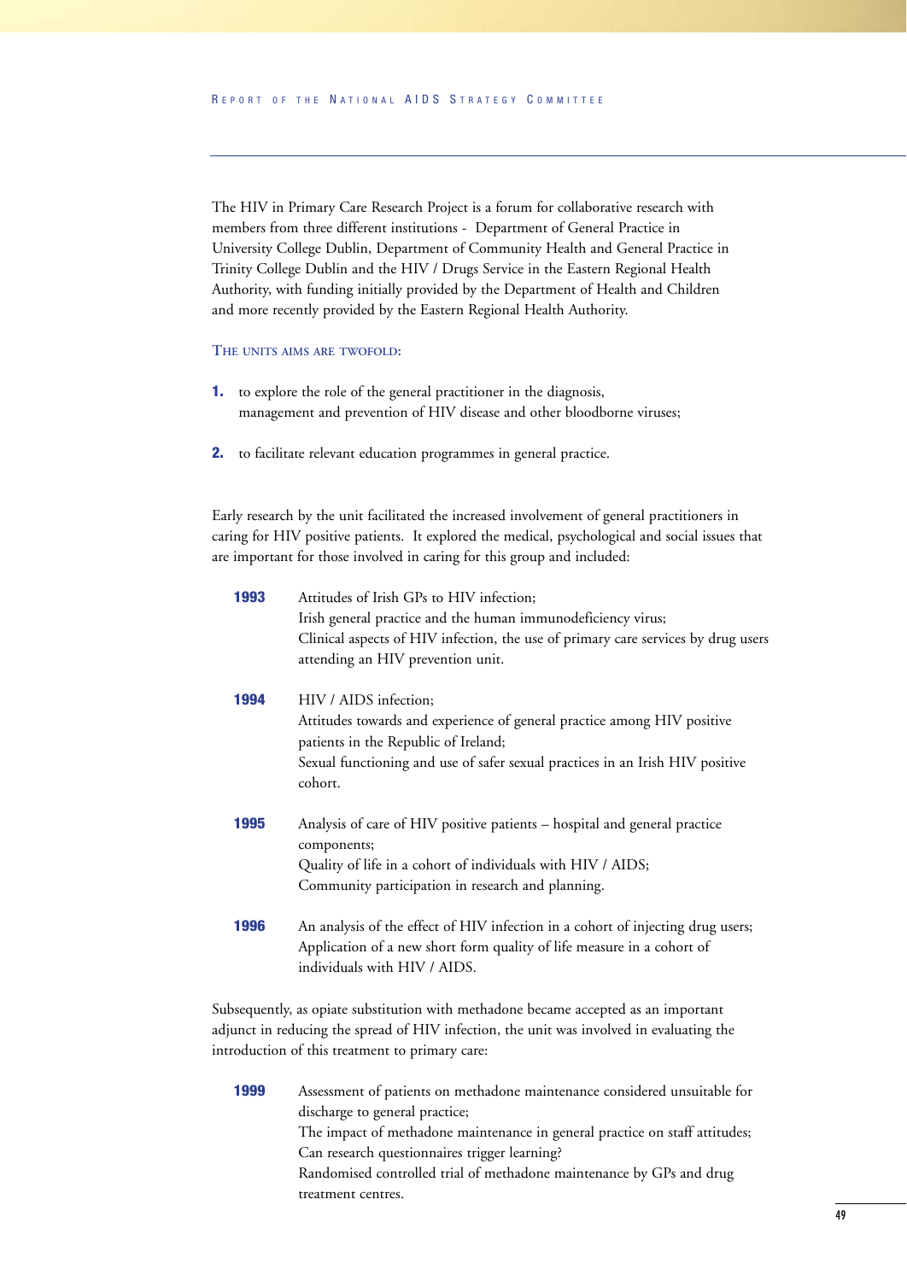The HIV in Primary Care Research Project is a forum for collaborative research with members from three different institutions - Department of General Practice in University College Dublin, Department of Community Health and General Practice in Trinity College Dublin and the HIV / Drugs Service in the Eastern Regional Health Authority, with funding initially provided by the Department of Health and Children and more recently provided by the Eastern Regional Health Authority.

#### **THE UNITS AIMS ARE TWOFOLD:**

- **1.** to explore the role of the general practitioner in the diagnosis, management and prevention of HIV disease and other bloodborne viruses;
- **2.** to facilitate relevant education programmes in general practice.

Early research by the unit facilitated the increased involvement of general practitioners in caring for HIV positive patients. It explored the medical, psychological and social issues that are important for those involved in caring for this group and included:

| 1993 | Attitudes of Irish GPs to HIV infection;                                          |  |  |  |  |  |  |
|------|-----------------------------------------------------------------------------------|--|--|--|--|--|--|
|      | Irish general practice and the human immunodeficiency virus;                      |  |  |  |  |  |  |
|      | Clinical aspects of HIV infection, the use of primary care services by drug users |  |  |  |  |  |  |
|      | attending an HIV prevention unit.                                                 |  |  |  |  |  |  |
| 1994 | HIV / AIDS infection;                                                             |  |  |  |  |  |  |
|      | Attitudes towards and experience of general practice among HIV positive           |  |  |  |  |  |  |
|      | patients in the Republic of Ireland;                                              |  |  |  |  |  |  |
|      | Sexual functioning and use of safer sexual practices in an Irish HIV positive     |  |  |  |  |  |  |
|      | cohort.                                                                           |  |  |  |  |  |  |
| 1995 | Analysis of care of HIV positive patients – hospital and general practice         |  |  |  |  |  |  |
|      | components;                                                                       |  |  |  |  |  |  |
|      | Quality of life in a cohort of individuals with HIV / AIDS;                       |  |  |  |  |  |  |
|      | Community participation in research and planning.                                 |  |  |  |  |  |  |
| 1996 | An analysis of the effect of HIV infection in a cohort of injecting drug users;   |  |  |  |  |  |  |
|      | Application of a new short form quality of life measure in a cohort of            |  |  |  |  |  |  |
|      | individuals with HIV / AIDS.                                                      |  |  |  |  |  |  |
|      |                                                                                   |  |  |  |  |  |  |

Subsequently, as opiate substitution with methadone became accepted as an important adjunct in reducing the spread of HIV infection, the unit was involved in evaluating the introduction of this treatment to primary care:

**1999** Assessment of patients on methadone maintenance considered unsuitable for discharge to general practice; The impact of methadone maintenance in general practice on staff attitudes; Can research questionnaires trigger learning? Randomised controlled trial of methadone maintenance by GPs and drug treatment centres.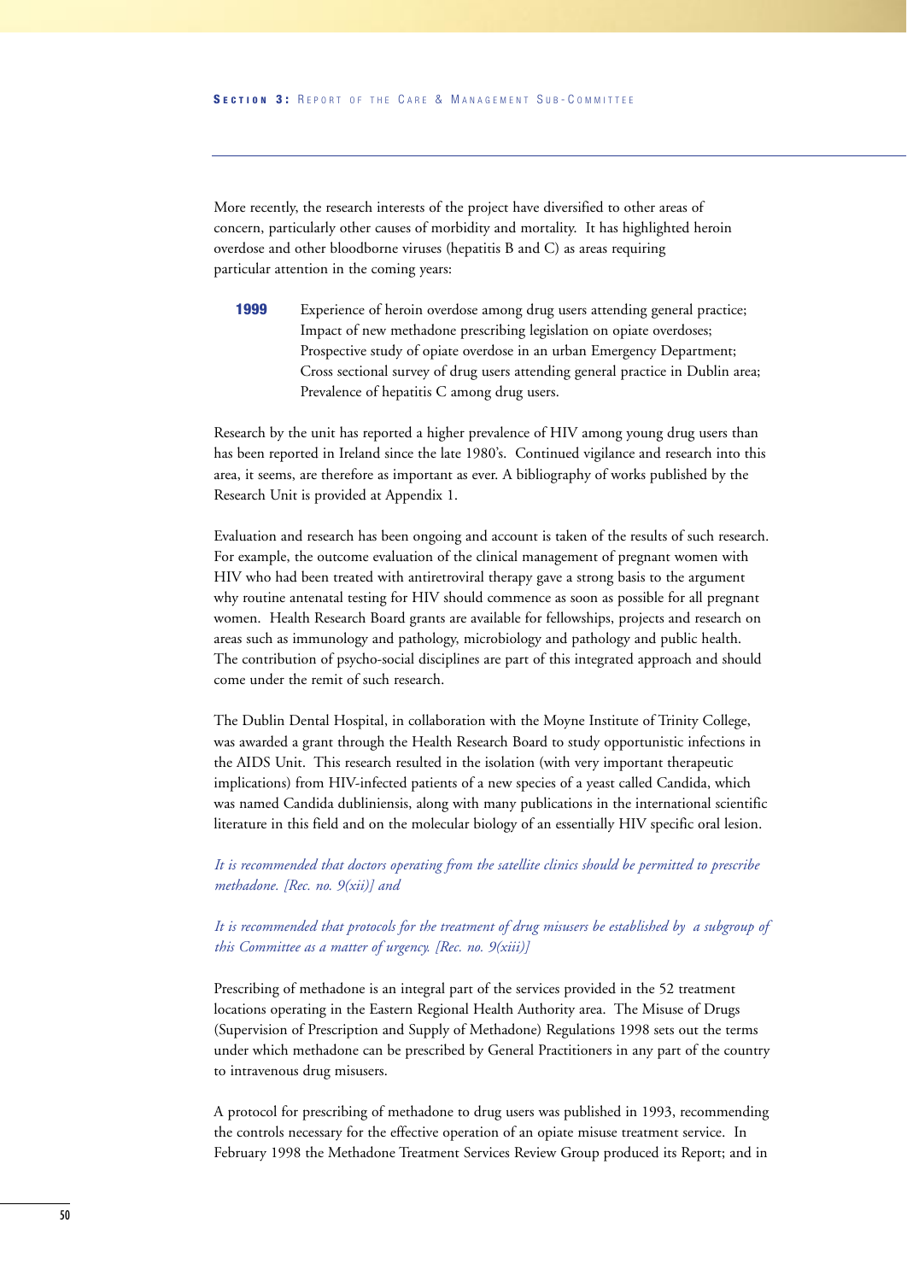More recently, the research interests of the project have diversified to other areas of concern, particularly other causes of morbidity and mortality. It has highlighted heroin overdose and other bloodborne viruses (hepatitis B and C) as areas requiring particular attention in the coming years:

**1999** Experience of heroin overdose among drug users attending general practice; Impact of new methadone prescribing legislation on opiate overdoses; Prospective study of opiate overdose in an urban Emergency Department; Cross sectional survey of drug users attending general practice in Dublin area; Prevalence of hepatitis C among drug users.

Research by the unit has reported a higher prevalence of HIV among young drug users than has been reported in Ireland since the late 1980's. Continued vigilance and research into this area, it seems, are therefore as important as ever. A bibliography of works published by the Research Unit is provided at Appendix 1.

Evaluation and research has been ongoing and account is taken of the results of such research. For example, the outcome evaluation of the clinical management of pregnant women with HIV who had been treated with antiretroviral therapy gave a strong basis to the argument why routine antenatal testing for HIV should commence as soon as possible for all pregnant women. Health Research Board grants are available for fellowships, projects and research on areas such as immunology and pathology, microbiology and pathology and public health. The contribution of psycho-social disciplines are part of this integrated approach and should come under the remit of such research.

The Dublin Dental Hospital, in collaboration with the Moyne Institute of Trinity College, was awarded a grant through the Health Research Board to study opportunistic infections in the AIDS Unit. This research resulted in the isolation (with very important therapeutic implications) from HIV-infected patients of a new species of a yeast called Candida, which was named Candida dubliniensis, along with many publications in the international scientific literature in this field and on the molecular biology of an essentially HIV specific oral lesion.

*It is recommended that doctors operating from the satellite clinics should be permitted to prescribe methadone. [Rec. no. 9(xii)] and*

*It is recommended that protocols for the treatment of drug misusers be established by a subgroup of this Committee as a matter of urgency. [Rec. no. 9(xiii)]*

Prescribing of methadone is an integral part of the services provided in the 52 treatment locations operating in the Eastern Regional Health Authority area. The Misuse of Drugs (Supervision of Prescription and Supply of Methadone) Regulations 1998 sets out the terms under which methadone can be prescribed by General Practitioners in any part of the country to intravenous drug misusers.

A protocol for prescribing of methadone to drug users was published in 1993, recommending the controls necessary for the effective operation of an opiate misuse treatment service. In February 1998 the Methadone Treatment Services Review Group produced its Report; and in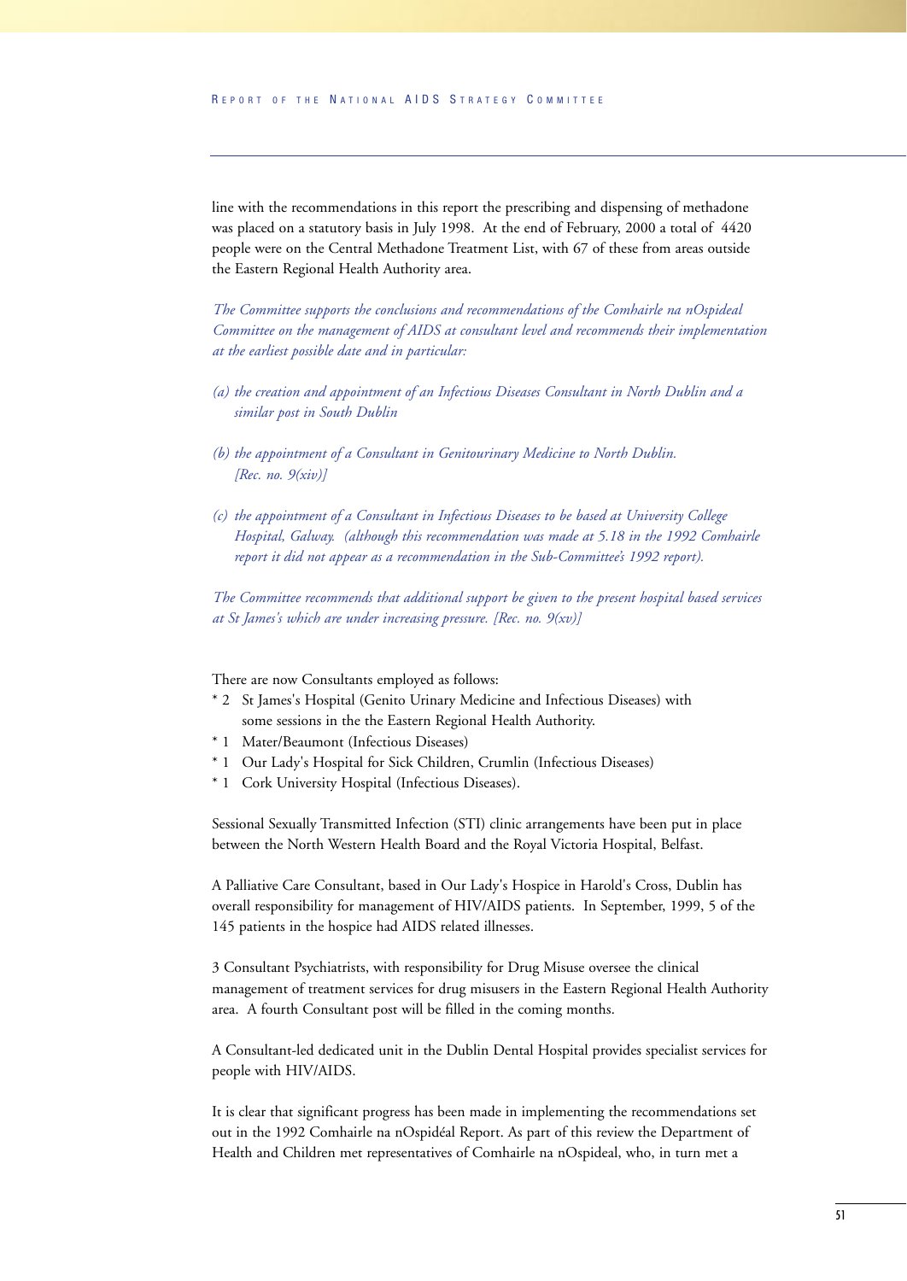line with the recommendations in this report the prescribing and dispensing of methadone was placed on a statutory basis in July 1998. At the end of February, 2000 a total of 4420 people were on the Central Methadone Treatment List, with 67 of these from areas outside the Eastern Regional Health Authority area.

*The Committee supports the conclusions and recommendations of the Comhairle na nOspideal Committee on the management of AIDS at consultant level and recommends their implementation at the earliest possible date and in particular:*

- *(a) the creation and appointment of an Infectious Diseases Consultant in North Dublin and a similar post in South Dublin*
- *(b) the appointment of a Consultant in Genitourinary Medicine to North Dublin. [Rec. no. 9(xiv)]*
- *(c) the appointment of a Consultant in Infectious Diseases to be based at University College Hospital, Galway. (although this recommendation was made at 5.18 in the 1992 Comhairle report it did not appear as a recommendation in the Sub-Committee's 1992 report).*

*The Committee recommends that additional support be given to the present hospital based services at St James's which are under increasing pressure. [Rec. no. 9(xv)]*

There are now Consultants employed as follows:

- \* 2 St James's Hospital (Genito Urinary Medicine and Infectious Diseases) with some sessions in the the Eastern Regional Health Authority.
- \* 1 Mater/Beaumont (Infectious Diseases)
- \* 1 Our Lady's Hospital for Sick Children, Crumlin (Infectious Diseases)
- \* 1 Cork University Hospital (Infectious Diseases).

Sessional Sexually Transmitted Infection (STI) clinic arrangements have been put in place between the North Western Health Board and the Royal Victoria Hospital, Belfast.

A Palliative Care Consultant, based in Our Lady's Hospice in Harold's Cross, Dublin has overall responsibility for management of HIV/AIDS patients. In September, 1999, 5 of the 145 patients in the hospice had AIDS related illnesses.

3 Consultant Psychiatrists, with responsibility for Drug Misuse oversee the clinical management of treatment services for drug misusers in the Eastern Regional Health Authority area. A fourth Consultant post will be filled in the coming months.

A Consultant-led dedicated unit in the Dublin Dental Hospital provides specialist services for people with HIV/AIDS.

It is clear that significant progress has been made in implementing the recommendations set out in the 1992 Comhairle na nOspidéal Report. As part of this review the Department of Health and Children met representatives of Comhairle na nOspideal, who, in turn met a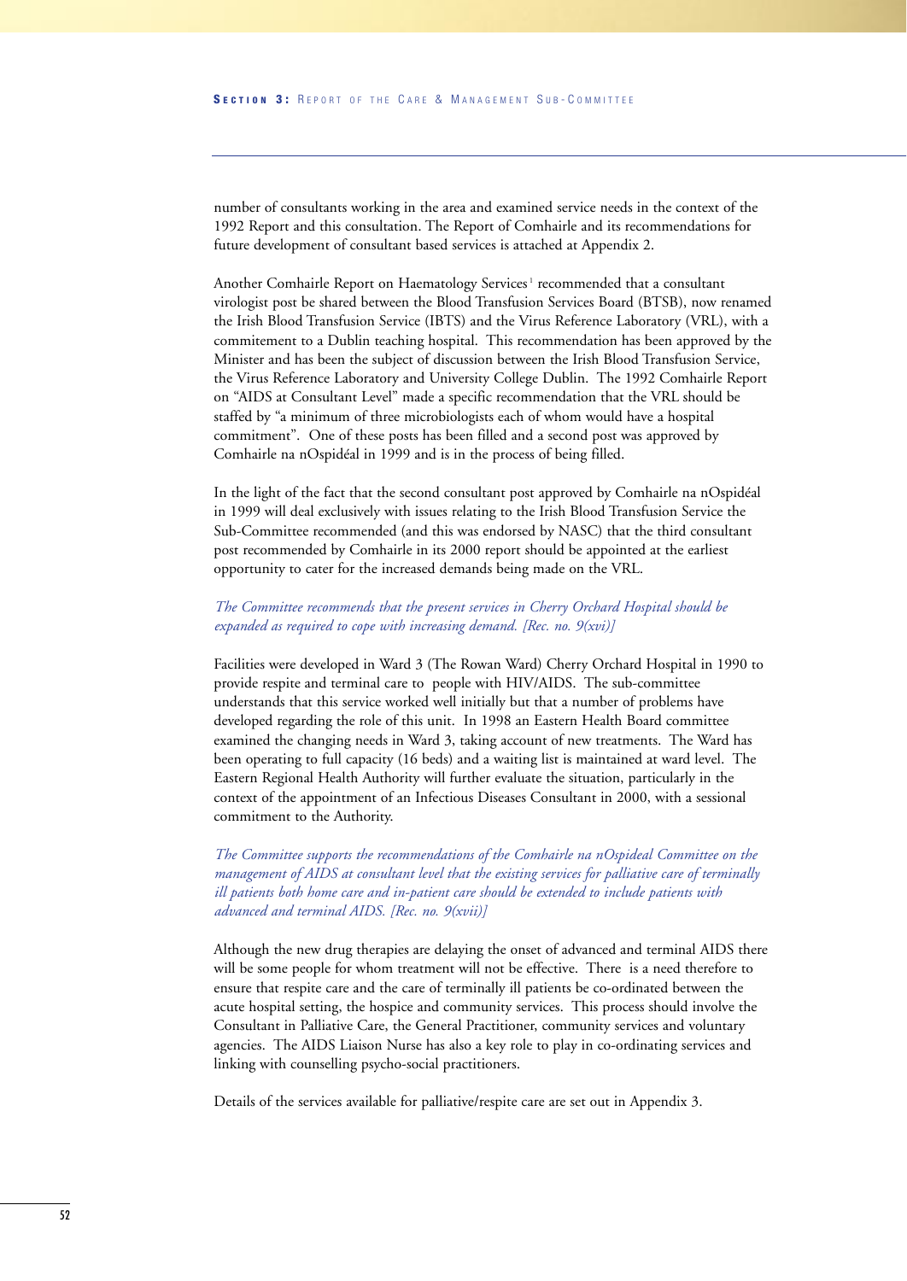number of consultants working in the area and examined service needs in the context of the 1992 Report and this consultation. The Report of Comhairle and its recommendations for future development of consultant based services is attached at Appendix 2.

Another Comhairle Report on Haematology Services<sup>1</sup> recommended that a consultant virologist post be shared between the Blood Transfusion Services Board (BTSB), now renamed the Irish Blood Transfusion Service (IBTS) and the Virus Reference Laboratory (VRL), with a commitement to a Dublin teaching hospital. This recommendation has been approved by the Minister and has been the subject of discussion between the Irish Blood Transfusion Service, the Virus Reference Laboratory and University College Dublin. The 1992 Comhairle Report on "AIDS at Consultant Level" made a specific recommendation that the VRL should be staffed by "a minimum of three microbiologists each of whom would have a hospital commitment". One of these posts has been filled and a second post was approved by Comhairle na nOspidéal in 1999 and is in the process of being filled.

In the light of the fact that the second consultant post approved by Comhairle na nOspidéal in 1999 will deal exclusively with issues relating to the Irish Blood Transfusion Service the Sub-Committee recommended (and this was endorsed by NASC) that the third consultant post recommended by Comhairle in its 2000 report should be appointed at the earliest opportunity to cater for the increased demands being made on the VRL.

#### *The Committee recommends that the present services in Cherry Orchard Hospital should be expanded as required to cope with increasing demand. [Rec. no. 9(xvi)]*

Facilities were developed in Ward 3 (The Rowan Ward) Cherry Orchard Hospital in 1990 to provide respite and terminal care to people with HIV/AIDS. The sub-committee understands that this service worked well initially but that a number of problems have developed regarding the role of this unit. In 1998 an Eastern Health Board committee examined the changing needs in Ward 3, taking account of new treatments. The Ward has been operating to full capacity (16 beds) and a waiting list is maintained at ward level. The Eastern Regional Health Authority will further evaluate the situation, particularly in the context of the appointment of an Infectious Diseases Consultant in 2000, with a sessional commitment to the Authority.

*The Committee supports the recommendations of the Comhairle na nOspideal Committee on the management of AIDS at consultant level that the existing services for palliative care of terminally ill patients both home care and in-patient care should be extended to include patients with advanced and terminal AIDS. [Rec. no. 9(xvii)]*

Although the new drug therapies are delaying the onset of advanced and terminal AIDS there will be some people for whom treatment will not be effective. There is a need therefore to ensure that respite care and the care of terminally ill patients be co-ordinated between the acute hospital setting, the hospice and community services. This process should involve the Consultant in Palliative Care, the General Practitioner, community services and voluntary agencies. The AIDS Liaison Nurse has also a key role to play in co-ordinating services and linking with counselling psycho-social practitioners.

Details of the services available for palliative/respite care are set out in Appendix 3.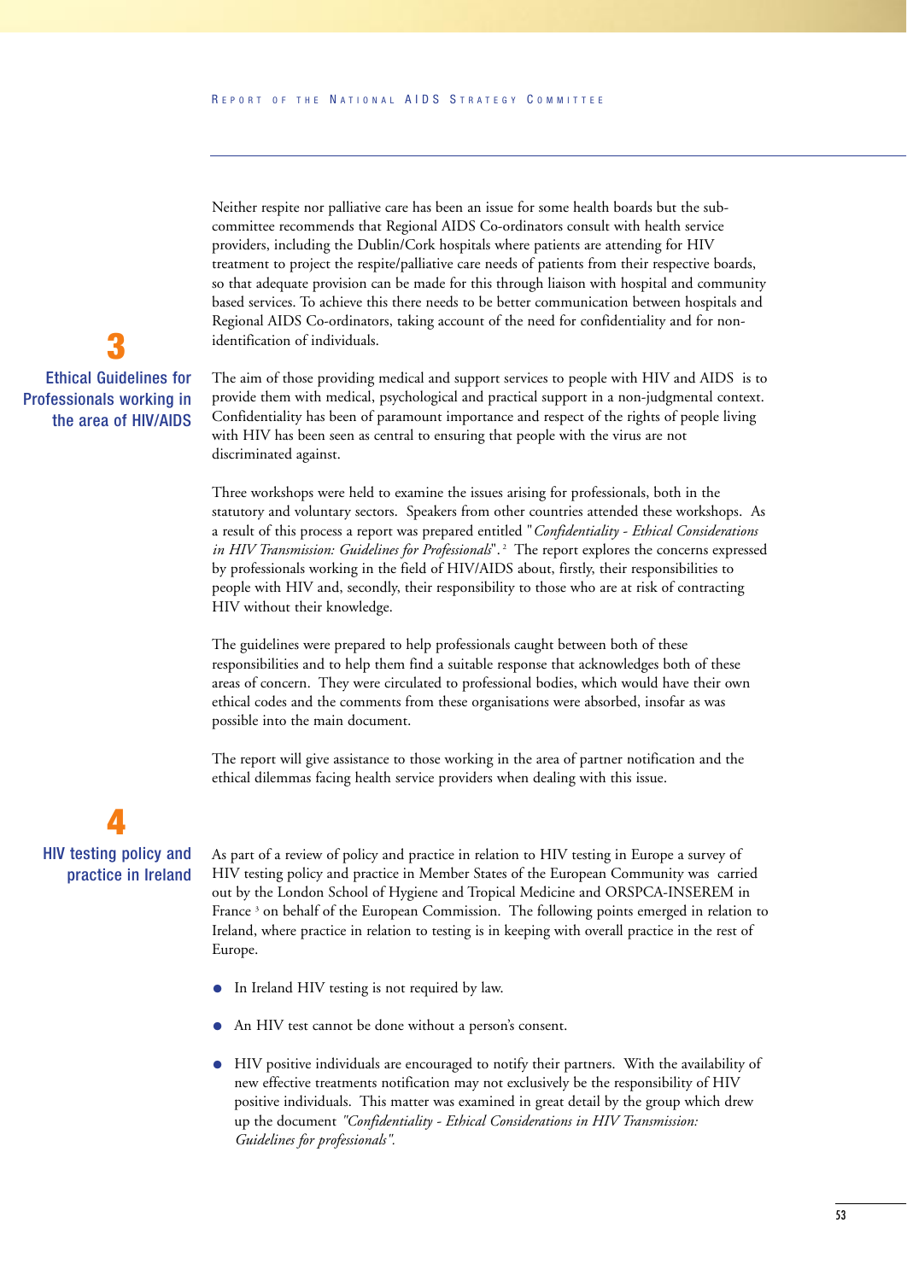Neither respite nor palliative care has been an issue for some health boards but the subcommittee recommends that Regional AIDS Co-ordinators consult with health service providers, including the Dublin/Cork hospitals where patients are attending for HIV treatment to project the respite/palliative care needs of patients from their respective boards, so that adequate provision can be made for this through liaison with hospital and community based services. To achieve this there needs to be better communication between hospitals and Regional AIDS Co-ordinators, taking account of the need for confidentiality and for nonidentification of individuals.

The aim of those providing medical and support services to people with HIV and AIDS is to provide them with medical, psychological and practical support in a non-judgmental context. Confidentiality has been of paramount importance and respect of the rights of people living with HIV has been seen as central to ensuring that people with the virus are not discriminated against.

Three workshops were held to examine the issues arising for professionals, both in the statutory and voluntary sectors. Speakers from other countries attended these workshops. As a result of this process a report was prepared entitled "*Confidentiality - Ethical Considerations in HIV Transmission: Guidelines for Professionals*".<sup>2</sup> The report explores the concerns expressed by professionals working in the field of HIV/AIDS about, firstly, their responsibilities to people with HIV and, secondly, their responsibility to those who are at risk of contracting HIV without their knowledge.

The guidelines were prepared to help professionals caught between both of these responsibilities and to help them find a suitable response that acknowledges both of these areas of concern. They were circulated to professional bodies, which would have their own ethical codes and the comments from these organisations were absorbed, insofar as was possible into the main document.

The report will give assistance to those working in the area of partner notification and the ethical dilemmas facing health service providers when dealing with this issue.

## **4** HIV testing policy and practice in Ireland

As part of a review of policy and practice in relation to HIV testing in Europe a survey of HIV testing policy and practice in Member States of the European Community was carried out by the London School of Hygiene and Tropical Medicine and ORSPCA-INSEREM in France<sup>3</sup> on behalf of the European Commission. The following points emerged in relation to Ireland, where practice in relation to testing is in keeping with overall practice in the rest of Europe.

- In Ireland HIV testing is not required by law.
- An HIV test cannot be done without a person's consent.
- HIV positive individuals are encouraged to notify their partners. With the availability of new effective treatments notification may not exclusively be the responsibility of HIV positive individuals. This matter was examined in great detail by the group which drew up the document *"Confidentiality - Ethical Considerations in HIV Transmission: Guidelines for professionals".*

## **3** Ethical Guidelines for Professionals working in the area of HIV/AIDS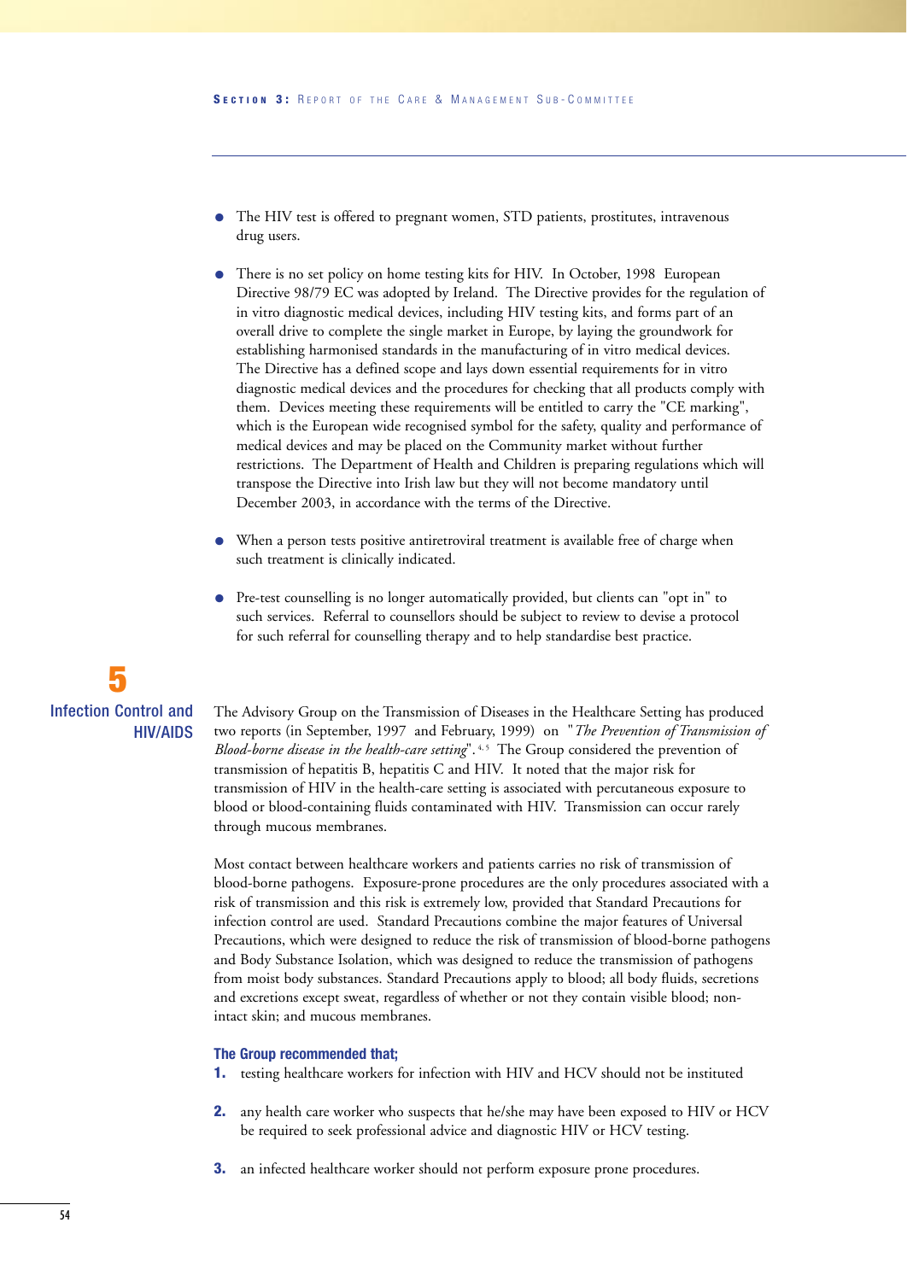- The HIV test is offered to pregnant women, STD patients, prostitutes, intravenous drug users.
- There is no set policy on home testing kits for HIV. In October, 1998 European Directive 98/79 EC was adopted by Ireland. The Directive provides for the regulation of in vitro diagnostic medical devices, including HIV testing kits, and forms part of an overall drive to complete the single market in Europe, by laying the groundwork for establishing harmonised standards in the manufacturing of in vitro medical devices. The Directive has a defined scope and lays down essential requirements for in vitro diagnostic medical devices and the procedures for checking that all products comply with them. Devices meeting these requirements will be entitled to carry the "CE marking", which is the European wide recognised symbol for the safety, quality and performance of medical devices and may be placed on the Community market without further restrictions. The Department of Health and Children is preparing regulations which will transpose the Directive into Irish law but they will not become mandatory until December 2003, in accordance with the terms of the Directive.
- When a person tests positive antiretroviral treatment is available free of charge when such treatment is clinically indicated.
- Pre-test counselling is no longer automatically provided, but clients can "opt in" to such services. Referral to counsellors should be subject to review to devise a protocol for such referral for counselling therapy and to help standardise best practice.

## **5** Infection Control and HIV/AIDS

The Advisory Group on the Transmission of Diseases in the Healthcare Setting has produced two reports (in September, 1997 and February, 1999) on "*The Prevention of Transmission of Blood-borne disease in the health-care setting*".<sup>4,5</sup> The Group considered the prevention of transmission of hepatitis B, hepatitis C and HIV. It noted that the major risk for transmission of HIV in the health-care setting is associated with percutaneous exposure to blood or blood-containing fluids contaminated with HIV. Transmission can occur rarely through mucous membranes.

Most contact between healthcare workers and patients carries no risk of transmission of blood-borne pathogens. Exposure-prone procedures are the only procedures associated with a risk of transmission and this risk is extremely low, provided that Standard Precautions for infection control are used. Standard Precautions combine the major features of Universal Precautions, which were designed to reduce the risk of transmission of blood-borne pathogens and Body Substance Isolation, which was designed to reduce the transmission of pathogens from moist body substances. Standard Precautions apply to blood; all body fluids, secretions and excretions except sweat, regardless of whether or not they contain visible blood; nonintact skin; and mucous membranes.

#### **The Group recommended that;**

- **1.** testing healthcare workers for infection with HIV and HCV should not be instituted
- **2.** any health care worker who suspects that he/she may have been exposed to HIV or HCV be required to seek professional advice and diagnostic HIV or HCV testing.
- **3.** an infected healthcare worker should not perform exposure prone procedures.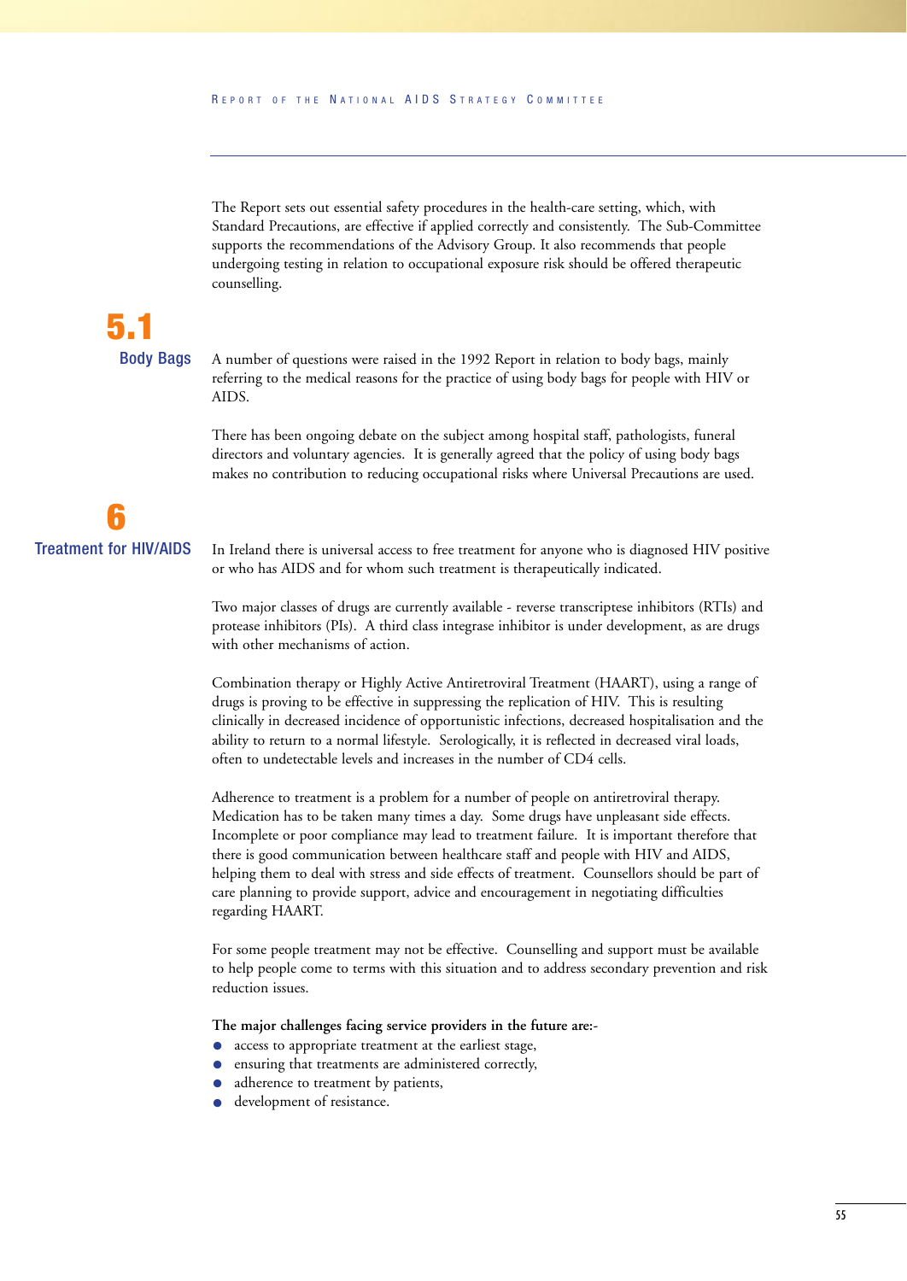The Report sets out essential safety procedures in the health-care setting, which, with Standard Precautions, are effective if applied correctly and consistently. The Sub-Committee supports the recommendations of the Advisory Group. It also recommends that people undergoing testing in relation to occupational exposure risk should be offered therapeutic counselling.

## **5.1** Body Bags

A number of questions were raised in the 1992 Report in relation to body bags, mainly referring to the medical reasons for the practice of using body bags for people with HIV or AIDS.

There has been ongoing debate on the subject among hospital staff, pathologists, funeral directors and voluntary agencies. It is generally agreed that the policy of using body bags makes no contribution to reducing occupational risks where Universal Precautions are used.

## **6** Treatment for HIV/AIDS

In Ireland there is universal access to free treatment for anyone who is diagnosed HIV positive or who has AIDS and for whom such treatment is therapeutically indicated.

Two major classes of drugs are currently available - reverse transcriptese inhibitors (RTIs) and protease inhibitors (PIs). A third class integrase inhibitor is under development, as are drugs with other mechanisms of action.

Combination therapy or Highly Active Antiretroviral Treatment (HAART), using a range of drugs is proving to be effective in suppressing the replication of HIV. This is resulting clinically in decreased incidence of opportunistic infections, decreased hospitalisation and the ability to return to a normal lifestyle. Serologically, it is reflected in decreased viral loads, often to undetectable levels and increases in the number of CD4 cells.

Adherence to treatment is a problem for a number of people on antiretroviral therapy. Medication has to be taken many times a day. Some drugs have unpleasant side effects. Incomplete or poor compliance may lead to treatment failure. It is important therefore that there is good communication between healthcare staff and people with HIV and AIDS, helping them to deal with stress and side effects of treatment. Counsellors should be part of care planning to provide support, advice and encouragement in negotiating difficulties regarding HAART.

For some people treatment may not be effective. Counselling and support must be available to help people come to terms with this situation and to address secondary prevention and risk reduction issues.

**The major challenges facing service providers in the future are:-**

- access to appropriate treatment at the earliest stage,<br>• ensuring that treatments are administered correctly.
- ensuring that treatments are administered correctly,
- adherence to treatment by patients,
- development of resistance.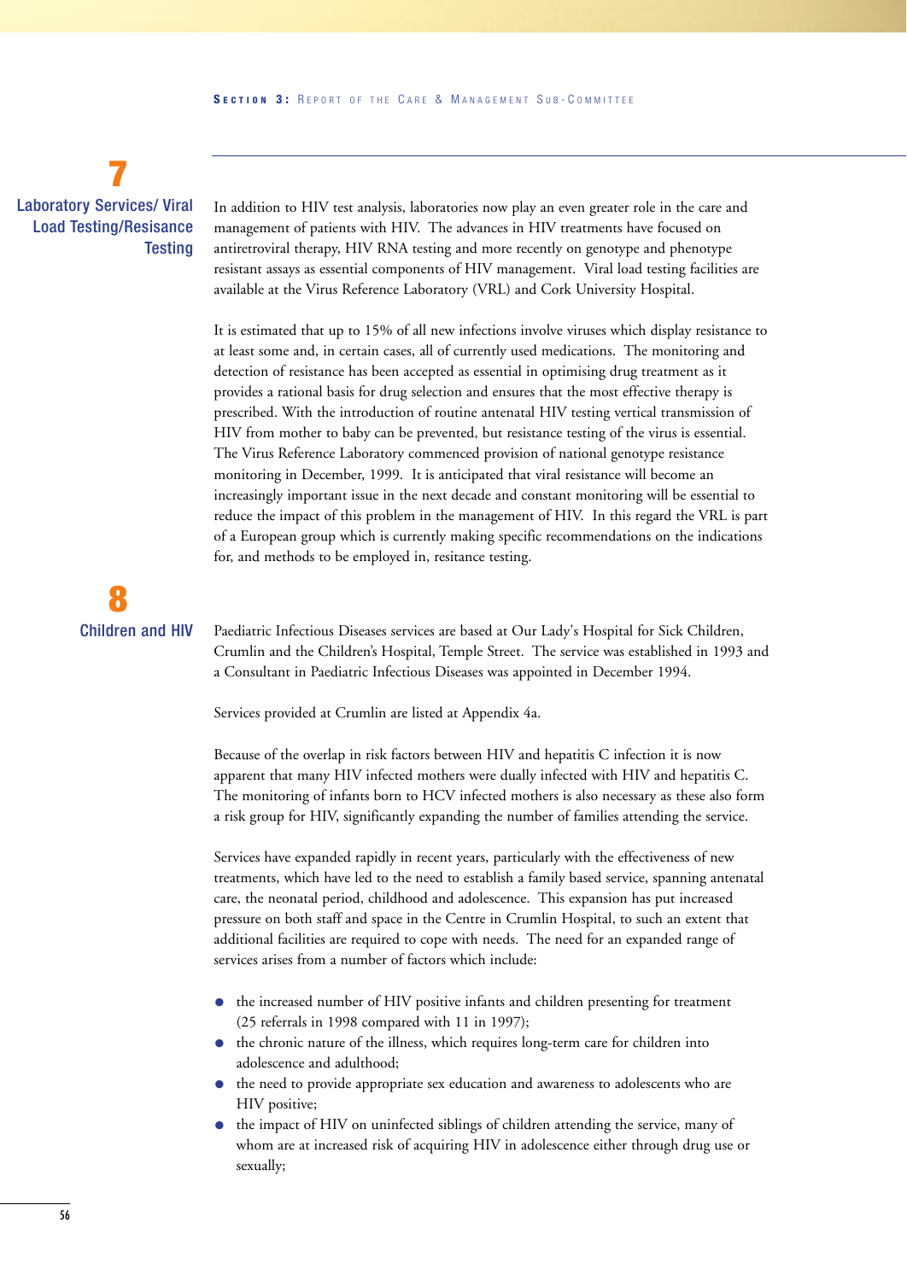## **7** Laboratory Services/ Viral Load Testing/Resisance **Testing**

In addition to HIV test analysis, laboratories now play an even greater role in the care and management of patients with HIV. The advances in HIV treatments have focused on antiretroviral therapy, HIV RNA testing and more recently on genotype and phenotype resistant assays as essential components of HIV management. Viral load testing facilities are available at the Virus Reference Laboratory (VRL) and Cork University Hospital.

It is estimated that up to 15% of all new infections involve viruses which display resistance to at least some and, in certain cases, all of currently used medications. The monitoring and detection of resistance has been accepted as essential in optimising drug treatment as it provides a rational basis for drug selection and ensures that the most effective therapy is prescribed. With the introduction of routine antenatal HIV testing vertical transmission of HIV from mother to baby can be prevented, but resistance testing of the virus is essential. The Virus Reference Laboratory commenced provision of national genotype resistance monitoring in December, 1999. It is anticipated that viral resistance will become an increasingly important issue in the next decade and constant monitoring will be essential to reduce the impact of this problem in the management of HIV. In this regard the VRL is part of a European group which is currently making specific recommendations on the indications for, and methods to be employed in, resitance testing.

# **8** Children and HIV

Paediatric Infectious Diseases services are based at Our Lady's Hospital for Sick Children, Crumlin and the Children's Hospital, Temple Street. The service was established in 1993 and a Consultant in Paediatric Infectious Diseases was appointed in December 1994.

Services provided at Crumlin are listed at Appendix 4a.

Because of the overlap in risk factors between HIV and hepatitis C infection it is now apparent that many HIV infected mothers were dually infected with HIV and hepatitis C. The monitoring of infants born to HCV infected mothers is also necessary as these also form a risk group for HIV, significantly expanding the number of families attending the service.

Services have expanded rapidly in recent years, particularly with the effectiveness of new treatments, which have led to the need to establish a family based service, spanning antenatal care, the neonatal period, childhood and adolescence. This expansion has put increased pressure on both staff and space in the Centre in Crumlin Hospital, to such an extent that additional facilities are required to cope with needs. The need for an expanded range of services arises from a number of factors which include:

- the increased number of HIV positive infants and children presenting for treatment (25 referrals in 1998 compared with 11 in 1997);
- the chronic nature of the illness, which requires long-term care for children into adolescence and adulthood;
- the need to provide appropriate sex education and awareness to adolescents who are HIV positive;
- the impact of HIV on uninfected siblings of children attending the service, many of whom are at increased risk of acquiring HIV in adolescence either through drug use or sexually;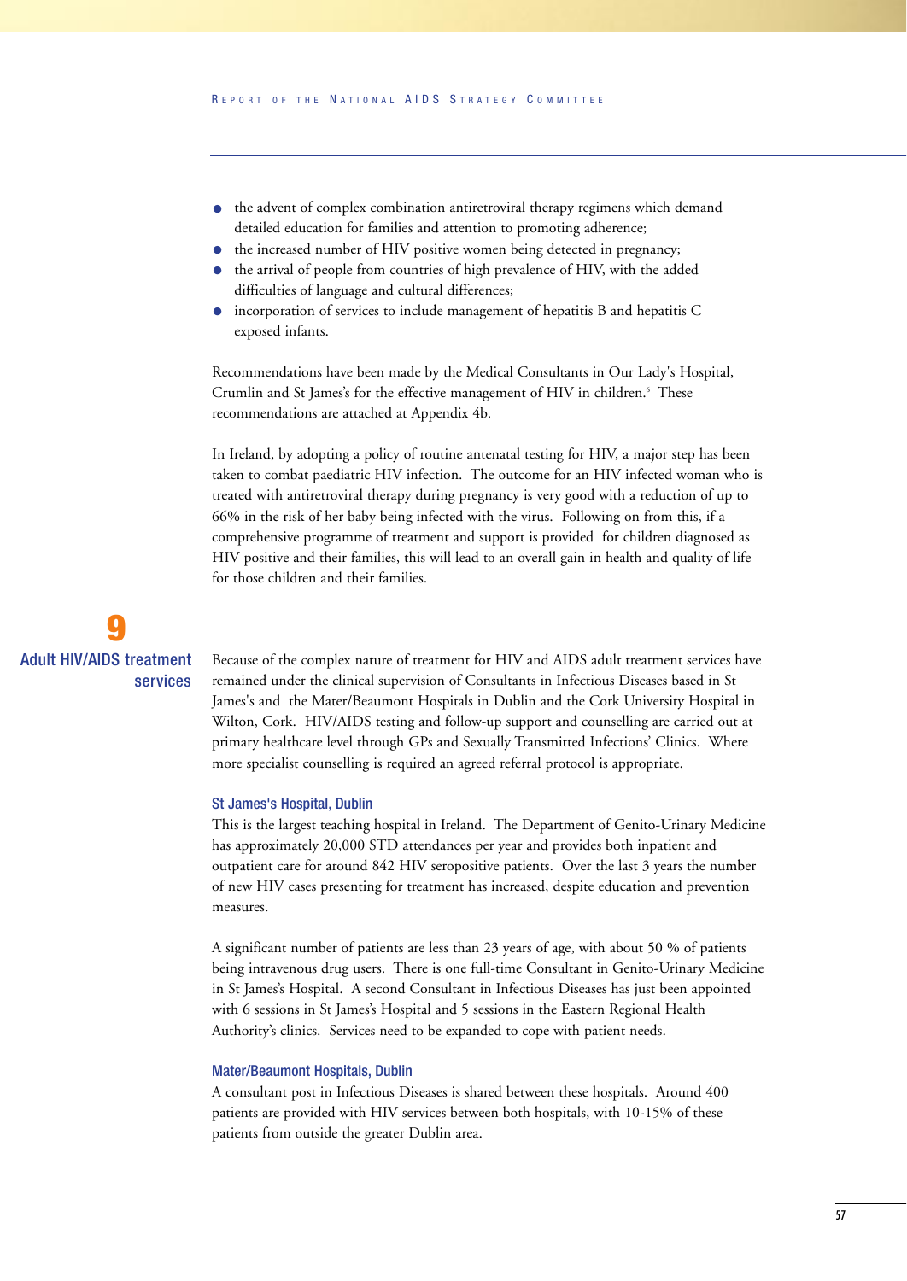- the advent of complex combination antiretroviral therapy regimens which demand detailed education for families and attention to promoting adherence;
- the increased number of HIV positive women being detected in pregnancy;
- the arrival of people from countries of high prevalence of HIV, with the added difficulties of language and cultural differences;
- incorporation of services to include management of hepatitis B and hepatitis C exposed infants.

Recommendations have been made by the Medical Consultants in Our Lady's Hospital, Crumlin and St James's for the effective management of HIV in children.<sup>6</sup> These recommendations are attached at Appendix 4b.

In Ireland, by adopting a policy of routine antenatal testing for HIV, a major step has been taken to combat paediatric HIV infection. The outcome for an HIV infected woman who is treated with antiretroviral therapy during pregnancy is very good with a reduction of up to 66% in the risk of her baby being infected with the virus. Following on from this, if a comprehensive programme of treatment and support is provided for children diagnosed as HIV positive and their families, this will lead to an overall gain in health and quality of life for those children and their families.

## **9** Adult HIV/AIDS treatment services

Because of the complex nature of treatment for HIV and AIDS adult treatment services have remained under the clinical supervision of Consultants in Infectious Diseases based in St James's and the Mater/Beaumont Hospitals in Dublin and the Cork University Hospital in Wilton, Cork. HIV/AIDS testing and follow-up support and counselling are carried out at primary healthcare level through GPs and Sexually Transmitted Infections' Clinics. Where more specialist counselling is required an agreed referral protocol is appropriate.

#### St James's Hospital, Dublin

This is the largest teaching hospital in Ireland. The Department of Genito-Urinary Medicine has approximately 20,000 STD attendances per year and provides both inpatient and outpatient care for around 842 HIV seropositive patients. Over the last 3 years the number of new HIV cases presenting for treatment has increased, despite education and prevention measures.

A significant number of patients are less than 23 years of age, with about 50 % of patients being intravenous drug users. There is one full-time Consultant in Genito-Urinary Medicine in St James's Hospital. A second Consultant in Infectious Diseases has just been appointed with 6 sessions in St James's Hospital and 5 sessions in the Eastern Regional Health Authority's clinics. Services need to be expanded to cope with patient needs.

#### Mater/Beaumont Hospitals, Dublin

A consultant post in Infectious Diseases is shared between these hospitals. Around 400 patients are provided with HIV services between both hospitals, with 10-15% of these patients from outside the greater Dublin area.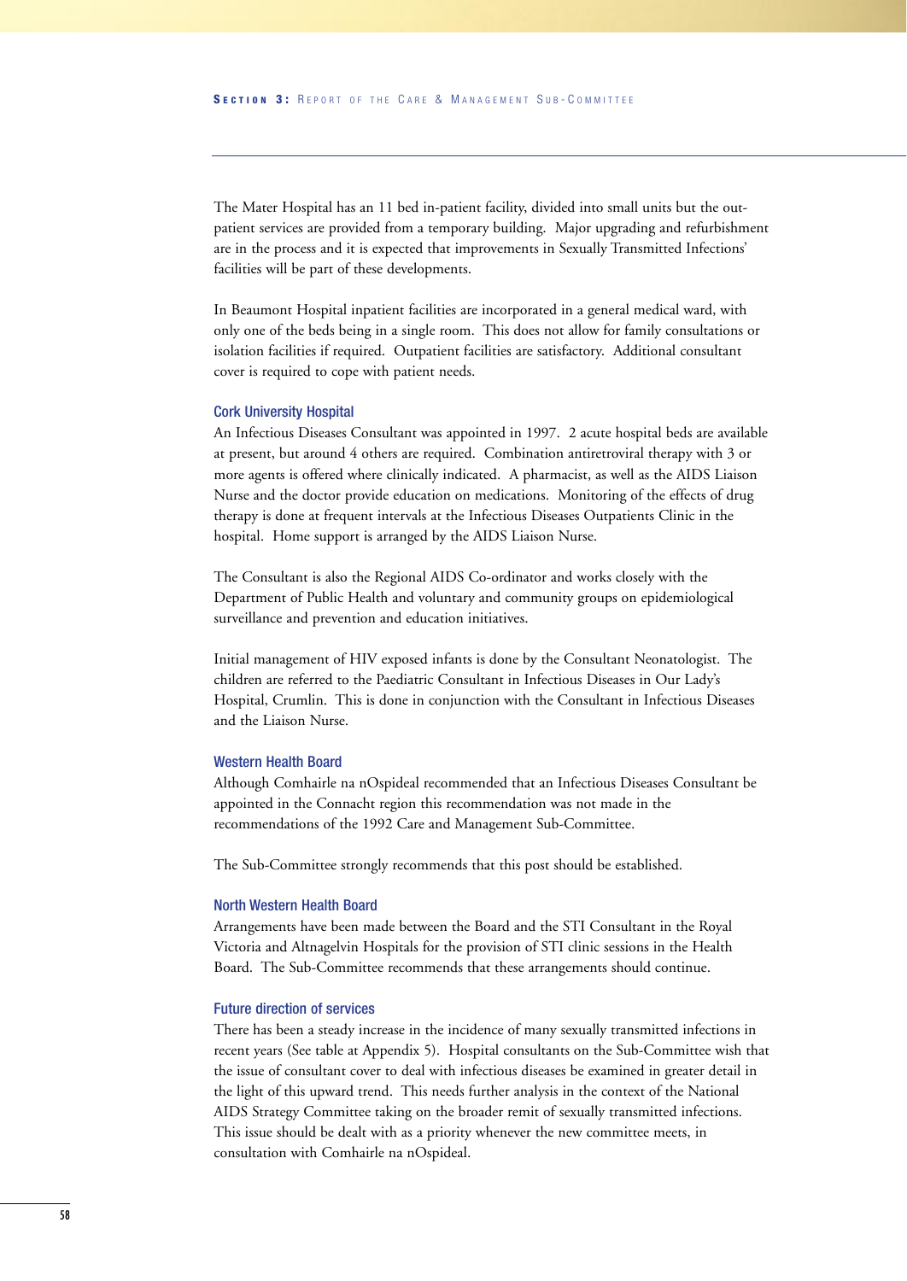The Mater Hospital has an 11 bed in-patient facility, divided into small units but the outpatient services are provided from a temporary building. Major upgrading and refurbishment are in the process and it is expected that improvements in Sexually Transmitted Infections' facilities will be part of these developments.

In Beaumont Hospital inpatient facilities are incorporated in a general medical ward, with only one of the beds being in a single room. This does not allow for family consultations or isolation facilities if required. Outpatient facilities are satisfactory. Additional consultant cover is required to cope with patient needs.

#### Cork University Hospital

An Infectious Diseases Consultant was appointed in 1997. 2 acute hospital beds are available at present, but around 4 others are required. Combination antiretroviral therapy with 3 or more agents is offered where clinically indicated. A pharmacist, as well as the AIDS Liaison Nurse and the doctor provide education on medications. Monitoring of the effects of drug therapy is done at frequent intervals at the Infectious Diseases Outpatients Clinic in the hospital. Home support is arranged by the AIDS Liaison Nurse.

The Consultant is also the Regional AIDS Co-ordinator and works closely with the Department of Public Health and voluntary and community groups on epidemiological surveillance and prevention and education initiatives.

Initial management of HIV exposed infants is done by the Consultant Neonatologist. The children are referred to the Paediatric Consultant in Infectious Diseases in Our Lady's Hospital, Crumlin. This is done in conjunction with the Consultant in Infectious Diseases and the Liaison Nurse.

#### Western Health Board

Although Comhairle na nOspideal recommended that an Infectious Diseases Consultant be appointed in the Connacht region this recommendation was not made in the recommendations of the 1992 Care and Management Sub-Committee.

The Sub-Committee strongly recommends that this post should be established.

#### North Western Health Board

Arrangements have been made between the Board and the STI Consultant in the Royal Victoria and Altnagelvin Hospitals for the provision of STI clinic sessions in the Health Board. The Sub-Committee recommends that these arrangements should continue.

#### Future direction of services

There has been a steady increase in the incidence of many sexually transmitted infections in recent years (See table at Appendix 5). Hospital consultants on the Sub-Committee wish that the issue of consultant cover to deal with infectious diseases be examined in greater detail in the light of this upward trend. This needs further analysis in the context of the National AIDS Strategy Committee taking on the broader remit of sexually transmitted infections. This issue should be dealt with as a priority whenever the new committee meets, in consultation with Comhairle na nOspideal.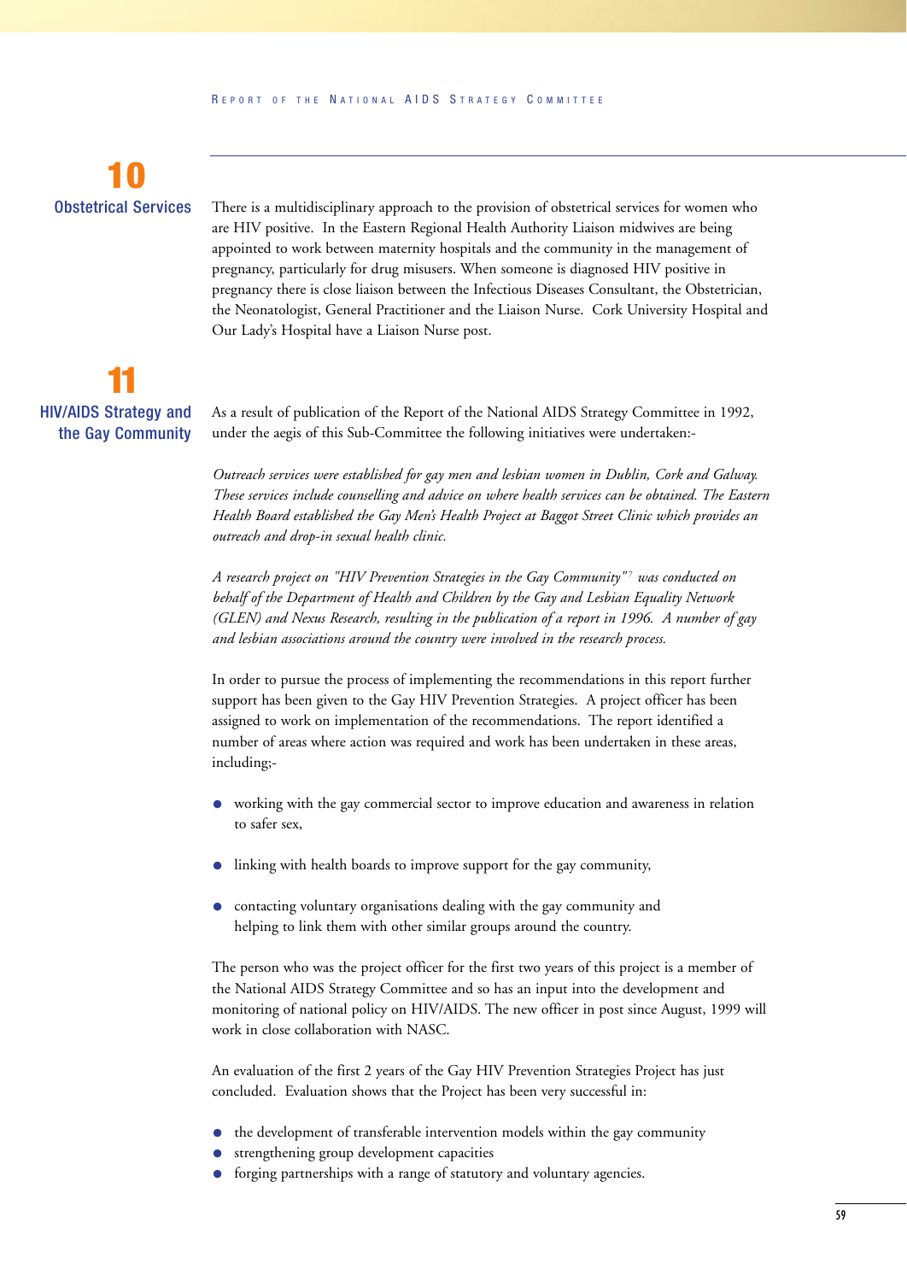

There is a multidisciplinary approach to the provision of obstetrical services for women who are HIV positive. In the Eastern Regional Health Authority Liaison midwives are being appointed to work between maternity hospitals and the community in the management of pregnancy, particularly for drug misusers. When someone is diagnosed HIV positive in pregnancy there is close liaison between the Infectious Diseases Consultant, the Obstetrician, the Neonatologist, General Practitioner and the Liaison Nurse. Cork University Hospital and Our Lady's Hospital have a Liaison Nurse post.

**11** HIV/AIDS Strategy and the Gay Community

As a result of publication of the Report of the National AIDS Strategy Committee in 1992, under the aegis of this Sub-Committee the following initiatives were undertaken:-

*Outreach services were established for gay men and lesbian women in Dublin, Cork and Galway. These services include counselling and advice on where health services can be obtained. The Eastern Health Board established the Gay Men's Health Project at Baggot Street Clinic which provides an outreach and drop-in sexual health clinic.*

*A research project on "HIV Prevention Strategies in the Gay Community"* <sup>7</sup> *was conducted on behalf of the Department of Health and Children by the Gay and Lesbian Equality Network (GLEN) and Nexus Research, resulting in the publication of a report in 1996. A number of gay and lesbian associations around the country were involved in the research process.*

In order to pursue the process of implementing the recommendations in this report further support has been given to the Gay HIV Prevention Strategies. A project officer has been assigned to work on implementation of the recommendations. The report identified a number of areas where action was required and work has been undertaken in these areas, including;-

- working with the gay commercial sector to improve education and awareness in relation to safer sex,
- linking with health boards to improve support for the gay community,
- contacting voluntary organisations dealing with the gay community and helping to link them with other similar groups around the country.

The person who was the project officer for the first two years of this project is a member of the National AIDS Strategy Committee and so has an input into the development and monitoring of national policy on HIV/AIDS. The new officer in post since August, 1999 will work in close collaboration with NASC.

An evaluation of the first 2 years of the Gay HIV Prevention Strategies Project has just concluded. Evaluation shows that the Project has been very successful in:

- the development of transferable intervention models within the gay community
- strengthening group development capacities
- forging partnerships with a range of statutory and voluntary agencies.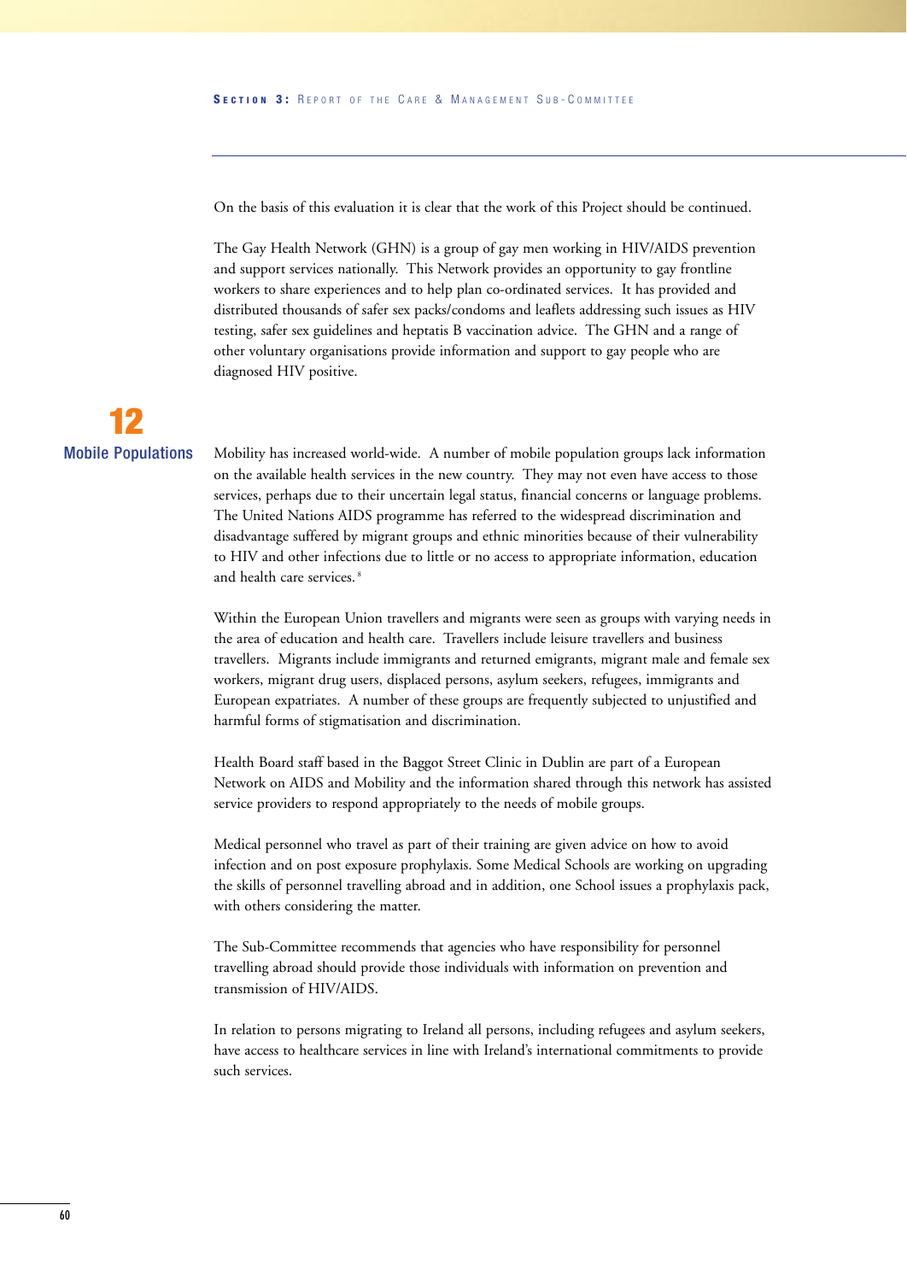On the basis of this evaluation it is clear that the work of this Project should be continued.

The Gay Health Network (GHN) is a group of gay men working in HIV/AIDS prevention and support services nationally. This Network provides an opportunity to gay frontline workers to share experiences and to help plan co-ordinated services. It has provided and distributed thousands of safer sex packs/condoms and leaflets addressing such issues as HIV testing, safer sex guidelines and heptatis B vaccination advice. The GHN and a range of other voluntary organisations provide information and support to gay people who are diagnosed HIV positive.



Mobility has increased world-wide. A number of mobile population groups lack information on the available health services in the new country. They may not even have access to those services, perhaps due to their uncertain legal status, financial concerns or language problems. The United Nations AIDS programme has referred to the widespread discrimination and disadvantage suffered by migrant groups and ethnic minorities because of their vulnerability to HIV and other infections due to little or no access to appropriate information, education and health care services.<sup>8</sup>

Within the European Union travellers and migrants were seen as groups with varying needs in the area of education and health care. Travellers include leisure travellers and business travellers. Migrants include immigrants and returned emigrants, migrant male and female sex workers, migrant drug users, displaced persons, asylum seekers, refugees, immigrants and European expatriates. A number of these groups are frequently subjected to unjustified and harmful forms of stigmatisation and discrimination.

Health Board staff based in the Baggot Street Clinic in Dublin are part of a European Network on AIDS and Mobility and the information shared through this network has assisted service providers to respond appropriately to the needs of mobile groups.

Medical personnel who travel as part of their training are given advice on how to avoid infection and on post exposure prophylaxis. Some Medical Schools are working on upgrading the skills of personnel travelling abroad and in addition, one School issues a prophylaxis pack, with others considering the matter.

The Sub-Committee recommends that agencies who have responsibility for personnel travelling abroad should provide those individuals with information on prevention and transmission of HIV/AIDS.

In relation to persons migrating to Ireland all persons, including refugees and asylum seekers, have access to healthcare services in line with Ireland's international commitments to provide such services.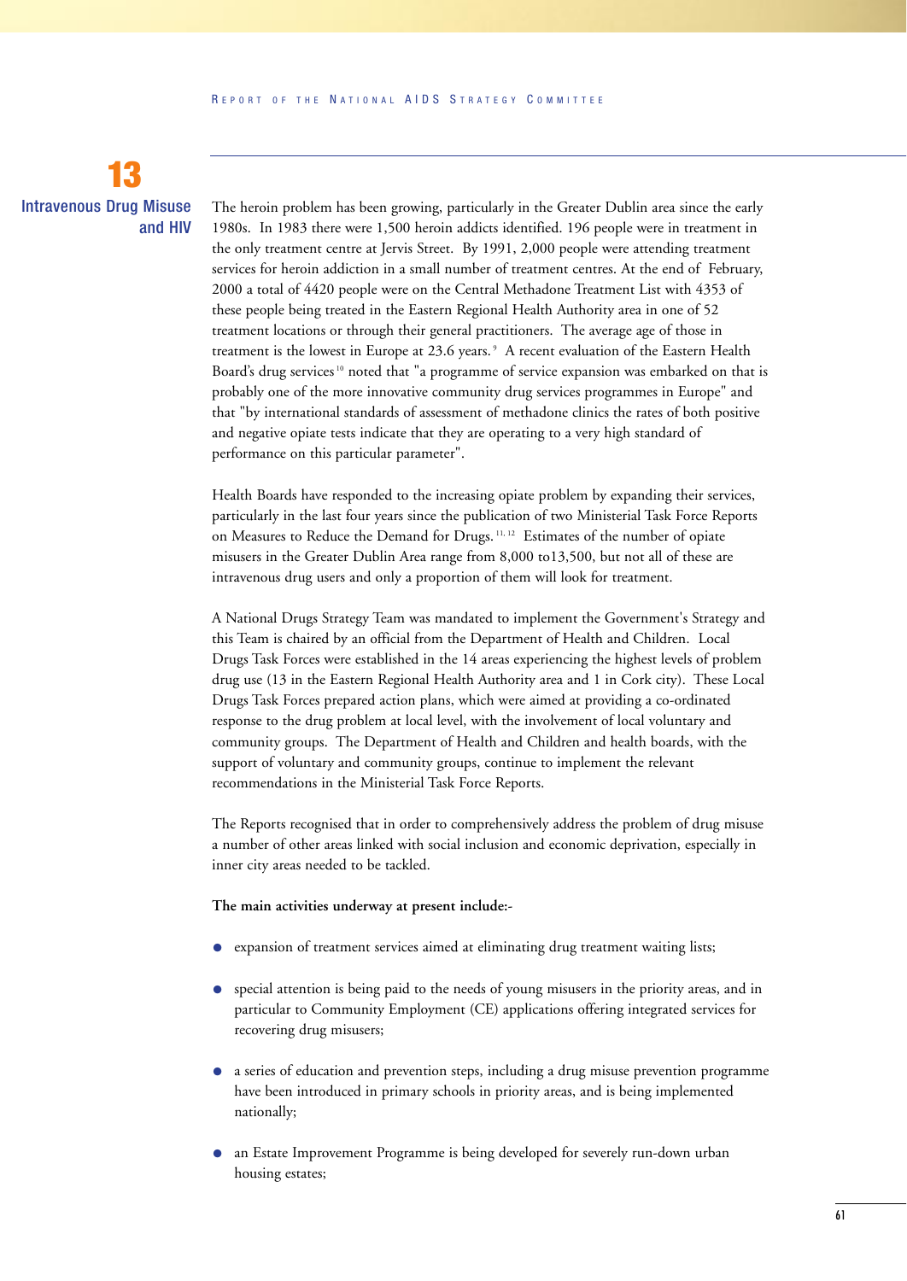## **13** Intravenous Drug Misuse and HIV

The heroin problem has been growing, particularly in the Greater Dublin area since the early 1980s. In 1983 there were 1,500 heroin addicts identified. 196 people were in treatment in the only treatment centre at Jervis Street. By 1991, 2,000 people were attending treatment services for heroin addiction in a small number of treatment centres. At the end of February, 2000 a total of 4420 people were on the Central Methadone Treatment List with 4353 of these people being treated in the Eastern Regional Health Authority area in one of 52 treatment locations or through their general practitioners. The average age of those in treatment is the lowest in Europe at 23.6 years. <sup>9</sup> A recent evaluation of the Eastern Health Board's drug services<sup>10</sup> noted that "a programme of service expansion was embarked on that is probably one of the more innovative community drug services programmes in Europe" and that "by international standards of assessment of methadone clinics the rates of both positive and negative opiate tests indicate that they are operating to a very high standard of performance on this particular parameter".

Health Boards have responded to the increasing opiate problem by expanding their services, particularly in the last four years since the publication of two Ministerial Task Force Reports on Measures to Reduce the Demand for Drugs. 11, 12 Estimates of the number of opiate misusers in the Greater Dublin Area range from 8,000 to13,500, but not all of these are intravenous drug users and only a proportion of them will look for treatment.

A National Drugs Strategy Team was mandated to implement the Government's Strategy and this Team is chaired by an official from the Department of Health and Children. Local Drugs Task Forces were established in the 14 areas experiencing the highest levels of problem drug use (13 in the Eastern Regional Health Authority area and 1 in Cork city). These Local Drugs Task Forces prepared action plans, which were aimed at providing a co-ordinated response to the drug problem at local level, with the involvement of local voluntary and community groups. The Department of Health and Children and health boards, with the support of voluntary and community groups, continue to implement the relevant recommendations in the Ministerial Task Force Reports.

The Reports recognised that in order to comprehensively address the problem of drug misuse a number of other areas linked with social inclusion and economic deprivation, especially in inner city areas needed to be tackled.

#### **The main activities underway at present include:-**

- expansion of treatment services aimed at eliminating drug treatment waiting lists;
- special attention is being paid to the needs of young misusers in the priority areas, and in particular to Community Employment (CE) applications offering integrated services for recovering drug misusers;
- a series of education and prevention steps, including a drug misuse prevention programme have been introduced in primary schools in priority areas, and is being implemented nationally;
- an Estate Improvement Programme is being developed for severely run-down urban housing estates;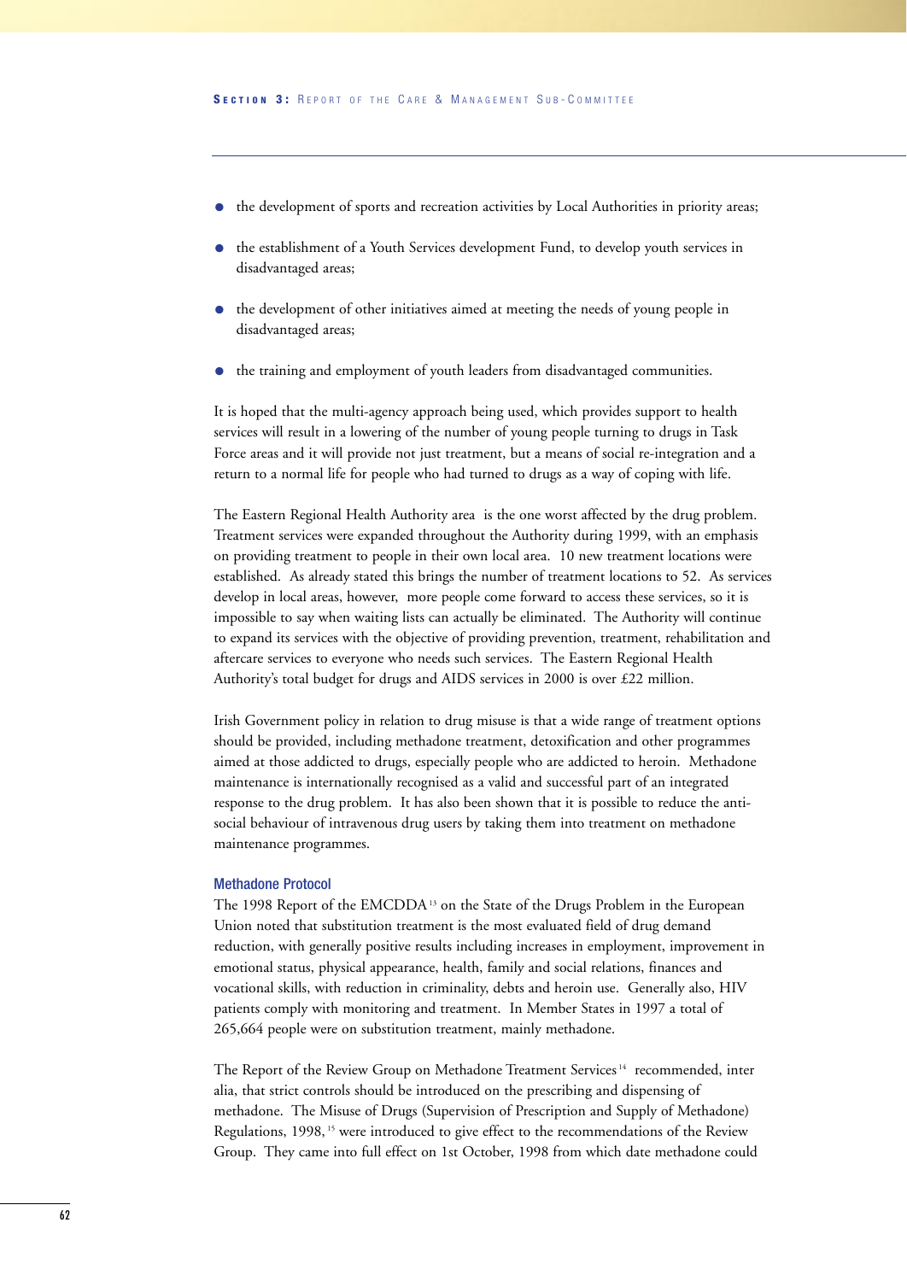- the development of sports and recreation activities by Local Authorities in priority areas;
- the establishment of a Youth Services development Fund, to develop youth services in disadvantaged areas;
- the development of other initiatives aimed at meeting the needs of young people in disadvantaged areas;
- the training and employment of youth leaders from disadvantaged communities.

It is hoped that the multi-agency approach being used, which provides support to health services will result in a lowering of the number of young people turning to drugs in Task Force areas and it will provide not just treatment, but a means of social re-integration and a return to a normal life for people who had turned to drugs as a way of coping with life.

The Eastern Regional Health Authority area is the one worst affected by the drug problem. Treatment services were expanded throughout the Authority during 1999, with an emphasis on providing treatment to people in their own local area. 10 new treatment locations were established. As already stated this brings the number of treatment locations to 52. As services develop in local areas, however, more people come forward to access these services, so it is impossible to say when waiting lists can actually be eliminated. The Authority will continue to expand its services with the objective of providing prevention, treatment, rehabilitation and aftercare services to everyone who needs such services. The Eastern Regional Health Authority's total budget for drugs and AIDS services in 2000 is over £22 million.

Irish Government policy in relation to drug misuse is that a wide range of treatment options should be provided, including methadone treatment, detoxification and other programmes aimed at those addicted to drugs, especially people who are addicted to heroin. Methadone maintenance is internationally recognised as a valid and successful part of an integrated response to the drug problem. It has also been shown that it is possible to reduce the antisocial behaviour of intravenous drug users by taking them into treatment on methadone maintenance programmes.

#### Methadone Protocol

The 1998 Report of the EMCDDA<sup>13</sup> on the State of the Drugs Problem in the European Union noted that substitution treatment is the most evaluated field of drug demand reduction, with generally positive results including increases in employment, improvement in emotional status, physical appearance, health, family and social relations, finances and vocational skills, with reduction in criminality, debts and heroin use. Generally also, HIV patients comply with monitoring and treatment. In Member States in 1997 a total of 265,664 people were on substitution treatment, mainly methadone.

The Report of the Review Group on Methadone Treatment Services <sup>14</sup> recommended, inter alia, that strict controls should be introduced on the prescribing and dispensing of methadone. The Misuse of Drugs (Supervision of Prescription and Supply of Methadone) Regulations, 1998,<sup>15</sup> were introduced to give effect to the recommendations of the Review Group. They came into full effect on 1st October, 1998 from which date methadone could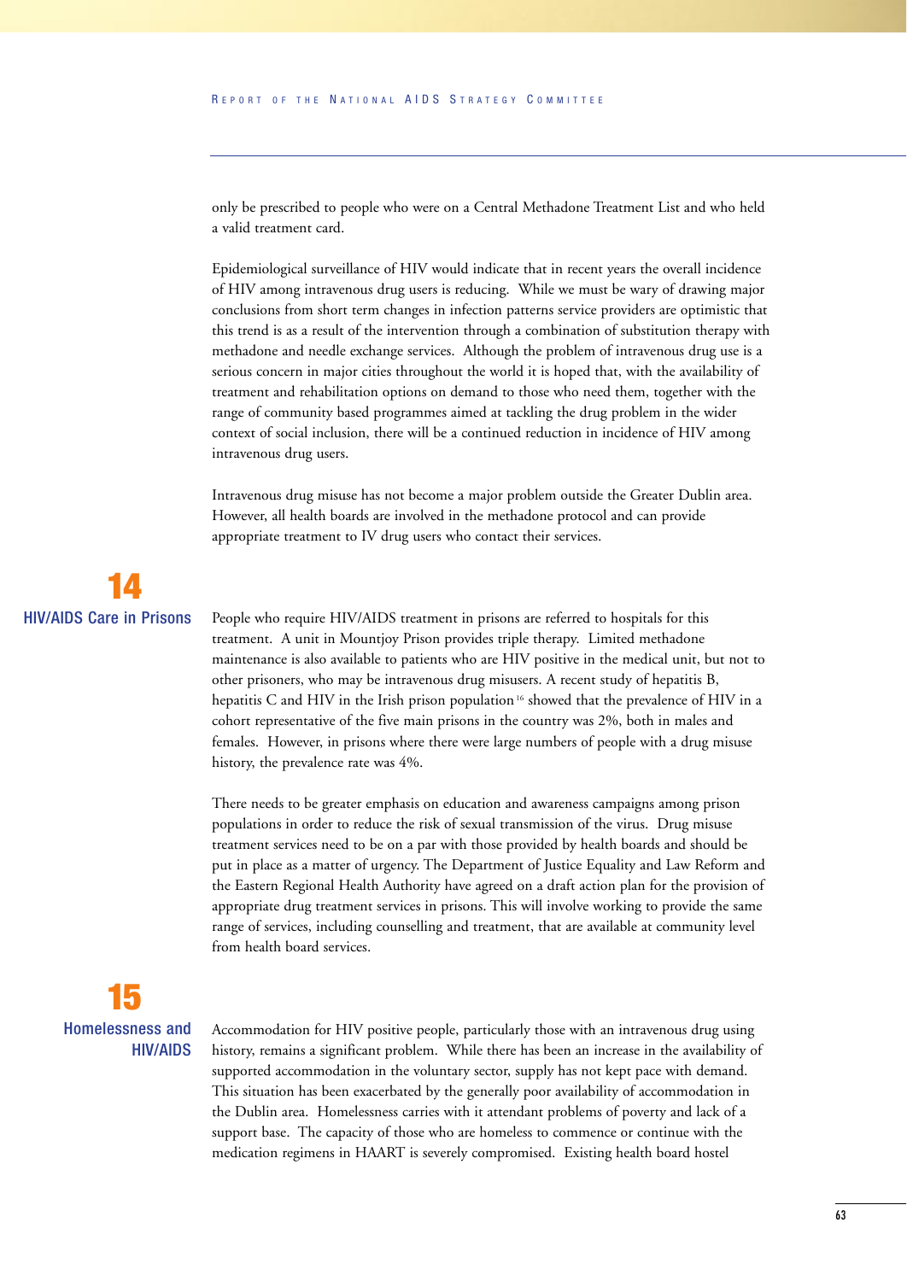only be prescribed to people who were on a Central Methadone Treatment List and who held a valid treatment card.

Epidemiological surveillance of HIV would indicate that in recent years the overall incidence of HIV among intravenous drug users is reducing. While we must be wary of drawing major conclusions from short term changes in infection patterns service providers are optimistic that this trend is as a result of the intervention through a combination of substitution therapy with methadone and needle exchange services. Although the problem of intravenous drug use is a serious concern in major cities throughout the world it is hoped that, with the availability of treatment and rehabilitation options on demand to those who need them, together with the range of community based programmes aimed at tackling the drug problem in the wider context of social inclusion, there will be a continued reduction in incidence of HIV among intravenous drug users.

Intravenous drug misuse has not become a major problem outside the Greater Dublin area. However, all health boards are involved in the methadone protocol and can provide appropriate treatment to IV drug users who contact their services.

## **14** HIV/AIDS Care in Prisons

People who require HIV/AIDS treatment in prisons are referred to hospitals for this treatment. A unit in Mountjoy Prison provides triple therapy. Limited methadone maintenance is also available to patients who are HIV positive in the medical unit, but not to other prisoners, who may be intravenous drug misusers. A recent study of hepatitis B, hepatitis C and HIV in the Irish prison population  $16$  showed that the prevalence of HIV in a cohort representative of the five main prisons in the country was 2%, both in males and females. However, in prisons where there were large numbers of people with a drug misuse history, the prevalence rate was 4%.

There needs to be greater emphasis on education and awareness campaigns among prison populations in order to reduce the risk of sexual transmission of the virus. Drug misuse treatment services need to be on a par with those provided by health boards and should be put in place as a matter of urgency. The Department of Justice Equality and Law Reform and the Eastern Regional Health Authority have agreed on a draft action plan for the provision of appropriate drug treatment services in prisons. This will involve working to provide the same range of services, including counselling and treatment, that are available at community level from health board services.

**15** Homelessness and HIV/AIDS

Accommodation for HIV positive people, particularly those with an intravenous drug using history, remains a significant problem. While there has been an increase in the availability of supported accommodation in the voluntary sector, supply has not kept pace with demand. This situation has been exacerbated by the generally poor availability of accommodation in the Dublin area. Homelessness carries with it attendant problems of poverty and lack of a support base. The capacity of those who are homeless to commence or continue with the medication regimens in HAART is severely compromised. Existing health board hostel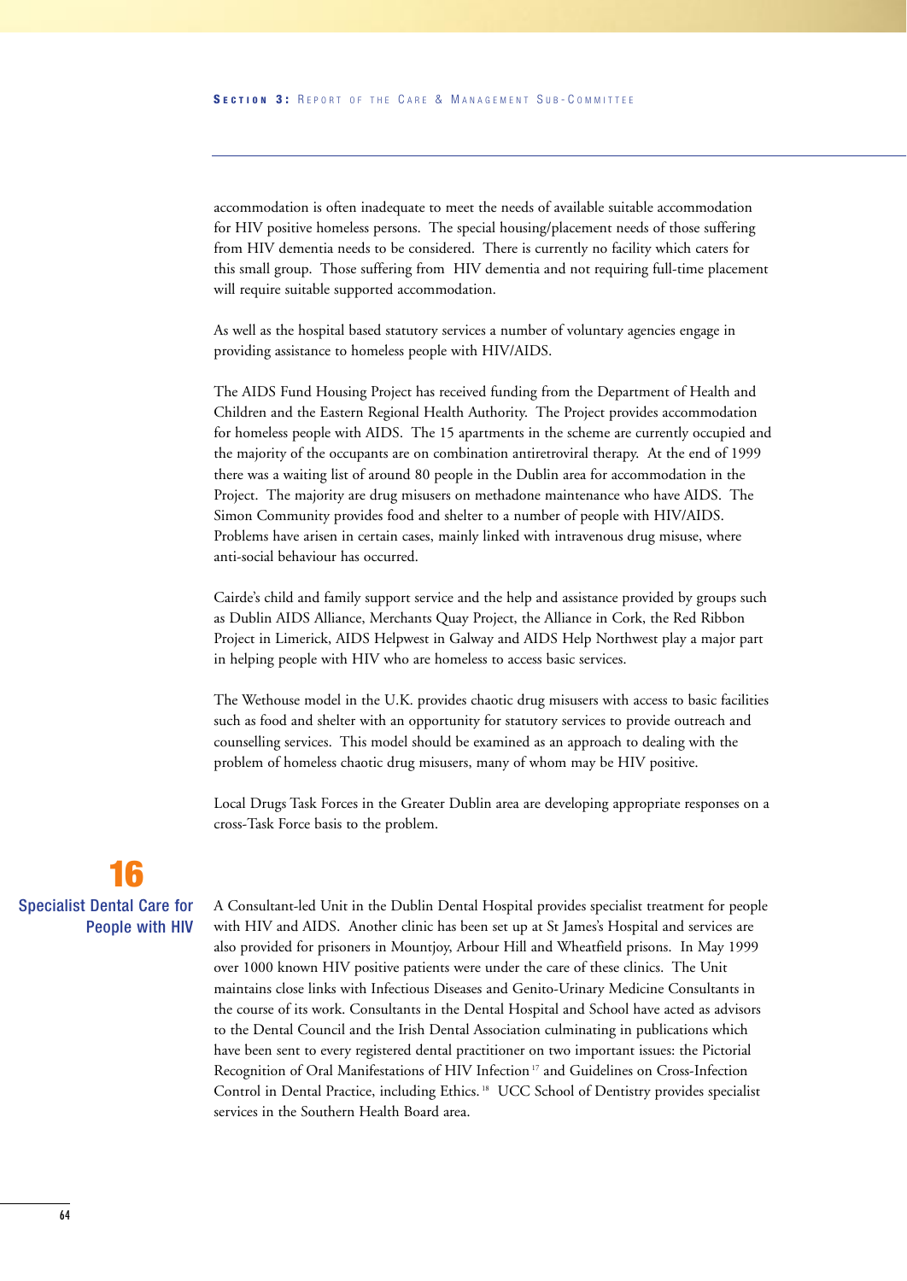accommodation is often inadequate to meet the needs of available suitable accommodation for HIV positive homeless persons. The special housing/placement needs of those suffering from HIV dementia needs to be considered. There is currently no facility which caters for this small group. Those suffering from HIV dementia and not requiring full-time placement will require suitable supported accommodation.

As well as the hospital based statutory services a number of voluntary agencies engage in providing assistance to homeless people with HIV/AIDS.

The AIDS Fund Housing Project has received funding from the Department of Health and Children and the Eastern Regional Health Authority. The Project provides accommodation for homeless people with AIDS. The 15 apartments in the scheme are currently occupied and the majority of the occupants are on combination antiretroviral therapy. At the end of 1999 there was a waiting list of around 80 people in the Dublin area for accommodation in the Project. The majority are drug misusers on methadone maintenance who have AIDS. The Simon Community provides food and shelter to a number of people with HIV/AIDS. Problems have arisen in certain cases, mainly linked with intravenous drug misuse, where anti-social behaviour has occurred.

Cairde's child and family support service and the help and assistance provided by groups such as Dublin AIDS Alliance, Merchants Quay Project, the Alliance in Cork, the Red Ribbon Project in Limerick, AIDS Helpwest in Galway and AIDS Help Northwest play a major part in helping people with HIV who are homeless to access basic services.

The Wethouse model in the U.K. provides chaotic drug misusers with access to basic facilities such as food and shelter with an opportunity for statutory services to provide outreach and counselling services. This model should be examined as an approach to dealing with the problem of homeless chaotic drug misusers, many of whom may be HIV positive.

Local Drugs Task Forces in the Greater Dublin area are developing appropriate responses on a cross-Task Force basis to the problem.

## **16** Specialist Dental Care for People with HIV

A Consultant-led Unit in the Dublin Dental Hospital provides specialist treatment for people with HIV and AIDS. Another clinic has been set up at St James's Hospital and services are also provided for prisoners in Mountjoy, Arbour Hill and Wheatfield prisons. In May 1999 over 1000 known HIV positive patients were under the care of these clinics. The Unit maintains close links with Infectious Diseases and Genito-Urinary Medicine Consultants in the course of its work. Consultants in the Dental Hospital and School have acted as advisors to the Dental Council and the Irish Dental Association culminating in publications which have been sent to every registered dental practitioner on two important issues: the Pictorial Recognition of Oral Manifestations of HIV Infection<sup>17</sup> and Guidelines on Cross-Infection Control in Dental Practice, including Ethics. <sup>18</sup> UCC School of Dentistry provides specialist services in the Southern Health Board area.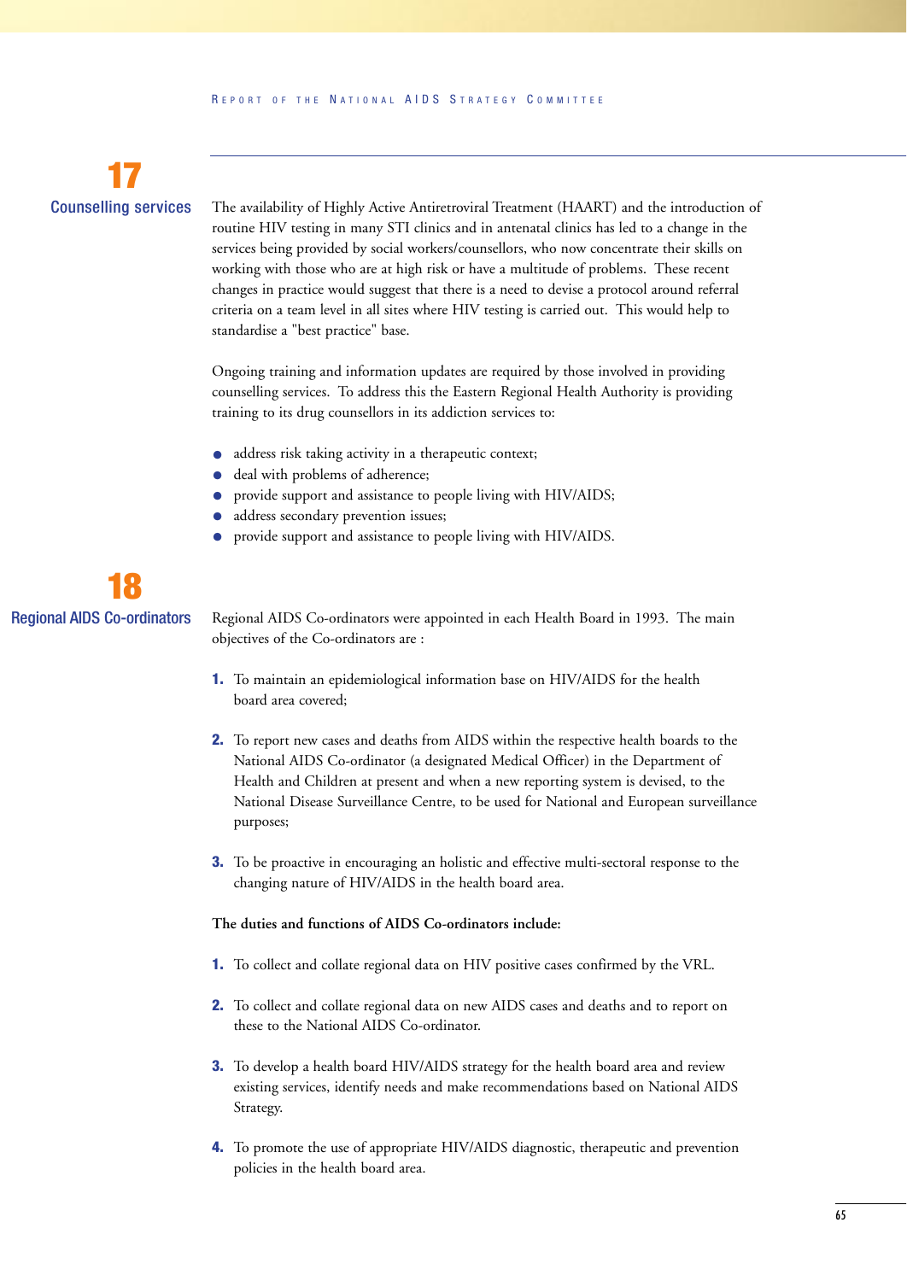

The availability of Highly Active Antiretroviral Treatment (HAART) and the introduction of routine HIV testing in many STI clinics and in antenatal clinics has led to a change in the services being provided by social workers/counsellors, who now concentrate their skills on working with those who are at high risk or have a multitude of problems. These recent changes in practice would suggest that there is a need to devise a protocol around referral criteria on a team level in all sites where HIV testing is carried out. This would help to standardise a "best practice" base.

Ongoing training and information updates are required by those involved in providing counselling services. To address this the Eastern Regional Health Authority is providing training to its drug counsellors in its addiction services to:

- address risk taking activity in a therapeutic context;
- deal with problems of adherence;
- provide support and assistance to people living with HIV/AIDS;
- address secondary prevention issues;
- provide support and assistance to people living with HIV/AIDS.



Regional AIDS Co-ordinators were appointed in each Health Board in 1993. The main objectives of the Co-ordinators are :

- **1.** To maintain an epidemiological information base on HIV/AIDS for the health board area covered;
- **2.** To report new cases and deaths from AIDS within the respective health boards to the National AIDS Co-ordinator (a designated Medical Officer) in the Department of Health and Children at present and when a new reporting system is devised, to the National Disease Surveillance Centre, to be used for National and European surveillance purposes;
- **3.** To be proactive in encouraging an holistic and effective multi-sectoral response to the changing nature of HIV/AIDS in the health board area.

#### **The duties and functions of AIDS Co-ordinators include:**

- **1.** To collect and collate regional data on HIV positive cases confirmed by the VRL.
- **2.** To collect and collate regional data on new AIDS cases and deaths and to report on these to the National AIDS Co-ordinator.
- **3.** To develop a health board HIV/AIDS strategy for the health board area and review existing services, identify needs and make recommendations based on National AIDS Strategy.
- **4.** To promote the use of appropriate HIV/AIDS diagnostic, therapeutic and prevention policies in the health board area.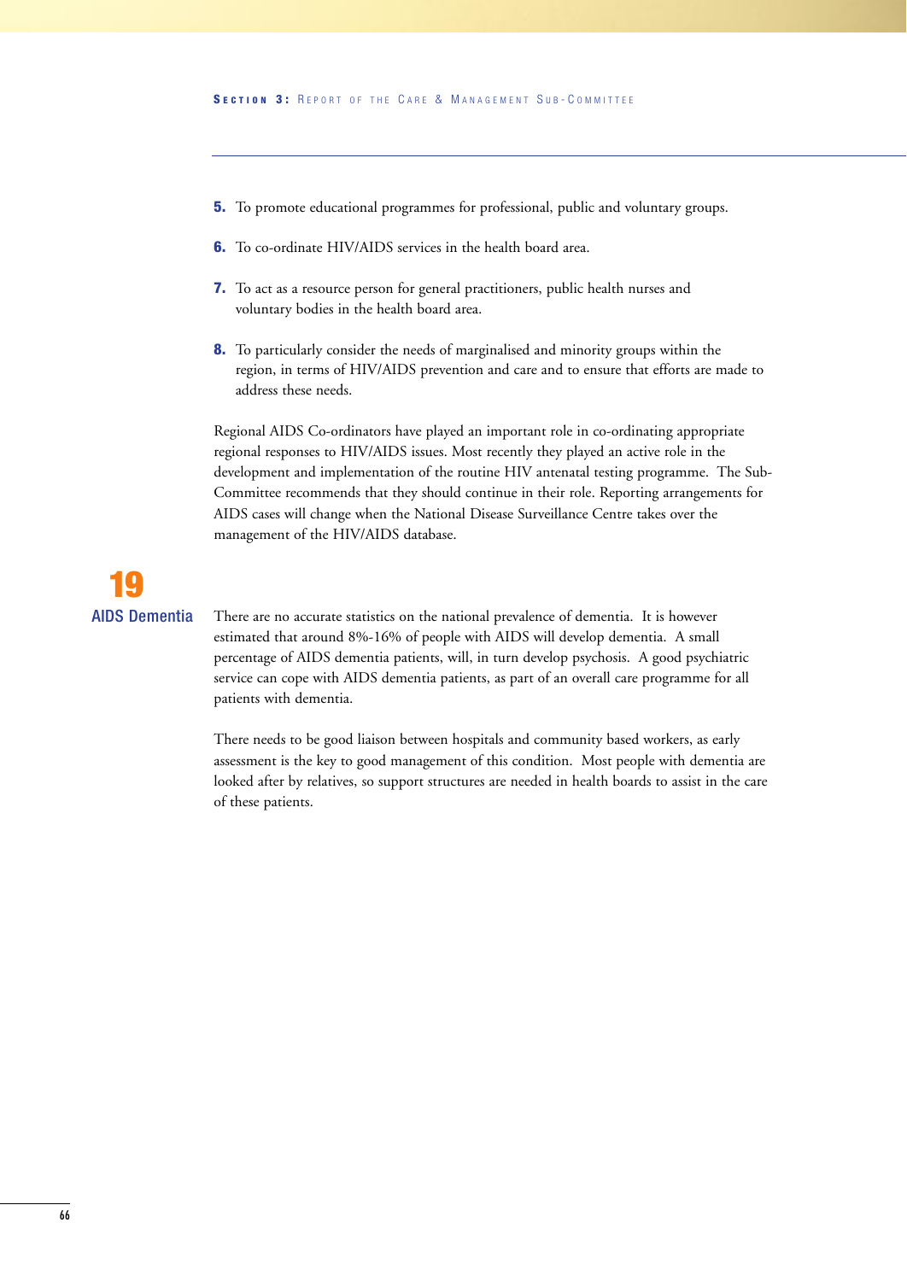- **5.** To promote educational programmes for professional, public and voluntary groups.
- **6.** To co-ordinate HIV/AIDS services in the health board area.
- **7.** To act as a resource person for general practitioners, public health nurses and voluntary bodies in the health board area.
- **8.** To particularly consider the needs of marginalised and minority groups within the region, in terms of HIV/AIDS prevention and care and to ensure that efforts are made to address these needs.

Regional AIDS Co-ordinators have played an important role in co-ordinating appropriate regional responses to HIV/AIDS issues. Most recently they played an active role in the development and implementation of the routine HIV antenatal testing programme. The Sub-Committee recommends that they should continue in their role. Reporting arrangements for AIDS cases will change when the National Disease Surveillance Centre takes over the management of the HIV/AIDS database.

# **19** AIDS Dementia

There are no accurate statistics on the national prevalence of dementia. It is however estimated that around 8%-16% of people with AIDS will develop dementia. A small percentage of AIDS dementia patients, will, in turn develop psychosis. A good psychiatric service can cope with AIDS dementia patients, as part of an overall care programme for all patients with dementia.

There needs to be good liaison between hospitals and community based workers, as early assessment is the key to good management of this condition. Most people with dementia are looked after by relatives, so support structures are needed in health boards to assist in the care of these patients.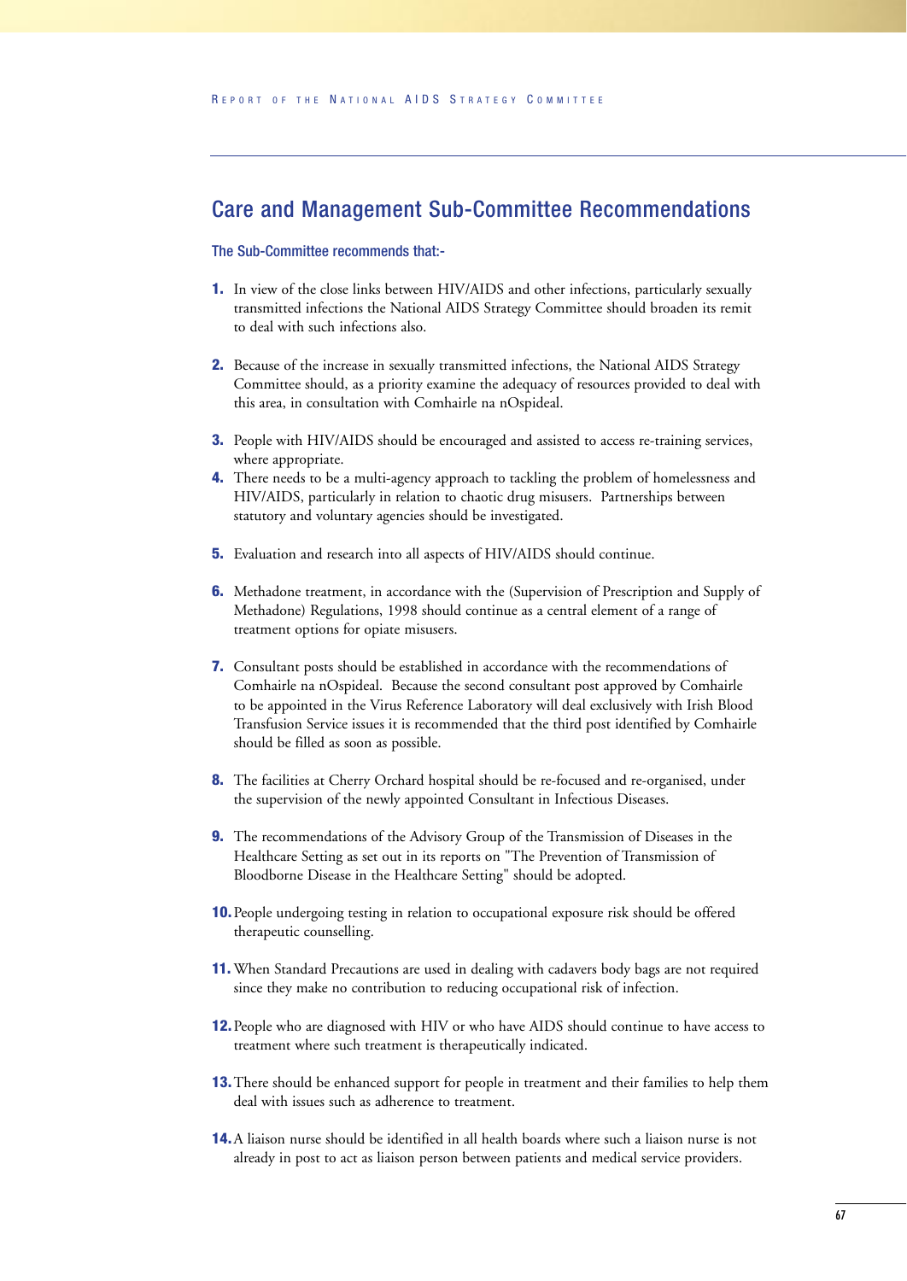## Care and Management Sub-Committee Recommendations

#### The Sub-Committee recommends that:-

- **1.** In view of the close links between HIV/AIDS and other infections, particularly sexually transmitted infections the National AIDS Strategy Committee should broaden its remit to deal with such infections also.
- **2.** Because of the increase in sexually transmitted infections, the National AIDS Strategy Committee should, as a priority examine the adequacy of resources provided to deal with this area, in consultation with Comhairle na nOspideal.
- **3.** People with HIV/AIDS should be encouraged and assisted to access re-training services, where appropriate.
- **4.** There needs to be a multi-agency approach to tackling the problem of homelessness and HIV/AIDS, particularly in relation to chaotic drug misusers. Partnerships between statutory and voluntary agencies should be investigated.
- **5.** Evaluation and research into all aspects of HIV/AIDS should continue.
- **6.** Methadone treatment, in accordance with the (Supervision of Prescription and Supply of Methadone) Regulations, 1998 should continue as a central element of a range of treatment options for opiate misusers.
- **7.** Consultant posts should be established in accordance with the recommendations of Comhairle na nOspideal. Because the second consultant post approved by Comhairle to be appointed in the Virus Reference Laboratory will deal exclusively with Irish Blood Transfusion Service issues it is recommended that the third post identified by Comhairle should be filled as soon as possible.
- **8.** The facilities at Cherry Orchard hospital should be re-focused and re-organised, under the supervision of the newly appointed Consultant in Infectious Diseases.
- **9.** The recommendations of the Advisory Group of the Transmission of Diseases in the Healthcare Setting as set out in its reports on "The Prevention of Transmission of Bloodborne Disease in the Healthcare Setting" should be adopted.
- **10.**People undergoing testing in relation to occupational exposure risk should be offered therapeutic counselling.
- **11.** When Standard Precautions are used in dealing with cadavers body bags are not required since they make no contribution to reducing occupational risk of infection.
- **12.**People who are diagnosed with HIV or who have AIDS should continue to have access to treatment where such treatment is therapeutically indicated.
- **13.**There should be enhanced support for people in treatment and their families to help them deal with issues such as adherence to treatment.
- **14.**A liaison nurse should be identified in all health boards where such a liaison nurse is not already in post to act as liaison person between patients and medical service providers.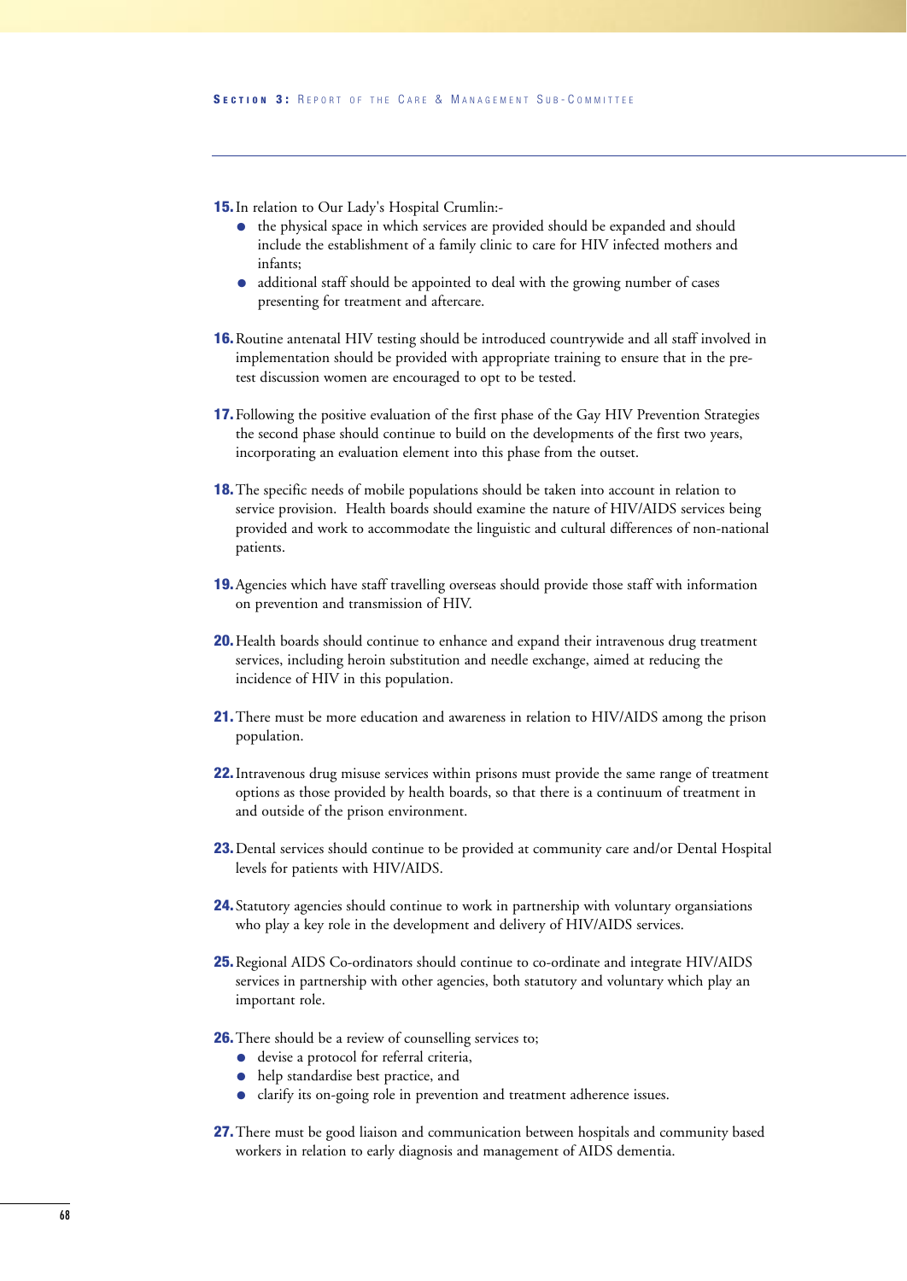**15.**In relation to Our Lady's Hospital Crumlin:-

- the physical space in which services are provided should be expanded and should include the establishment of a family clinic to care for HIV infected mothers and infants;
- additional staff should be appointed to deal with the growing number of cases presenting for treatment and aftercare.
- **16.**Routine antenatal HIV testing should be introduced countrywide and all staff involved in implementation should be provided with appropriate training to ensure that in the pretest discussion women are encouraged to opt to be tested.
- **17.**Following the positive evaluation of the first phase of the Gay HIV Prevention Strategies the second phase should continue to build on the developments of the first two years, incorporating an evaluation element into this phase from the outset.
- **18.**The specific needs of mobile populations should be taken into account in relation to service provision. Health boards should examine the nature of HIV/AIDS services being provided and work to accommodate the linguistic and cultural differences of non-national patients.
- **19.**Agencies which have staff travelling overseas should provide those staff with information on prevention and transmission of HIV.
- **20.**Health boards should continue to enhance and expand their intravenous drug treatment services, including heroin substitution and needle exchange, aimed at reducing the incidence of HIV in this population.
- **21.**There must be more education and awareness in relation to HIV/AIDS among the prison population.
- **22.**Intravenous drug misuse services within prisons must provide the same range of treatment options as those provided by health boards, so that there is a continuum of treatment in and outside of the prison environment.
- **23.**Dental services should continue to be provided at community care and/or Dental Hospital levels for patients with HIV/AIDS.
- **24.**Statutory agencies should continue to work in partnership with voluntary organsiations who play a key role in the development and delivery of HIV/AIDS services.
- **25.**Regional AIDS Co-ordinators should continue to co-ordinate and integrate HIV/AIDS services in partnership with other agencies, both statutory and voluntary which play an important role.
- **26.** There should be a review of counselling services to;
	- devise a protocol for referral criteria,
	- help standardise best practice, and
	- clarify its on-going role in prevention and treatment adherence issues.
- **27.**There must be good liaison and communication between hospitals and community based workers in relation to early diagnosis and management of AIDS dementia.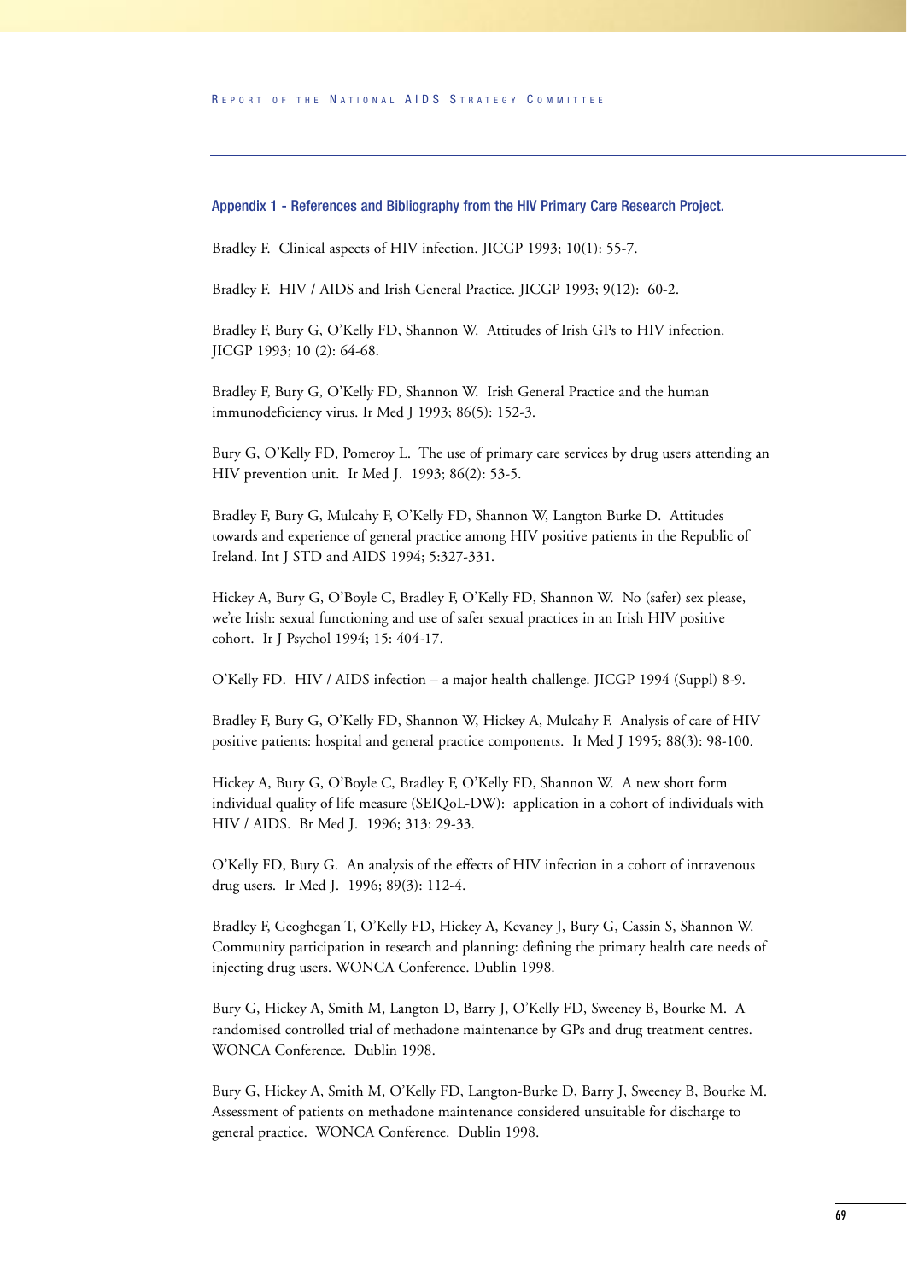#### Appendix 1 - References and Bibliography from the HIV Primary Care Research Project.

Bradley F. Clinical aspects of HIV infection. JICGP 1993; 10(1): 55-7.

Bradley F. HIV / AIDS and Irish General Practice. JICGP 1993; 9(12): 60-2.

Bradley F, Bury G, O'Kelly FD, Shannon W. Attitudes of Irish GPs to HIV infection. JICGP 1993; 10 (2): 64-68.

Bradley F, Bury G, O'Kelly FD, Shannon W. Irish General Practice and the human immunodeficiency virus. Ir Med J 1993; 86(5): 152-3.

Bury G, O'Kelly FD, Pomeroy L. The use of primary care services by drug users attending an HIV prevention unit. Ir Med J. 1993; 86(2): 53-5.

Bradley F, Bury G, Mulcahy F, O'Kelly FD, Shannon W, Langton Burke D. Attitudes towards and experience of general practice among HIV positive patients in the Republic of Ireland. Int J STD and AIDS 1994; 5:327-331.

Hickey A, Bury G, O'Boyle C, Bradley F, O'Kelly FD, Shannon W. No (safer) sex please, we're Irish: sexual functioning and use of safer sexual practices in an Irish HIV positive cohort. Ir J Psychol 1994; 15: 404-17.

O'Kelly FD. HIV / AIDS infection – a major health challenge. JICGP 1994 (Suppl) 8-9.

Bradley F, Bury G, O'Kelly FD, Shannon W, Hickey A, Mulcahy F. Analysis of care of HIV positive patients: hospital and general practice components. Ir Med J 1995; 88(3): 98-100.

Hickey A, Bury G, O'Boyle C, Bradley F, O'Kelly FD, Shannon W. A new short form individual quality of life measure (SEIQoL-DW): application in a cohort of individuals with HIV / AIDS. Br Med J. 1996; 313: 29-33.

O'Kelly FD, Bury G. An analysis of the effects of HIV infection in a cohort of intravenous drug users. Ir Med J. 1996; 89(3): 112-4.

Bradley F, Geoghegan T, O'Kelly FD, Hickey A, Kevaney J, Bury G, Cassin S, Shannon W. Community participation in research and planning: defining the primary health care needs of injecting drug users. WONCA Conference. Dublin 1998.

Bury G, Hickey A, Smith M, Langton D, Barry J, O'Kelly FD, Sweeney B, Bourke M. A randomised controlled trial of methadone maintenance by GPs and drug treatment centres. WONCA Conference. Dublin 1998.

Bury G, Hickey A, Smith M, O'Kelly FD, Langton-Burke D, Barry J, Sweeney B, Bourke M. Assessment of patients on methadone maintenance considered unsuitable for discharge to general practice. WONCA Conference. Dublin 1998.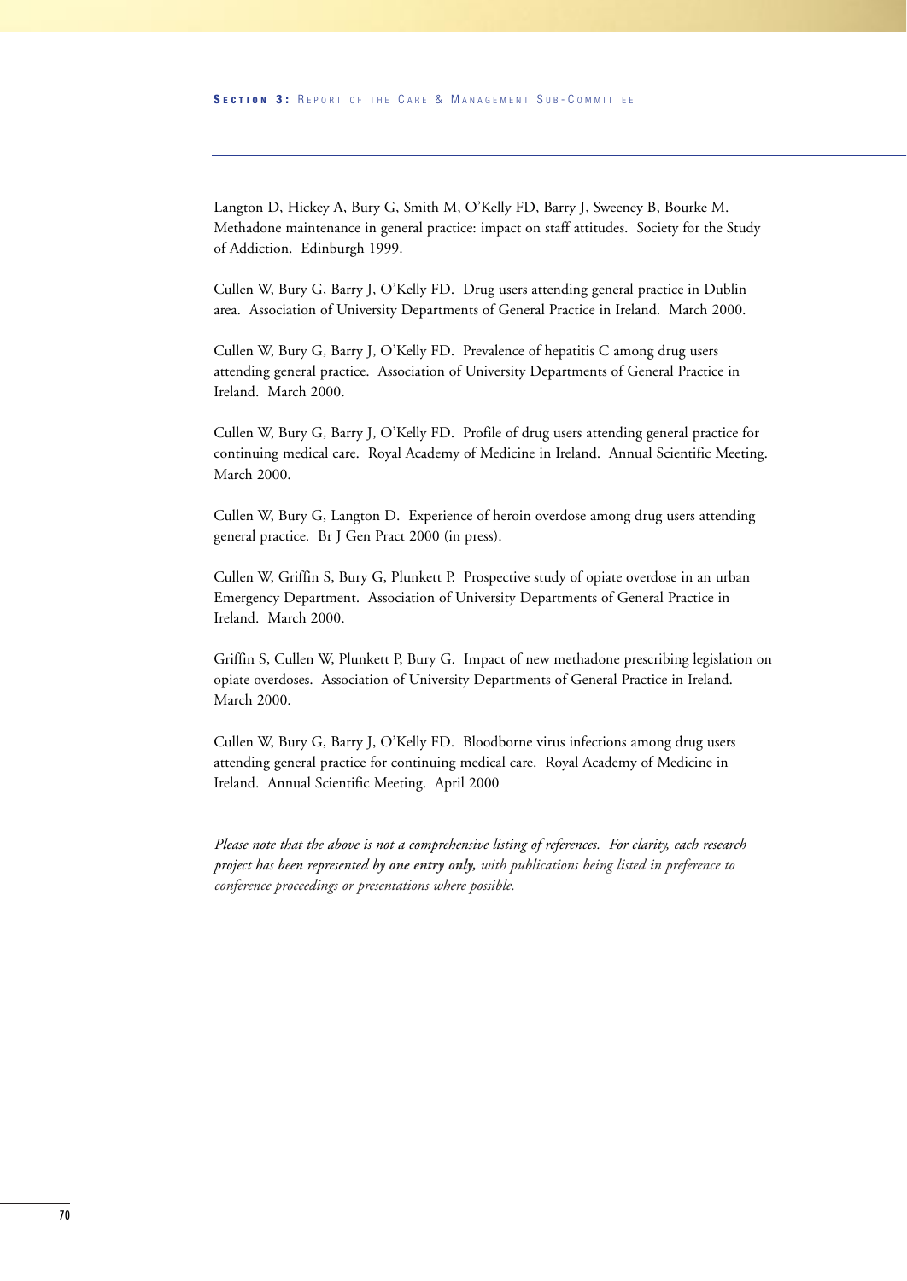Langton D, Hickey A, Bury G, Smith M, O'Kelly FD, Barry J, Sweeney B, Bourke M. Methadone maintenance in general practice: impact on staff attitudes. Society for the Study of Addiction. Edinburgh 1999.

Cullen W, Bury G, Barry J, O'Kelly FD. Drug users attending general practice in Dublin area. Association of University Departments of General Practice in Ireland. March 2000.

Cullen W, Bury G, Barry J, O'Kelly FD. Prevalence of hepatitis C among drug users attending general practice. Association of University Departments of General Practice in Ireland. March 2000.

Cullen W, Bury G, Barry J, O'Kelly FD. Profile of drug users attending general practice for continuing medical care. Royal Academy of Medicine in Ireland. Annual Scientific Meeting. March 2000.

Cullen W, Bury G, Langton D. Experience of heroin overdose among drug users attending general practice. Br J Gen Pract 2000 (in press).

Cullen W, Griffin S, Bury G, Plunkett P. Prospective study of opiate overdose in an urban Emergency Department. Association of University Departments of General Practice in Ireland. March 2000.

Griffin S, Cullen W, Plunkett P, Bury G. Impact of new methadone prescribing legislation on opiate overdoses. Association of University Departments of General Practice in Ireland. March 2000.

Cullen W, Bury G, Barry J, O'Kelly FD. Bloodborne virus infections among drug users attending general practice for continuing medical care. Royal Academy of Medicine in Ireland. Annual Scientific Meeting. April 2000

*Please note that the above is not a comprehensive listing of references. For clarity, each research project has been represented by one entry only, with publications being listed in preference to conference proceedings or presentations where possible.*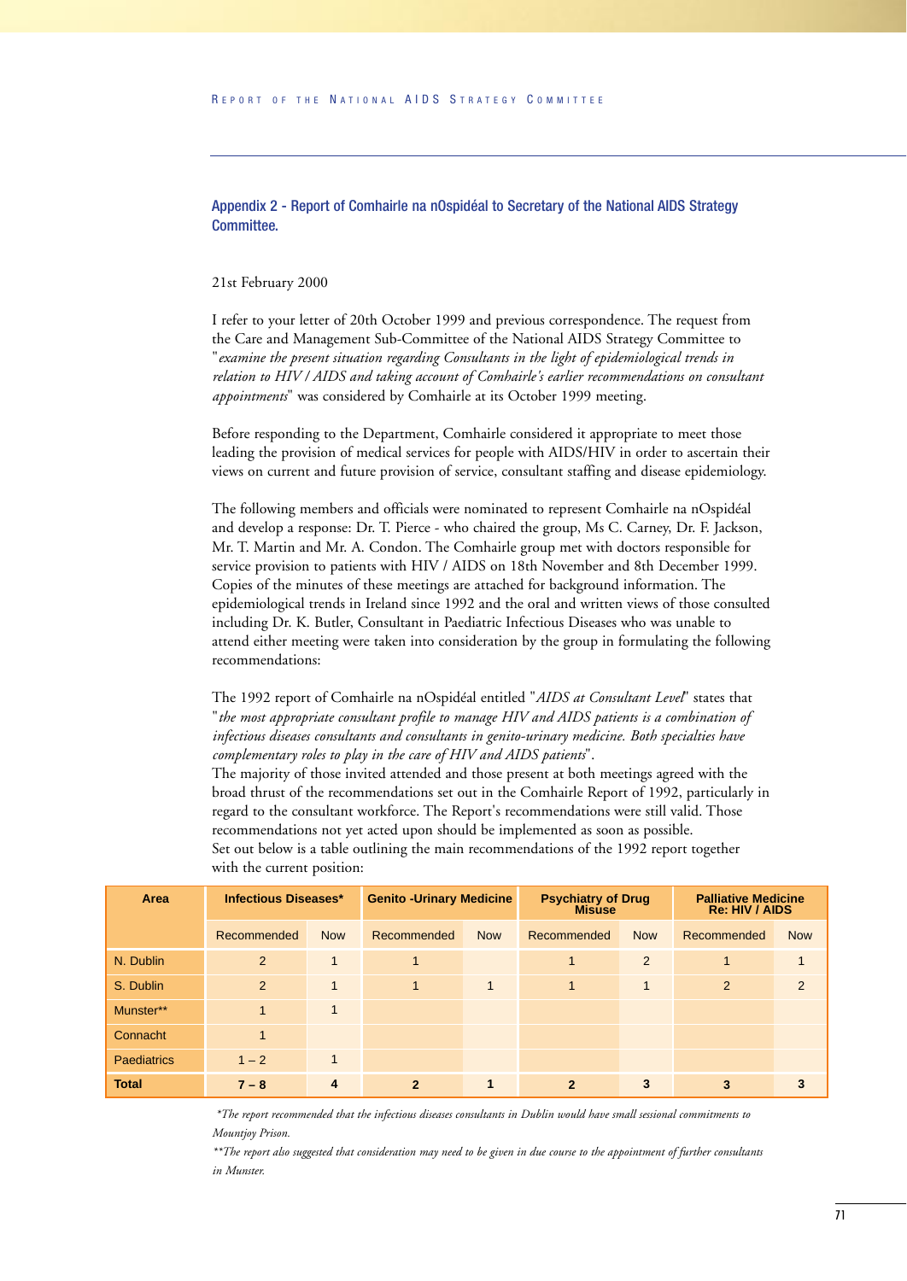Appendix 2 - Report of Comhairle na nOspidéal to Secretary of the National AIDS Strategy Committee.

#### 21st February 2000

I refer to your letter of 20th October 1999 and previous correspondence. The request from the Care and Management Sub-Committee of the National AIDS Strategy Committee to "*examine the present situation regarding Consultants in the light of epidemiological trends in relation to HIV / AIDS and taking account of Comhairle's earlier recommendations on consultant appointments*" was considered by Comhairle at its October 1999 meeting.

Before responding to the Department, Comhairle considered it appropriate to meet those leading the provision of medical services for people with AIDS/HIV in order to ascertain their views on current and future provision of service, consultant staffing and disease epidemiology.

The following members and officials were nominated to represent Comhairle na nOspidéal and develop a response: Dr. T. Pierce - who chaired the group, Ms C. Carney, Dr. F. Jackson, Mr. T. Martin and Mr. A. Condon. The Comhairle group met with doctors responsible for service provision to patients with HIV / AIDS on 18th November and 8th December 1999. Copies of the minutes of these meetings are attached for background information. The epidemiological trends in Ireland since 1992 and the oral and written views of those consulted including Dr. K. Butler, Consultant in Paediatric Infectious Diseases who was unable to attend either meeting were taken into consideration by the group in formulating the following recommendations:

The 1992 report of Comhairle na nOspidéal entitled "*AIDS at Consultant Level*" states that "*the most appropriate consultant profile to manage HIV and AIDS patients is a combination of infectious diseases consultants and consultants in genito-urinary medicine. Both specialties have complementary roles to play in the care of HIV and AIDS patients*".

The majority of those invited attended and those present at both meetings agreed with the broad thrust of the recommendations set out in the Comhairle Report of 1992, particularly in regard to the consultant workforce. The Report's recommendations were still valid. Those recommendations not yet acted upon should be implemented as soon as possible. Set out below is a table outlining the main recommendations of the 1992 report together with the current position:

| Area               | <b>Infectious Diseases*</b> |              | <b>Genito - Urinary Medicine</b> |              | <b>Psychiatry of Drug</b><br><b>Misuse</b> |              | <b>Palliative Medicine</b><br>Re: HIV / AIDS |               |
|--------------------|-----------------------------|--------------|----------------------------------|--------------|--------------------------------------------|--------------|----------------------------------------------|---------------|
|                    | Recommended                 | <b>Now</b>   | Recommended                      | <b>Now</b>   | Recommended                                | <b>Now</b>   | Recommended                                  | <b>Now</b>    |
| N. Dublin          | 2                           | $\mathbf{1}$ |                                  |              | 1                                          | 2            |                                              |               |
| S. Dublin          | 2                           | $\mathbf{1}$ | $\mathbf{1}$                     | $\mathbf{1}$ | $\overline{1}$                             | $\mathbf{1}$ | $\mathcal{P}$                                | $\mathcal{P}$ |
| Munster**          | $\mathbf{1}$                | $\mathbf 1$  |                                  |              |                                            |              |                                              |               |
| Connacht           | $\mathbf{1}$                |              |                                  |              |                                            |              |                                              |               |
| <b>Paediatrics</b> | $1 - 2$                     | $\mathbf 1$  |                                  |              |                                            |              |                                              |               |
| <b>Total</b>       | $7 - 8$                     | 4            | $\mathbf{2}$                     | 1            | $\mathbf{2}$                               | 3            | 3                                            | 3             |

*\*The report recommended that the infectious diseases consultants in Dublin would have small sessional commitments to Mountjoy Prison.*

*\*\*The report also suggested that consideration may need to be given in due course to the appointment of further consultants in Munster.*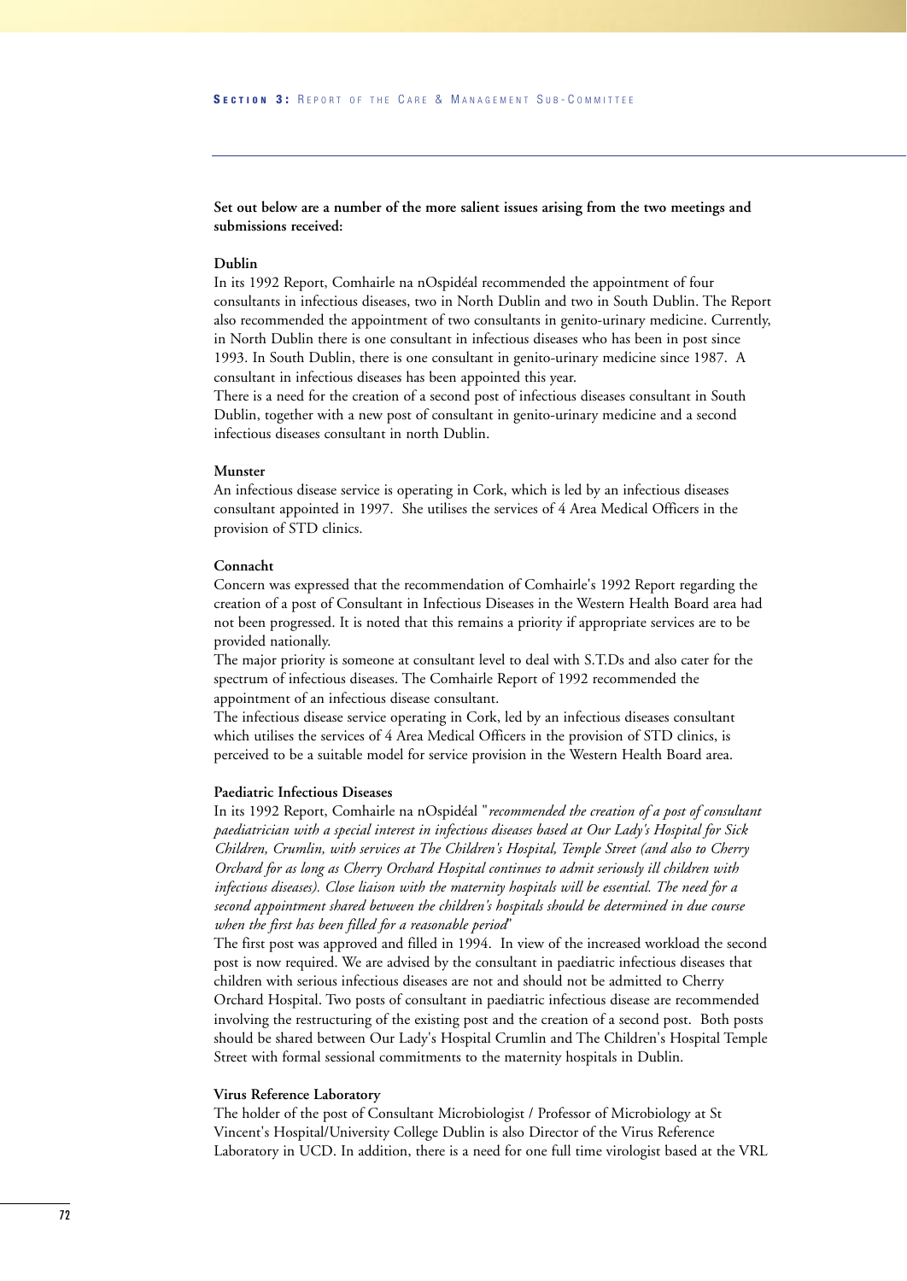**Set out below are a number of the more salient issues arising from the two meetings and submissions received:** 

#### **Dublin**

In its 1992 Report, Comhairle na nOspidéal recommended the appointment of four consultants in infectious diseases, two in North Dublin and two in South Dublin. The Report also recommended the appointment of two consultants in genito-urinary medicine. Currently, in North Dublin there is one consultant in infectious diseases who has been in post since 1993. In South Dublin, there is one consultant in genito-urinary medicine since 1987. A consultant in infectious diseases has been appointed this year.

There is a need for the creation of a second post of infectious diseases consultant in South Dublin, together with a new post of consultant in genito-urinary medicine and a second infectious diseases consultant in north Dublin.

#### **Munster**

An infectious disease service is operating in Cork, which is led by an infectious diseases consultant appointed in 1997. She utilises the services of 4 Area Medical Officers in the provision of STD clinics.

#### **Connacht**

Concern was expressed that the recommendation of Comhairle's 1992 Report regarding the creation of a post of Consultant in Infectious Diseases in the Western Health Board area had not been progressed. It is noted that this remains a priority if appropriate services are to be provided nationally.

The major priority is someone at consultant level to deal with S.T.Ds and also cater for the spectrum of infectious diseases. The Comhairle Report of 1992 recommended the appointment of an infectious disease consultant.

The infectious disease service operating in Cork, led by an infectious diseases consultant which utilises the services of 4 Area Medical Officers in the provision of STD clinics, is perceived to be a suitable model for service provision in the Western Health Board area.

#### **Paediatric Infectious Diseases**

In its 1992 Report, Comhairle na nOspidéal "*recommended the creation of a post of consultant paediatrician with a special interest in infectious diseases based at Our Lady's Hospital for Sick Children, Crumlin, with services at The Children's Hospital, Temple Street (and also to Cherry Orchard for as long as Cherry Orchard Hospital continues to admit seriously ill children with infectious diseases). Close liaison with the maternity hospitals will be essential. The need for a second appointment shared between the children's hospitals should be determined in due course when the first has been filled for a reasonable period*"

The first post was approved and filled in 1994. In view of the increased workload the second post is now required. We are advised by the consultant in paediatric infectious diseases that children with serious infectious diseases are not and should not be admitted to Cherry Orchard Hospital. Two posts of consultant in paediatric infectious disease are recommended involving the restructuring of the existing post and the creation of a second post. Both posts should be shared between Our Lady's Hospital Crumlin and The Children's Hospital Temple Street with formal sessional commitments to the maternity hospitals in Dublin.

#### **Virus Reference Laboratory**

The holder of the post of Consultant Microbiologist / Professor of Microbiology at St Vincent's Hospital/University College Dublin is also Director of the Virus Reference Laboratory in UCD. In addition, there is a need for one full time virologist based at the VRL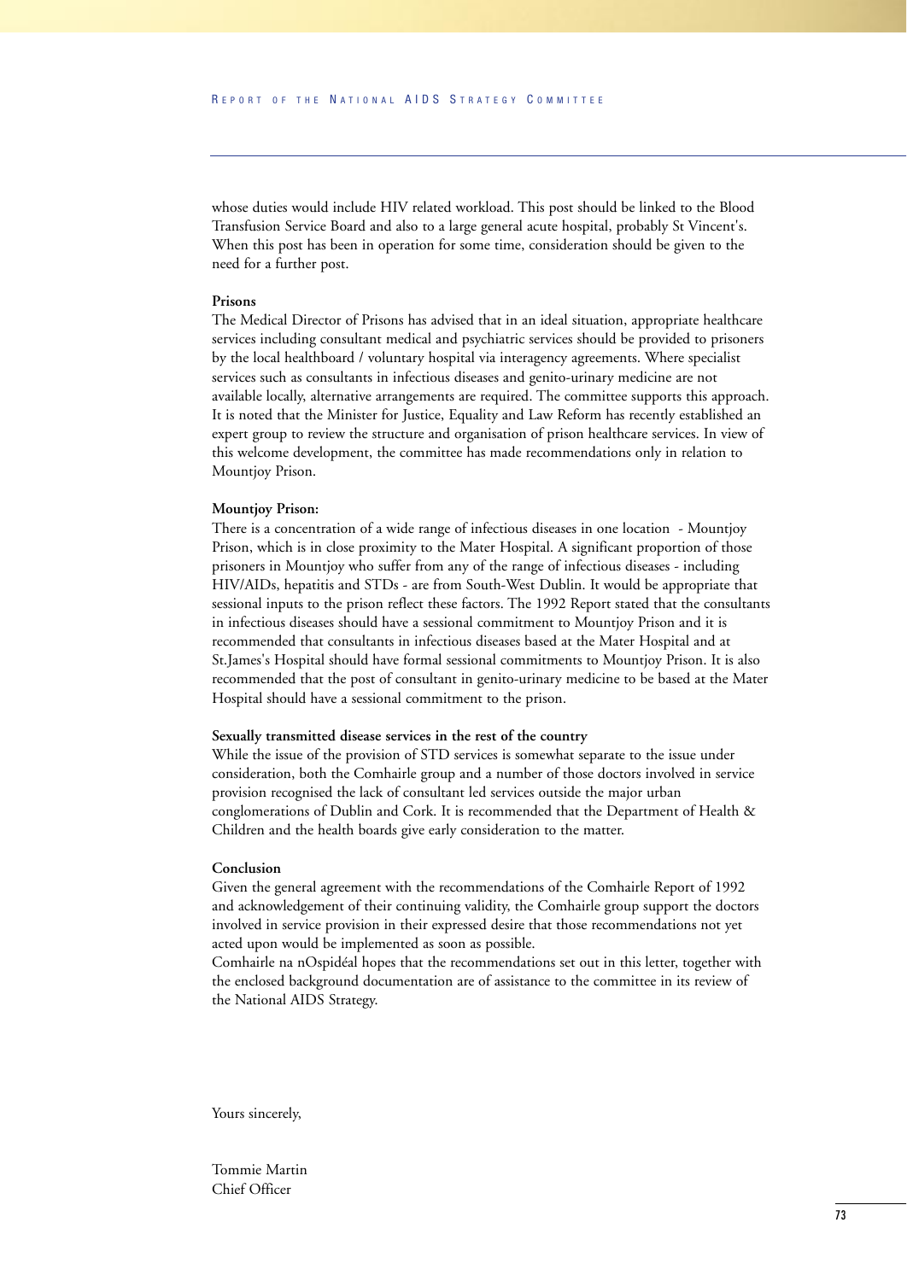whose duties would include HIV related workload. This post should be linked to the Blood Transfusion Service Board and also to a large general acute hospital, probably St Vincent's. When this post has been in operation for some time, consideration should be given to the need for a further post.

## **Prisons**

The Medical Director of Prisons has advised that in an ideal situation, appropriate healthcare services including consultant medical and psychiatric services should be provided to prisoners by the local healthboard / voluntary hospital via interagency agreements. Where specialist services such as consultants in infectious diseases and genito-urinary medicine are not available locally, alternative arrangements are required. The committee supports this approach. It is noted that the Minister for Justice, Equality and Law Reform has recently established an expert group to review the structure and organisation of prison healthcare services. In view of this welcome development, the committee has made recommendations only in relation to Mountjoy Prison.

#### **Mountjoy Prison:**

There is a concentration of a wide range of infectious diseases in one location - Mountjoy Prison, which is in close proximity to the Mater Hospital. A significant proportion of those prisoners in Mountjoy who suffer from any of the range of infectious diseases - including HIV/AIDs, hepatitis and STDs - are from South-West Dublin. It would be appropriate that sessional inputs to the prison reflect these factors. The 1992 Report stated that the consultants in infectious diseases should have a sessional commitment to Mountjoy Prison and it is recommended that consultants in infectious diseases based at the Mater Hospital and at St.James's Hospital should have formal sessional commitments to Mountjoy Prison. It is also recommended that the post of consultant in genito-urinary medicine to be based at the Mater Hospital should have a sessional commitment to the prison.

### **Sexually transmitted disease services in the rest of the country**

While the issue of the provision of STD services is somewhat separate to the issue under consideration, both the Comhairle group and a number of those doctors involved in service provision recognised the lack of consultant led services outside the major urban conglomerations of Dublin and Cork. It is recommended that the Department of Health & Children and the health boards give early consideration to the matter.

## **Conclusion**

Given the general agreement with the recommendations of the Comhairle Report of 1992 and acknowledgement of their continuing validity, the Comhairle group support the doctors involved in service provision in their expressed desire that those recommendations not yet acted upon would be implemented as soon as possible.

Comhairle na nOspidéal hopes that the recommendations set out in this letter, together with the enclosed background documentation are of assistance to the committee in its review of the National AIDS Strategy.

Yours sincerely,

Tommie Martin Chief Officer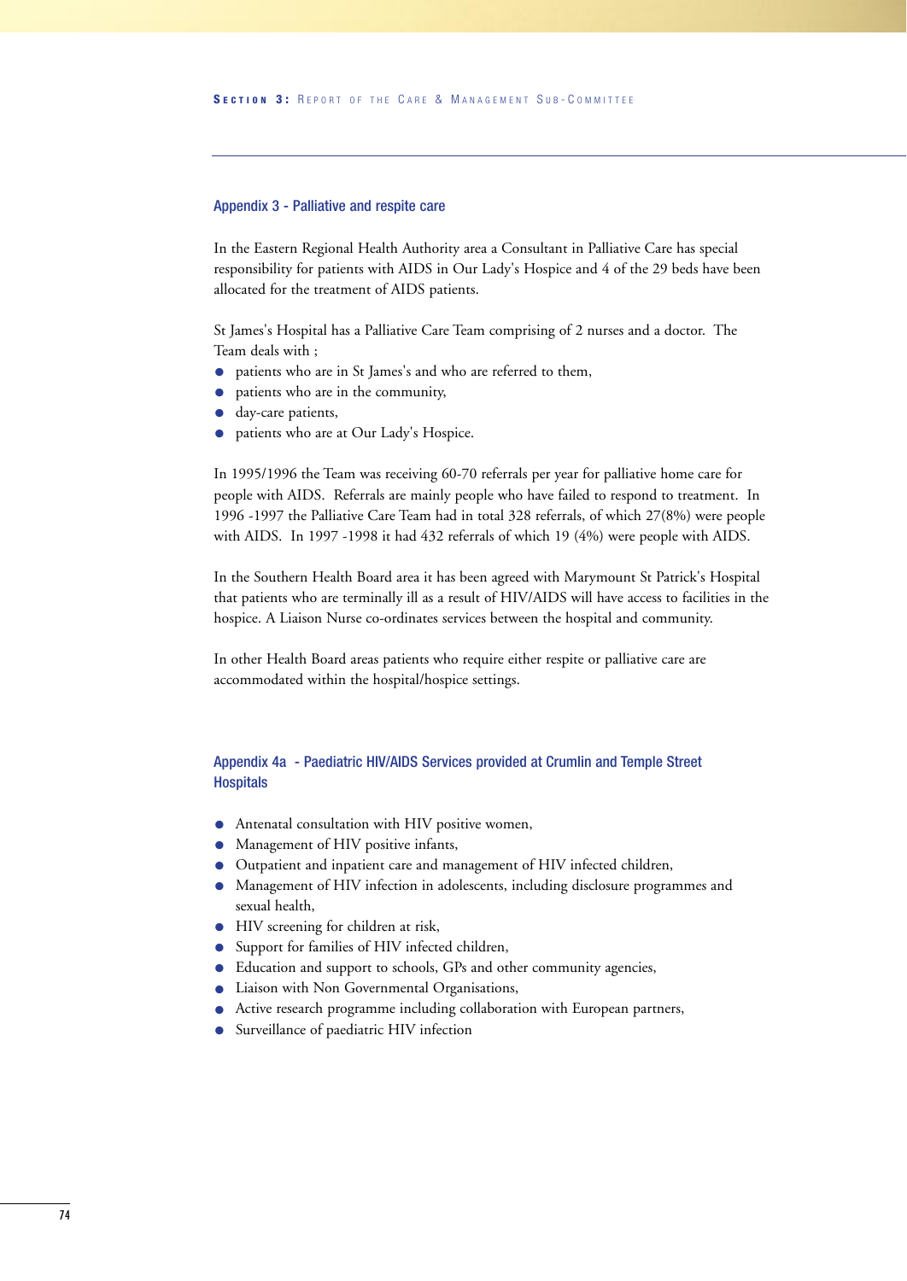## Appendix 3 - Palliative and respite care

In the Eastern Regional Health Authority area a Consultant in Palliative Care has special responsibility for patients with AIDS in Our Lady's Hospice and 4 of the 29 beds have been allocated for the treatment of AIDS patients.

St James's Hospital has a Palliative Care Team comprising of 2 nurses and a doctor. The Team deals with ;

- patients who are in St James's and who are referred to them,
- patients who are in the community,
- day-care patients,
- patients who are at Our Lady's Hospice.

In 1995/1996 the Team was receiving 60-70 referrals per year for palliative home care for people with AIDS. Referrals are mainly people who have failed to respond to treatment. In 1996 -1997 the Palliative Care Team had in total 328 referrals, of which 27(8%) were people with AIDS. In 1997 -1998 it had 432 referrals of which 19 (4%) were people with AIDS.

In the Southern Health Board area it has been agreed with Marymount St Patrick's Hospital that patients who are terminally ill as a result of HIV/AIDS will have access to facilities in the hospice. A Liaison Nurse co-ordinates services between the hospital and community.

In other Health Board areas patients who require either respite or palliative care are accommodated within the hospital/hospice settings.

## Appendix 4a - Paediatric HIV/AIDS Services provided at Crumlin and Temple Street **Hospitals**

- Antenatal consultation with HIV positive women,
- Management of HIV positive infants,
- Outpatient and inpatient care and management of HIV infected children,
- Management of HIV infection in adolescents, including disclosure programmes and sexual health,
- HIV screening for children at risk,
- Support for families of HIV infected children,
- Education and support to schools, GPs and other community agencies,
- Liaison with Non Governmental Organisations,
- Active research programme including collaboration with European partners,
- Surveillance of paediatric HIV infection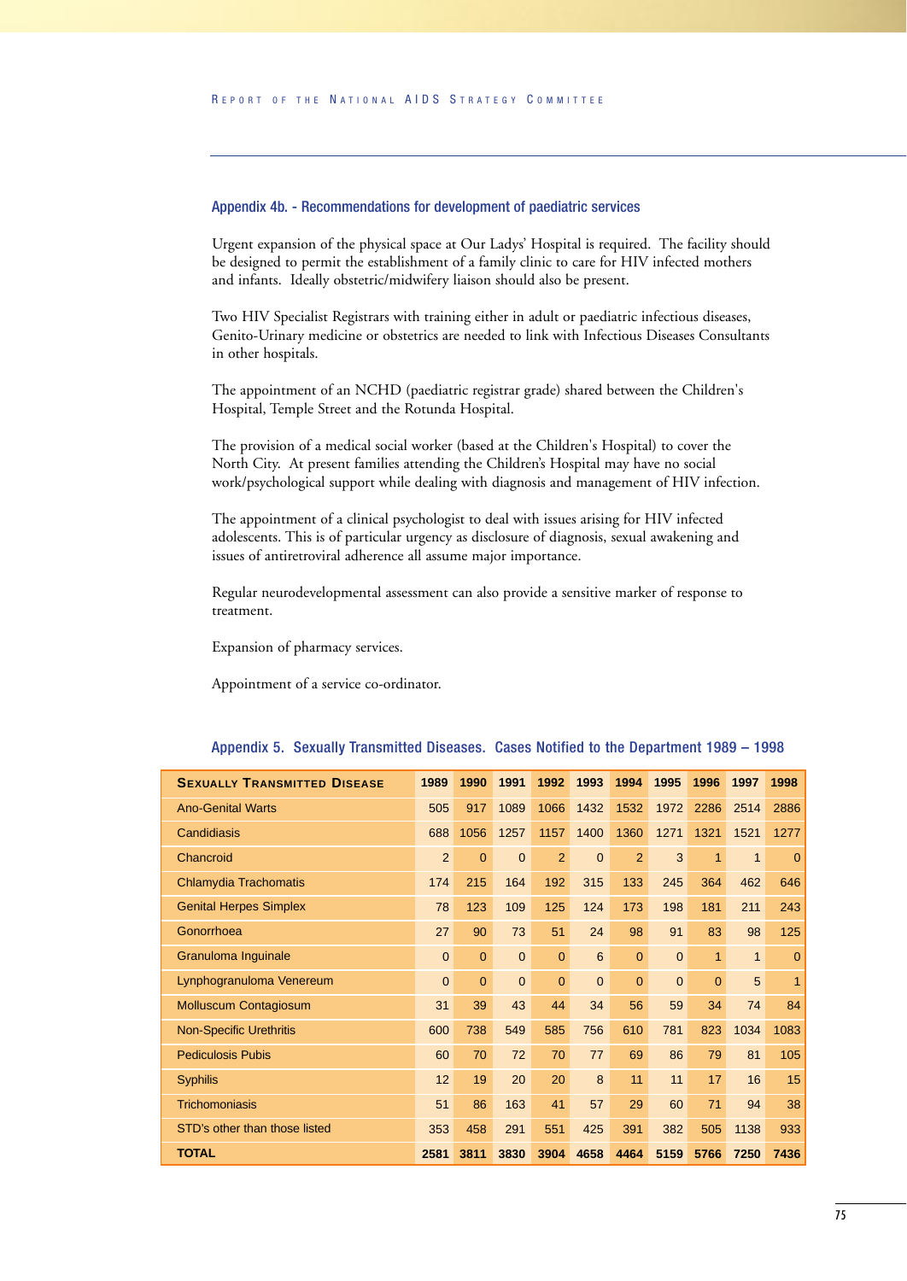## Appendix 4b. - Recommendations for development of paediatric services

Urgent expansion of the physical space at Our Ladys' Hospital is required. The facility should be designed to permit the establishment of a family clinic to care for HIV infected mothers and infants. Ideally obstetric/midwifery liaison should also be present.

Two HIV Specialist Registrars with training either in adult or paediatric infectious diseases, Genito-Urinary medicine or obstetrics are needed to link with Infectious Diseases Consultants in other hospitals.

The appointment of an NCHD (paediatric registrar grade) shared between the Children's Hospital, Temple Street and the Rotunda Hospital.

The provision of a medical social worker (based at the Children's Hospital) to cover the North City. At present families attending the Children's Hospital may have no social work/psychological support while dealing with diagnosis and management of HIV infection.

The appointment of a clinical psychologist to deal with issues arising for HIV infected adolescents. This is of particular urgency as disclosure of diagnosis, sexual awakening and issues of antiretroviral adherence all assume major importance.

Regular neurodevelopmental assessment can also provide a sensitive marker of response to treatment.

Expansion of pharmacy services.

Appointment of a service co-ordinator.

| Appendix 5. Sexually Transmitted Diseases. Cases Notified to the Department 1989 – 1998 |  |  |  |  |  |  |
|-----------------------------------------------------------------------------------------|--|--|--|--|--|--|
|-----------------------------------------------------------------------------------------|--|--|--|--|--|--|

| <b>SEXUALLY TRANSMITTED DISEASE</b> | 1989           | 1990           | 1991           | 1992           | 1993         | 1994           | 1995           | 1996           | 1997         | 1998           |
|-------------------------------------|----------------|----------------|----------------|----------------|--------------|----------------|----------------|----------------|--------------|----------------|
| <b>Ano-Genital Warts</b>            | 505            | 917            | 1089           | 1066           | 1432         | 1532           | 1972           | 2286           | 2514         | 2886           |
| Candidiasis                         | 688            | 1056           | 1257           | 1157           | 1400         | 1360           | 1271           | 1321           | 1521         | 1277           |
| Chancroid                           | $\overline{2}$ | $\overline{0}$ | $\overline{0}$ | $\overline{2}$ | $\Omega$     | $\overline{2}$ | 3              | $\mathbf{1}$   | $\mathbf{1}$ | $\overline{0}$ |
| Chlamydia Trachomatis               | 174            | 215            | 164            | 192            | 315          | 133            | 245            | 364            | 462          | 646            |
| <b>Genital Herpes Simplex</b>       | 78             | 123            | 109            | 125            | 124          | 173            | 198            | 181            | 211          | 243            |
| Gonorrhoea                          | 27             | 90             | 73             | 51             | 24           | 98             | 91             | 83             | 98           | 125            |
| Granuloma Inguinale                 | $\mathbf{0}$   | $\overline{0}$ | $\overline{0}$ | $\overline{0}$ | 6            | $\overline{0}$ | $\mathbf{0}$   | $\mathbf{1}$   | $\mathbf{1}$ | $\overline{0}$ |
| Lynphogranuloma Venereum            | $\overline{0}$ | $\overline{0}$ | $\overline{0}$ | $\overline{0}$ | $\mathbf{0}$ | $\overline{0}$ | $\overline{0}$ | $\overline{0}$ | 5            | $\overline{1}$ |
| <b>Molluscum Contagiosum</b>        | 31             | 39             | 43             | 44             | 34           | 56             | 59             | 34             | 74           | 84             |
| <b>Non-Specific Urethritis</b>      | 600            | 738            | 549            | 585            | 756          | 610            | 781            | 823            | 1034         | 1083           |
| <b>Pediculosis Pubis</b>            | 60             | 70             | 72             | 70             | 77           | 69             | 86             | 79             | 81           | 105            |
| <b>Syphilis</b>                     | 12             | 19             | 20             | 20             | 8            | 11             | 11             | 17             | 16           | 15             |
| <b>Trichomoniasis</b>               | 51             | 86             | 163            | 41             | 57           | 29             | 60             | 71             | 94           | 38             |
| STD's other than those listed       | 353            | 458            | 291            | 551            | 425          | 391            | 382            | 505            | 1138         | 933            |
| <b>TOTAL</b>                        | 2581           | 3811           | 3830           | 3904           | 4658         | 4464           | 5159           | 5766           | 7250         | 7436           |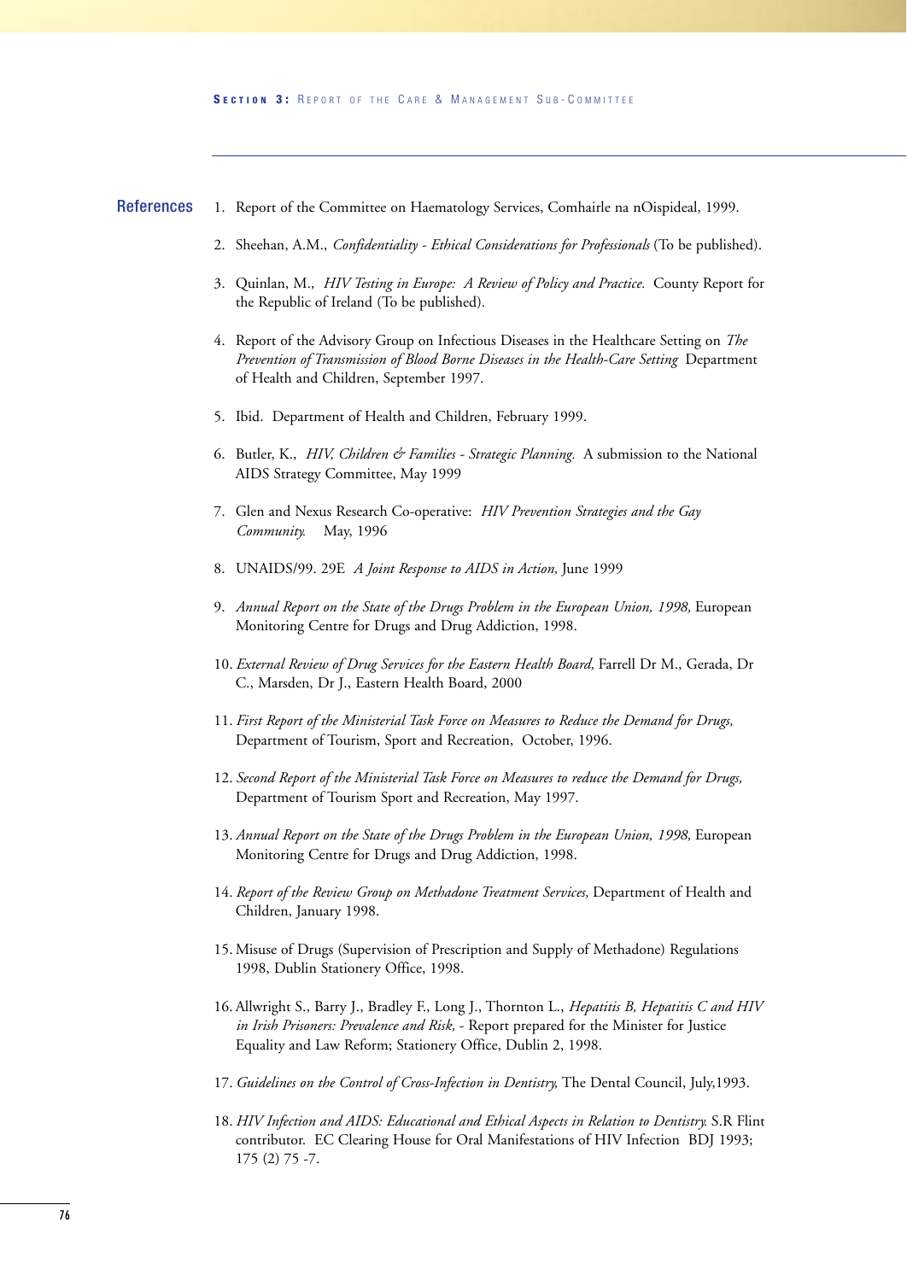- 1. Report of the Committee on Haematology Services, Comhairle na nOispideal, 1999. **References** 
	- 2. Sheehan, A.M., *Confidentiality Ethical Considerations for Professionals* (To be published).
	- 3. Quinlan, M., *HIV Testing in Europe: A Review of Policy and Practice.* County Report for the Republic of Ireland (To be published).
	- 4. Report of the Advisory Group on Infectious Diseases in the Healthcare Setting on *The Prevention of Transmission of Blood Borne Diseases in the Health-Care Setting* Department of Health and Children, September 1997.
	- 5. Ibid. Department of Health and Children, February 1999.
	- 6. Butler, K., *HIV, Children & Families Strategic Planning.* A submission to the National AIDS Strategy Committee, May 1999
	- 7. Glen and Nexus Research Co-operative: *HIV Prevention Strategies and the Gay Community.* May, 1996
	- 8. UNAIDS/99. 29E *A Joint Response to AIDS in Action,* June 1999
	- 9. *Annual Report on the State of the Drugs Problem in the European Union, 1998, European* Monitoring Centre for Drugs and Drug Addiction, 1998.
	- 10. *External Review of Drug Services for the Eastern Health Board,* Farrell Dr M., Gerada, Dr C., Marsden, Dr J., Eastern Health Board, 2000
	- 11. *First Report of the Ministerial Task Force on Measures to Reduce the Demand for Drugs,* Department of Tourism, Sport and Recreation, October, 1996.
	- 12. *Second Report of the Ministerial Task Force on Measures to reduce the Demand for Drugs,* Department of Tourism Sport and Recreation, May 1997.
	- 13. *Annual Report on the State of the Drugs Problem in the European Union, 1998*, European Monitoring Centre for Drugs and Drug Addiction, 1998.
	- 14. *Report of the Review Group on Methadone Treatment Services,* Department of Health and Children, January 1998.
	- 15. Misuse of Drugs (Supervision of Prescription and Supply of Methadone) Regulations 1998, Dublin Stationery Office, 1998.
	- 16. Allwright S., Barry J., Bradley F., Long J., Thornton L., *Hepatitis B, Hepatitis C and HIV in Irish Prisoners: Prevalence and Risk,* - Report prepared for the Minister for Justice Equality and Law Reform; Stationery Office, Dublin 2, 1998.
	- 17. *Guidelines on the Control of Cross-Infection in Dentistry,* The Dental Council, July,1993.
	- 18. *HIV Infection and AIDS: Educational and Ethical Aspects in Relation to Dentistry.* S.R Flint contributor. EC Clearing House for Oral Manifestations of HIV Infection BDJ 1993; 175 (2) 75 -7.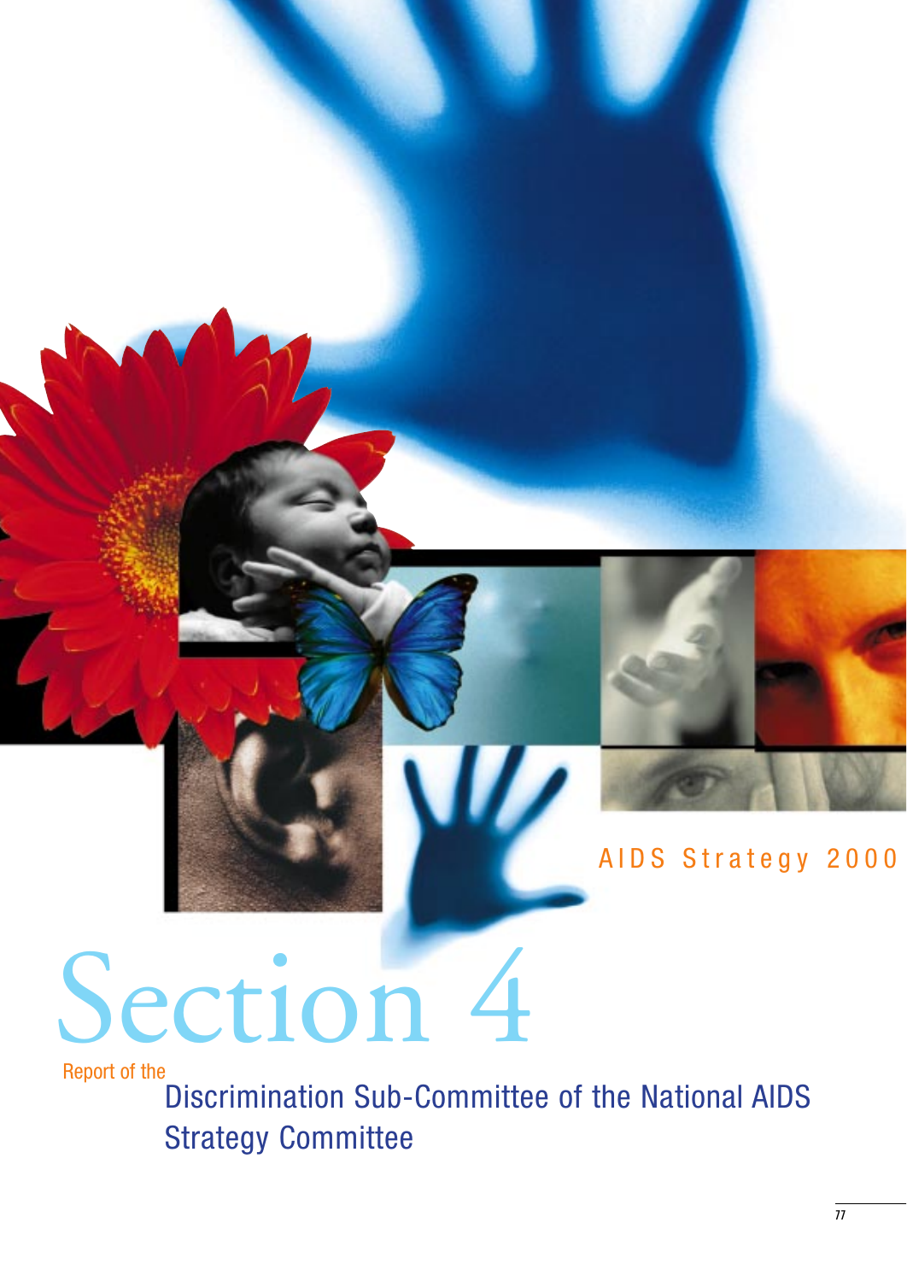

# AIDS Strategy 2000

# Section 4

Report of the

Discrimination Sub-Committee of the National AIDS Strategy Committee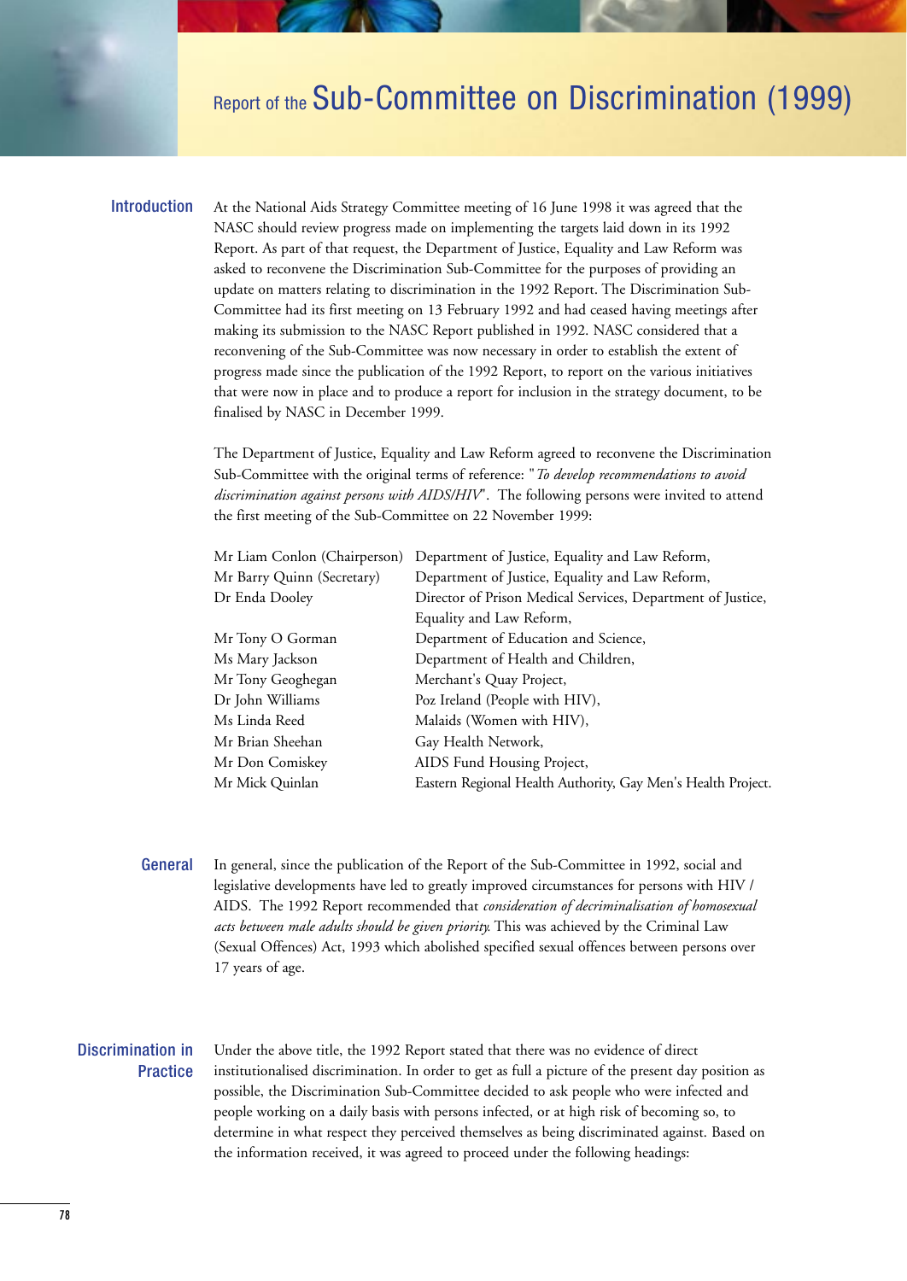## Report of the Sub-Committee on Discrimination (1999)

## Introduction

At the National Aids Strategy Committee meeting of 16 June 1998 it was agreed that the NASC should review progress made on implementing the targets laid down in its 1992 Report. As part of that request, the Department of Justice, Equality and Law Reform was asked to reconvene the Discrimination Sub-Committee for the purposes of providing an update on matters relating to discrimination in the 1992 Report. The Discrimination Sub-Committee had its first meeting on 13 February 1992 and had ceased having meetings after making its submission to the NASC Report published in 1992. NASC considered that a reconvening of the Sub-Committee was now necessary in order to establish the extent of progress made since the publication of the 1992 Report, to report on the various initiatives that were now in place and to produce a report for inclusion in the strategy document, to be finalised by NASC in December 1999.

The Department of Justice, Equality and Law Reform agreed to reconvene the Discrimination Sub-Committee with the original terms of reference: "*To develop recommendations to avoid discrimination against persons with AIDS/HIV*". The following persons were invited to attend the first meeting of the Sub-Committee on 22 November 1999:

| Mr Liam Conlon (Chairperson) | Department of Justice, Equality and Law Reform,              |  |  |  |
|------------------------------|--------------------------------------------------------------|--|--|--|
| Mr Barry Quinn (Secretary)   | Department of Justice, Equality and Law Reform,              |  |  |  |
| Dr Enda Dooley               | Director of Prison Medical Services, Department of Justice,  |  |  |  |
|                              | Equality and Law Reform,                                     |  |  |  |
| Mr Tony O Gorman             | Department of Education and Science,                         |  |  |  |
| Ms Mary Jackson              | Department of Health and Children,                           |  |  |  |
| Mr Tony Geoghegan            | Merchant's Quay Project,                                     |  |  |  |
| Dr John Williams             | Poz Ireland (People with HIV),                               |  |  |  |
| Ms Linda Reed                | Malaids (Women with HIV),                                    |  |  |  |
| Mr Brian Sheehan             | Gay Health Network,                                          |  |  |  |
| Mr Don Comiskey              | AIDS Fund Housing Project,                                   |  |  |  |
| Mr Mick Quinlan              | Eastern Regional Health Authority, Gay Men's Health Project. |  |  |  |

In general, since the publication of the Report of the Sub-Committee in 1992, social and legislative developments have led to greatly improved circumstances for persons with HIV / AIDS. The 1992 Report recommended that *consideration of decriminalisation of homosexual acts between male adults should be given priority.* This was achieved by the Criminal Law (Sexual Offences) Act, 1993 which abolished specified sexual offences between persons over 17 years of age. **General** 

## Discrimination in **Practice**

Under the above title, the 1992 Report stated that there was no evidence of direct institutionalised discrimination. In order to get as full a picture of the present day position as possible, the Discrimination Sub-Committee decided to ask people who were infected and people working on a daily basis with persons infected, or at high risk of becoming so, to determine in what respect they perceived themselves as being discriminated against. Based on the information received, it was agreed to proceed under the following headings: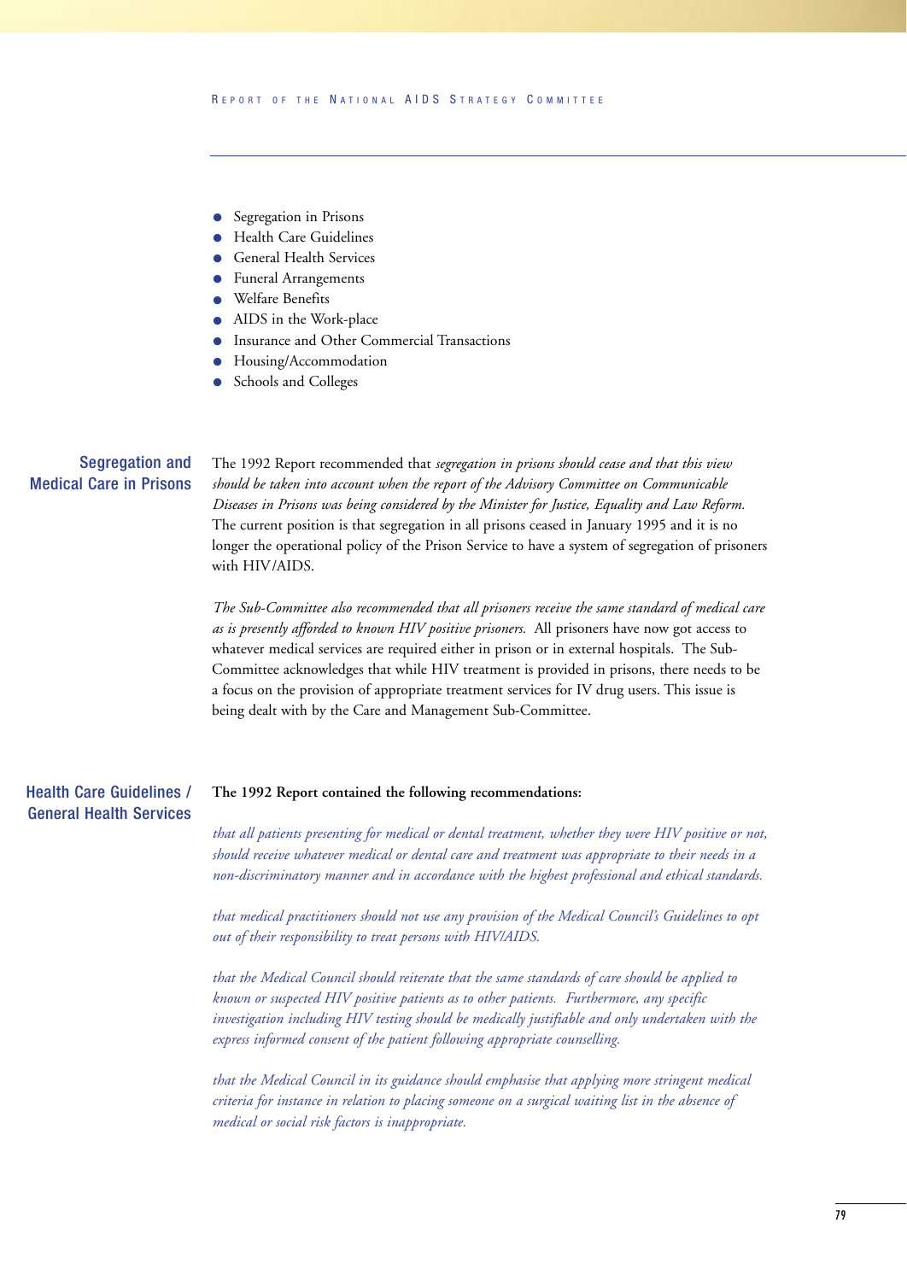- Segregation in Prisons
- Health Care Guidelines
- General Health Services
- Funeral Arrangements
- Welfare Benefits
- AIDS in the Work-place
- Insurance and Other Commercial Transactions
- Housing/Accommodation
- Schools and Colleges

## Segregation and Medical Care in Prisons

The 1992 Report recommended that *segregation in prisons should cease and that this view should be taken into account when the report of the Advisory Committee on Communicable Diseases in Prisons was being considered by the Minister for Justice, Equality and Law Reform.* The current position is that segregation in all prisons ceased in January 1995 and it is no longer the operational policy of the Prison Service to have a system of segregation of prisoners with HIV/AIDS.

*The Sub-Committee also recommended that all prisoners receive the same standard of medical care as is presently afforded to known HIV positive prisoners.* All prisoners have now got access to whatever medical services are required either in prison or in external hospitals. The Sub-Committee acknowledges that while HIV treatment is provided in prisons, there needs to be a focus on the provision of appropriate treatment services for IV drug users. This issue is being dealt with by the Care and Management Sub-Committee.

#### **The 1992 Report contained the following recommendations:** Health Care Guidelines / General Health Services

*that all patients presenting for medical or dental treatment, whether they were HIV positive or not, should receive whatever medical or dental care and treatment was appropriate to their needs in a non-discriminatory manner and in accordance with the highest professional and ethical standards.*

*that medical practitioners should not use any provision of the Medical Council's Guidelines to opt out of their responsibility to treat persons with HIV/AIDS.*

*that the Medical Council should reiterate that the same standards of care should be applied to known or suspected HIV positive patients as to other patients. Furthermore, any specific investigation including HIV testing should be medically justifiable and only undertaken with the express informed consent of the patient following appropriate counselling.*

*that the Medical Council in its guidance should emphasise that applying more stringent medical criteria for instance in relation to placing someone on a surgical waiting list in the absence of medical or social risk factors is inappropriate.*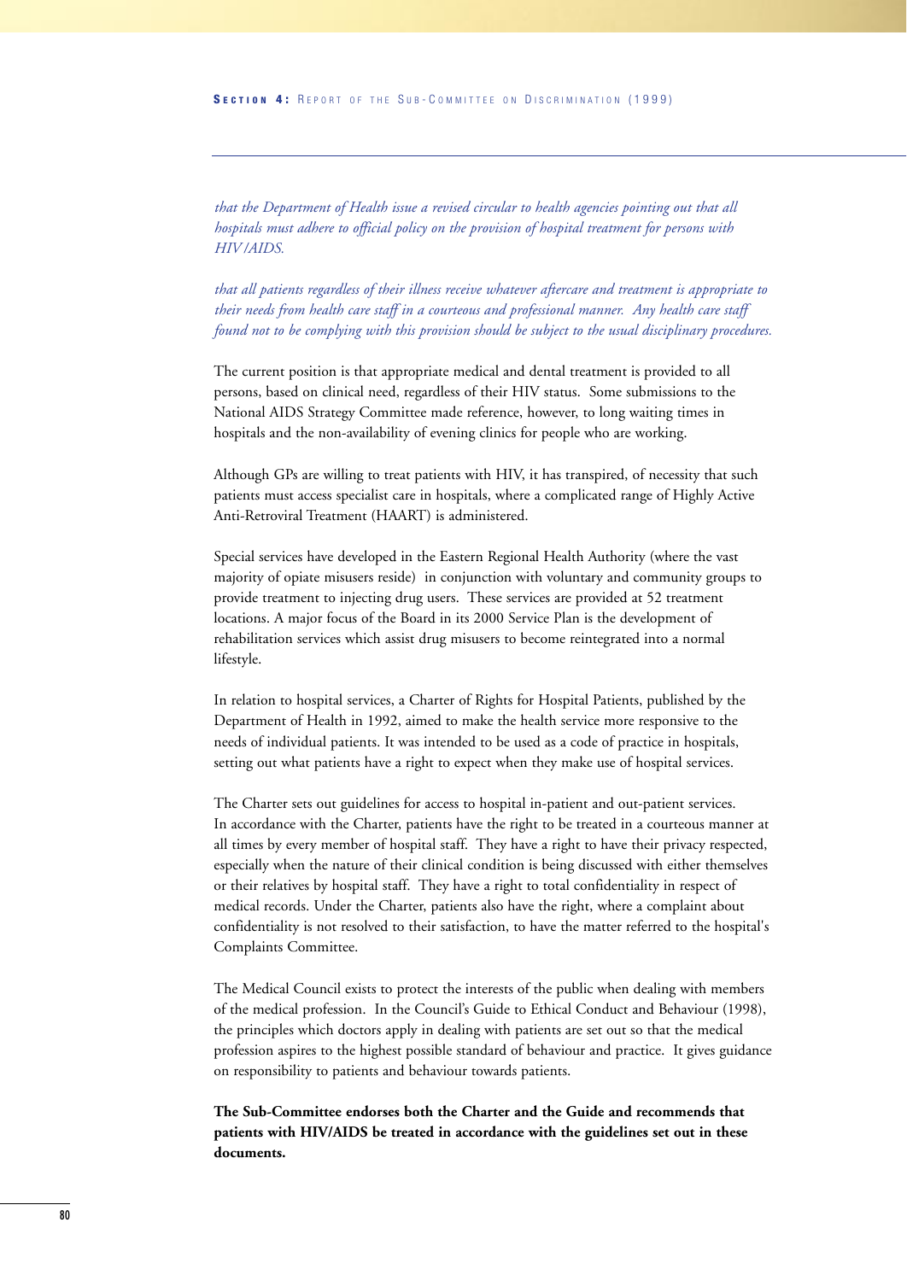*that the Department of Health issue a revised circular to health agencies pointing out that all hospitals must adhere to official policy on the provision of hospital treatment for persons with HIV /AIDS.*

*that all patients regardless of their illness receive whatever aftercare and treatment is appropriate to their needs from health care staff in a courteous and professional manner. Any health care staff found not to be complying with this provision should be subject to the usual disciplinary procedures.*

The current position is that appropriate medical and dental treatment is provided to all persons, based on clinical need, regardless of their HIV status. Some submissions to the National AIDS Strategy Committee made reference, however, to long waiting times in hospitals and the non-availability of evening clinics for people who are working.

Although GPs are willing to treat patients with HIV, it has transpired, of necessity that such patients must access specialist care in hospitals, where a complicated range of Highly Active Anti-Retroviral Treatment (HAART) is administered.

Special services have developed in the Eastern Regional Health Authority (where the vast majority of opiate misusers reside) in conjunction with voluntary and community groups to provide treatment to injecting drug users. These services are provided at 52 treatment locations. A major focus of the Board in its 2000 Service Plan is the development of rehabilitation services which assist drug misusers to become reintegrated into a normal lifestyle.

In relation to hospital services, a Charter of Rights for Hospital Patients, published by the Department of Health in 1992, aimed to make the health service more responsive to the needs of individual patients. It was intended to be used as a code of practice in hospitals, setting out what patients have a right to expect when they make use of hospital services.

The Charter sets out guidelines for access to hospital in-patient and out-patient services. In accordance with the Charter, patients have the right to be treated in a courteous manner at all times by every member of hospital staff. They have a right to have their privacy respected, especially when the nature of their clinical condition is being discussed with either themselves or their relatives by hospital staff. They have a right to total confidentiality in respect of medical records. Under the Charter, patients also have the right, where a complaint about confidentiality is not resolved to their satisfaction, to have the matter referred to the hospital's Complaints Committee.

The Medical Council exists to protect the interests of the public when dealing with members of the medical profession. In the Council's Guide to Ethical Conduct and Behaviour (1998), the principles which doctors apply in dealing with patients are set out so that the medical profession aspires to the highest possible standard of behaviour and practice. It gives guidance on responsibility to patients and behaviour towards patients.

**The Sub-Committee endorses both the Charter and the Guide and recommends that patients with HIV/AIDS be treated in accordance with the guidelines set out in these documents.**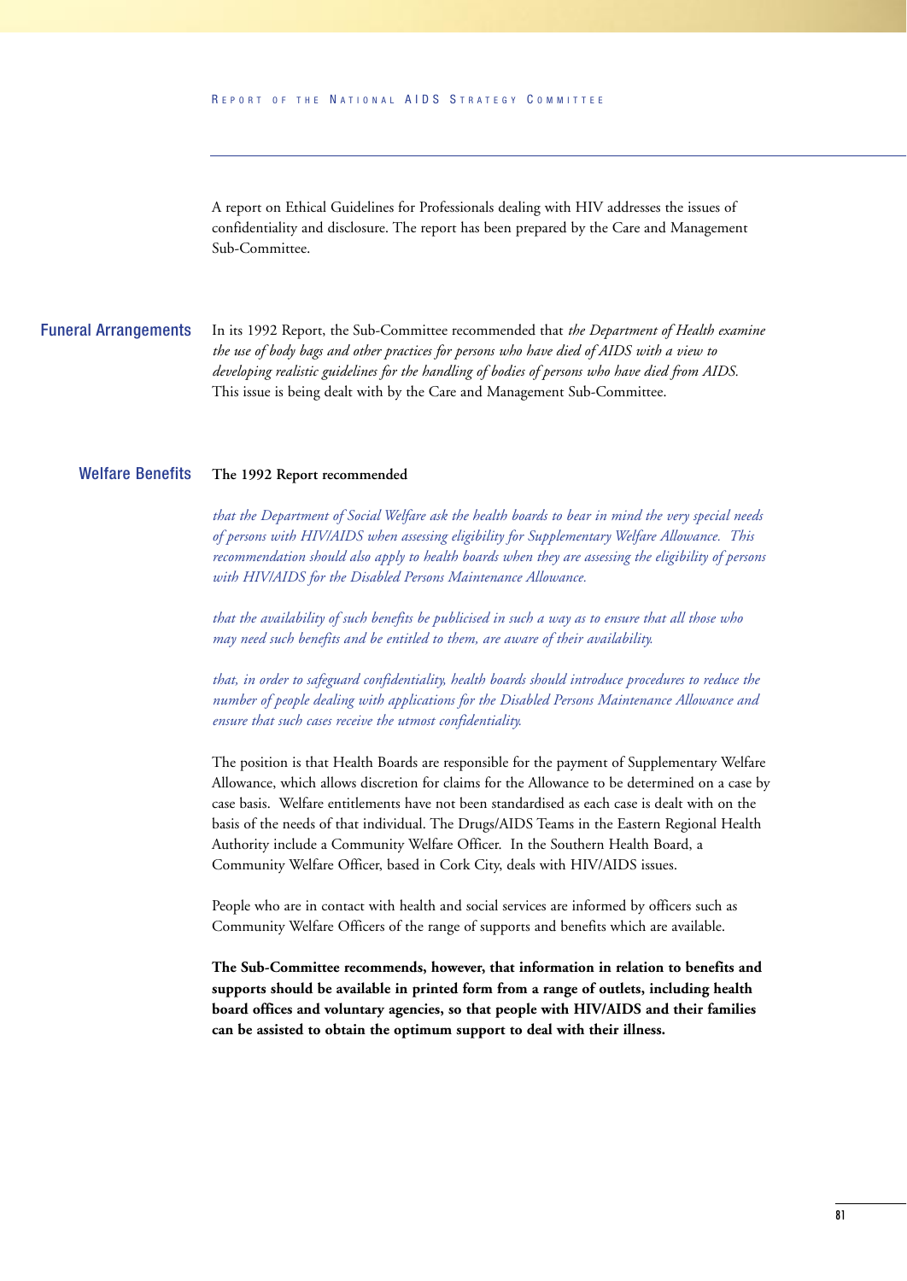A report on Ethical Guidelines for Professionals dealing with HIV addresses the issues of confidentiality and disclosure. The report has been prepared by the Care and Management Sub-Committee.

In its 1992 Report, the Sub-Committee recommended that *the Department of Health examine the use of body bags and other practices for persons who have died of AIDS with a view to developing realistic guidelines for the handling of bodies of persons who have died from AIDS.* This issue is being dealt with by the Care and Management Sub-Committee. Funeral Arrangements

#### **The 1992 Report recommended**  Welfare Benefits

*that the Department of Social Welfare ask the health boards to bear in mind the very special needs of persons with HIV/AIDS when assessing eligibility for Supplementary Welfare Allowance. This recommendation should also apply to health boards when they are assessing the eligibility of persons with HIV/AIDS for the Disabled Persons Maintenance Allowance.*

*that the availability of such benefits be publicised in such a way as to ensure that all those who may need such benefits and be entitled to them, are aware of their availability.*

*that, in order to safeguard confidentiality, health boards should introduce procedures to reduce the number of people dealing with applications for the Disabled Persons Maintenance Allowance and ensure that such cases receive the utmost confidentiality.*

The position is that Health Boards are responsible for the payment of Supplementary Welfare Allowance, which allows discretion for claims for the Allowance to be determined on a case by case basis. Welfare entitlements have not been standardised as each case is dealt with on the basis of the needs of that individual. The Drugs/AIDS Teams in the Eastern Regional Health Authority include a Community Welfare Officer. In the Southern Health Board, a Community Welfare Officer, based in Cork City, deals with HIV/AIDS issues.

People who are in contact with health and social services are informed by officers such as Community Welfare Officers of the range of supports and benefits which are available.

**The Sub-Committee recommends, however, that information in relation to benefits and supports should be available in printed form from a range of outlets, including health board offices and voluntary agencies, so that people with HIV/AIDS and their families can be assisted to obtain the optimum support to deal with their illness.**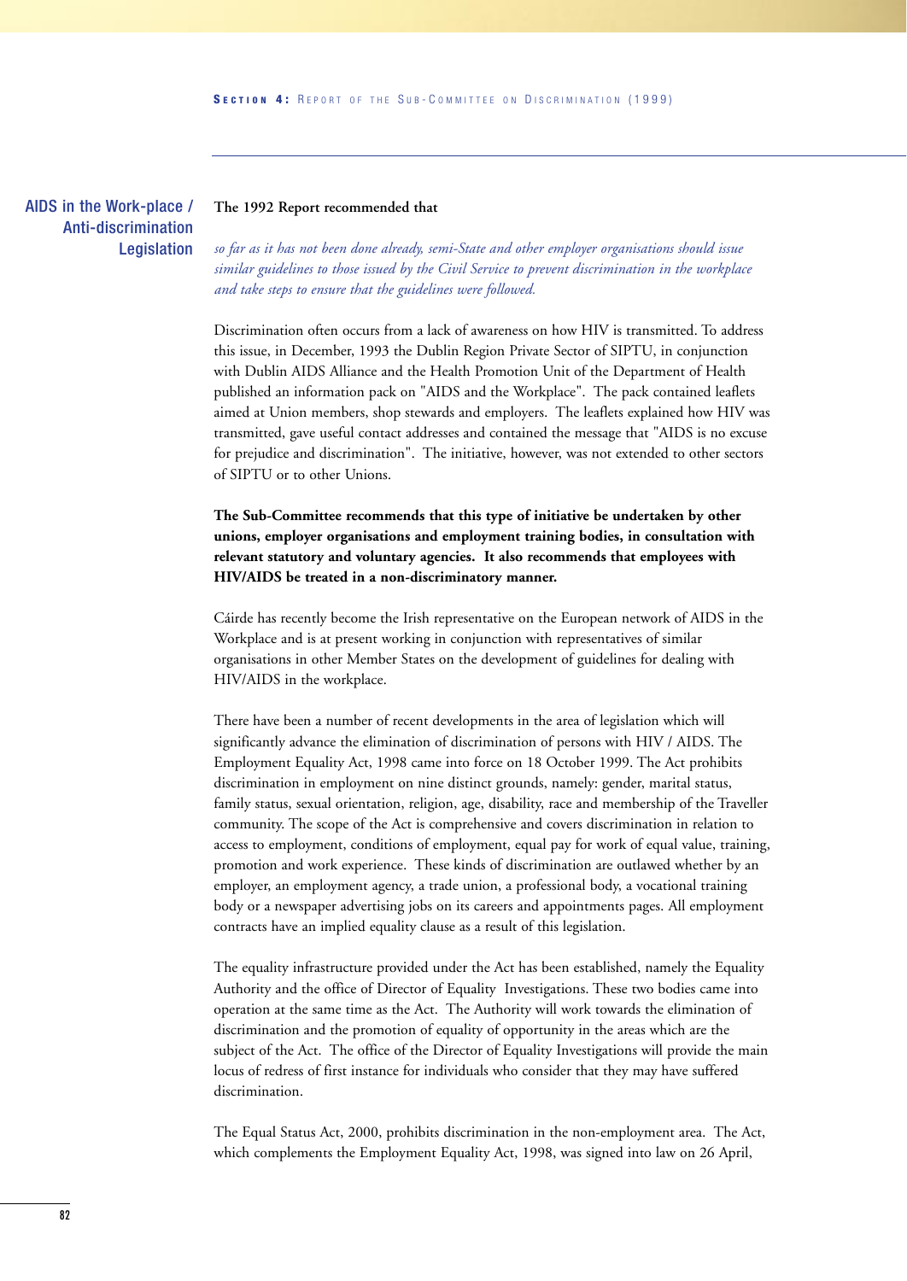AIDS in the Work-place / Anti-discrimination Legislation

## **The 1992 Report recommended that**

*so far as it has not been done already, semi-State and other employer organisations should issue similar guidelines to those issued by the Civil Service to prevent discrimination in the workplace and take steps to ensure that the guidelines were followed.* 

Discrimination often occurs from a lack of awareness on how HIV is transmitted. To address this issue, in December, 1993 the Dublin Region Private Sector of SIPTU, in conjunction with Dublin AIDS Alliance and the Health Promotion Unit of the Department of Health published an information pack on "AIDS and the Workplace". The pack contained leaflets aimed at Union members, shop stewards and employers. The leaflets explained how HIV was transmitted, gave useful contact addresses and contained the message that "AIDS is no excuse for prejudice and discrimination". The initiative, however, was not extended to other sectors of SIPTU or to other Unions.

**The Sub-Committee recommends that this type of initiative be undertaken by other unions, employer organisations and employment training bodies, in consultation with relevant statutory and voluntary agencies. It also recommends that employees with HIV/AIDS be treated in a non-discriminatory manner.** 

Cáirde has recently become the Irish representative on the European network of AIDS in the Workplace and is at present working in conjunction with representatives of similar organisations in other Member States on the development of guidelines for dealing with HIV/AIDS in the workplace.

There have been a number of recent developments in the area of legislation which will significantly advance the elimination of discrimination of persons with HIV / AIDS. The Employment Equality Act, 1998 came into force on 18 October 1999. The Act prohibits discrimination in employment on nine distinct grounds, namely: gender, marital status, family status, sexual orientation, religion, age, disability, race and membership of the Traveller community. The scope of the Act is comprehensive and covers discrimination in relation to access to employment, conditions of employment, equal pay for work of equal value, training, promotion and work experience. These kinds of discrimination are outlawed whether by an employer, an employment agency, a trade union, a professional body, a vocational training body or a newspaper advertising jobs on its careers and appointments pages. All employment contracts have an implied equality clause as a result of this legislation.

The equality infrastructure provided under the Act has been established, namely the Equality Authority and the office of Director of Equality Investigations. These two bodies came into operation at the same time as the Act. The Authority will work towards the elimination of discrimination and the promotion of equality of opportunity in the areas which are the subject of the Act. The office of the Director of Equality Investigations will provide the main locus of redress of first instance for individuals who consider that they may have suffered discrimination.

The Equal Status Act, 2000, prohibits discrimination in the non-employment area. The Act, which complements the Employment Equality Act, 1998, was signed into law on 26 April,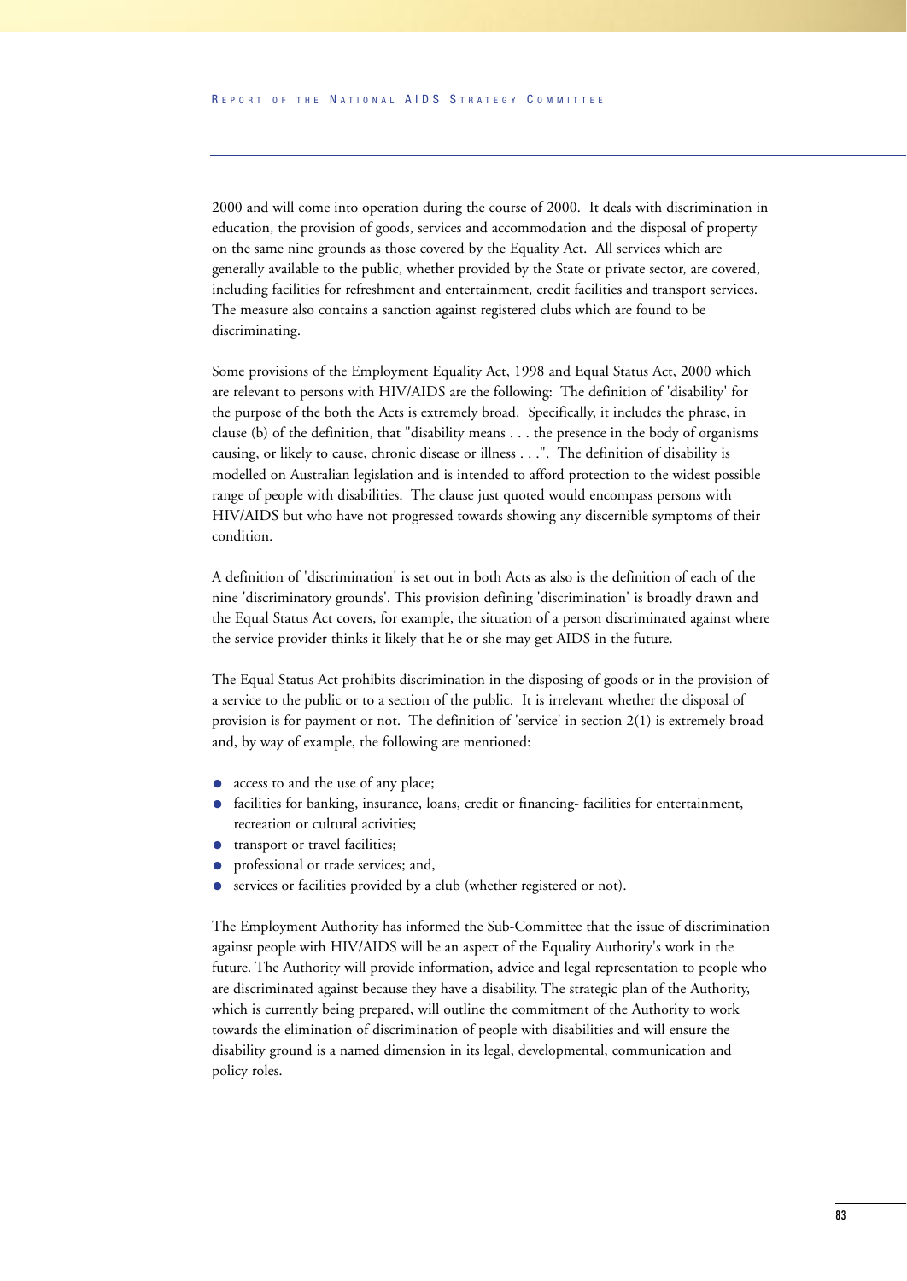2000 and will come into operation during the course of 2000. It deals with discrimination in education, the provision of goods, services and accommodation and the disposal of property on the same nine grounds as those covered by the Equality Act. All services which are generally available to the public, whether provided by the State or private sector, are covered, including facilities for refreshment and entertainment, credit facilities and transport services. The measure also contains a sanction against registered clubs which are found to be discriminating.

Some provisions of the Employment Equality Act, 1998 and Equal Status Act, 2000 which are relevant to persons with HIV/AIDS are the following: The definition of 'disability' for the purpose of the both the Acts is extremely broad. Specifically, it includes the phrase, in clause (b) of the definition, that "disability means . . . the presence in the body of organisms causing, or likely to cause, chronic disease or illness . . .". The definition of disability is modelled on Australian legislation and is intended to afford protection to the widest possible range of people with disabilities. The clause just quoted would encompass persons with HIV/AIDS but who have not progressed towards showing any discernible symptoms of their condition.

A definition of 'discrimination' is set out in both Acts as also is the definition of each of the nine 'discriminatory grounds'. This provision defining 'discrimination' is broadly drawn and the Equal Status Act covers, for example, the situation of a person discriminated against where the service provider thinks it likely that he or she may get AIDS in the future.

The Equal Status Act prohibits discrimination in the disposing of goods or in the provision of a service to the public or to a section of the public. It is irrelevant whether the disposal of provision is for payment or not. The definition of 'service' in section 2(1) is extremely broad and, by way of example, the following are mentioned:

- access to and the use of any place;
- facilities for banking, insurance, loans, credit or financing-facilities for entertainment, recreation or cultural activities;
- transport or travel facilities;
- professional or trade services; and,
- services or facilities provided by a club (whether registered or not).

The Employment Authority has informed the Sub-Committee that the issue of discrimination against people with HIV/AIDS will be an aspect of the Equality Authority's work in the future. The Authority will provide information, advice and legal representation to people who are discriminated against because they have a disability. The strategic plan of the Authority, which is currently being prepared, will outline the commitment of the Authority to work towards the elimination of discrimination of people with disabilities and will ensure the disability ground is a named dimension in its legal, developmental, communication and policy roles.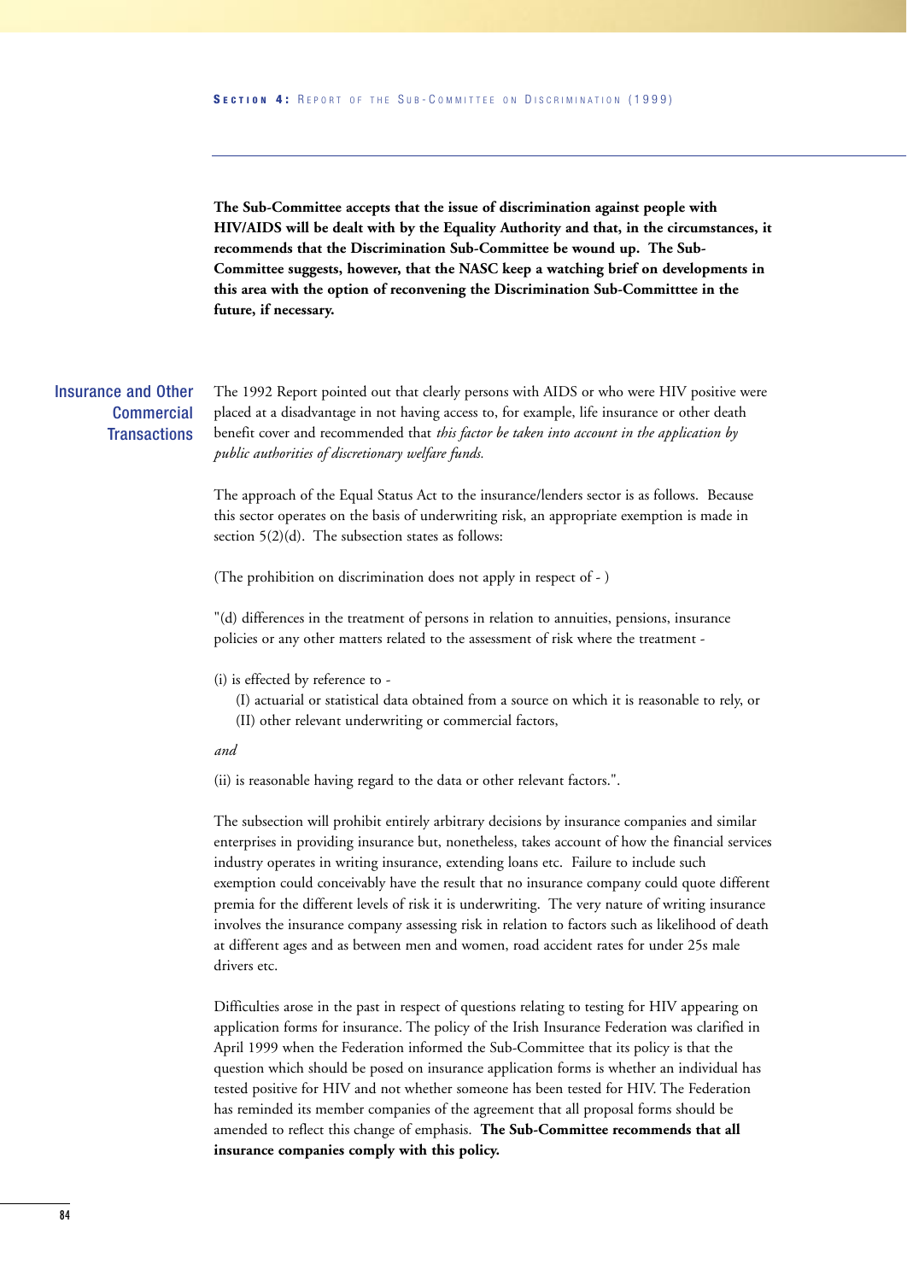**The Sub-Committee accepts that the issue of discrimination against people with HIV/AIDS will be dealt with by the Equality Authority and that, in the circumstances, it recommends that the Discrimination Sub-Committee be wound up. The Sub-Committee suggests, however, that the NASC keep a watching brief on developments in this area with the option of reconvening the Discrimination Sub-Committtee in the future, if necessary.**

## Insurance and Other **Commercial Transactions**

The 1992 Report pointed out that clearly persons with AIDS or who were HIV positive were placed at a disadvantage in not having access to, for example, life insurance or other death benefit cover and recommended that *this factor be taken into account in the application by public authorities of discretionary welfare funds.*

The approach of the Equal Status Act to the insurance/lenders sector is as follows. Because this sector operates on the basis of underwriting risk, an appropriate exemption is made in section 5(2)(d). The subsection states as follows:

(The prohibition on discrimination does not apply in respect of - )

"(d) differences in the treatment of persons in relation to annuities, pensions, insurance policies or any other matters related to the assessment of risk where the treatment -

(i) is effected by reference to -

(I) actuarial or statistical data obtained from a source on which it is reasonable to rely, or (II) other relevant underwriting or commercial factors,

*and* 

(ii) is reasonable having regard to the data or other relevant factors.".

The subsection will prohibit entirely arbitrary decisions by insurance companies and similar enterprises in providing insurance but, nonetheless, takes account of how the financial services industry operates in writing insurance, extending loans etc. Failure to include such exemption could conceivably have the result that no insurance company could quote different premia for the different levels of risk it is underwriting. The very nature of writing insurance involves the insurance company assessing risk in relation to factors such as likelihood of death at different ages and as between men and women, road accident rates for under 25s male drivers etc.

Difficulties arose in the past in respect of questions relating to testing for HIV appearing on application forms for insurance. The policy of the Irish Insurance Federation was clarified in April 1999 when the Federation informed the Sub-Committee that its policy is that the question which should be posed on insurance application forms is whether an individual has tested positive for HIV and not whether someone has been tested for HIV. The Federation has reminded its member companies of the agreement that all proposal forms should be amended to reflect this change of emphasis. **The Sub-Committee recommends that all insurance companies comply with this policy.**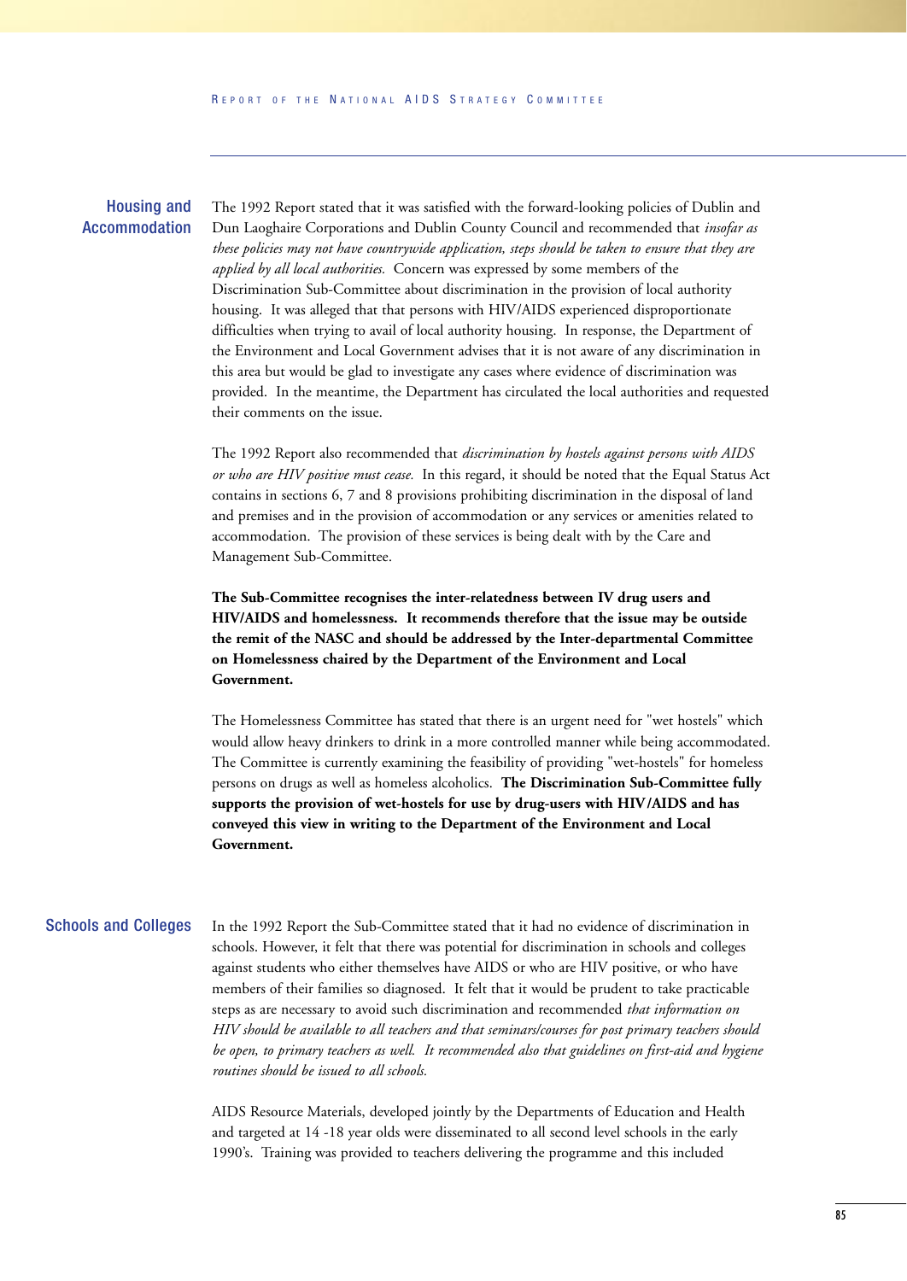## Housing and Accommodation

The 1992 Report stated that it was satisfied with the forward-looking policies of Dublin and Dun Laoghaire Corporations and Dublin County Council and recommended that *insofar as these policies may not have countrywide application, steps should be taken to ensure that they are applied by all local authorities.* Concern was expressed by some members of the Discrimination Sub-Committee about discrimination in the provision of local authority housing. It was alleged that that persons with HIV/AIDS experienced disproportionate difficulties when trying to avail of local authority housing. In response, the Department of the Environment and Local Government advises that it is not aware of any discrimination in this area but would be glad to investigate any cases where evidence of discrimination was provided. In the meantime, the Department has circulated the local authorities and requested their comments on the issue.

The 1992 Report also recommended that *discrimination by hostels against persons with AIDS or who are HIV positive must cease.* In this regard, it should be noted that the Equal Status Act contains in sections 6, 7 and 8 provisions prohibiting discrimination in the disposal of land and premises and in the provision of accommodation or any services or amenities related to accommodation. The provision of these services is being dealt with by the Care and Management Sub-Committee.

**The Sub-Committee recognises the inter-relatedness between IV drug users and HIV/AIDS and homelessness. It recommends therefore that the issue may be outside the remit of the NASC and should be addressed by the Inter-departmental Committee on Homelessness chaired by the Department of the Environment and Local Government.** 

The Homelessness Committee has stated that there is an urgent need for "wet hostels" which would allow heavy drinkers to drink in a more controlled manner while being accommodated. The Committee is currently examining the feasibility of providing "wet-hostels" for homeless persons on drugs as well as homeless alcoholics. **The Discrimination Sub-Committee fully supports the provision of wet-hostels for use by drug-users with HIV/AIDS and has conveyed this view in writing to the Department of the Environment and Local Government.**

## Schools and Colleges

In the 1992 Report the Sub-Committee stated that it had no evidence of discrimination in schools. However, it felt that there was potential for discrimination in schools and colleges against students who either themselves have AIDS or who are HIV positive, or who have members of their families so diagnosed. It felt that it would be prudent to take practicable steps as are necessary to avoid such discrimination and recommended *that information on HIV should be available to all teachers and that seminars/courses for post primary teachers should be open, to primary teachers as well. It recommended also that guidelines on first-aid and hygiene routines should be issued to all schools.*

AIDS Resource Materials, developed jointly by the Departments of Education and Health and targeted at 14 -18 year olds were disseminated to all second level schools in the early 1990's. Training was provided to teachers delivering the programme and this included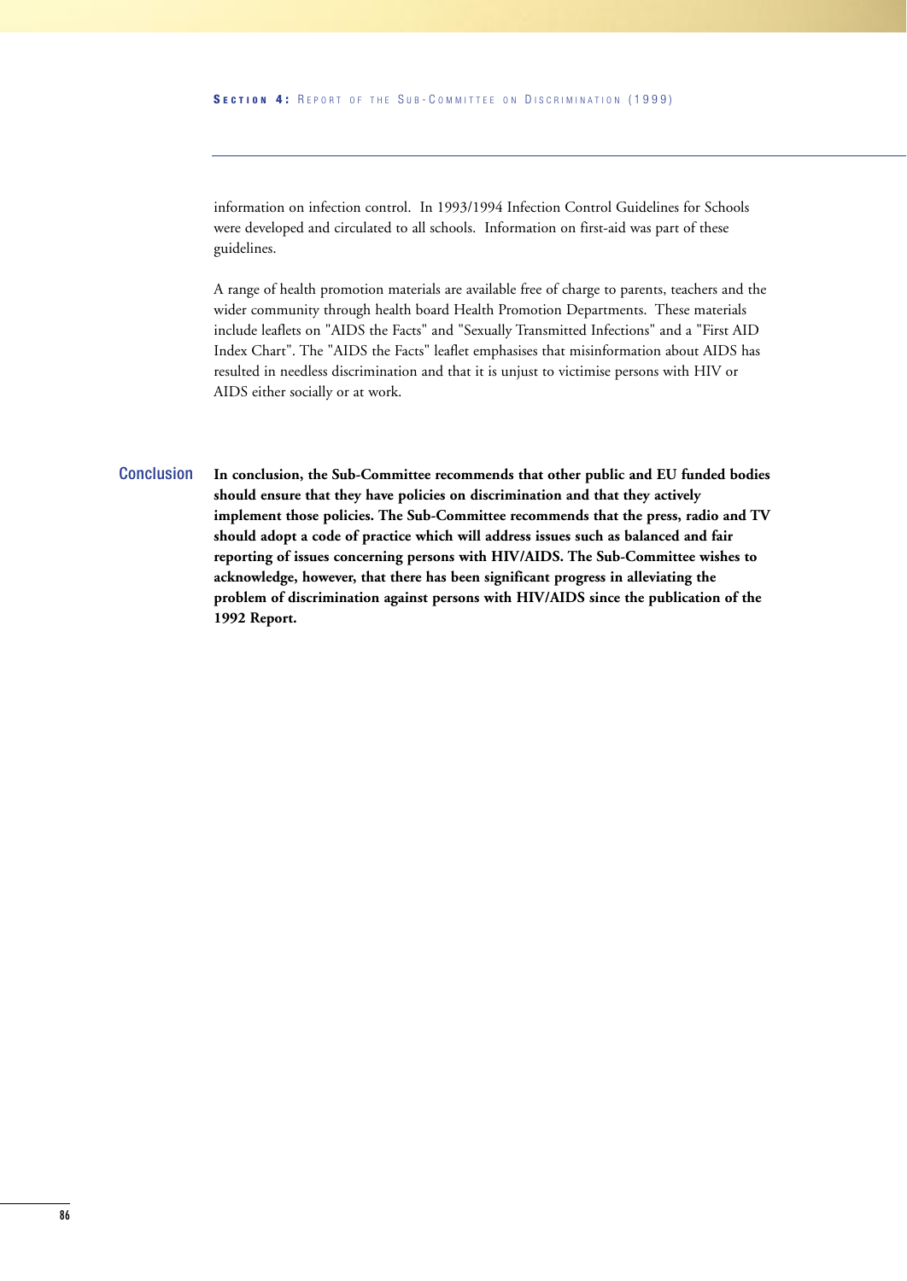information on infection control. In 1993/1994 Infection Control Guidelines for Schools were developed and circulated to all schools. Information on first-aid was part of these guidelines.

A range of health promotion materials are available free of charge to parents, teachers and the wider community through health board Health Promotion Departments. These materials include leaflets on "AIDS the Facts" and "Sexually Transmitted Infections" and a "First AID Index Chart". The "AIDS the Facts" leaflet emphasises that misinformation about AIDS has resulted in needless discrimination and that it is unjust to victimise persons with HIV or AIDS either socially or at work.

**In conclusion, the Sub-Committee recommends that other public and EU funded bodies should ensure that they have policies on discrimination and that they actively implement those policies. The Sub-Committee recommends that the press, radio and TV should adopt a code of practice which will address issues such as balanced and fair reporting of issues concerning persons with HIV/AIDS. The Sub-Committee wishes to acknowledge, however, that there has been significant progress in alleviating the problem of discrimination against persons with HIV/AIDS since the publication of the 1992 Report. Conclusion**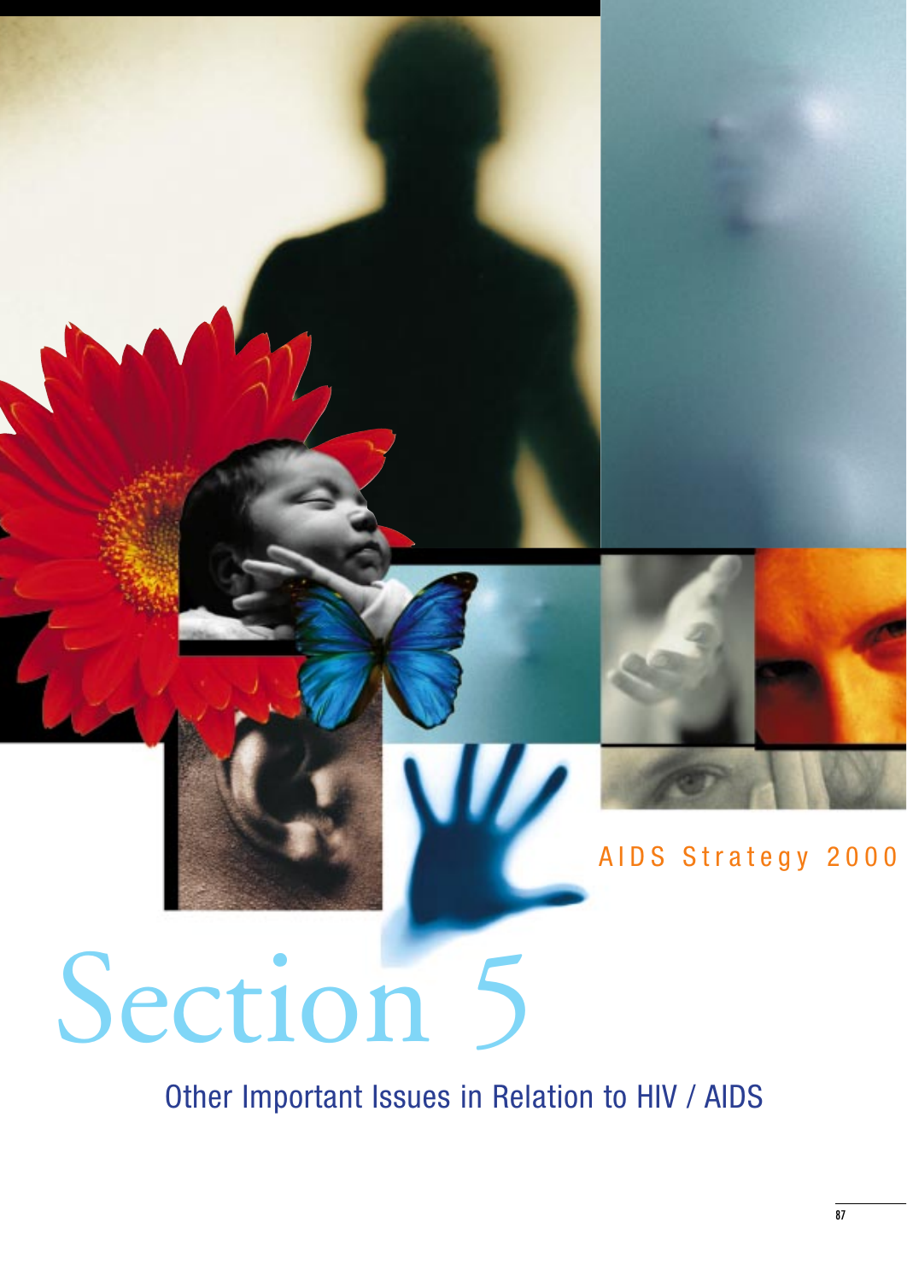

# AIDS Strategy 2000

# Section 5

Other Important Issues in Relation to HIV / AIDS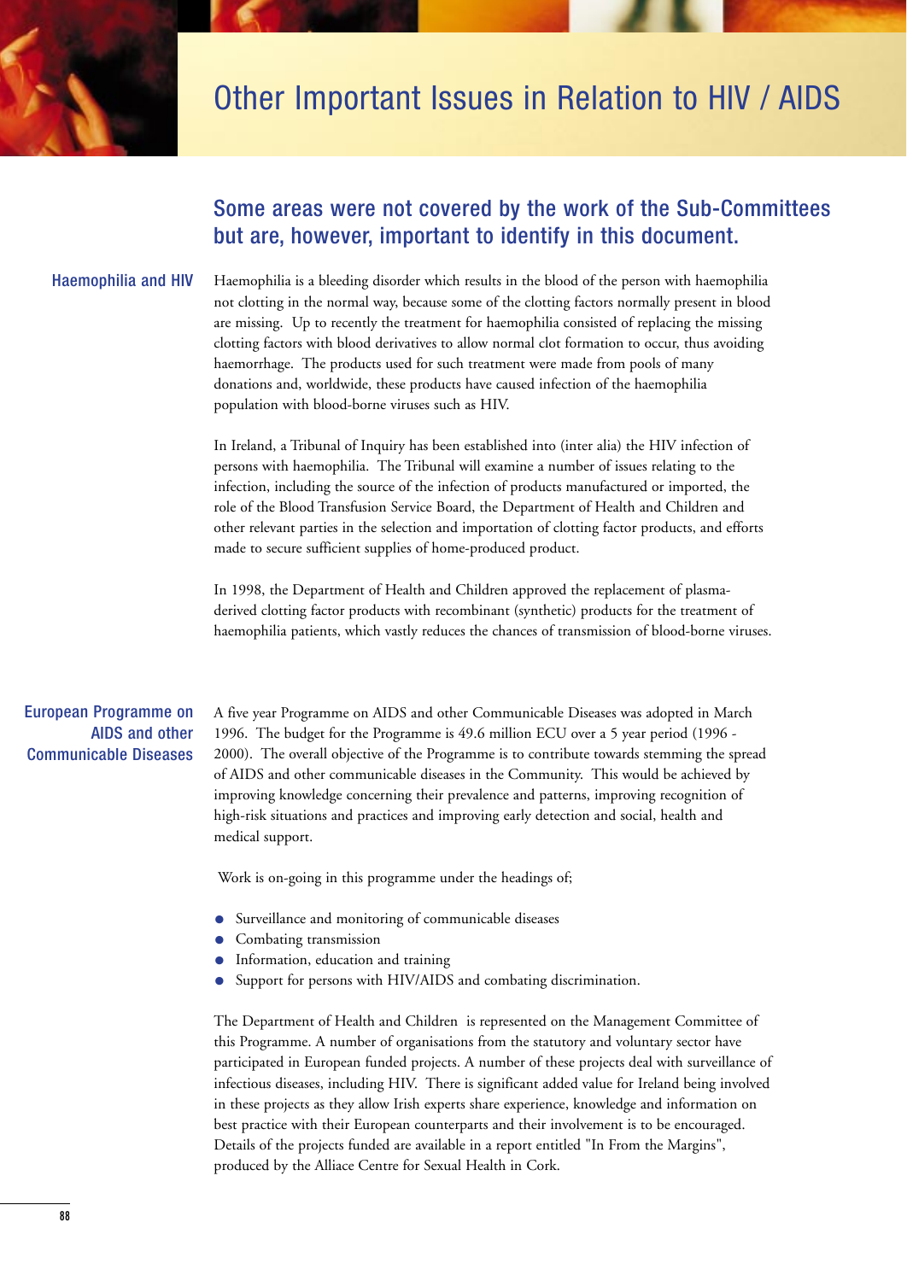

## Other Important Issues in Relation to HIV / AIDS

## Some areas were not covered by the work of the Sub-Committees but are, however, important to identify in this document.

## Haemophilia and HIV

Haemophilia is a bleeding disorder which results in the blood of the person with haemophilia not clotting in the normal way, because some of the clotting factors normally present in blood are missing. Up to recently the treatment for haemophilia consisted of replacing the missing clotting factors with blood derivatives to allow normal clot formation to occur, thus avoiding haemorrhage. The products used for such treatment were made from pools of many donations and, worldwide, these products have caused infection of the haemophilia population with blood-borne viruses such as HIV.

In Ireland, a Tribunal of Inquiry has been established into (inter alia) the HIV infection of persons with haemophilia. The Tribunal will examine a number of issues relating to the infection, including the source of the infection of products manufactured or imported, the role of the Blood Transfusion Service Board, the Department of Health and Children and other relevant parties in the selection and importation of clotting factor products, and efforts made to secure sufficient supplies of home-produced product.

In 1998, the Department of Health and Children approved the replacement of plasmaderived clotting factor products with recombinant (synthetic) products for the treatment of haemophilia patients, which vastly reduces the chances of transmission of blood-borne viruses.

## European Programme on AIDS and other Communicable Diseases

A five year Programme on AIDS and other Communicable Diseases was adopted in March 1996. The budget for the Programme is 49.6 million ECU over a 5 year period (1996 - 2000). The overall objective of the Programme is to contribute towards stemming the spread of AIDS and other communicable diseases in the Community. This would be achieved by improving knowledge concerning their prevalence and patterns, improving recognition of high-risk situations and practices and improving early detection and social, health and medical support.

Work is on-going in this programme under the headings of;

- Surveillance and monitoring of communicable diseases
- Combating transmission
- Information, education and training
- Support for persons with HIV/AIDS and combating discrimination.

The Department of Health and Children is represented on the Management Committee of this Programme. A number of organisations from the statutory and voluntary sector have participated in European funded projects. A number of these projects deal with surveillance of infectious diseases, including HIV. There is significant added value for Ireland being involved in these projects as they allow Irish experts share experience, knowledge and information on best practice with their European counterparts and their involvement is to be encouraged. Details of the projects funded are available in a report entitled "In From the Margins", produced by the Alliace Centre for Sexual Health in Cork.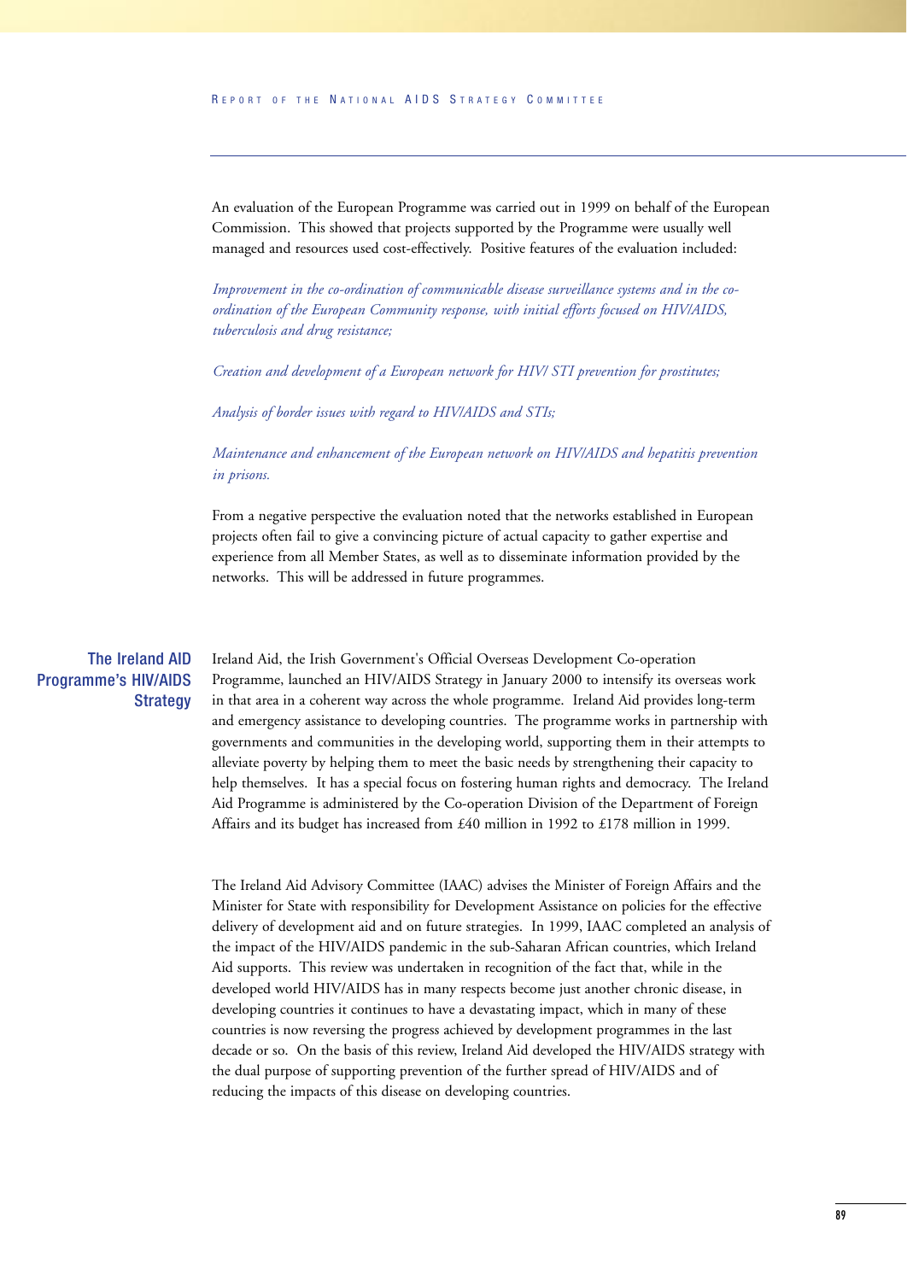An evaluation of the European Programme was carried out in 1999 on behalf of the European Commission. This showed that projects supported by the Programme were usually well managed and resources used cost-effectively. Positive features of the evaluation included:

*Improvement in the co-ordination of communicable disease surveillance systems and in the coordination of the European Community response, with initial efforts focused on HIV/AIDS, tuberculosis and drug resistance;*

*Creation and development of a European network for HIV/ STI prevention for prostitutes;*

*Analysis of border issues with regard to HIV/AIDS and STIs;*

*Maintenance and enhancement of the European network on HIV/AIDS and hepatitis prevention in prisons.*

From a negative perspective the evaluation noted that the networks established in European projects often fail to give a convincing picture of actual capacity to gather expertise and experience from all Member States, as well as to disseminate information provided by the networks. This will be addressed in future programmes.

## The Ireland AID Programme's HIV/AIDS **Strategy**

Ireland Aid, the Irish Government's Official Overseas Development Co-operation Programme, launched an HIV/AIDS Strategy in January 2000 to intensify its overseas work in that area in a coherent way across the whole programme. Ireland Aid provides long-term and emergency assistance to developing countries. The programme works in partnership with governments and communities in the developing world, supporting them in their attempts to alleviate poverty by helping them to meet the basic needs by strengthening their capacity to help themselves. It has a special focus on fostering human rights and democracy. The Ireland Aid Programme is administered by the Co-operation Division of the Department of Foreign Affairs and its budget has increased from £40 million in 1992 to £178 million in 1999.

The Ireland Aid Advisory Committee (IAAC) advises the Minister of Foreign Affairs and the Minister for State with responsibility for Development Assistance on policies for the effective delivery of development aid and on future strategies. In 1999, IAAC completed an analysis of the impact of the HIV/AIDS pandemic in the sub-Saharan African countries, which Ireland Aid supports. This review was undertaken in recognition of the fact that, while in the developed world HIV/AIDS has in many respects become just another chronic disease, in developing countries it continues to have a devastating impact, which in many of these countries is now reversing the progress achieved by development programmes in the last decade or so. On the basis of this review, Ireland Aid developed the HIV/AIDS strategy with the dual purpose of supporting prevention of the further spread of HIV/AIDS and of reducing the impacts of this disease on developing countries.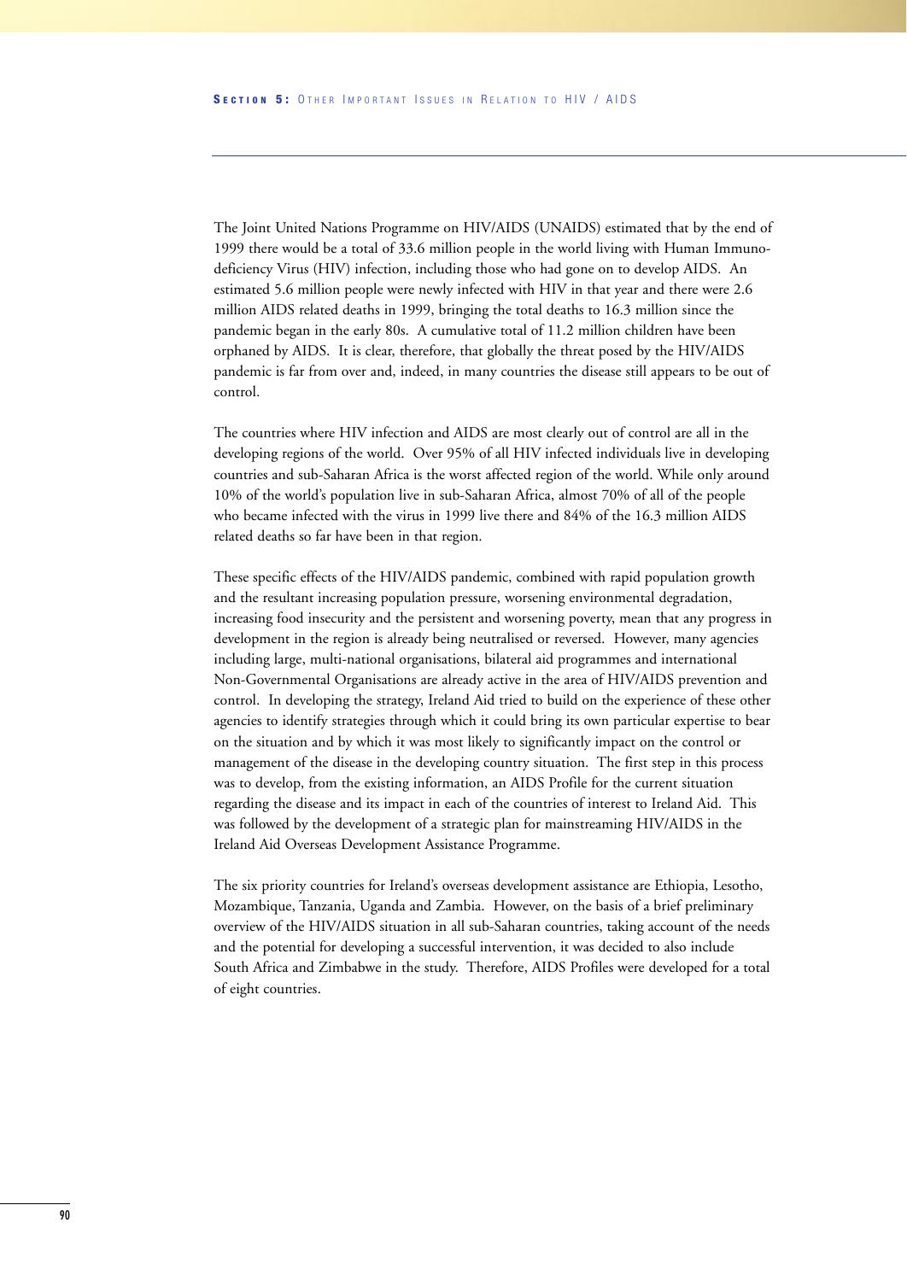The Joint United Nations Programme on HIV/AIDS (UNAIDS) estimated that by the end of 1999 there would be a total of 33.6 million people in the world living with Human Immunodeficiency Virus (HIV) infection, including those who had gone on to develop AIDS. An estimated 5.6 million people were newly infected with HIV in that year and there were 2.6 million AIDS related deaths in 1999, bringing the total deaths to 16.3 million since the pandemic began in the early 80s. A cumulative total of 11.2 million children have been orphaned by AIDS. It is clear, therefore, that globally the threat posed by the HIV/AIDS pandemic is far from over and, indeed, in many countries the disease still appears to be out of control.

The countries where HIV infection and AIDS are most clearly out of control are all in the developing regions of the world. Over 95% of all HIV infected individuals live in developing countries and sub-Saharan Africa is the worst affected region of the world. While only around 10% of the world's population live in sub-Saharan Africa, almost 70% of all of the people who became infected with the virus in 1999 live there and 84% of the 16.3 million AIDS related deaths so far have been in that region.

These specific effects of the HIV/AIDS pandemic, combined with rapid population growth and the resultant increasing population pressure, worsening environmental degradation, increasing food insecurity and the persistent and worsening poverty, mean that any progress in development in the region is already being neutralised or reversed. However, many agencies including large, multi-national organisations, bilateral aid programmes and international Non-Governmental Organisations are already active in the area of HIV/AIDS prevention and control. In developing the strategy, Ireland Aid tried to build on the experience of these other agencies to identify strategies through which it could bring its own particular expertise to bear on the situation and by which it was most likely to significantly impact on the control or management of the disease in the developing country situation. The first step in this process was to develop, from the existing information, an AIDS Profile for the current situation regarding the disease and its impact in each of the countries of interest to Ireland Aid. This was followed by the development of a strategic plan for mainstreaming HIV/AIDS in the Ireland Aid Overseas Development Assistance Programme.

The six priority countries for Ireland's overseas development assistance are Ethiopia, Lesotho, Mozambique, Tanzania, Uganda and Zambia. However, on the basis of a brief preliminary overview of the HIV/AIDS situation in all sub-Saharan countries, taking account of the needs and the potential for developing a successful intervention, it was decided to also include South Africa and Zimbabwe in the study. Therefore, AIDS Profiles were developed for a total of eight countries.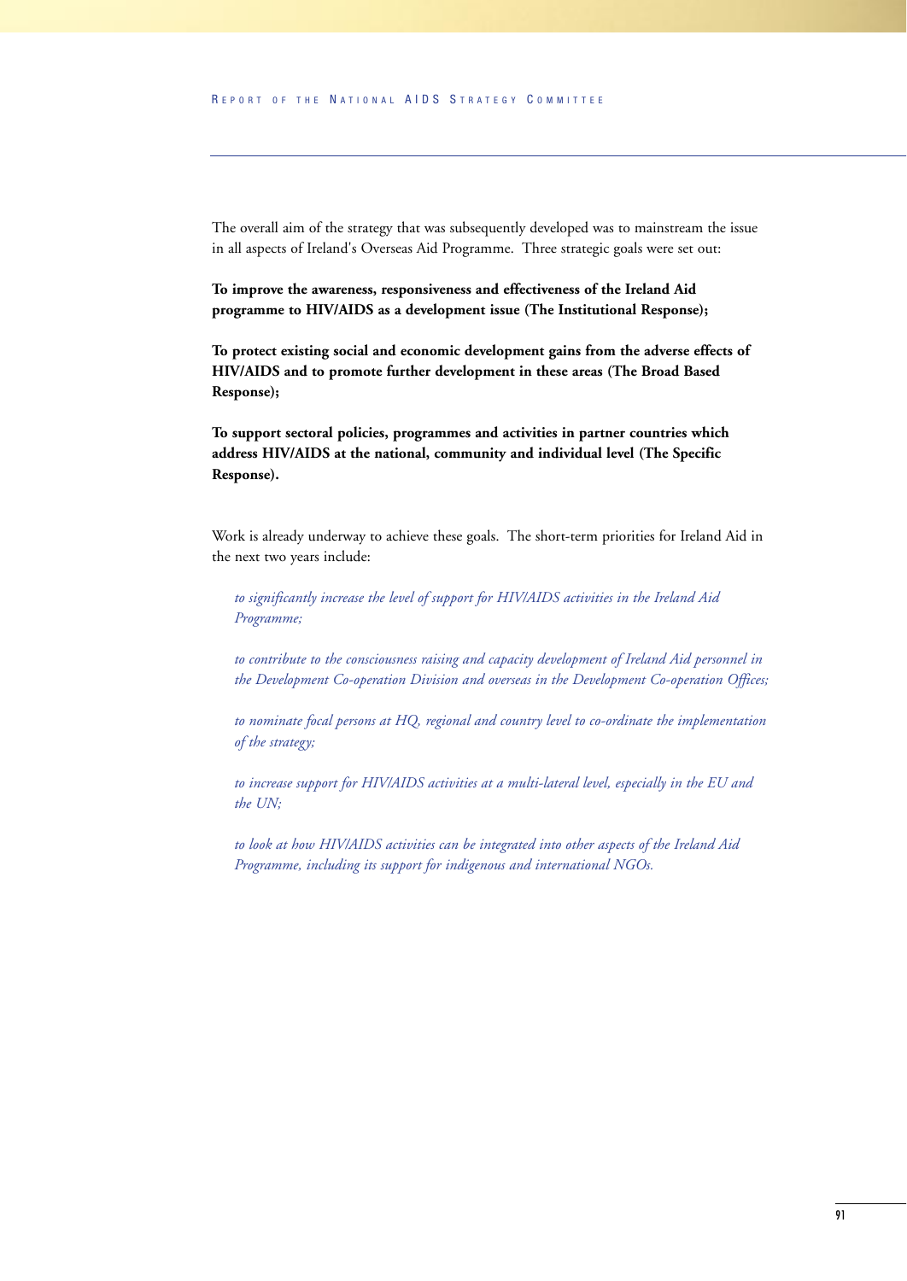The overall aim of the strategy that was subsequently developed was to mainstream the issue in all aspects of Ireland's Overseas Aid Programme. Three strategic goals were set out:

**To improve the awareness, responsiveness and effectiveness of the Ireland Aid programme to HIV/AIDS as a development issue (The Institutional Response);**

**To protect existing social and economic development gains from the adverse effects of HIV/AIDS and to promote further development in these areas (The Broad Based Response);**

**To support sectoral policies, programmes and activities in partner countries which address HIV/AIDS at the national, community and individual level (The Specific Response).**

Work is already underway to achieve these goals. The short-term priorities for Ireland Aid in the next two years include:

*to significantly increase the level of support for HIV/AIDS activities in the Ireland Aid Programme;*

*to contribute to the consciousness raising and capacity development of Ireland Aid personnel in the Development Co-operation Division and overseas in the Development Co-operation Offices;*

*to nominate focal persons at HQ, regional and country level to co-ordinate the implementation of the strategy;*

*to increase support for HIV/AIDS activities at a multi-lateral level, especially in the EU and the UN;*

*to look at how HIV/AIDS activities can be integrated into other aspects of the Ireland Aid Programme, including its support for indigenous and international NGOs.*